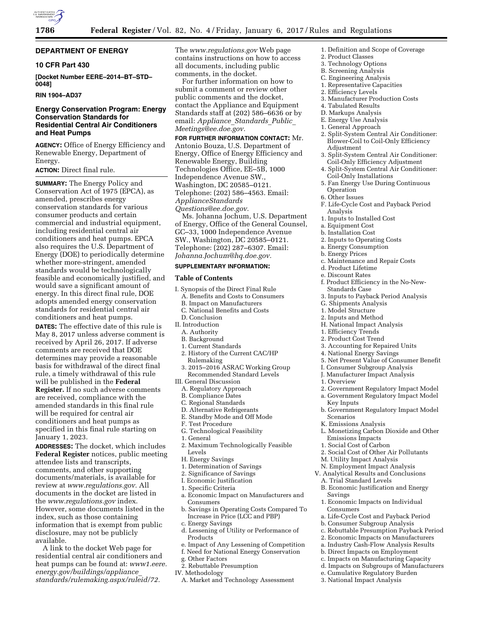

## **DEPARTMENT OF ENERGY**

## **10 CFR Part 430**

**[Docket Number EERE–2014–BT–STD– 0048]** 

## **RIN 1904–AD37**

## **Energy Conservation Program: Energy Conservation Standards for Residential Central Air Conditioners and Heat Pumps**

**AGENCY:** Office of Energy Efficiency and Renewable Energy, Department of Energy.

#### **ACTION:** Direct final rule.

**SUMMARY:** The Energy Policy and Conservation Act of 1975 (EPCA), as amended, prescribes energy conservation standards for various consumer products and certain commercial and industrial equipment, including residential central air conditioners and heat pumps. EPCA also requires the U.S. Department of Energy (DOE) to periodically determine whether more-stringent, amended standards would be technologically feasible and economically justified, and would save a significant amount of energy. In this direct final rule, DOE adopts amended energy conservation standards for residential central air conditioners and heat pumps.

**DATES:** The effective date of this rule is May 8, 2017 unless adverse comment is received by April 26, 2017. If adverse comments are received that DOE determines may provide a reasonable basis for withdrawal of the direct final rule, a timely withdrawal of this rule will be published in the **Federal Register.** If no such adverse comments are received, compliance with the amended standards in this final rule will be required for central air conditioners and heat pumps as specified in this final rule starting on January 1, 2023.

**ADDRESSES:** The docket, which includes **Federal Register** notices, public meeting attendee lists and transcripts, comments, and other supporting documents/materials, is available for review at *[www.regulations.gov.](http://www.regulations.gov)* All documents in the docket are listed in the *[www.regulations.gov](http://www.regulations.gov)* index. However, some documents listed in the index, such as those containing information that is exempt from public disclosure, may not be publicly available.

A link to the docket Web page for residential central air conditioners and heat pumps can be found at: *[www1.eere.](http://www1.eere.energy.gov/buildings/appliance_standards/rulemaking.aspx/ruleid/72) [energy.gov/buildings/appliance](http://www1.eere.energy.gov/buildings/appliance_standards/rulemaking.aspx/ruleid/72)*\_ *[standards/rulemaking.aspx/ruleid/72.](http://www1.eere.energy.gov/buildings/appliance_standards/rulemaking.aspx/ruleid/72)* 

The *[www.regulations.gov](http://www.regulations.gov)* Web page contains instructions on how to access all documents, including public comments, in the docket.

For further information on how to submit a comment or review other public comments and the docket, contact the Appliance and Equipment Standards staff at (202) 586–6636 or by email: *[Appliance](mailto:Appliance_Standards_Public_Meetings@ee.doe.gov)*\_*Standards*\_*Public*\_ *[Meetings@ee.doe.gov.](mailto:Appliance_Standards_Public_Meetings@ee.doe.gov)* 

**FOR FURTHER INFORMATION CONTACT:** Mr. Antonio Bouza, U.S. Department of Energy, Office of Energy Efficiency and Renewable Energy, Building Technologies Office, EE–5B, 1000 Independence Avenue SW., Washington, DC 20585–0121. Telephone: (202) 586–4563. Email: *[ApplianceStandards](mailto:ApplianceStandardsQuestions@ee.doe.gov) [Questions@ee.doe.gov.](mailto:ApplianceStandardsQuestions@ee.doe.gov)*  Ms. Johanna Jochum, U.S. Department of Energy, Office of the General Counsel,

GC–33, 1000 Independence Avenue SW., Washington, DC 20585–0121. Telephone: (202) 287–6307. Email: *[Johanna.Jochum@hq.doe.gov.](mailto:Johanna.Jochum@hq.doe.gov)* 

## **SUPPLEMENTARY INFORMATION:**

#### **Table of Contents**

- I. Synopsis of the Direct Final Rule
- A. Benefits and Costs to Consumers
- B. Impact on Manufacturers
- C. National Benefits and Costs
- D. Conclusion
- II. Introduction
	- A. Authority
	- B. Background
	- 1. Current Standards
	- 2. History of the Current CAC/HP Rulemaking
	- 3. 2015–2016 ASRAC Working Group Recommended Standard Levels
- III. General Discussion
- A. Regulatory Approach
- B. Compliance Dates
- C. Regional Standards
- D. Alternative Refrigerants
- E. Standby Mode and Off Mode
- F. Test Procedure
- G. Technological Feasibility
- 1. General
- 2. Maximum Technologically Feasible Levels
- H. Energy Savings
- 1. Determination of Savings
- 2. Significance of Savings
- I. Economic Justification
- 1. Specific Criteria
- a. Economic Impact on Manufacturers and Consumers
- b. Savings in Operating Costs Compared To Increase in Price (LCC and PBP)
- c. Energy Savings
- d. Lessening of Utility or Performance of Products
- e. Impact of Any Lessening of Competition
- f. Need for National Energy Conservation
- g. Other Factors
- 2. Rebuttable Presumption
- IV. Methodology
- A. Market and Technology Assessment
- 1. Definition and Scope of Coverage
- 2. Product Classes
- 3. Technology Options
- B. Screening Analysis
- C. Engineering Analysis 1. Representative Capacities
- 2. Efficiency Levels
- 
- 3. Manufacturer Production Costs
- 4. Tabulated Results
- D. Markups Analysis
- E. Energy Use Analysis
- 1. General Approach
- 2. Split-System Central Air Conditioner: Blower-Coil to Coil-Only Efficiency Adjustment
- 3. Split-System Central Air Conditioner: Coil-Only Efficiency Adjustment
- 4. Split-System Central Air Conditioner: Coil-Only Installations
- 5. Fan Energy Use During Continuous Operation
- 6. Other Issues
- F. Life-Cycle Cost and Payback Period Analysis
- 1. Inputs to Installed Cost
- a. Equipment Cost
- b. Installation Cost
- 2. Inputs to Operating Costs
- a. Energy Consumption
- b. Energy Prices
- c. Maintenance and Repair Costs
- d. Product Lifetime
- e. Discount Rates
- f. Product Efficiency in the No-New-Standards Case
- 3. Inputs to Payback Period Analysis
- G. Shipments Analysis
- 1. Model Structure
- 2. Inputs and Method
- H. National Impact Analysis
- 1. Efficiency Trends
- 2. Product Cost Trend
- 3. Accounting for Repaired Units
- 4. National Energy Savings
- 5. Net Present Value of Consumer Benefit
- I. Consumer Subgroup Analysis
- J. Manufacturer Impact Analysis
- 1. Overview

Savings

Consumers

- 2. Government Regulatory Impact Model
- a. Government Regulatory Impact Model
- Key Inputs b. Government Regulatory Impact Model Scenarios

L. Monetizing Carbon Dioxide and Other

2. Social Cost of Other Air Pollutants

B. Economic Justification and Energy

a. Life-Cycle Cost and Payback Period b. Consumer Subgroup Analysis

c. Rebuttable Presumption Payback Period 2. Economic Impacts on Manufacturers a. Industry Cash-Flow Analysis Results b. Direct Impacts on Employment c. Impacts on Manufacturing Capacity d. Impacts on Subgroups of Manufacturers e. Cumulative Regulatory Burden 3. National Impact Analysis

1. Economic Impacts on Individual

K. Emissions Analysis

Emissions Impacts 1. Social Cost of Carbon

M. Utility Impact Analysis N. Employment Impact Analysis V. Analytical Results and Conclusions A. Trial Standard Levels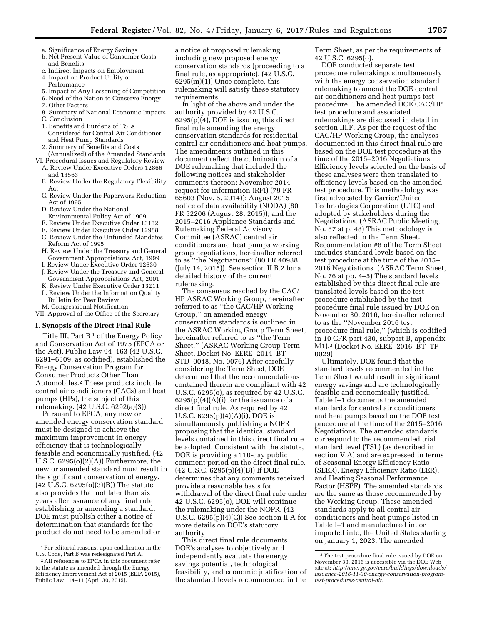- a. Significance of Energy Savings
- b. Net Present Value of Consumer Costs and Benefits
- c. Indirect Impacts on Employment 4. Impact on Product Utility or
- Performance
- 5. Impact of Any Lessening of Competition
- 6. Need of the Nation to Conserve Energy
- 7. Other Factors 8. Summary of National Economic Impacts C. Conclusion
- 1. Benefits and Burdens of TSLs
- Considered for Central Air Conditioner and Heat Pump Standards
- 2. Summary of Benefits and Costs (Annualized) of the Amended Standards
- VI. Procedural Issues and Regulatory Review A. Review Under Executive Orders 12866
	- and 13563 B. Review Under the Regulatory Flexibility Act
	- C. Review Under the Paperwork Reduction Act of 1995
	- D. Review Under the National
	- Environmental Policy Act of 1969
	- E. Review Under Executive Order 13132
	- F. Review Under Executive Order 12988
	- G. Review Under the Unfunded Mandates Reform Act of 1995
	- H. Review Under the Treasury and General Government Appropriations Act, 1999
	- I. Review Under Executive Order 12630
	- J. Review Under the Treasury and General Government Appropriations Act, 2001
	- K. Review Under Executive Order 13211
	- L. Review Under the Information Quality Bulletin for Peer Review
	- M. Congressional Notification
- VII. Approval of the Office of the Secretary

#### **I. Synopsis of the Direct Final Rule**

Title III, Part  $B<sup>1</sup>$  of the Energy Policy and Conservation Act of 1975 (EPCA or the Act), Public Law 94–163 (42 U.S.C. 6291–6309, as codified), established the Energy Conservation Program for Consumer Products Other Than Automobiles.2 These products include central air conditioners (CACs) and heat pumps (HPs), the subject of this rulemaking. (42 U.S.C. 6292(a)(3))

Pursuant to EPCA, any new or amended energy conservation standard must be designed to achieve the maximum improvement in energy efficiency that is technologically feasible and economically justified. (42 U.S.C. 6295(o)(2)(A)) Furthermore, the new or amended standard must result in the significant conservation of energy. (42 U.S.C. 6295(o)(3)(B)) The statute also provides that not later than six years after issuance of any final rule establishing or amending a standard, DOE must publish either a notice of determination that standards for the product do not need to be amended or

a notice of proposed rulemaking including new proposed energy conservation standards (proceeding to a final rule, as appropriate). (42 U.S.C. 6295(m)(1)) Once complete, this rulemaking will satisfy these statutory requirements.

In light of the above and under the authority provided by 42 U.S.C. 6295(p)(4), DOE is issuing this direct final rule amending the energy conservation standards for residential central air conditioners and heat pumps. The amendments outlined in this document reflect the culmination of a DOE rulemaking that included the following notices and stakeholder comments thereon: November 2014 request for information (RFI) (79 FR 65603 (Nov. 5, 2014)); August 2015 notice of data availability (NODA) (80 FR 52206 (August 28, 2015)); and the 2015–2016 Appliance Standards and Rulemaking Federal Advisory Committee (ASRAC) central air conditioners and heat pumps working group negotiations, hereinafter referred to as ''the Negotiations'' (80 FR 40938 (July 14, 2015)). See section II.B.2 for a detailed history of the current rulemaking.

The consensus reached by the CAC/ HP ASRAC Working Group, hereinafter referred to as ''the CAC/HP Working Group,'' on amended energy conservation standards is outlined in the ASRAC Working Group Term Sheet, hereinafter referred to as ''the Term Sheet.'' (ASRAC Working Group Term Sheet, Docket No. EERE–2014–BT– STD–0048, No. 0076) After carefully considering the Term Sheet, DOE determined that the recommendations contained therein are compliant with 42 U.S.C. 6295(o), as required by 42 U.S.C.  $6295(p)(4)(A)(i)$  for the issuance of a direct final rule. As required by 42 U.S.C. 6295(p)(4)(A)(i), DOE is simultaneously publishing a NOPR proposing that the identical standard levels contained in this direct final rule be adopted. Consistent with the statute, DOE is providing a 110-day public comment period on the direct final rule. (42 U.S.C. 6295(p)(4)(B)) If DOE determines that any comments received provide a reasonable basis for withdrawal of the direct final rule under 42 U.S.C. 6295(o), DOE will continue the rulemaking under the NOPR. (42 U.S.C. 6295(p)(4)(C)) See section II.A for more details on DOE's statutory authority.

This direct final rule documents DOE's analyses to objectively and independently evaluate the energy savings potential, technological feasibility, and economic justification of the standard levels recommended in the

Term Sheet, as per the requirements of 42 U.S.C. 6295(o).

DOE conducted separate test procedure rulemakings simultaneously with the energy conservation standard rulemaking to amend the DOE central air conditioners and heat pumps test procedure. The amended DOE CAC/HP test procedure and associated rulemakings are discussed in detail in section III.F. As per the request of the CAC/HP Working Group, the analyses documented in this direct final rule are based on the DOE test procedure at the time of the 2015–2016 Negotiations. Efficiency levels selected on the basis of these analyses were then translated to efficiency levels based on the amended test procedure. This methodology was first advocated by Carrier/United Technologies Corporation (UTC) and adopted by stakeholders during the Negotiations. (ASRAC Public Meeting, No. 87 at p. 48) This methodology is also reflected in the Term Sheet. Recommendation #8 of the Term Sheet includes standard levels based on the test procedure at the time of the 2015– 2016 Negotiations. (ASRAC Term Sheet, No. 76 at pp. 4–5) The standard levels established by this direct final rule are translated levels based on the test procedure established by the test procedure final rule issued by DOE on November 30, 2016, hereinafter referred to as the ''November 2016 test procedure final rule,'' (which is codified in 10 CFR part 430, subpart B, appendix M1).3 (Docket No. EERE–2016–BT–TP– 0029)

Ultimately, DOE found that the standard levels recommended in the Term Sheet would result in significant energy savings and are technologically feasible and economically justified. Table I–1 documents the amended standards for central air conditioners and heat pumps based on the DOE test procedure at the time of the 2015–2016 Negotiations. The amended standards correspond to the recommended trial standard level (TSL) (as described in section V.A) and are expressed in terms of Seasonal Energy Efficiency Ratio (SEER), Energy Efficiency Ratio (EER), and Heating Seasonal Performance Factor (HSPF). The amended standards are the same as those recommended by the Working Group. These amended standards apply to all central air conditioners and heat pumps listed in Table I–1 and manufactured in, or imported into, the United States starting on January 1, 2023. The amended

<sup>1</sup>For editorial reasons, upon codification in the U.S. Code, Part B was redesignated Part A.

<sup>2</sup>All references to EPCA in this document refer to the statute as amended through the Energy Efficiency Improvement Act of 2015 (EEIA 2015), Public Law 114–11 (April 30, 2015).

<sup>3</sup>The test procedure final rule issued by DOE on November 30, 2016 is accessible via the DOE Web site at: *[http://energy.gov/eere/buildings/downloads/](http://energy.gov/eere/buildings/downloads/issuance-2016-11-30-energy-conservation-program-test-procedures-central-air)  [issuance-2016-11-30-energy-conservation-program](http://energy.gov/eere/buildings/downloads/issuance-2016-11-30-energy-conservation-program-test-procedures-central-air)[test-procedures-central-air.](http://energy.gov/eere/buildings/downloads/issuance-2016-11-30-energy-conservation-program-test-procedures-central-air)*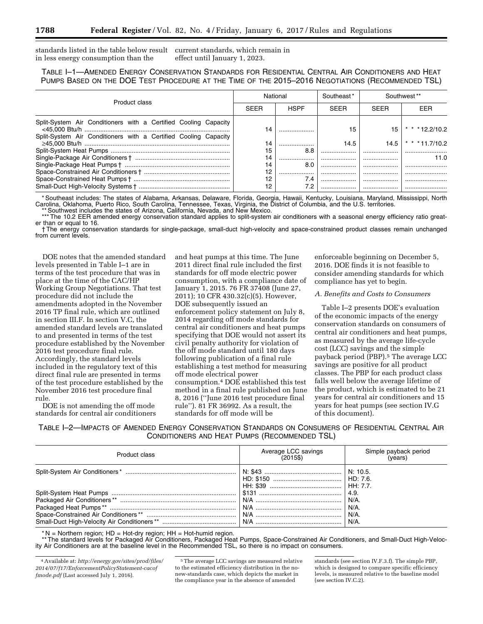standards listed in the table below result current standards, which remain in in less energy consumption than the effect until January 1, 2023.

TABLE I–1—AMENDED ENERGY CONSERVATION STANDARDS FOR RESIDENTIAL CENTRAL AIR CONDITIONERS AND HEAT PUMPS BASED ON THE DOE TEST PROCEDURE AT THE TIME OF THE 2015–2016 NEGOTIATIONS (RECOMMENDED TSL)

| Product class                                                                                                                      | National    |             | Southeast*<br>Southwest ** |             |                 |
|------------------------------------------------------------------------------------------------------------------------------------|-------------|-------------|----------------------------|-------------|-----------------|
|                                                                                                                                    | <b>SEER</b> | <b>HSPF</b> | <b>SEER</b>                | <b>SFFR</b> | EER             |
| Split-System Air Conditioners with a Certified Cooling Capacity<br>Split-System Air Conditioners with a Certified Cooling Capacity | 14          |             | 15                         | 15          | * * * 12.2/10.2 |
|                                                                                                                                    | 14          |             | 14.5                       | 14.5        | $* * * 117/102$ |
|                                                                                                                                    | 15          | 8.8         |                            |             |                 |
|                                                                                                                                    | 14          |             |                            |             | 11.0            |
|                                                                                                                                    | 14          | 8.0         | .                          |             |                 |
|                                                                                                                                    | 12          |             | .                          |             |                 |
|                                                                                                                                    | 12          | 7.4         | .                          | .           |                 |
|                                                                                                                                    | 12          | 7.2         | .                          | .           |                 |

\* Southeast includes: The states of Alabama, Arkansas, Delaware, Florida, Georgia, Hawaii, Kentucky, Louisiana, Maryland, Mississippi, North Carolina, Oklahoma, Puerto Rico, South Carolina, Tennessee, Texas, Virginia, the District of Columbia, and the U.S. territories.

Southwest includes the states of Arizona, California, Nevada, and New Mexico.

\*\*\* The 10.2 EER amended energy conservation standard applies to split-system air conditioners with a seasonal energy efficiency ratio greater than or equal to 16.

† The energy conservation standards for single-package, small-duct high-velocity and space-constrained product classes remain unchanged from current levels.

DOE notes that the amended standard levels presented in Table I–1 are in terms of the test procedure that was in place at the time of the CAC/HP Working Group Negotiations. That test procedure did not include the amendments adopted in the November 2016 TP final rule, which are outlined in section III.F. In section V.C, the amended standard levels are translated to and presented in terms of the test procedure established by the November 2016 test procedure final rule. Accordingly, the standard levels included in the regulatory text of this direct final rule are presented in terms of the test procedure established by the November 2016 test procedure final rule.

DOE is not amending the off mode standards for central air conditioners

and heat pumps at this time. The June 2011 direct final rule included the first standards for off mode electric power consumption, with a compliance date of January 1, 2015. 76 FR 37408 (June 27, 2011); 10 CFR 430.32(c)(5). However, DOE subsequently issued an enforcement policy statement on July 8, 2014 regarding off mode standards for central air conditioners and heat pumps specifying that DOE would not assert its civil penalty authority for violation of the off mode standard until 180 days following publication of a final rule establishing a test method for measuring off mode electrical power consumption.4 DOE established this test method in a final rule published on June 8, 2016 (''June 2016 test procedure final rule''). 81 FR 36992. As a result, the standards for off mode will be

enforceable beginning on December 5, 2016. DOE finds it is not feasible to consider amending standards for which compliance has yet to begin.

#### *A. Benefits and Costs to Consumers*

Table I–2 presents DOE's evaluation of the economic impacts of the energy conservation standards on consumers of central air conditioners and heat pumps, as measured by the average life-cycle cost (LCC) savings and the simple payback period (PBP).5 The average LCC savings are positive for all product classes. The PBP for each product class falls well below the average lifetime of the product, which is estimated to be 21 years for central air conditioners and 15 years for heat pumps (see section IV.G of this document).

TABLE I–2—IMPACTS OF AMENDED ENERGY CONSERVATION STANDARDS ON CONSUMERS OF RESIDENTIAL CENTRAL AIR CONDITIONERS AND HEAT PUMPS (RECOMMENDED TSL)

| Product class | Average LCC savings<br>(2015\$) | Simple payback period<br>(years)     |
|---------------|---------------------------------|--------------------------------------|
|               |                                 | N: 10.5.                             |
|               |                                 | 4.9.<br>N/A<br>$N/A$ .<br>N/A<br>N/A |

 $* N =$  Northern region; HD = Hot-dry region; HH = Hot-humid region.

\*\* The standard levels for Packaged Air Conditioners, Packaged Heat Pumps, Space-Constrained Air Conditioners, and Small-Duct High-Velocity Air Conditioners are at the baseline level in the Recommended TSL, so there is no impact on consumers.

5The average LCC savings are measured relative to the estimated efficiency distribution in the nonew-standards case, which depicts the market in the compliance year in the absence of amended

standards (see section IV.F.3.f). The simple PBP, which is designed to compare specific efficiency levels, is measured relative to the baseline model (see section IV.C.2).

<sup>4</sup>Available at: *[http://energy.gov/sites/prod/files/](http://energy.gov/sites/prod/files/2014/07/f17/EnforcementPolicyStatement-cacoffmode.pdf) [2014/07/f17/EnforcementPolicyStatement-cacof](http://energy.gov/sites/prod/files/2014/07/f17/EnforcementPolicyStatement-cacoffmode.pdf) [fmode.pdf](http://energy.gov/sites/prod/files/2014/07/f17/EnforcementPolicyStatement-cacoffmode.pdf)* (Last accessed July 1, 2016).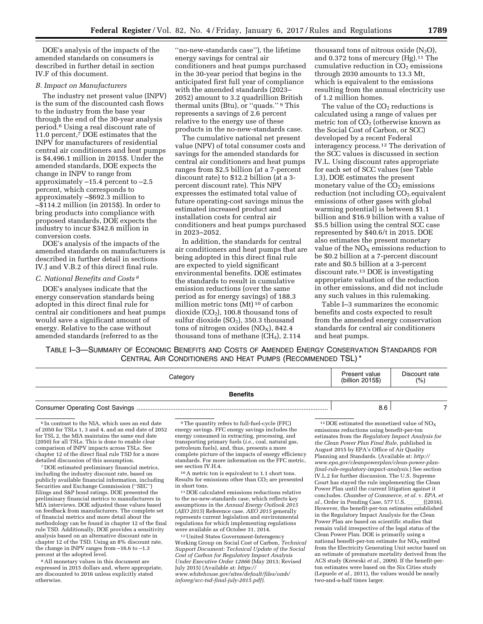DOE's analysis of the impacts of the amended standards on consumers is described in further detail in section IV.F of this document.

#### *B. Impact on Manufacturers*

The industry net present value (INPV) is the sum of the discounted cash flows to the industry from the base year through the end of the 30-year analysis period.6 Using a real discount rate of 11.0 percent,7 DOE estimates that the INPV for manufacturers of residential central air conditioners and heat pumps is \$4,496.1 million in 2015\$. Under the amended standards, DOE expects the change in INPV to range from approximately –15.4 percent to –2.5 percent, which corresponds to approximately –\$692.3 million to –\$114.2 million (in 2015\$). In order to bring products into compliance with proposed standards, DOE expects the industry to incur \$342.6 million in conversion costs.

DOE's analysis of the impacts of the amended standards on manufacturers is described in further detail in sections IV.J and V.B.2 of this direct final rule.

### *C. National Benefits and Costs 8*

DOE's analyses indicate that the energy conservation standards being adopted in this direct final rule for central air conditioners and heat pumps would save a significant amount of energy. Relative to the case without amended standards (referred to as the

''no-new-standards case''), the lifetime energy savings for central air conditioners and heat pumps purchased in the 30-year period that begins in the anticipated first full year of compliance with the amended standards (2023– 2052) amount to 3.2 quadrillion British thermal units (Btu), or ''quads.'' 9 This represents a savings of 2.6 percent relative to the energy use of these products in the no-new-standards case.

The cumulative national net present value (NPV) of total consumer costs and savings for the amended standards for central air conditioners and heat pumps ranges from \$2.5 billion (at a 7-percent discount rate) to \$12.2 billion (at a 3 percent discount rate). This NPV expresses the estimated total value of future operating-cost savings minus the estimated increased product and installation costs for central air conditioners and heat pumps purchased in 2023–2052.

In addition, the standards for central air conditioners and heat pumps that are being adopted in this direct final rule are expected to yield significant environmental benefits. DOE estimates the standards to result in cumulative emission reductions (over the same period as for energy savings) of 188.3 million metric tons (Mt) 10 of carbon dioxide  $(CO<sub>2</sub>)$ , 100.8 thousand tons of sulfur dioxide  $(SO<sub>2</sub>)$ , 350.3 thousand tons of nitrogen oxides  $(NO<sub>X</sub>)$ , 842.4 thousand tons of methane  $(CH<sub>4</sub>)$ , 2.114

thousand tons of nitrous oxide  $(N_2O)$ , and 0.372 tons of mercury  $(Hg)$ .<sup>11</sup> The cumulative reduction in  $CO<sub>2</sub>$  emissions through 2030 amounts to 13.3 Mt, which is equivalent to the emissions resulting from the annual electricity use of 1.2 million homes.

The value of the  $CO<sub>2</sub>$  reductions is calculated using a range of values per metric ton of  $CO<sub>2</sub>$  (otherwise known as the Social Cost of Carbon, or SCC) developed by a recent Federal interagency process.12 The derivation of the SCC values is discussed in section IV.L. Using discount rates appropriate for each set of SCC values (see Table I.3), DOE estimates the present monetary value of the  $CO<sub>2</sub>$  emissions reduction (not including  $CO<sub>2</sub>$ -equivalent emissions of other gases with global warming potential) is between \$1.1 billion and \$16.9 billion with a value of \$5.5 billion using the central SCC case represented by \$40.6/t in 2015. DOE also estimates the present monetary value of the  $NO<sub>X</sub>$  emissions reduction to be \$0.2 billion at a 7-percent discount rate and \$0.5 billion at a 3-percent discount rate.13 DOE is investigating appropriate valuation of the reduction in other emissions, and did not include any such values in this rulemaking.

Table I–3 summarizes the economic benefits and costs expected to result from the amended energy conservation standards for central air conditioners and heat pumps.

TABLE I–3—SUMMARY OF ECONOMIC BENEFITS AND COSTS OF AMENDED ENERGY CONSERVATION STANDARDS FOR CENTRAL AIR CONDITIONERS AND HEAT PUMPS (RECOMMENDED TSL) \*

| Category        | Present value<br>(billion 2015\$) | Discount rate<br>(% ) |
|-----------------|-----------------------------------|-----------------------|
| <b>Benefits</b> |                                   |                       |

Consumer Operating Cost Savings ............................................................................................................. 8.6 7

 $^6\!$  In contrast to the NIA, which uses an end date of 2050 for TSLs 1, 3 and 4, and an end date of 2052 for TSL 2, the MIA maintains the same end date (2050) for all TSLs. This is done to enable clear comparison of INPV impacts across TSLs. See chapter 12 of the direct final rule TSD for a more detailed discussion of this assumption.

7 DOE estimated preliminary financial metrics, including the industry discount rate, based on publicly available financial information, including Securities and Exchange Commission (''SEC'') filings and S&P bond ratings. DOE presented the preliminary financial metrics to manufacturers in MIA interviews. DOE adjusted those values based on feedback from manufacturers. The complete set of financial metrics and more detail about the methodology can be found in chapter 12 of the final rule TSD. Additionally, DOE provides a sensitivity analysis based on an alternative discount rate in chapter 12 of the TSD. Using an 8% discount rate, the change in INPV ranges from –16.6 to –1.3 percent at the adopted level.

8All monetary values in this document are expressed in 2015 dollars and, where appropriate, are discounted to 2016 unless explicitly stated otherwise.

9The quantity refers to full-fuel-cycle (FFC) energy savings. FFC energy savings includes the energy consumed in extracting, processing, and transporting primary fuels (*i.e.,* coal, natural gas, petroleum fuels), and, thus, presents a more complete picture of the impacts of energy efficiency standards. For more information on the FFC metric, see section IV.H.4.

10A metric ton is equivalent to 1.1 short tons. Results for emissions other than  $CO<sub>2</sub>$  are presented<br>in short tons.

 $\rm ^{11}DOE$  calculated emissions reductions relative to the no-new-standards case, which reflects key assumptions in the *Annual Energy Outlook 2015*  (*AEO 2015*) Reference case. *AEO 2015* generally represents current legislation and environmental regulations for which implementing regulations were available as of October 31, 2014.

12United States Government-Interagency Working Group on Social Cost of Carbon, *Technical Support Document: Technical Update of the Social Cost of Carbon for Regulatory Impact Analysis Under Executive Order 12866* (May 2013; Revised July 2015) (Available at: *[https://](https://www.whitehouse.gov/sites/default/files/omb/inforeg/scc-tsd-final-july-2015.pdf) [www.whitehouse.gov/sites/default/files/omb/](https://www.whitehouse.gov/sites/default/files/omb/inforeg/scc-tsd-final-july-2015.pdf) [inforeg/scc-tsd-final-july-2015.pdf\)](https://www.whitehouse.gov/sites/default/files/omb/inforeg/scc-tsd-final-july-2015.pdf)*.

 $^{13}$  DOE estimated the monetized value of  $\rm{NO_X}$ emissions reductions using benefit-per-ton estimates from the *Regulatory Impact Analysis for the Clean Power Plan Final Rule,* published in August 2015 by EPA's Office of Air Quality Planning and Standards. (Available at: *[http://](http://www.epa.gov/cleanpowerplan/clean-power-plan-final-rule-regulatory-impact-analysis) [www.epa.gov/cleanpowerplan/clean-power-plan](http://www.epa.gov/cleanpowerplan/clean-power-plan-final-rule-regulatory-impact-analysis)[final-rule-regulatory-impact-analysis.](http://www.epa.gov/cleanpowerplan/clean-power-plan-final-rule-regulatory-impact-analysis)*) See section IV.L.2 for further discussion. The U.S. Supreme Court has stayed the rule implementing the Clean Power Plan until the current litigation against it concludes. *Chamber of Commerce, et al.* v. *EPA, et al., Order in Pending Case, 577 U.S.* \_\_\_\_\_((2016). However, the benefit-per-ton estimates established in the Regulatory Impact Analysis for the Clean Power Plan are based on scientific studies that remain valid irrespective of the legal status of the Clean Power Plan. DOE is primarily using a national benefit-per-ton estimate for  $NO<sub>x</sub>$  emitted from the Electricity Generating Unit sector based on an estimate of premature mortality derived from the ACS study (Krewski *et al.,* 2009). If the benefit-perton estimates were based on the Six Cities study (Lepuele *et al.,* 2011), the values would be nearly two-and-a-half times larger.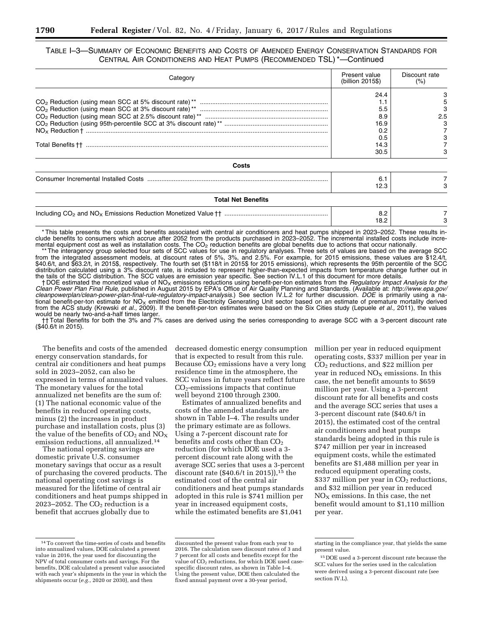TABLE I–3—SUMMARY OF ECONOMIC BENEFITS AND COSTS OF AMENDED ENERGY CONSERVATION STANDARDS FOR CENTRAL AIR CONDITIONERS AND HEAT PUMPS (RECOMMENDED TSL) \*—Continued

| Category                  | Present value<br>(billion 2015\$)                               | Discount rate<br>(% ) |
|---------------------------|-----------------------------------------------------------------|-----------------------|
|                           | 24.4<br>1.1<br>5.5<br>8.9<br>16.9<br>0.2<br>0.5<br>14.3<br>30.5 | 5<br>2.5              |
| Costs                     |                                                                 |                       |
|                           | 6.1<br>12.3                                                     |                       |
| <b>Total Net Benefits</b> |                                                                 |                       |
|                           | 8.2<br>18.2                                                     |                       |

\* This table presents the costs and benefits associated with central air conditioners and heat pumps shipped in 2023–2052. These results include benefits to consumers which accrue after 2052 from the products purchased in 2023–2052. The incremental installed costs include incremental equipment cost as well as installation costs. The  $CO<sub>2</sub>$  reduction benefits are global benefits due to actions that occur nationally.

\*\* The interagency group selected four sets of SCC values for use in regulatory analyses. Three sets of values are based on the average SCC from the integrated assessment models, at discount rates of 5%, 3%, and 2.5%. For example, for 2015 emissions, these values are \$12.4/t, \$40.6/t, and \$63.2/t, in 2015\$, respectively. The fourth set (\$118/t in 2015\$ for 2015 emissions), which represents the 95th percentile of the SCC distribution calculated using a 3% discount rate, is included to represent higher-than-expected impacts from temperature change further out in the tails of the SCC distribution. The SCC values are emission year specific. See section IV.L.1 of this document for more details.

† DOE estimated the monetized value of NOX emissions reductions using benefit-per-ton estimates from the *Regulatory Impact Analysis for the Clean Power Plan Final Rule,* published in August 2015 by EPA's Office of Air Quality Planning and Standards. (Available at: *[http://www.epa.gov/](http://www.epa.gov/cleanpowerplan/clean-power-plan-final-rule-regulatory-impact-analysis)  [cleanpowerplan/clean-power-plan-final-rule-regulatory-impact-analysis](http://www.epa.gov/cleanpowerplan/clean-power-plan-final-rule-regulatory-impact-analysis)*.) See section IV.L.2 for further discussion. *DOE* is primarily using a national benefit-per-ton estimate for NO<sub>X</sub> emitted from the Electricity Generating Unit sector based on an estimate of premature mortality derived from the ACS study (Krewski *et al.,* 2009). If the benefit-per-ton estimates were based on the Six Cities study (Lepuele *et al.,* 2011), the values would be nearly two-and-a-half times larger.

†† Total Benefits for both the 3% and 7% cases are derived using the series corresponding to average SCC with a 3-percent discount rate (\$40.6/t in 2015).

The benefits and costs of the amended energy conservation standards, for central air conditioners and heat pumps sold in 2023–2052, can also be expressed in terms of annualized values. The monetary values for the total annualized net benefits are the sum of: (1) The national economic value of the benefits in reduced operating costs, minus (2) the increases in product purchase and installation costs, plus (3) the value of the benefits of  $CO<sub>2</sub>$  and  $NO<sub>X</sub>$ emission reductions, all annualized.14

The national operating savings are domestic private U.S. consumer monetary savings that occur as a result of purchasing the covered products. The national operating cost savings is measured for the lifetime of central air conditioners and heat pumps shipped in 2023–2052. The  $CO<sub>2</sub>$  reduction is a benefit that accrues globally due to

decreased domestic energy consumption that is expected to result from this rule. Because  $CO<sub>2</sub>$  emissions have a very long residence time in the atmosphere, the SCC values in future years reflect future  $CO<sub>2</sub>$ -emissions impacts that continue well beyond 2100 through 2300.

Estimates of annualized benefits and costs of the amended standards are shown in Table I–4. The results under the primary estimate are as follows. Using a 7-percent discount rate for benefits and costs other than  $CO<sub>2</sub>$ reduction (for which DOE used a 3 percent discount rate along with the average SCC series that uses a 3-percent discount rate (\$40.6/t in 2015)),<sup>15</sup> the estimated cost of the central air conditioners and heat pumps standards adopted in this rule is \$741 million per year in increased equipment costs, while the estimated benefits are \$1,041

million per year in reduced equipment operating costs, \$337 million per year in CO2 reductions, and \$22 million per year in reduced  $NO<sub>x</sub>$  emissions. In this case, the net benefit amounts to \$659 million per year. Using a 3-percent discount rate for all benefits and costs and the average SCC series that uses a 3-percent discount rate (\$40.6/t in 2015), the estimated cost of the central air conditioners and heat pumps standards being adopted in this rule is \$747 million per year in increased equipment costs, while the estimated benefits are \$1,488 million per year in reduced equipment operating costs, \$337 million per year in  $CO<sub>2</sub>$  reductions, and \$32 million per year in reduced  $NO<sub>x</sub>$  emissions. In this case, the net benefit would amount to \$1,110 million per year.

<sup>14</sup>To convert the time-series of costs and benefits into annualized values, DOE calculated a present value in 2016, the year used for discounting the NPV of total consumer costs and savings. For the benefits, DOE calculated a present value associated with each year's shipments in the year in which the shipments occur (*e.g.,* 2020 or 2030), and then

discounted the present value from each year to 2016. The calculation uses discount rates of 3 and 7 percent for all costs and benefits except for the value of  $CO<sub>2</sub>$  reductions, for which DOE used casespecific discount rates, as shown in Table I–4. Using the present value, DOE then calculated the fixed annual payment over a 30-year period,

starting in the compliance year, that yields the same present value.

<sup>15</sup> DOE used a 3-percent discount rate because the SCC values for the series used in the calculation were derived using a 3-percent discount rate (see section IV.L).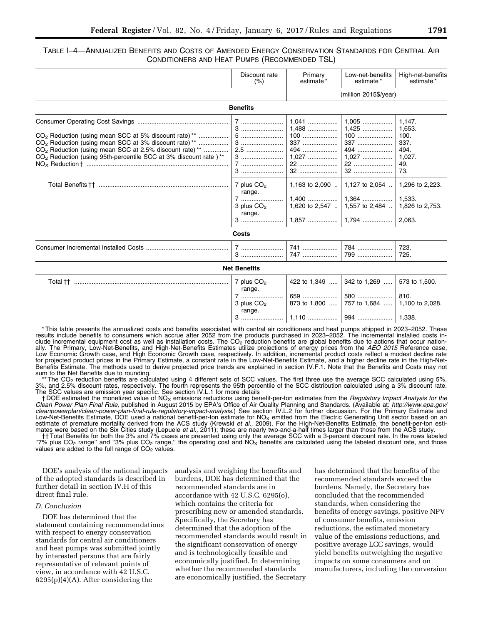## TABLE I–4—ANNUALIZED BENEFITS AND COSTS OF AMENDED ENERGY CONSERVATION STANDARDS FOR CENTRAL AIR CONDITIONERS AND HEAT PUMPS (RECOMMENDED TSL)

|                                                                                                                                                                                                                                                                                                                     | Discount rate<br>(% )                                                              | Primary<br>estimate <sup>*</sup>                         | Low-net-benefits<br>estimate*                                                                                                                         | High-net-benefits<br>estimate*                                                                                             |
|---------------------------------------------------------------------------------------------------------------------------------------------------------------------------------------------------------------------------------------------------------------------------------------------------------------------|------------------------------------------------------------------------------------|----------------------------------------------------------|-------------------------------------------------------------------------------------------------------------------------------------------------------|----------------------------------------------------------------------------------------------------------------------------|
|                                                                                                                                                                                                                                                                                                                     |                                                                                    |                                                          | (million 2015\$/year)                                                                                                                                 |                                                                                                                            |
|                                                                                                                                                                                                                                                                                                                     | <b>Benefits</b>                                                                    |                                                          |                                                                                                                                                       |                                                                                                                            |
| CO <sub>2</sub> Reduction (using mean SCC at 5% discount rate) <sup>**</sup><br>CO <sub>2</sub> Reduction (using mean SCC at 3% discount rate) <sup>**</sup><br>CO <sub>2</sub> Reduction (using mean SCC at 2.5% discount rate) **<br>CO <sub>2</sub> Reduction (using 95th-percentile SCC at 3% discount rate )** | 5<br>$2.5$<br>7<br>7 plus CO <sub>2</sub><br>range.<br>7<br>3 plus $CO2$<br>range. | $1.041$<br>1,488<br>$100$<br>337<br>494<br>$1.027$<br>22 | $1.005$<br>$1.425$<br>$100$<br>337<br>494<br>$1.027$<br>$22$<br>1,163 to 2,090 $\ldots$   1,127 to 2,054 $\ldots$<br>1,620 to 2,547    1,557 to 2,484 | 1.147.<br>1.653.<br>100.<br>337.<br>494.<br>1,027.<br>49.<br>73.<br>1,296 to 2,223.<br>1.533.<br>1,826 to 2,753.<br>2.063. |
|                                                                                                                                                                                                                                                                                                                     | <b>Costs</b>                                                                       |                                                          |                                                                                                                                                       |                                                                                                                            |
|                                                                                                                                                                                                                                                                                                                     | 3                                                                                  | 741<br>747                                               | 784<br>799                                                                                                                                            | 723.<br>725.                                                                                                               |
|                                                                                                                                                                                                                                                                                                                     | <b>Net Benefits</b>                                                                |                                                          |                                                                                                                                                       |                                                                                                                            |
|                                                                                                                                                                                                                                                                                                                     | 7 plus $CO2$<br>range.<br>7<br>3 plus $CO2$<br>range.<br>$3$                       | 422 to 1,349<br>873 to 1,800                             | 342 to 1,269<br>580<br>757 to 1,684                                                                                                                   | 573 to 1,500.<br>810.<br>1,100 to 2,028.                                                                                   |

\* This table presents the annualized costs and benefits associated with central air conditioners and heat pumps shipped in 2023–2052. These results include benefits to consumers which accrue after 2052 from the products purchased in 2023–2052. The incremental installed costs include incremental equipment cost as well as installation costs. The CO<sub>2</sub> reduction benefits are global benefits due to actions that occur nationally. The Primary, Low-Net-Benefits, and High-Net-Benefits Estimates utilize projections of energy prices from the *AEO 2015* Reference case, Low Economic Growth case, and High Economic Growth case, respectively. In addition, incremental product costs reflect a modest decline rate for projected product prices in the Primary Estimate, a constant rate in the Low-Net-Benefits Estimate, and a higher decline rate in the High-Net-Benefits Estimate. The methods used to derive projected price trends are explained in section IV.F.1. Note that the Benefits and Costs may not sum to the Net Benefits due to rounding.

The CO<sub>2</sub> reduction benefits are calculated using 4 different sets of SCC values. The first three use the average SCC calculated using 5%, 3%, and 2.5% discount rates, respectively. The fourth represents the 95th percentile of the SCC distribution calculated using a 3% discount rate. The SCC values are emission year specific. See section IV.L.1 for more details

† DOE estimated the monetized value of NOX emissions reductions using benefit-per-ton estimates from the *Regulatory Impact Analysis for the Clean Power Plan Final Rule,* published in August 2015 by EPA's Office of Air Quality Planning and Standards. (Available at: *[http://www.epa.gov/](http://www.epa.gov/cleanpowerplan/clean-power-plan-final-rule-regulatory-impact-analysis)  [cleanpowerplan/clean-power-plan-final-rule-regulatory-impact-analysis](http://www.epa.gov/cleanpowerplan/clean-power-plan-final-rule-regulatory-impact-analysis)*.) See section IV.L.2 for further discussion. For the Primary Estimate and Low-Net-Benefits Estimate, DOE used a national benefit-per-ton estimate for  $NO<sub>x</sub>$  emitted from the Electric Generating Unit sector based on an estimate of premature mortality derived from the ACS study (Krewski *et al.,* 2009). For the High-Net-Benefits Estimate, the benefit-per-ton esti-<br>mates were based on the Six Cities study (Lepuele *et al.,* 2011); these ar

†† Total Benefits for both the 3% and 7% cases are presented using only the average SCC with a 3-percent discount rate. In the rows labeled "7% plus  $CO_2$  range" and "3% plus  $CO_2$  range," the operating cost and  $NO_x$  benefits are calculated using the labeled discount rate, and those values are added to the full range of  $CO<sub>2</sub>$  values.

DOE's analysis of the national impacts of the adopted standards is described in further detail in section IV.H of this direct final rule.

## *D. Conclusion*

DOE has determined that the statement containing recommendations with respect to energy conservation standards for central air conditioners and heat pumps was submitted jointly by interested persons that are fairly representative of relevant points of view, in accordance with 42 U.S.C.  $6295(p)(4)(A)$ . After considering the

analysis and weighing the benefits and burdens, DOE has determined that the recommended standards are in accordance with 42 U.S.C. 6295(o), which contains the criteria for prescribing new or amended standards. Specifically, the Secretary has determined that the adoption of the recommended standards would result in the significant conservation of energy and is technologically feasible and economically justified. In determining whether the recommended standards are economically justified, the Secretary

has determined that the benefits of the recommended standards exceed the burdens. Namely, the Secretary has concluded that the recommended standards, when considering the benefits of energy savings, positive NPV of consumer benefits, emission reductions, the estimated monetary value of the emissions reductions, and positive average LCC savings, would yield benefits outweighing the negative impacts on some consumers and on manufacturers, including the conversion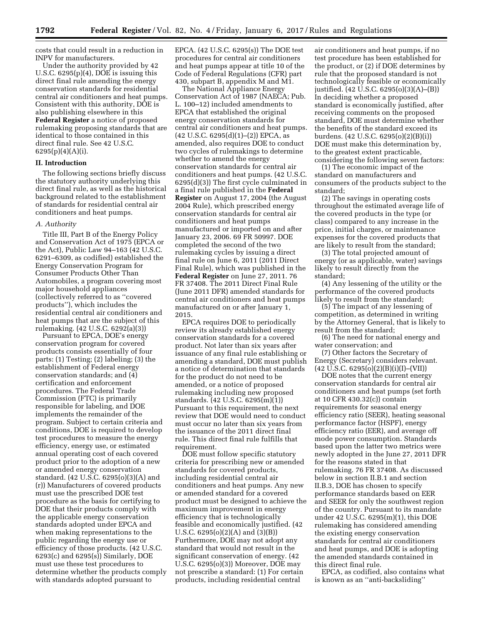costs that could result in a reduction in INPV for manufacturers.

Under the authority provided by 42 U.S.C. 6295(p)(4), DOE is issuing this direct final rule amending the energy conservation standards for residential central air conditioners and heat pumps. Consistent with this authority, DOE is also publishing elsewhere in this **Federal Register** a notice of proposed rulemaking proposing standards that are identical to those contained in this direct final rule. See 42 U.S.C. 6295(p)(4)(A)(i).

## **II. Introduction**

The following sections briefly discuss the statutory authority underlying this direct final rule, as well as the historical background related to the establishment of standards for residential central air conditioners and heat pumps.

## *A. Authority*

Title III, Part B of the Energy Policy and Conservation Act of 1975 (EPCA or the Act), Public Law 94–163 (42 U.S.C. 6291–6309, as codified) established the Energy Conservation Program for Consumer Products Other Than Automobiles, a program covering most major household appliances (collectively referred to as ''covered products''), which includes the residential central air conditioners and heat pumps that are the subject of this rulemaking. (42 U.S.C. 6292(a)(3))

Pursuant to EPCA, DOE's energy conservation program for covered products consists essentially of four parts: (1) Testing; (2) labeling; (3) the establishment of Federal energy conservation standards; and (4) certification and enforcement procedures. The Federal Trade Commission (FTC) is primarily responsible for labeling, and DOE implements the remainder of the program. Subject to certain criteria and conditions, DOE is required to develop test procedures to measure the energy efficiency, energy use, or estimated annual operating cost of each covered product prior to the adoption of a new or amended energy conservation standard. (42 U.S.C. 6295(o)(3)(A) and (r)) Manufacturers of covered products must use the prescribed DOE test procedure as the basis for certifying to DOE that their products comply with the applicable energy conservation standards adopted under EPCA and when making representations to the public regarding the energy use or efficiency of those products. (42 U.S.C. 6293(c) and 6295(s)) Similarly, DOE must use these test procedures to determine whether the products comply with standards adopted pursuant to

EPCA. (42 U.S.C. 6295(s)) The DOE test procedures for central air conditioners and heat pumps appear at title 10 of the Code of Federal Regulations (CFR) part 430, subpart B, appendix M and M1.

The National Appliance Energy Conservation Act of 1987 (NAECA; Pub. L. 100–12) included amendments to EPCA that established the original energy conservation standards for central air conditioners and heat pumps. (42 U.S.C. 6295(d)(1)–(2)) EPCA, as amended, also requires DOE to conduct two cycles of rulemakings to determine whether to amend the energy conservation standards for central air conditioners and heat pumps. (42 U.S.C. 6295(d)(3)) The first cycle culminated in a final rule published in the **Federal Register** on August 17, 2004 (the August 2004 Rule), which prescribed energy conservation standards for central air conditioners and heat pumps manufactured or imported on and after January 23, 2006. 69 FR 50997. DOE completed the second of the two rulemaking cycles by issuing a direct final rule on June 6, 2011 (2011 Direct Final Rule), which was published in the **Federal Register** on June 27, 2011. 76 FR 37408. The 2011 Direct Final Rule (June 2011 DFR) amended standards for central air conditioners and heat pumps manufactured on or after January 1, 2015.

EPCA requires DOE to periodically review its already established energy conservation standards for a covered product. Not later than six years after issuance of any final rule establishing or amending a standard, DOE must publish a notice of determination that standards for the product do not need to be amended, or a notice of proposed rulemaking including new proposed standards. (42 U.S.C. 6295(m)(1)) Pursuant to this requirement, the next review that DOE would need to conduct must occur no later than six years from the issuance of the 2011 direct final rule. This direct final rule fulfills that requirement.

DOE must follow specific statutory criteria for prescribing new or amended standards for covered products, including residential central air conditioners and heat pumps. Any new or amended standard for a covered product must be designed to achieve the maximum improvement in energy efficiency that is technologically feasible and economically justified. (42 U.S.C. 6295(o)(2)(A) and (3)(B)) Furthermore, DOE may not adopt any standard that would not result in the significant conservation of energy. (42 U.S.C. 6295(o)(3)) Moreover, DOE may not prescribe a standard: (1) For certain products, including residential central

air conditioners and heat pumps, if no test procedure has been established for the product, or (2) if DOE determines by rule that the proposed standard is not technologically feasible or economically justified. (42 U.S.C. 6295(o)(3)(A)–(B)) In deciding whether a proposed standard is economically justified, after receiving comments on the proposed standard, DOE must determine whether the benefits of the standard exceed its burdens. (42 U.S.C. 6295(o)(2)(B)(i)) DOE must make this determination by, to the greatest extent practicable, considering the following seven factors:

(1) The economic impact of the standard on manufacturers and consumers of the products subject to the standard;

(2) The savings in operating costs throughout the estimated average life of the covered products in the type (or class) compared to any increase in the price, initial charges, or maintenance expenses for the covered products that are likely to result from the standard;

(3) The total projected amount of energy (or as applicable, water) savings likely to result directly from the standard;

(4) Any lessening of the utility or the performance of the covered products likely to result from the standard;

(5) The impact of any lessening of competition, as determined in writing by the Attorney General, that is likely to result from the standard;

(6) The need for national energy and water conservation; and

(7) Other factors the Secretary of Energy (Secretary) considers relevant.  $(42 \text{ U.S.C. } 6295(0)(2)(B)(i)(I) - (VII))$ 

DOE notes that the current energy conservation standards for central air conditioners and heat pumps (set forth at 10 CFR 430.32(c)) contain requirements for seasonal energy efficiency ratio (SEER), heating seasonal performance factor (HSPF), energy efficiency ratio (EER), and average off mode power consumption. Standards based upon the latter two metrics were newly adopted in the June 27, 2011 DFR for the reasons stated in that rulemaking. 76 FR 37408. As discussed below in section II.B.1 and section II.B.3, DOE has chosen to specify performance standards based on EER and SEER for only the southwest region of the country. Pursuant to its mandate under 42 U.S.C. 6295(m)(1), this DOE rulemaking has considered amending the existing energy conservation standards for central air conditioners and heat pumps, and DOE is adopting the amended standards contained in this direct final rule.

EPCA, as codified, also contains what is known as an ''anti-backsliding''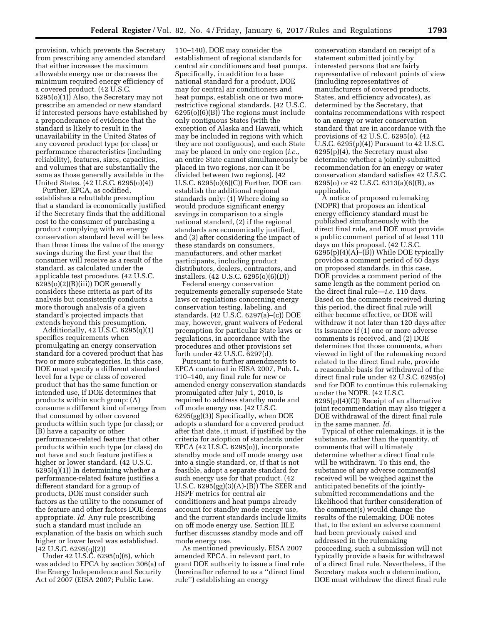provision, which prevents the Secretary from prescribing any amended standard that either increases the maximum allowable energy use or decreases the minimum required energy efficiency of a covered product. (42 U.S.C. 6295(o)(1)) Also, the Secretary may not prescribe an amended or new standard if interested persons have established by a preponderance of evidence that the standard is likely to result in the unavailability in the United States of any covered product type (or class) or performance characteristics (including reliability), features, sizes, capacities, and volumes that are substantially the same as those generally available in the United States. (42 U.S.C. 6295(o)(4))

Further, EPCA, as codified, establishes a rebuttable presumption that a standard is economically justified if the Secretary finds that the additional cost to the consumer of purchasing a product complying with an energy conservation standard level will be less than three times the value of the energy savings during the first year that the consumer will receive as a result of the standard, as calculated under the applicable test procedure. (42 U.S.C. 6295(o)(2)(B)(iii)) DOE generally considers these criteria as part of its analysis but consistently conducts a more thorough analysis of a given standard's projected impacts that extends beyond this presumption.

Additionally, 42 U.S.C. 6295(q)(1) specifies requirements when promulgating an energy conservation standard for a covered product that has two or more subcategories. In this case, DOE must specify a different standard level for a type or class of covered product that has the same function or intended use, if DOE determines that products within such group: (A) consume a different kind of energy from that consumed by other covered products within such type (or class); or (B) have a capacity or other performance-related feature that other products within such type (or class) do not have and such feature justifies a higher or lower standard. (42 U.S.C.  $6295(q)(1)$  In determining whether a performance-related feature justifies a different standard for a group of products, DOE must consider such factors as the utility to the consumer of the feature and other factors DOE deems appropriate. *Id.* Any rule prescribing such a standard must include an explanation of the basis on which such higher or lower level was established. (42 U.S.C. 6295(q)(2))

Under 42 U.S.C. 6295(o)(6), which was added to EPCA by section 306(a) of the Energy Independence and Security Act of 2007 (EISA 2007; Public Law.

110–140), DOE may consider the establishment of regional standards for central air conditioners and heat pumps. Specifically, in addition to a base national standard for a product, DOE may for central air conditioners and heat pumps, establish one or two morerestrictive regional standards. (42 U.S.C. 6295(o)(6)(B)) The regions must include only contiguous States (with the exception of Alaska and Hawaii, which may be included in regions with which they are not contiguous), and each State may be placed in only one region (*i.e.,*  an entire State cannot simultaneously be placed in two regions, nor can it be divided between two regions). (42 U.S.C. 6295(o)(6)(C)) Further, DOE can establish the additional regional standards only: (1) Where doing so would produce significant energy savings in comparison to a single national standard, (2) if the regional standards are economically justified, and (3) after considering the impact of these standards on consumers, manufacturers, and other market participants, including product distributors, dealers, contractors, and installers. (42 U.S.C. 6295(o)(6)(D))

Federal energy conservation requirements generally supersede State laws or regulations concerning energy conservation testing, labeling, and standards. (42 U.S.C. 6297(a)–(c)) DOE may, however, grant waivers of Federal preemption for particular State laws or regulations, in accordance with the procedures and other provisions set forth under 42 U.S.C. 6297(d).

Pursuant to further amendments to EPCA contained in EISA 2007, Pub. L. 110–140, any final rule for new or amended energy conservation standards promulgated after July 1, 2010, is required to address standby mode and off mode energy use. (42 U.S.C. 6295(gg)(3)) Specifically, when DOE adopts a standard for a covered product after that date, it must, if justified by the criteria for adoption of standards under EPCA (42 U.S.C. 6295(o)), incorporate standby mode and off mode energy use into a single standard, or, if that is not feasible, adopt a separate standard for such energy use for that product. (42 U.S.C. 6295(gg)(3)(A)-(B)) The SEER and HSPF metrics for central air conditioners and heat pumps already account for standby mode energy use, and the current standards include limits on off mode energy use. Section III.E further discusses standby mode and off mode energy use.

As mentioned previously, EISA 2007 amended EPCA, in relevant part, to grant DOE authority to issue a final rule (hereinafter referred to as a ''direct final rule'') establishing an energy

conservation standard on receipt of a statement submitted jointly by interested persons that are fairly representative of relevant points of view (including representatives of manufacturers of covered products, States, and efficiency advocates), as determined by the Secretary, that contains recommendations with respect to an energy or water conservation standard that are in accordance with the provisions of 42 U.S.C. 6295(o). (42 U.S.C. 6295(p)(4)) Pursuant to 42 U.S.C. 6295(p)(4), the Secretary must also determine whether a jointly-submitted recommendation for an energy or water conservation standard satisfies 42 U.S.C. 6295(o) or 42 U.S.C. 6313(a)(6)(B), as applicable.

A notice of proposed rulemaking (NOPR) that proposes an identical energy efficiency standard must be published simultaneously with the direct final rule, and DOE must provide a public comment period of at least 110 days on this proposal. (42 U.S.C.  $6295(p)(4)(A)$ –(B)) While DOE typically provides a comment period of 60 days on proposed standards, in this case, DOE provides a comment period of the same length as the comment period on the direct final rule—*i.e.* 110 days. Based on the comments received during this period, the direct final rule will either become effective, or DOE will withdraw it not later than 120 days after its issuance if (1) one or more adverse comments is received, and (2) DOE determines that those comments, when viewed in light of the rulemaking record related to the direct final rule, provide a reasonable basis for withdrawal of the direct final rule under 42 U.S.C. 6295(o) and for DOE to continue this rulemaking under the NOPR. (42 U.S.C. 6295(p)(4)(C)) Receipt of an alternative joint recommendation may also trigger a DOE withdrawal of the direct final rule in the same manner. *Id.* 

Typical of other rulemakings, it is the substance, rather than the quantity, of comments that will ultimately determine whether a direct final rule will be withdrawn. To this end, the substance of any adverse comment(s) received will be weighed against the anticipated benefits of the jointlysubmitted recommendations and the likelihood that further consideration of the comment(s) would change the results of the rulemaking. DOE notes that, to the extent an adverse comment had been previously raised and addressed in the rulemaking proceeding, such a submission will not typically provide a basis for withdrawal of a direct final rule. Nevertheless, if the Secretary makes such a determination, DOE must withdraw the direct final rule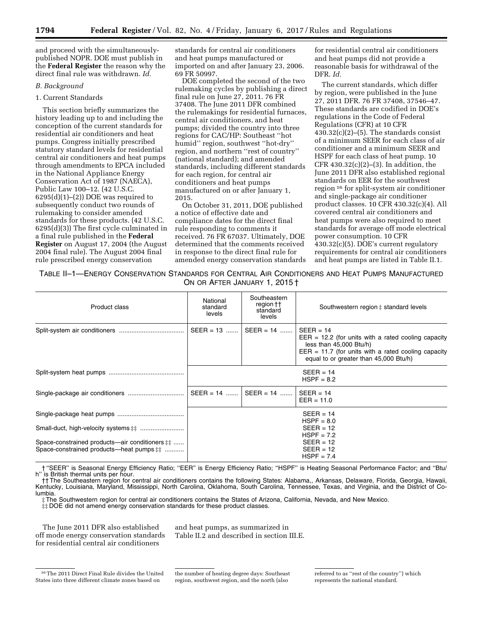and proceed with the simultaneouslypublished NOPR. DOE must publish in the **Federal Register** the reason why the direct final rule was withdrawn. *Id.* 

## *B. Background*

## 1. Current Standards

This section briefly summarizes the history leading up to and including the conception of the current standards for residential air conditioners and heat pumps. Congress initially prescribed statutory standard levels for residential central air conditioners and heat pumps through amendments to EPCA included in the National Appliance Energy Conservation Act of 1987 (NAECA), Public Law 100–12. (42 U.S.C.  $6295(d)(1)–(2)$  DOE was required to subsequently conduct two rounds of rulemaking to consider amended standards for these products. (42 U.S.C. 6295(d)(3)) The first cycle culminated in a final rule published in the **Federal Register** on August 17, 2004 (the August 2004 final rule). The August 2004 final rule prescribed energy conservation

standards for central air conditioners and heat pumps manufactured or imported on and after January 23, 2006. 69 FR 50997.

DOE completed the second of the two rulemaking cycles by publishing a direct final rule on June 27, 2011. 76 FR 37408. The June 2011 DFR combined the rulemakings for residential furnaces, central air conditioners, and heat pumps; divided the country into three regions for CAC/HP: Southeast ''hot humid'' region, southwest ''hot-dry'' region, and northern ''rest of country'' (national standard); and amended standards, including different standards for each region, for central air conditioners and heat pumps manufactured on or after January 1, 2015.

On October 31, 2011, DOE published a notice of effective date and compliance dates for the direct final rule responding to comments it received. 76 FR 67037. Ultimately, DOE determined that the comments received in response to the direct final rule for amended energy conservation standards

for residential central air conditioners and heat pumps did not provide a reasonable basis for withdrawal of the DFR. *Id.* 

The current standards, which differ by region, were published in the June 27, 2011 DFR. 76 FR 37408, 37546–47. These standards are codified in DOE's regulations in the Code of Federal Regulations (CFR) at 10 CFR  $430.32(c)(2)–(5)$ . The standards consist of a minimum SEER for each class of air conditioner and a minimum SEER and HSPF for each class of heat pump. 10 CFR  $430.32(c)(2)–(3)$ . In addition, the June 2011 DFR also established regional standards on EER for the southwest region 16 for split-system air conditioner and single-package air conditioner product classes. 10 CFR 430.32(c)(4). All covered central air conditioners and heat pumps were also required to meet standards for average off mode electrical power consumption. 10 CFR 430.32(c)(5). DOE's current regulatory requirements for central air conditioners and heat pumps are listed in Table II.1.

TABLE II–1—ENERGY CONSERVATION STANDARDS FOR CENTRAL AIR CONDITIONERS AND HEAT PUMPS MANUFACTURED ON OR AFTER JANUARY 1, 2015 †

| Product class                                                                                               | National<br>standard<br>levels | Southeastern<br>region ††<br>standard<br>levels | Southwestern region $\ddagger$ standard levels                                                                                                                                                       |
|-------------------------------------------------------------------------------------------------------------|--------------------------------|-------------------------------------------------|------------------------------------------------------------------------------------------------------------------------------------------------------------------------------------------------------|
|                                                                                                             | $SEER = 13$                    | $SEER = 14$                                     | $SEER = 14$<br>$EER = 12.2$ (for units with a rated cooling capacity<br>less than $45,000$ Btu/h)<br>$EER = 11.7$ (for units with a rated cooling capacity<br>equal to or greater than 45,000 Btu/h) |
|                                                                                                             |                                |                                                 | $SEER = 14$<br>$HSPF = 8.2$                                                                                                                                                                          |
|                                                                                                             | SEER = 14                      | $SEER = 14$                                     | $SEER = 14$<br>$EER = 11.0$                                                                                                                                                                          |
|                                                                                                             |                                |                                                 | $SEER = 14$<br>$HSPF = 8.0$                                                                                                                                                                          |
|                                                                                                             |                                |                                                 | $SEER = 12$<br>$HSPF = 7.2$                                                                                                                                                                          |
| Space-constrained products—air conditioners $\ddagger \ddagger$<br>Space-constrained products—heat pumps ## |                                |                                                 | $SEER = 12$<br>$SEER = 12$<br>$HSPF = 7.4$                                                                                                                                                           |

† ''SEER'' is Seasonal Energy Efficiency Ratio; ''EER'' is Energy Efficiency Ratio; ''HSPF'' is Heating Seasonal Performance Factor; and ''Btu/ h" is British thermal units per hour.

†† The Southeastern region for central air conditioners contains the following States: Alabama,, Arkansas, Delaware, Florida, Georgia, Hawaii, Kentucky, Louisiana, Maryland, Mississippi, North Carolina, Oklahoma, South Carolina, Tennessee, Texas, and Virginia, and the District of Columbia.

‡ The Southwestern region for central air conditioners contains the States of Arizona, California, Nevada, and New Mexico.

‡‡ DOE did not amend energy conservation standards for these product classes.

The June 2011 DFR also established off mode energy conservation standards for residential central air conditioners

and heat pumps, as summarized in Table II.2 and described in section III.E.

the number of heating degree days: Southeast region, southwest region, and the north (also

referred to as ''rest of the country'') which represents the national standard.

<sup>16</sup>The 2011 Direct Final Rule divides the United States into three different climate zones based on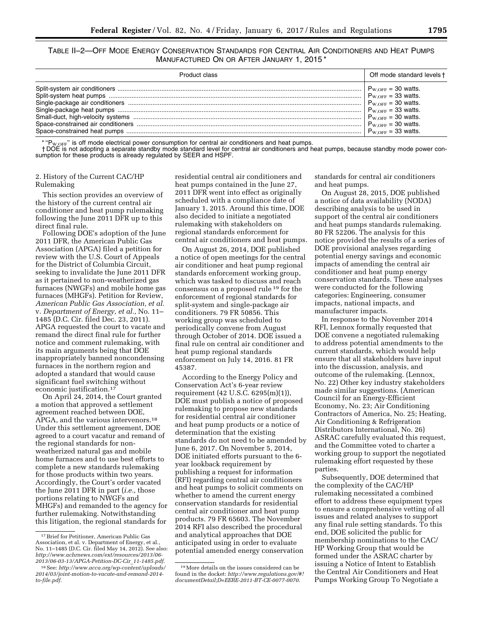TABLE II–2—OFF MODE ENERGY CONSERVATION STANDARDS FOR CENTRAL AIR CONDITIONERS AND HEAT PUMPS MANUFACTURED ON OR AFTER JANUARY 1, 2015 \*

| Product class | Off mode standard levels t                                                                                                                                                                                                                                                                                                                                  |
|---------------|-------------------------------------------------------------------------------------------------------------------------------------------------------------------------------------------------------------------------------------------------------------------------------------------------------------------------------------------------------------|
|               | $\begin{cases} \mathsf{P}_{\text{W,OFF}}=30 \text{ watts.}\\ \mathsf{P}_{\text{W,OFF}}=33 \text{ watts.}\\ \mathsf{P}_{\text{W,OFF}}=30 \text{ watts.}\\ \mathsf{P}_{\text{W,OFF}}=33 \text{ watts.}\\ \mathsf{P}_{\text{W,OFF}}=30 \text{ watts.}\\ \mathsf{P}_{\text{W,OFF}}=30 \text{ watts.}\\ \mathsf{P}_{\text{W,OFF}}=33 \text{ watts.} \end{cases}$ |

 $_{\text{W,OFF}}$ " is off mode electrical power consumption for central air conditioners and heat pumps.

† DOE is not adopting a separate standby mode standard level for central air conditioners and heat pumps, because standby mode power consumption for these products is already regulated by SEER and HSPF.

## 2. History of the Current CAC/HP Rulemaking

This section provides an overview of the history of the current central air conditioner and heat pump rulemaking following the June 2011 DFR up to this direct final rule.

Following DOE's adoption of the June 2011 DFR, the American Public Gas Association (APGA) filed a petition for review with the U.S. Court of Appeals for the District of Columbia Circuit, seeking to invalidate the June 2011 DFR as it pertained to non-weatherized gas furnaces (NWGFs) and mobile home gas furnaces (MHGFs). Petition for Review, *American Public Gas Association, et al.*  v. *Department of Energy, et al.,* No. 11– 1485 (D.C. Cir. filed Dec. 23, 2011). APGA requested the court to vacate and remand the direct final rule for further notice and comment rulemaking, with its main arguments being that DOE inappropriately banned noncondensing furnaces in the northern region and adopted a standard that would cause significant fuel switching without economic justification.17

On April 24, 2014, the Court granted a motion that approved a settlement agreement reached between DOE, APGA, and the various intervenors.18 Under this settlement agreement, DOE agreed to a court vacatur and remand of the regional standards for nonweatherized natural gas and mobile home furnaces and to use best efforts to complete a new standards rulemaking for those products within two years. Accordingly, the Court's order vacated the June 2011 DFR in part (*i.e.,* those portions relating to NWGFs and MHGFs) and remanded to the agency for further rulemaking. Notwithstanding this litigation, the regional standards for

residential central air conditioners and heat pumps contained in the June 27, 2011 DFR went into effect as originally scheduled with a compliance date of January 1, 2015. Around this time, DOE also decided to initiate a negotiated rulemaking with stakeholders on regional standards enforcement for central air conditioners and heat pumps.

On August 26, 2014, DOE published a notice of open meetings for the central air conditioner and heat pump regional standards enforcement working group, which was tasked to discuss and reach consensus on a proposed rule 19 for the enforcement of regional standards for split-system and single-package air conditioners. 79 FR 50856. This working group was scheduled to periodically convene from August through October of 2014. DOE issued a final rule on central air conditioner and heat pump regional standards enforcement on July 14, 2016. 81 FR 45387.

According to the Energy Policy and Conservation Act's 6-year review requirement (42 U.S.C. 6295(m)(1)), DOE must publish a notice of proposed rulemaking to propose new standards for residential central air conditioner and heat pump products or a notice of determination that the existing standards do not need to be amended by June 6, 2017. On November 5, 2014, DOE initiated efforts pursuant to the 6 year lookback requirement by publishing a request for information (RFI) regarding central air conditioners and heat pumps to solicit comments on whether to amend the current energy conservation standards for residential central air conditioner and heat pump products. 79 FR 65603. The November 2014 RFI also described the procedural and analytical approaches that DOE anticipated using in order to evaluate potential amended energy conservation

standards for central air conditioners and heat pumps.

On August 28, 2015, DOE published a notice of data availability (NODA) describing analysis to be used in support of the central air conditioners and heat pumps standards rulemaking. 80 FR 52206. The analysis for this notice provided the results of a series of DOE provisional analyses regarding potential energy savings and economic impacts of amending the central air conditioner and heat pump energy conservation standards. These analyses were conducted for the following categories: Engineering, consumer impacts, national impacts, and manufacturer impacts.

In response to the November 2014 RFI, Lennox formally requested that DOE convene a negotiated rulemaking to address potential amendments to the current standards, which would help ensure that all stakeholders have input into the discussion, analysis, and outcome of the rulemaking. (Lennox, No. 22) Other key industry stakeholders made similar suggestions. (American Council for an Energy-Efficient Economy, No. 23; Air Conditioning Contractors of America, No. 25; Heating, Air Conditioning & Refrigeration Distributors International, No. 26) ASRAC carefully evaluated this request, and the Committee voted to charter a working group to support the negotiated rulemaking effort requested by these parties.

Subsequently, DOE determined that the complexity of the CAC/HP rulemaking necessitated a combined effort to address these equipment types to ensure a comprehensive vetting of all issues and related analyses to support any final rule setting standards. To this end, DOE solicited the public for membership nominations to the CAC/ HP Working Group that would be formed under the ASRAC charter by issuing a Notice of Intent to Establish the Central Air Conditioners and Heat Pumps Working Group To Negotiate a

<sup>17</sup>Brief for Petitioner, American Public Gas Association, et al. v. Department of Energy, et al., No. 11–1485 (D.C. Cir. filed May 14, 2012). See also: *[http://www.achrnews.com/ext/resources/2013/06-](http://www.achrnews.com/ext/resources/2013/06-2013/06-03-13/APGA-Petition-DC-Cir_11-1485.pdf)*

*<sup>2013/06-03-13/</sup>APGA-Petition-DC-Cir*\_*11-1485.pdf*[.](http://www.achrnews.com/ext/resources/2013/06-2013/06-03-13/APGA-Petition-DC-Cir_11-1485.pdf) 18See:*http://www.acca.org/wp-content/uploads/ [2014/03/joint-motion-to-vacate-and-remand-2014](http://www.acca.org/wp-content/uploads/2014/03/joint-motion-to-vacate-and-remand-2014-to-file.pdf)  [to-file.pdf](http://www.acca.org/wp-content/uploads/2014/03/joint-motion-to-vacate-and-remand-2014-to-file.pdf)*.

<sup>19</sup>More details on the issues considered can be found in the docket: *[http://www.regulations.gov/#!](http://www.regulations.gov/#!documentDetail;D=EERE-2011-BT-CE-0077-0070) [documentDetail;D=EERE-2011-BT-CE-0077-0070](http://www.regulations.gov/#!documentDetail;D=EERE-2011-BT-CE-0077-0070)*.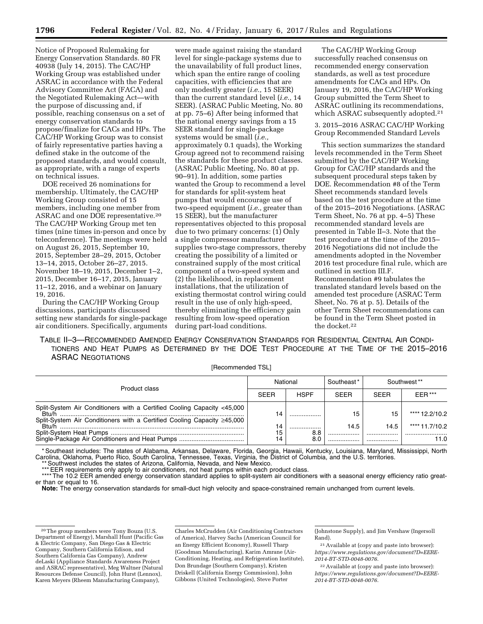Notice of Proposed Rulemaking for Energy Conservation Standards. 80 FR 40938 (July 14, 2015). The CAC/HP Working Group was established under ASRAC in accordance with the Federal Advisory Committee Act (FACA) and the Negotiated Rulemaking Act—with the purpose of discussing and, if possible, reaching consensus on a set of energy conservation standards to propose/finalize for CACs and HPs. The CAC/HP Working Group was to consist of fairly representative parties having a defined stake in the outcome of the proposed standards, and would consult, as appropriate, with a range of experts on technical issues.

DOE received 26 nominations for membership. Ultimately, the CAC/HP Working Group consisted of 15 members, including one member from ASRAC and one DOE representative.20 The CAC/HP Working Group met ten times (nine times in-person and once by teleconference). The meetings were held on August 26, 2015, September 10, 2015, September 28–29, 2015, October 13–14, 2015, October 26–27, 2015. November 18–19, 2015, December 1–2, 2015, December 16–17, 2015, January 11–12, 2016, and a webinar on January 19, 2016.

During the CAC/HP Working Group discussions, participants discussed setting new standards for single-package air conditioners. Specifically, arguments

were made against raising the standard level for single-package systems due to the unavailability of full product lines, which span the entire range of cooling capacities, with efficiencies that are only modestly greater (*i.e.,* 15 SEER) than the current standard level (*i.e.,* 14 SEER). (ASRAC Public Meeting, No. 80 at pp. 75–6) After being informed that the national energy savings from a 15 SEER standard for single-package systems would be small (*i.e.,*  approximately 0.1 quads), the Working Group agreed not to recommend raising the standards for these product classes. (ASRAC Public Meeting, No. 80 at pp. 90–91). In addition, some parties wanted the Group to recommend a level for standards for split-system heat pumps that would encourage use of two-speed equipment (*i.e.,* greater than 15 SEER), but the manufacturer representatives objected to this proposal due to two primary concerns: (1) Only a single compressor manufacturer supplies two-stage compressors, thereby creating the possibility of a limited or constrained supply of the most critical component of a two-speed system and (2) the likelihood, in replacement installations, that the utilization of existing thermostat control wiring could result in the use of only high-speed, thereby eliminating the efficiency gain resulting from low-speed operation during part-load conditions.

The CAC/HP Working Group successfully reached consensus on recommended energy conservation standards, as well as test procedure amendments for CACs and HPs. On January 19, 2016, the CAC/HP Working Group submitted the Term Sheet to ASRAC outlining its recommendations, which ASRAC subsequently adopted.<sup>21</sup>

3. 2015–2016 ASRAC CAC/HP Working Group Recommended Standard Levels

This section summarizes the standard levels recommended in the Term Sheet submitted by the CAC/HP Working Group for CAC/HP standards and the subsequent procedural steps taken by DOE. Recommendation #8 of the Term Sheet recommends standard levels based on the test procedure at the time of the 2015–2016 Negotiations. (ASRAC Term Sheet, No. 76 at pp. 4–5) These recommended standard levels are presented in Table II–3. Note that the test procedure at the time of the 2015– 2016 Negotiations did not include the amendments adopted in the November 2016 test procedure final rule, which are outlined in section III.F. Recommendation #9 tabulates the translated standard levels based on the amended test procedure (ASRAC Term Sheet, No. 76 at p. 5). Details of the other Term Sheet recommendations can be found in the Term Sheet posted in the docket.22

TABLE II–3—RECOMMENDED AMENDED ENERGY CONSERVATION STANDARDS FOR RESIDENTIAL CENTRAL AIR CONDI-TIONERS AND HEAT PUMPS AS DETERMINED BY THE DOE TEST PROCEDURE AT THE TIME OF THE 2015–2016 ASRAC NEGOTIATIONS

[Recommended TSL]

| Product class                                                                                                                                                             |             | National       |             | Southwest ** |                |
|---------------------------------------------------------------------------------------------------------------------------------------------------------------------------|-------------|----------------|-------------|--------------|----------------|
|                                                                                                                                                                           | <b>SEER</b> | <b>HSPF</b>    | <b>SEER</b> | <b>SEER</b>  | $EER***$       |
| Split-System Air Conditioners with a Certified Cooling Capacity <45,000<br>Rt <sub>II</sub> /h<br>Split-System Air Conditioners with a Certified Cooling Capacity ≥45,000 | 14          |                | 15          |              | **** 12.2/10.2 |
| Rtu/                                                                                                                                                                      | 14          |                | 14.5        | 14.5         | **** 11.7/10.2 |
|                                                                                                                                                                           | 15          | 8.8            |             | .            |                |
|                                                                                                                                                                           | 14          | 8 <sub>c</sub> |             | .            | 11.0           |

\* Southeast includes: The states of Alabama, Arkansas, Delaware, Florida, Georgia, Hawaii, Kentucky, Louisiana, Maryland, Mississippi, North Carolina, Oklahoma, Puerto Rico, South Carolina, Tennessee, Texas, Virginia, the District of Columbia, and the U.S. territories. \*\* Southwest includes the states of Arizona, California, Nevada, and New Mexico.

\*\*\* EER requirements only apply to air conditioners, not heat pumps within each product class.

\*\*\*\* The 10.2 EER amended energy conservation standard applies to split-system air conditioners with a seasonal energy efficiency ratio greater than or equal to 16.

**Note:** The energy conservation standards for small-duct high velocity and space-constrained remain unchanged from current levels.

Charles McCrudden (Air Conditioning Contractors of America), Harvey Sachs (American Council for an Energy Efficient Economy), Russell Tharp (Goodman Manufacturing), Karim Amrane (Air-Conditioning, Heating, and Refrigeration Institute), Don Brundage (Southern Company), Kristen Driskell (California Energy Commission), John Gibbons (United Technologies), Steve Porter

(Johnstone Supply), and Jim Vershaw (Ingersoll Rand).

21Available at (copy and paste into browser): *[https://www.regulations.gov/document?D=EERE-](https://www.regulations.gov/document?D=EERE-2014-BT-STD-0048-0076)[2014-BT-STD-0048-0076](https://www.regulations.gov/document?D=EERE-2014-BT-STD-0048-0076)*.

22Available at (copy and paste into browser): *[https://www.regulations.gov/document?D=EERE-](https://www.regulations.gov/document?D=EERE-2014-BT-STD-0048-0076)[2014-BT-STD-0048-0076](https://www.regulations.gov/document?D=EERE-2014-BT-STD-0048-0076)*.

<sup>20</sup>The group members were Tony Bouza (U.S. Department of Energy), Marshall Hunt (Pacific Gas & Electric Company, San Diego Gas & Electric Company, Southern California Edison, and Southern California Gas Company), Andrew deLaski (Appliance Standards Awareness Project and ASRAC representative), Meg Waltner (Natural Resources Defense Council), John Hurst (Lennox), Karen Meyers (Rheem Manufacturing Company),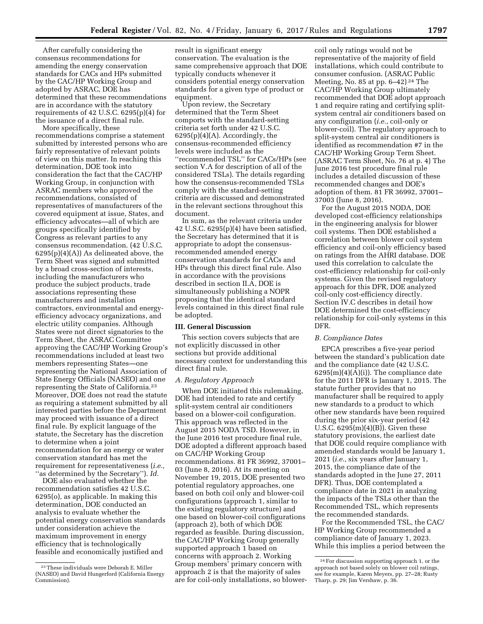After carefully considering the consensus recommendations for amending the energy conservation standards for CACs and HPs submitted by the CAC/HP Working Group and adopted by ASRAC, DOE has determined that these recommendations are in accordance with the statutory requirements of 42 U.S.C. 6295(p)(4) for the issuance of a direct final rule.

More specifically, these recommendations comprise a statement submitted by interested persons who are fairly representative of relevant points of view on this matter. In reaching this determination, DOE took into consideration the fact that the CAC/HP Working Group, in conjunction with ASRAC members who approved the recommendations, consisted of representatives of manufacturers of the covered equipment at issue, States, and efficiency advocates—all of which are groups specifically identified by Congress as relevant parties to any consensus recommendation. (42 U.S.C.  $6295(p)(4)(A)$  As delineated above, the Term Sheet was signed and submitted by a broad cross-section of interests, including the manufacturers who produce the subject products, trade associations representing these manufacturers and installation contractors, environmental and energyefficiency advocacy organizations, and electric utility companies. Although States were not direct signatories to the Term Sheet, the ASRAC Committee approving the CAC/HP Working Group's recommendations included at least two members representing States—one representing the National Association of State Energy Officials (NASEO) and one representing the State of California.23 Moreover, DOE does not read the statute as requiring a statement submitted by all interested parties before the Department may proceed with issuance of a direct final rule. By explicit language of the statute, the Secretary has the discretion to determine when a joint recommendation for an energy or water conservation standard has met the requirement for representativeness (*i.e.,*  ''as determined by the Secretary''). *Id.* 

DOE also evaluated whether the recommendation satisfies 42 U.S.C. 6295(o), as applicable. In making this determination, DOE conducted an analysis to evaluate whether the potential energy conservation standards under consideration achieve the maximum improvement in energy efficiency that is technologically feasible and economically justified and

result in significant energy conservation. The evaluation is the same comprehensive approach that DOE typically conducts whenever it considers potential energy conservation standards for a given type of product or equipment.

Upon review, the Secretary determined that the Term Sheet comports with the standard-setting criteria set forth under 42 U.S.C. 6295(p)(4)(A). Accordingly, the consensus-recommended efficiency levels were included as the ''recommended TSL'' for CACs/HPs (see section V.A for description of all of the considered TSLs). The details regarding how the consensus-recommended TSLs comply with the standard-setting criteria are discussed and demonstrated in the relevant sections throughout this document.

In sum, as the relevant criteria under 42 U.S.C. 6295(p)(4) have been satisfied, the Secretary has determined that it is appropriate to adopt the consensusrecommended amended energy conservation standards for CACs and HPs through this direct final rule. Also in accordance with the provisions described in section II.A, DOE is simultaneously publishing a NOPR proposing that the identical standard levels contained in this direct final rule be adopted.

#### **III. General Discussion**

This section covers subjects that are not explicitly discussed in other sections but provide additional necessary context for understanding this direct final rule.

## *A. Regulatory Approach*

When DOE initiated this rulemaking, DOE had intended to rate and certify split-system central air conditioners based on a blower-coil configuration. This approach was reflected in the August 2015 NODA TSD. However, in the June 2016 test procedure final rule, DOE adopted a different approach based on CAC/HP Working Group recommendations. 81 FR 36992, 37001– 03 (June 8, 2016). At its meeting on November 19, 2015, DOE presented two potential regulatory approaches, one based on both coil only and blower-coil configurations (approach 1, similar to the existing regulatory structure) and one based on blower-coil configurations (approach 2), both of which DOE regarded as feasible. During discussion, the CAC/HP Working Group generally supported approach 1 based on concerns with approach 2. Working Group members' primary concern with approach 2 is that the majority of sales are for coil-only installations, so blower-

coil only ratings would not be representative of the majority of field installations, which could contribute to consumer confusion. (ASRAC Public Meeting, No. 85 at pp. 6–42) 24 The CAC/HP Working Group ultimately recommended that DOE adopt approach 1 and require rating and certifying splitsystem central air conditioners based on any configuration (*i.e.,* coil-only or blower-coil). The regulatory approach to split-system central air conditioners is identified as recommendation #7 in the CAC/HP Working Group Term Sheet. (ASRAC Term Sheet, No. 76 at p. 4) The June 2016 test procedure final rule includes a detailed discussion of these recommended changes and DOE's adoption of them. 81 FR 36992, 37001– 37003 (June 8, 2016).

For the August 2015 NODA, DOE developed cost-efficiency relationships in the engineering analysis for blower coil systems. Then DOE established a correlation between blower coil system efficiency and coil-only efficiency based on ratings from the AHRI database. DOE used this correlation to calculate the cost-efficiency relationship for coil-only systems. Given the revised regulatory approach for this DFR, DOE analyzed coil-only cost-efficiency directly. Section IV.C describes in detail how DOE determined the cost-efficiency relationship for coil-only systems in this DFR.

#### *B. Compliance Dates*

EPCA prescribes a five-year period between the standard's publication date and the compliance date (42 U.S.C.  $6295(m)(4)(\overline{A})(i)$ . The compliance date for the 2011 DFR is January 1, 2015. The statute further provides that no manufacturer shall be required to apply new standards to a product to which other new standards have been required during the prior six-year period (42 U.S.C. 6295(m)(4)(B)). Given these statutory provisions, the earliest date that DOE could require compliance with amended standards would be January 1, 2021 (*i.e.,* six years after January 1, 2015, the compliance date of the standards adopted in the June 27, 2011 DFR). Thus, DOE contemplated a compliance date in 2021 in analyzing the impacts of the TSLs other than the Recommended TSL, which represents the recommended standards.

For the Recommended TSL, the CAC/ HP Working Group recommended a compliance date of January 1, 2023. While this implies a period between the

<sup>23</sup>These individuals were Deborah E. Miller (NASEO) and David Hungerford (California Energy Commission).

<sup>24</sup>For discussion supporting approach 1, or the approach not based solely on blower coil ratings, see for example, Karen Meyers, pp. 27–28; Rusty Tharp, p. 29; Jim Vershaw, p. 36.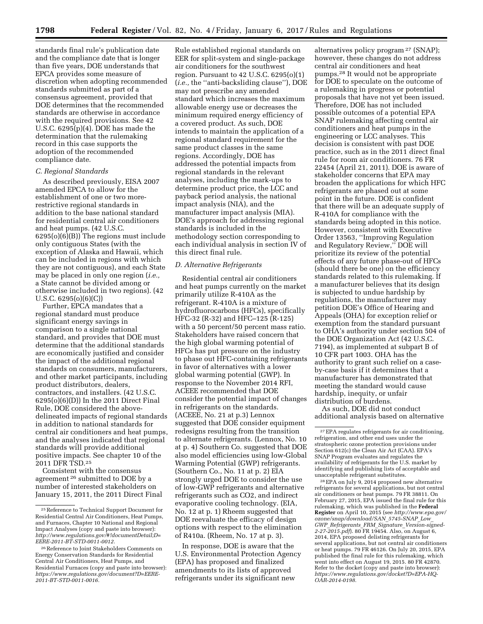standards final rule's publication date and the compliance date that is longer than five years, DOE understands that EPCA provides some measure of discretion when adopting recommended standards submitted as part of a consensus agreement, provided that DOE determines that the recommended standards are otherwise in accordance with the required provisions. See 42 U.S.C. 6295(p)(4). DOE has made the determination that the rulemaking record in this case supports the adoption of the recommended compliance date.

## *C. Regional Standards*

As described previously, EISA 2007 amended EPCA to allow for the establishment of one or two morerestrictive regional standards in addition to the base national standard for residential central air conditioners and heat pumps. (42 U.S.C. 6295(o)(6)(B)) The regions must include only contiguous States (with the exception of Alaska and Hawaii, which can be included in regions with which they are not contiguous), and each State may be placed in only one region (*i.e.,*  a State cannot be divided among or otherwise included in two regions). (42 U.S.C. 6295(o)(6)(C))

Further, EPCA mandates that a regional standard must produce significant energy savings in comparison to a single national standard, and provides that DOE must determine that the additional standards are economically justified and consider the impact of the additional regional standards on consumers, manufacturers, and other market participants, including product distributors, dealers, contractors, and installers. (42 U.S.C. 6295(o)(6)(D)) In the 2011 Direct Final Rule, DOE considered the abovedelineated impacts of regional standards in addition to national standards for central air conditioners and heat pumps, and the analyses indicated that regional standards will provide additional positive impacts. See chapter 10 of the 2011 DFR TSD.25

Consistent with the consensus agreement 26 submitted to DOE by a number of interested stakeholders on January 15, 2011, the 2011 Direct Final

Rule established regional standards on EER for split-system and single-package air conditioners for the southwest region. Pursuant to  $42$  U.S.C.  $6295(0)(1)$ (*i.e.,* the ''anti-backsliding clause''), DOE may not prescribe any amended standard which increases the maximum allowable energy use or decreases the minimum required energy efficiency of a covered product. As such, DOE intends to maintain the application of a regional standard requirement for the same product classes in the same regions. Accordingly, DOE has addressed the potential impacts from regional standards in the relevant analyses, including the mark-ups to determine product price, the LCC and payback period analysis, the national impact analysis (NIA), and the manufacturer impact analysis (MIA). DOE's approach for addressing regional standards is included in the methodology section corresponding to each individual analysis in section IV of this direct final rule.

## *D. Alternative Refrigerants*

Residential central air conditioners and heat pumps currently on the market primarily utilize R-410A as the refrigerant. R-410A is a mixture of hydrofluorocarbons (HFCs), specifically HFC-32 (R-32) and HFC–125 (R-125) with a 50 percent/50 percent mass ratio. Stakeholders have raised concern that the high global warming potential of HFCs has put pressure on the industry to phase out HFC-containing refrigerants in favor of alternatives with a lower global warming potential (GWP). In response to the November 2014 RFI, ACEEE recommended that DOE consider the potential impact of changes in refrigerants on the standards. (ACEEE, No. 21 at p.3) Lennox suggested that DOE consider equipment redesigns resulting from the transition to alternate refrigerants. (Lennox, No. 10 at p. 4) Southern Co. suggested that DOE also model efficiencies using low-Global Warming Potential (GWP) refrigerants. (Southern Co., No. 11 at p. 2) EIA strongly urged DOE to consider the use of low-GWP refrigerants and alternative refrigerants such as CO2, and indirect evaporative cooling technology. (EIA, No. 12 at p. 1) Rheem suggested that DOE reevaluate the efficacy of design options with respect to the elimination of R410a. (Rheem, No. 17 at p. 3).

In response, DOE is aware that the U.S. Environmental Protection Agency (EPA) has proposed and finalized amendments to its lists of approved refrigerants under its significant new

alternatives policy program 27 (SNAP); however, these changes do not address central air conditioners and heat pumps.28 It would not be appropriate for DOE to speculate on the outcome of a rulemaking in progress or potential proposals that have not yet been issued. Therefore, DOE has not included possible outcomes of a potential EPA SNAP rulemaking affecting central air conditioners and heat pumps in the engineering or LCC analyses. This decision is consistent with past DOE practice, such as in the 2011 direct final rule for room air conditioners. 76 FR 22454 (April 21, 2011). DOE is aware of stakeholder concerns that EPA may broaden the applications for which HFC refrigerants are phased out at some point in the future. DOE is confident that there will be an adequate supply of R-410A for compliance with the standards being adopted in this notice. However, consistent with Executive Order 13563, ''Improving Regulation and Regulatory Review,'' DOE will prioritize its review of the potential effects of any future phase-out of HFCs (should there be one) on the efficiency standards related to this rulemaking. If a manufacturer believes that its design is subjected to undue hardship by regulations, the manufacturer may petition DOE's Office of Hearing and Appeals (OHA) for exception relief or exemption from the standard pursuant to OHA's authority under section 504 of the DOE Organization Act (42 U.S.C. 7194), as implemented at subpart B of 10 CFR part 1003. OHA has the authority to grant such relief on a caseby-case basis if it determines that a manufacturer has demonstrated that meeting the standard would cause hardship, inequity, or unfair distribution of burdens.

As such, DOE did not conduct additional analysis based on alternative

<sup>28</sup> EPA on July 9, 2014 proposed new alternative refrigerants for several applications, but not central air conditioners or heat pumps. 79 FR 38811. On February 27, 2015, EPA issued the final rule for this rulemaking, which was published in the **Federal Register** on April 10, 2015 (see *[http://www.epa.gov/](http://www.epa.gov/ozone/snap/download/SAN_5745-SNAP_Low_GWP_Refrigerants_FRM_Signature_Version-signed-2-27-2015.pdf)  [ozone/snap/download/SAN](http://www.epa.gov/ozone/snap/download/SAN_5745-SNAP_Low_GWP_Refrigerants_FRM_Signature_Version-signed-2-27-2015.pdf)*\_*5745-SNAP*\_*Low*\_ *GWP*\_*Refrigerants*\_*FRM*\_*Signature*\_*[Version-signed-](http://www.epa.gov/ozone/snap/download/SAN_5745-SNAP_Low_GWP_Refrigerants_FRM_Signature_Version-signed-2-27-2015.pdf)[2-27-2015.pdf](http://www.epa.gov/ozone/snap/download/SAN_5745-SNAP_Low_GWP_Refrigerants_FRM_Signature_Version-signed-2-27-2015.pdf)*). 80 FR 19454. Also, on August 6, 2014, EPA proposed delisting refrigerants for several applications, but not central air conditioners or heat pumps. 79 FR 46126. On July 20, 2015, EPA published the final rule for this rulemaking, which went into effect on August 19, 2015. 80 FR 42870. Refer to the docket (copy and paste into browser): *[https://www.regulations.gov/docket?D=EPA-HQ-](https://www.regulations.gov/docket?D=EPA-HQ-OAR-2014-0198)[OAR-2014-0198.](https://www.regulations.gov/docket?D=EPA-HQ-OAR-2014-0198)* 

<sup>25</sup>Reference to Technical Support Document for Residential Central Air Conditioners, Heat Pumps, and Furnaces, Chapter 10 National and Regional Impact Analyses (copy and paste into browser): *[http://www.regulations.gov/#!documentDetail;D=](http://www.regulations.gov/#!documentDetail;D=EERE-2011-BT-STD-0011-0012) [EERE-2011-BT-STD-0011-0012.](http://www.regulations.gov/#!documentDetail;D=EERE-2011-BT-STD-0011-0012)* 

<sup>26</sup>Reference to Joint Stakeholders Comments on Energy Conservation Standards for Residential Central Air Conditioners, Heat Pumps, and Residential Furnaces (copy and paste into browser): *[https://www.regulations.gov/document?D=EERE-](https://www.regulations.gov/document?D=EERE-2011-BT-STD-0011-0016)[2011-BT-STD-0011-0016.](https://www.regulations.gov/document?D=EERE-2011-BT-STD-0011-0016)* 

<sup>27</sup>EPA regulates refrigerants for air conditioning, refrigeration, and other end uses under the stratospheric ozone protection provisions under Section 612(c) the Clean Air Act (CAA). EPA's SNAP Program evaluates and regulates the availability of refrigerants for the U.S. market by identifying and publishing lists of acceptable and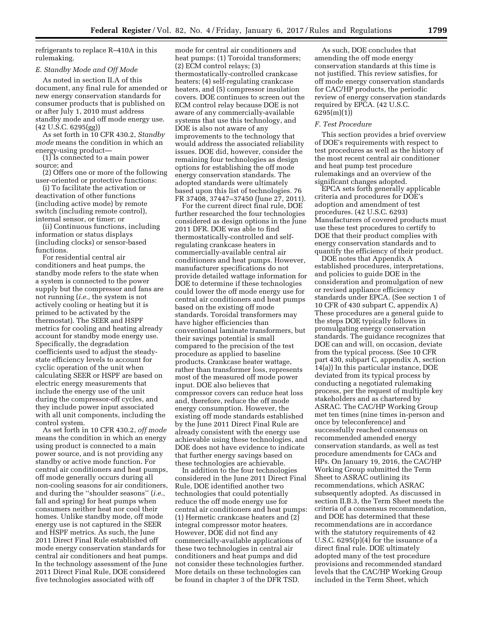refrigerants to replace R–410A in this rulemaking.

#### *E. Standby Mode and Off Mode*

As noted in section II.A of this document, any final rule for amended or new energy conservation standards for consumer products that is published on or after July 1, 2010 must address standby mode and off mode energy use. (42 U.S.C. 6295(gg))

As set forth in 10 CFR 430.2, *Standby mode* means the condition in which an energy-using product—

(1) Is connected to a main power source; and

(2) Offers one or more of the following user-oriented or protective functions:

(i) To facilitate the activation or deactivation of other functions (including active mode) by remote switch (including remote control), internal sensor, or timer; or

(ii) Continuous functions, including information or status displays (including clocks) or sensor-based functions.

For residential central air conditioners and heat pumps, the standby mode refers to the state when a system is connected to the power supply but the compressor and fans are not running (*i.e.,* the system is not actively cooling or heating but it is primed to be activated by the thermostat). The SEER and HSPF metrics for cooling and heating already account for standby mode energy use. Specifically, the degradation coefficients used to adjust the steadystate efficiency levels to account for cyclic operation of the unit when calculating SEER or HSPF are based on electric energy measurements that include the energy use of the unit during the compressor-off cycles, and they include power input associated with all unit components, including the control system.

As set forth in 10 CFR 430.2, *off mode*  means the condition in which an energy using product is connected to a main power source, and is not providing any standby or active mode function. For central air conditioners and heat pumps, off mode generally occurs during all non-cooling seasons for air conditioners, and during the ''shoulder seasons'' (*i.e.,*  fall and spring) for heat pumps when consumers neither heat nor cool their homes. Unlike standby mode, off mode energy use is not captured in the SEER and HSPF metrics. As such, the June 2011 Direct Final Rule established off mode energy conservation standards for central air conditioners and heat pumps. In the technology assessment of the June 2011 Direct Final Rule, DOE considered five technologies associated with off

mode for central air conditioners and heat pumps: (1) Toroidal transformers; (2) ECM control relays; (3) thermostatically-controlled crankcase heaters; (4) self-regulating crankcase heaters, and (5) compressor insulation covers. DOE continues to screen out the ECM control relay because DOE is not aware of any commercially-available systems that use this technology, and DOE is also not aware of any improvements to the technology that would address the associated reliability issues. DOE did, however, consider the remaining four technologies as design options for establishing the off mode energy conservation standards. The adopted standards were ultimately based upon this list of technologies. 76 FR 37408, 37447–37450 (June 27, 2011).

For the current direct final rule, DOE further researched the four technologies considered as design options in the June 2011 DFR. DOE was able to find thermostatically-controlled and selfregulating crankcase heaters in commercially-available central air conditioners and heat pumps. However, manufacturer specifications do not provide detailed wattage information for DOE to determine if these technologies could lower the off mode energy use for central air conditioners and heat pumps based on the existing off mode standards. Toroidal transformers may have higher efficiencies than conventional laminate transformers, but their savings potential is small compared to the precision of the test procedure as applied to baseline products. Crankcase heater wattage, rather than transformer loss, represents most of the measured off mode power input. DOE also believes that compressor covers can reduce heat loss and, therefore, reduce the off mode energy consumption. However, the existing off mode standards established by the June 2011 Direct Final Rule are already consistent with the energy use achievable using these technologies, and DOE does not have evidence to indicate that further energy savings based on these technologies are achievable.

In addition to the four technologies considered in the June 2011 Direct Final Rule, DOE identified another two technologies that could potentially reduce the off mode energy use for central air conditioners and heat pumps: (1) Hermetic crankcase heaters and (2) integral compressor motor heaters. However, DOE did not find any commercially-available applications of these two technologies in central air conditioners and heat pumps and did not consider these technologies further. More details on these technologies can be found in chapter 3 of the DFR TSD.

As such, DOE concludes that amending the off mode energy conservation standards at this time is not justified. This review satisfies, for off mode energy conservation standards for CAC/HP products, the periodic review of energy conservation standards required by EPCA. (42 U.S.C. 6295(m)(1))

## *F. Test Procedure*

This section provides a brief overview of DOE's requirements with respect to test procedures as well as the history of the most recent central air conditioner and heat pump test procedure rulemakings and an overview of the significant changes adopted.

EPCA sets forth generally applicable criteria and procedures for DOE's adoption and amendment of test procedures. (42 U.S.C. 6293) Manufacturers of covered products must use these test procedures to certify to DOE that their product complies with energy conservation standards and to quantify the efficiency of their product.

DOE notes that Appendix A established procedures, interpretations, and policies to guide DOE in the consideration and promulgation of new or revised appliance efficiency standards under EPCA. (See section 1 of 10 CFR of 430 subpart C, appendix A) These procedures are a general guide to the steps DOE typically follows in promulgating energy conservation standards. The guidance recognizes that DOE can and will, on occasion, deviate from the typical process. (See 10 CFR part 430, subpart C, appendix A, section 14(a)) In this particular instance, DOE deviated from its typical process by conducting a negotiated rulemaking process, per the request of multiple key stakeholders and as chartered by ASRAC. The CAC/HP Working Group met ten times (nine times in-person and once by teleconference) and successfully reached consensus on recommended amended energy conservation standards, as well as test procedure amendments for CACs and HPs. On January 19, 2016, the CAC/HP Working Group submitted the Term Sheet to ASRAC outlining its recommendations, which ASRAC subsequently adopted. As discussed in section II.B.3, the Term Sheet meets the criteria of a consensus recommendation, and DOE has determined that these recommendations are in accordance with the statutory requirements of 42 U.S.C. 6295(p)(4) for the issuance of a direct final rule. DOE ultimately adopted many of the test procedure provisions and recommended standard levels that the CAC/HP Working Group included in the Term Sheet, which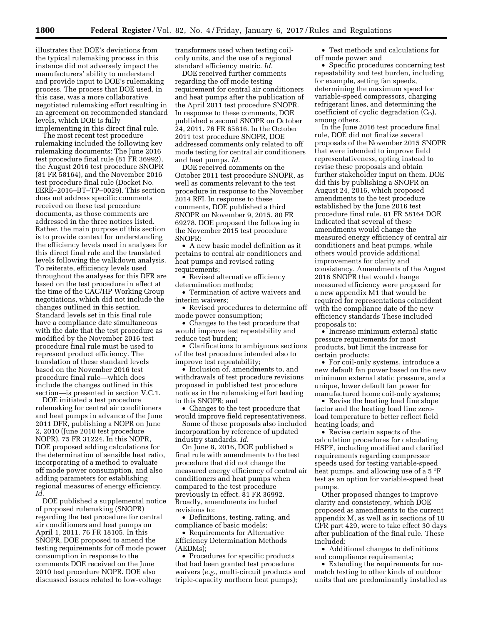illustrates that DOE's deviations from the typical rulemaking process in this instance did not adversely impact the manufacturers' ability to understand and provide input to DOE's rulemaking process. The process that DOE used, in this case, was a more collaborative negotiated rulemaking effort resulting in an agreement on recommended standard levels, which DOE is fully implementing in this direct final rule.

The most recent test procedure rulemaking included the following key rulemaking documents: The June 2016 test procedure final rule (81 FR 36992), the August 2016 test procedure SNOPR (81 FR 58164), and the November 2016 test procedure final rule (Docket No. EERE–2016–BT–TP–0029). This section does not address specific comments received on these test procedure documents, as those comments are addressed in the three notices listed. Rather, the main purpose of this section is to provide context for understanding the efficiency levels used in analyses for this direct final rule and the translated levels following the walkdown analysis. To reiterate, efficiency levels used throughout the analyses for this DFR are based on the test procedure in effect at the time of the CAC/HP Working Group negotiations, which did not include the changes outlined in this section. Standard levels set in this final rule have a compliance date simultaneous with the date that the test procedure as modified by the November 2016 test procedure final rule must be used to represent product efficiency. The translation of these standard levels based on the November 2016 test procedure final rule—which does include the changes outlined in this section—is presented in section V.C.1.

DOE initiated a test procedure rulemaking for central air conditioners and heat pumps in advance of the June 2011 DFR, publishing a NOPR on June 2, 2010 (June 2010 test procedure NOPR). 75 FR 31224. In this NOPR, DOE proposed adding calculations for the determination of sensible heat ratio, incorporating of a method to evaluate off mode power consumption, and also adding parameters for establishing regional measures of energy efficiency. *Id.* 

DOE published a supplemental notice of proposed rulemaking (SNOPR) regarding the test procedure for central air conditioners and heat pumps on April 1, 2011. 76 FR 18105. In this SNOPR, DOE proposed to amend the testing requirements for off mode power consumption in response to the comments DOE received on the June 2010 test procedure NOPR. DOE also discussed issues related to low-voltage

transformers used when testing coilonly units, and the use of a regional standard efficiency metric. *Id.* 

DOE received further comments regarding the off mode testing requirement for central air conditioners and heat pumps after the publication of the April 2011 test procedure SNOPR. In response to these comments, DOE published a second SNOPR on October 24, 2011. 76 FR 65616. In the October 2011 test procedure SNOPR, DOE addressed comments only related to off mode testing for central air conditioners and heat pumps. *Id.* 

DOE received comments on the October 2011 test procedure SNOPR, as well as comments relevant to the test procedure in response to the November 2014 RFI. In response to these comments, DOE published a third SNOPR on November 9, 2015. 80 FR 69278. DOE proposed the following in the November 2015 test procedure SNOPR:

• A new basic model definition as it pertains to central air conditioners and heat pumps and revised rating requirements;

• Revised alternative efficiency determination methods;

• Termination of active waivers and interim waivers;

• Revised procedures to determine off mode power consumption;

• Changes to the test procedure that would improve test repeatability and reduce test burden;

• Clarifications to ambiguous sections of the test procedure intended also to improve test repeatability;

• Inclusion of, amendments to, and withdrawals of test procedure revisions proposed in published test procedure notices in the rulemaking effort leading to this SNOPR; and

• Changes to the test procedure that would improve field representativeness.

Some of these proposals also included incorporation by reference of updated industry standards. *Id.* 

On June 8, 2016, DOE published a final rule with amendments to the test procedure that did not change the measured energy efficiency of central air conditioners and heat pumps when compared to the test procedure previously in effect. 81 FR 36992. Broadly, amendments included revisions to:

• Definitions, testing, rating, and compliance of basic models;

• Requirements for Alternative Efficiency Determination Methods (AEDMs);

• Procedures for specific products that had been granted test procedure waivers (*e.g.,* multi-circuit products and triple-capacity northern heat pumps);

• Test methods and calculations for off mode power; and

• Specific procedures concerning test repeatability and test burden, including for example, setting fan speeds, determining the maximum speed for variable-speed compressors, charging refrigerant lines, and determining the coefficient of cyclic degradation  $(C_D)$ , among others.

In the June 2016 test procedure final rule, DOE did not finalize several proposals of the November 2015 SNOPR that were intended to improve field representativeness, opting instead to revise these proposals and obtain further stakeholder input on them. DOE did this by publishing a SNOPR on August 24, 2016, which proposed amendments to the test procedure established by the June 2016 test procedure final rule. 81 FR 58164 DOE indicated that several of these amendments would change the measured energy efficiency of central air conditioners and heat pumps, while others would provide additional improvements for clarity and consistency. Amendments of the August 2016 SNOPR that would change measured efficiency were proposed for a new appendix M1 that would be required for representations coincident with the compliance date of the new efficiency standards These included proposals to:

• Increase minimum external static pressure requirements for most products, but limit the increase for certain products;

• For coil-only systems, introduce a new default fan power based on the new minimum external static pressure, and a unique, lower default fan power for manufactured home coil-only systems;

• Revise the heating load line slope factor and the heating load line zeroload temperature to better reflect field heating loads; and

• Revise certain aspects of the calculation procedures for calculating HSPF, including modified and clarified requirements regarding compressor speeds used for testing variable-speed heat pumps, and allowing use of a 5 °F test as an option for variable-speed heat pumps.

Other proposed changes to improve clarity and consistency, which DOE proposed as amendments to the current appendix M, as well as in sections of 10 CFR part 429, were to take effect 30 days after publication of the final rule. These included:

• Additional changes to definitions and compliance requirements;

• Extending the requirements for nomatch testing to other kinds of outdoor units that are predominantly installed as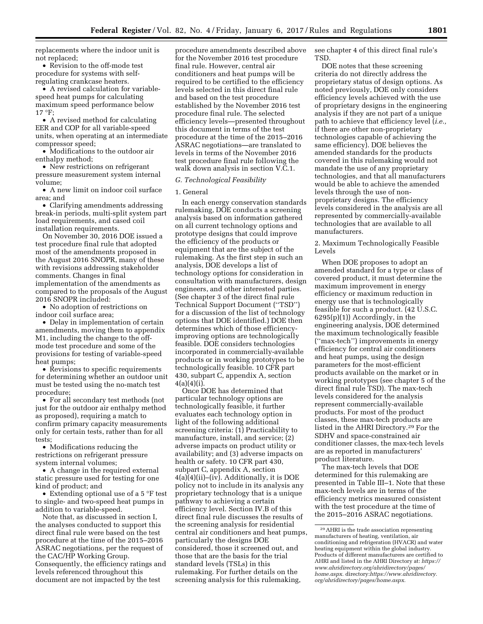replacements where the indoor unit is not replaced;

• Revision to the off-mode test procedure for systems with selfregulating crankcase heaters.

• A revised calculation for variablespeed heat pumps for calculating maximum speed performance below 17 °F;

• A revised method for calculating EER and COP for all variable-speed units, when operating at an intermediate compressor speed;

• Modifications to the outdoor air enthalpy method;

• New restrictions on refrigerant pressure measurement system internal volume;

• A new limit on indoor coil surface area; and

• Clarifying amendments addressing break-in periods, multi-split system part load requirements, and cased coil installation requirements.

On November 30, 2016 DOE issued a test procedure final rule that adopted most of the amendments proposed in the August 2016 SNOPR, many of these with revisions addressing stakeholder comments. Changes in final implementation of the amendments as compared to the proposals of the August 2016 SNOPR included:

• No adoption of restrictions on indoor coil surface area;

• Delay in implementation of certain amendments, moving them to appendix M1, including the change to the offmode test procedure and some of the provisions for testing of variable-speed heat pumps;

• Revisions to specific requirements for determining whether an outdoor unit must be tested using the no-match test procedure;

• For all secondary test methods (not just for the outdoor air enthalpy method as proposed), requiring a match to confirm primary capacity measurements only for certain tests, rather than for all tests;

• Modifications reducing the restrictions on refrigerant pressure system internal volumes;

• A change in the required external static pressure used for testing for one kind of product; and

• Extending optional use of a 5 °F test to single- and two-speed heat pumps in addition to variable-speed.

Note that, as discussed in section I, the analyses conducted to support this direct final rule were based on the test procedure at the time of the 2015–2016 ASRAC negotiations, per the request of the CAC/HP Working Group. Consequently, the efficiency ratings and levels referenced throughout this document are not impacted by the test

procedure amendments described above for the November 2016 test procedure final rule. However, central air conditioners and heat pumps will be required to be certified to the efficiency levels selected in this direct final rule and based on the test procedure established by the November 2016 test procedure final rule. The selected efficiency levels—presented throughout this document in terms of the test procedure at the time of the 2015–2016 ASRAC negotiations—are translated to levels in terms of the November 2016 test procedure final rule following the walk down analysis in section V.C.1.

#### *G. Technological Feasibility*

#### 1. General

In each energy conservation standards rulemaking, DOE conducts a screening analysis based on information gathered on all current technology options and prototype designs that could improve the efficiency of the products or equipment that are the subject of the rulemaking. As the first step in such an analysis, DOE develops a list of technology options for consideration in consultation with manufacturers, design engineers, and other interested parties. (See chapter 3 of the direct final rule Technical Support Document (''TSD'') for a discussion of the list of technology options that DOE identified.) DOE then determines which of those efficiencyimproving options are technologically feasible. DOE considers technologies incorporated in commercially-available products or in working prototypes to be technologically feasible. 10 CFR part 430, subpart C, appendix A, section  $4(a)(4)(i)$ .

Once DOE has determined that particular technology options are technologically feasible, it further evaluates each technology option in light of the following additional screening criteria: (1) Practicability to manufacture, install, and service; (2) adverse impacts on product utility or availability; and (3) adverse impacts on health or safety. 10 CFR part 430, subpart C, appendix A, section 4(a)(4)(ii)–(iv). Additionally, it is DOE policy not to include in its analysis any proprietary technology that is a unique pathway to achieving a certain efficiency level. Section IV.B of this direct final rule discusses the results of the screening analysis for residential central air conditioners and heat pumps, particularly the designs DOE considered, those it screened out, and those that are the basis for the trial standard levels (TSLs) in this rulemaking. For further details on the screening analysis for this rulemaking,

see chapter 4 of this direct final rule's TSD.

DOE notes that these screening criteria do not directly address the proprietary status of design options. As noted previously, DOE only considers efficiency levels achieved with the use of proprietary designs in the engineering analysis if they are not part of a unique path to achieve that efficiency level (*i.e.,*  if there are other non-proprietary technologies capable of achieving the same efficiency). DOE believes the amended standards for the products covered in this rulemaking would not mandate the use of any proprietary technologies, and that all manufacturers would be able to achieve the amended levels through the use of nonproprietary designs. The efficiency levels considered in the analysis are all represented by commercially-available technologies that are available to all manufacturers.

2. Maximum Technologically Feasible Levels

When DOE proposes to adopt an amended standard for a type or class of covered product, it must determine the maximum improvement in energy efficiency or maximum reduction in energy use that is technologically feasible for such a product. (42 U.S.C. 6295(p)(1)) Accordingly, in the engineering analysis, DOE determined the maximum technologically feasible (''max-tech'') improvements in energy efficiency for central air conditioners and heat pumps, using the design parameters for the most-efficient products available on the market or in working prototypes (see chapter 5 of the direct final rule TSD). The max-tech levels considered for the analysis represent commercially-available products. For most of the product classes, these max-tech products are listed in the AHRI Directory.29 For the SDHV and space-constrained air conditioner classes, the max-tech levels are as reported in manufacturers' product literature.

The max-tech levels that DOE determined for this rulemaking are presented in Table III–1. Note that these max-tech levels are in terms of the efficiency metrics measured consistent with the test procedure at the time of the 2015–2016 ASRAC negotiations.

<sup>29</sup>AHRI is the trade association representing manufacturers of heating, ventilation, air conditioning and refrigeration (HVACR) and water heating equipment within the global industry. Products of different manufacturers are certified to AHRI and listed in the AHRI Directory at: *[https://](https://www.ahridirectory.org/ahridirectory/pages/home.aspx) [www.ahridirectory.org/ahridirectory/pages/](https://www.ahridirectory.org/ahridirectory/pages/home.aspx) [home.aspx.](https://www.ahridirectory.org/ahridirectory/pages/home.aspx)* directory:*[https://www.ahridirectory.](https://www.ahridirectory.org/ahridirectory/pages/home.aspx) [org/ahridirectory/pages/home.aspx.](https://www.ahridirectory.org/ahridirectory/pages/home.aspx)*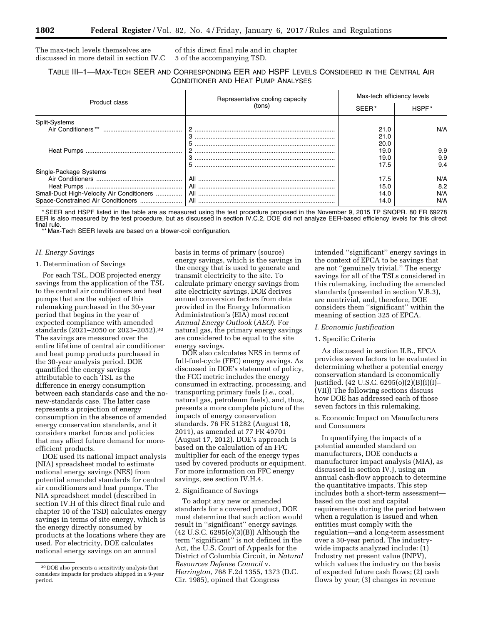The max-tech levels themselves are discussed in more detail in section IV.C of this direct final rule and in chapter 5 of the accompanying TSD.

## TABLE III–1—MAX-TECH SEER AND CORRESPONDING EER AND HSPF LEVELS CONSIDERED IN THE CENTRAL AIR CONDITIONER AND HEAT PUMP ANALYSES

|                                           | Representative cooling capacity | Max-tech efficiency levels |       |  |
|-------------------------------------------|---------------------------------|----------------------------|-------|--|
| Product class                             | tons)                           |                            | HSPF* |  |
| Split-Systems                             |                                 |                            |       |  |
|                                           |                                 | 21.0                       | N/A   |  |
|                                           |                                 | 21.0                       |       |  |
|                                           | 5                               | 20.0                       |       |  |
|                                           |                                 | 19.0                       | 9.9   |  |
|                                           |                                 | 19.0                       | 9.9   |  |
|                                           | 5                               | 17.5                       | 9.4   |  |
| Single-Package Systems                    |                                 |                            |       |  |
|                                           | All                             | 17.5                       | N/A   |  |
|                                           |                                 | 15.0                       | 8.2   |  |
| Small-Duct High-Velocity Air Conditioners |                                 | 14.0                       | N/A   |  |
|                                           |                                 | 14.0                       | N/A   |  |

\* SEER and HSPF listed in the table are as measured using the test procedure proposed in the November 9, 2015 TP SNOPR. 80 FR 69278 EER is also measured by the test procedure, but as discussed in section IV.C.2, DOE did not analyze EER-based efficiency levels for this direct final rule.

\*\* Max-Tech SEER levels are based on a blower-coil configuration.

## *H. Energy Savings*

## 1. Determination of Savings

For each TSL, DOE projected energy savings from the application of the TSL to the central air conditioners and heat pumps that are the subject of this rulemaking purchased in the 30-year period that begins in the year of expected compliance with amended standards (2021–2050 or 2023–2052).30 The savings are measured over the entire lifetime of central air conditioner and heat pump products purchased in the 30-year analysis period. DOE quantified the energy savings attributable to each TSL as the difference in energy consumption between each standards case and the nonew-standards case. The latter case represents a projection of energy consumption in the absence of amended energy conservation standards, and it considers market forces and policies that may affect future demand for moreefficient products.

DOE used its national impact analysis (NIA) spreadsheet model to estimate national energy savings (NES) from potential amended standards for central air conditioners and heat pumps. The NIA spreadsheet model (described in section IV.H of this direct final rule and chapter 10 of the TSD) calculates energy savings in terms of site energy, which is the energy directly consumed by products at the locations where they are used. For electricity, DOE calculates national energy savings on an annual

basis in terms of primary (source) energy savings, which is the savings in the energy that is used to generate and transmit electricity to the site. To calculate primary energy savings from site electricity savings, DOE derives annual conversion factors from data provided in the Energy Information Administration's (EIA) most recent *Annual Energy Outlook* (*AEO*). For natural gas, the primary energy savings are considered to be equal to the site energy savings.

DOE also calculates NES in terms of full-fuel-cycle (FFC) energy savings. As discussed in DOE's statement of policy, the FCC metric includes the energy consumed in extracting, processing, and transporting primary fuels (*i.e.,* coal, natural gas, petroleum fuels), and, thus, presents a more complete picture of the impacts of energy conservation standards. 76 FR 51282 (August 18, 2011), as amended at 77 FR 49701 (August 17, 2012). DOE's approach is based on the calculation of an FFC multiplier for each of the energy types used by covered products or equipment. For more information on FFC energy savings, see section IV.H.4.

#### 2. Significance of Savings

To adopt any new or amended standards for a covered product, DOE must determine that such action would result in ''significant'' energy savings. (42 U.S.C. 6295(o)(3)(B)) Although the term ''significant'' is not defined in the Act, the U.S. Court of Appeals for the District of Columbia Circuit, in *Natural Resources Defense Council* v. *Herrington,* 768 F.2d 1355, 1373 (D.C. Cir. 1985), opined that Congress

intended ''significant'' energy savings in the context of EPCA to be savings that are not ''genuinely trivial.'' The energy savings for all of the TSLs considered in this rulemaking, including the amended standards (presented in section V.B.3), are nontrivial, and, therefore, DOE considers them ''significant'' within the meaning of section 325 of EPCA.

#### *I. Economic Justification*

## 1. Specific Criteria

As discussed in section II.B., EPCA provides seven factors to be evaluated in determining whether a potential energy conservation standard is economically justified. (42 U.S.C. 6295(o)(2)(B)(i)(I)– (VII)) The following sections discuss how DOE has addressed each of those seven factors in this rulemaking.

## a. Economic Impact on Manufacturers and Consumers

In quantifying the impacts of a potential amended standard on manufacturers, DOE conducts a manufacturer impact analysis (MIA), as discussed in section IV.J, using an annual cash-flow approach to determine the quantitative impacts. This step includes both a short-term assessment based on the cost and capital requirements during the period between when a regulation is issued and when entities must comply with the regulation—and a long-term assessment over a 30-year period. The industrywide impacts analyzed include: (1) Industry net present value (INPV), which values the industry on the basis of expected future cash flows; (2) cash flows by year; (3) changes in revenue

<sup>30</sup> DOE also presents a sensitivity analysis that considers impacts for products shipped in a 9-year period.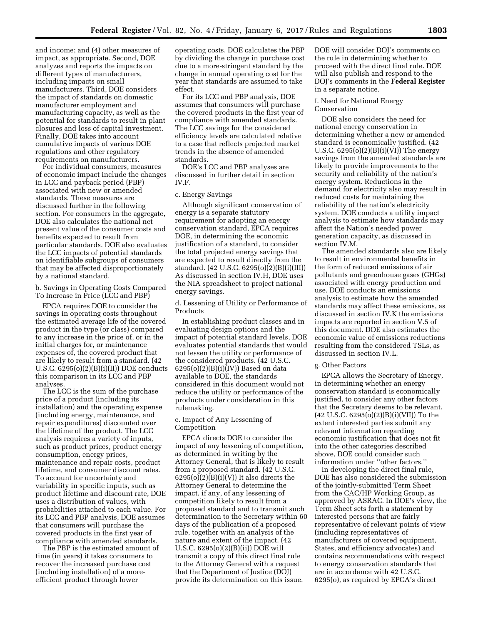and income; and (4) other measures of impact, as appropriate. Second, DOE analyzes and reports the impacts on different types of manufacturers, including impacts on small manufacturers. Third, DOE considers the impact of standards on domestic manufacturer employment and manufacturing capacity, as well as the potential for standards to result in plant closures and loss of capital investment. Finally, DOE takes into account cumulative impacts of various DOE regulations and other regulatory requirements on manufacturers.

For individual consumers, measures of economic impact include the changes in LCC and payback period (PBP) associated with new or amended standards. These measures are discussed further in the following section. For consumers in the aggregate, DOE also calculates the national net present value of the consumer costs and benefits expected to result from particular standards. DOE also evaluates the LCC impacts of potential standards on identifiable subgroups of consumers that may be affected disproportionately by a national standard.

b. Savings in Operating Costs Compared To Increase in Price (LCC and PBP)

EPCA requires DOE to consider the savings in operating costs throughout the estimated average life of the covered product in the type (or class) compared to any increase in the price of, or in the initial charges for, or maintenance expenses of, the covered product that are likely to result from a standard. (42 U.S.C.  $6295(o)(2)(B)(i)(II))$  DOE conducts this comparison in its LCC and PBP analyses.

The LCC is the sum of the purchase price of a product (including its installation) and the operating expense (including energy, maintenance, and repair expenditures) discounted over the lifetime of the product. The LCC analysis requires a variety of inputs, such as product prices, product energy consumption, energy prices, maintenance and repair costs, product lifetime, and consumer discount rates. To account for uncertainty and variability in specific inputs, such as product lifetime and discount rate, DOE uses a distribution of values, with probabilities attached to each value. For its LCC and PBP analysis, DOE assumes that consumers will purchase the covered products in the first year of compliance with amended standards.

The PBP is the estimated amount of time (in years) it takes consumers to recover the increased purchase cost (including installation) of a moreefficient product through lower

operating costs. DOE calculates the PBP by dividing the change in purchase cost due to a more-stringent standard by the change in annual operating cost for the year that standards are assumed to take effect.

For its LCC and PBP analysis, DOE assumes that consumers will purchase the covered products in the first year of compliance with amended standards. The LCC savings for the considered efficiency levels are calculated relative to a case that reflects projected market trends in the absence of amended standards.

DOE's LCC and PBP analyses are discussed in further detail in section IV.F.

## c. Energy Savings

Although significant conservation of energy is a separate statutory requirement for adopting an energy conservation standard, EPCA requires DOE, in determining the economic justification of a standard, to consider the total projected energy savings that are expected to result directly from the standard. (42 U.S.C. 6295(o)(2)(B)(i)(III)) As discussed in section IV.H, DOE uses the NIA spreadsheet to project national energy savings.

d. Lessening of Utility or Performance of Products

In establishing product classes and in evaluating design options and the impact of potential standard levels, DOE evaluates potential standards that would not lessen the utility or performance of the considered products. (42 U.S.C.  $6295(o)(2)(B)(i)(IV))$  Based on data available to DOE, the standards considered in this document would not reduce the utility or performance of the products under consideration in this rulemaking.

e. Impact of Any Lessening of Competition

EPCA directs DOE to consider the impact of any lessening of competition, as determined in writing by the Attorney General, that is likely to result from a proposed standard. (42 U.S.C.  $6295(o)(2)(B)(i)(V)$  It also directs the Attorney General to determine the impact, if any, of any lessening of competition likely to result from a proposed standard and to transmit such determination to the Secretary within 60 days of the publication of a proposed rule, together with an analysis of the nature and extent of the impact. (42 U.S.C. 6295(o)(2)(B)(ii)) DOE will transmit a copy of this direct final rule to the Attorney General with a request that the Department of Justice (DOJ) provide its determination on this issue.

DOE will consider DOJ's comments on the rule in determining whether to proceed with the direct final rule. DOE will also publish and respond to the DOJ's comments in the **Federal Register**  in a separate notice.

#### f. Need for National Energy Conservation

DOE also considers the need for national energy conservation in determining whether a new or amended standard is economically justified. (42 U.S.C. 6295(o)(2)(B)(i)(VI)) The energy savings from the amended standards are likely to provide improvements to the security and reliability of the nation's energy system. Reductions in the demand for electricity also may result in reduced costs for maintaining the reliability of the nation's electricity system. DOE conducts a utility impact analysis to estimate how standards may affect the Nation's needed power generation capacity, as discussed in section IV.M.

The amended standards also are likely to result in environmental benefits in the form of reduced emissions of air pollutants and greenhouse gases (GHGs) associated with energy production and use. DOE conducts an emissions analysis to estimate how the amended standards may affect these emissions, as discussed in section IV.K the emissions impacts are reported in section V.5 of this document. DOE also estimates the economic value of emissions reductions resulting from the considered TSLs, as discussed in section IV.L.

#### g. Other Factors

EPCA allows the Secretary of Energy, in determining whether an energy conservation standard is economically justified, to consider any other factors that the Secretary deems to be relevant. (42 U.S.C. 6295(o)(2)(B)(i)(VII)) To the extent interested parties submit any relevant information regarding economic justification that does not fit into the other categories described above, DOE could consider such information under ''other factors.''

In developing the direct final rule, DOE has also considered the submission of the jointly-submitted Term Sheet from the CAC/HP Working Group, as approved by ASRAC. In DOE's view, the Term Sheet sets forth a statement by interested persons that are fairly representative of relevant points of view (including representatives of manufacturers of covered equipment, States, and efficiency advocates) and contains recommendations with respect to energy conservation standards that are in accordance with 42 U.S.C. 6295(o), as required by EPCA's direct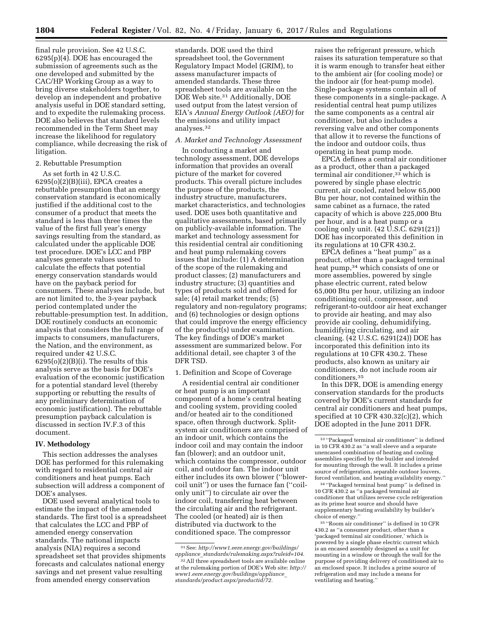final rule provision. See 42 U.S.C. 6295(p)(4). DOE has encouraged the submission of agreements such as the one developed and submitted by the CAC/HP Working Group as a way to bring diverse stakeholders together, to develop an independent and probative analysis useful in DOE standard setting, and to expedite the rulemaking process. DOE also believes that standard levels recommended in the Term Sheet may increase the likelihood for regulatory compliance, while decreasing the risk of litigation.

## 2. Rebuttable Presumption

As set forth in 42 U.S.C.  $6295(o)(2)(B)(iii)$ , EPCA creates a rebuttable presumption that an energy conservation standard is economically justified if the additional cost to the consumer of a product that meets the standard is less than three times the value of the first full year's energy savings resulting from the standard, as calculated under the applicable DOE test procedure. DOE's LCC and PBP analyses generate values used to calculate the effects that potential energy conservation standards would have on the payback period for consumers. These analyses include, but are not limited to, the 3-year payback period contemplated under the rebuttable-presumption test. In addition, DOE routinely conducts an economic analysis that considers the full range of impacts to consumers, manufacturers, the Nation, and the environment, as required under 42 U.S.C.  $6295(o)(2)(B)(i)$ . The results of this analysis serve as the basis for DOE's evaluation of the economic justification for a potential standard level (thereby supporting or rebutting the results of any preliminary determination of economic justification). The rebuttable presumption payback calculation is discussed in section IV.F.3 of this document.

#### **IV. Methodology**

This section addresses the analyses DOE has performed for this rulemaking with regard to residential central air conditioners and heat pumps. Each subsection will address a component of DOE's analyses.

DOE used several analytical tools to estimate the impact of the amended standards. The first tool is a spreadsheet that calculates the LCC and PBP of amended energy conservation standards. The national impacts analysis (NIA) requires a second spreadsheet set that provides shipments forecasts and calculates national energy savings and net present value resulting from amended energy conservation

standards. DOE used the third spreadsheet tool, the Government Regulatory Impact Model (GRIM), to assess manufacturer impacts of amended standards. These three spreadsheet tools are available on the DOE Web site.31 Additionally, DOE used output from the latest version of EIA's *Annual Energy Outlook (AEO)* for the emissions and utility impact analyses.32

## *A. Market and Technology Assessment*

In conducting a market and technology assessment, DOE develops information that provides an overall picture of the market for covered products. This overall picture includes the purpose of the products, the industry structure, manufacturers, market characteristics, and technologies used. DOE uses both quantitative and qualitative assessments, based primarily on publicly-available information. The market and technology assessment for this residential central air conditioning and heat pump rulemaking covers issues that include: (1) A determination of the scope of the rulemaking and product classes; (2) manufacturers and industry structure; (3) quantities and types of products sold and offered for sale; (4) retail market trends; (5) regulatory and non-regulatory programs; and (6) technologies or design options that could improve the energy efficiency of the product(s) under examination. The key findings of DOE's market assessment are summarized below. For additional detail, see chapter 3 of the DFR TSD.

## 1. Definition and Scope of Coverage

A residential central air conditioner or heat pump is an important component of a home's central heating and cooling system, providing cooled and/or heated air to the conditioned space, often through ductwork. Splitsystem air conditioners are comprised of an indoor unit, which contains the indoor coil and may contain the indoor fan (blower); and an outdoor unit, which contains the compressor, outdoor coil, and outdoor fan. The indoor unit either includes its own blower (''blowercoil unit'') or uses the furnace fan (''coilonly unit'') to circulate air over the indoor coil, transferring heat between the circulating air and the refrigerant. The cooled (or heated) air is then distributed via ductwork to the conditioned space. The compressor

raises the refrigerant pressure, which raises its saturation temperature so that it is warm enough to transfer heat either to the ambient air (for cooling mode) or the indoor air (for heat-pump mode). Single-package systems contain all of these components in a single-package. A residential central heat pump utilizes the same components as a central air conditioner, but also includes a reversing valve and other components that allow it to reverse the functions of the indoor and outdoor coils, thus operating in heat pump mode.

EPCA defines a central air conditioner as a product, other than a packaged terminal air conditioner,<sup>33</sup> which is powered by single phase electric current, air cooled, rated below 65,000 Btu per hour, not contained within the same cabinet as a furnace, the rated capacity of which is above 225,000 Btu per hour, and is a heat pump or a cooling only unit. (42 U.S.C. 6291(21)) DOE has incorporated this definition in its regulations at 10 CFR 430.2.

EPCA defines a ''heat pump'' as a product, other than a packaged terminal heat pump,34 which consists of one or more assemblies, powered by single phase electric current, rated below 65,000 Btu per hour, utilizing an indoor conditioning coil, compressor, and refrigerant-to-outdoor air heat exchanger to provide air heating, and may also provide air cooling, dehumidifying, humidifying circulating, and air cleaning. (42 U.S.C. 6291(24)) DOE has incorporated this definition into its regulations at 10 CFR 430.2. These products, also known as unitary air conditioners, do not include room air conditioners.35

In this DFR, DOE is amending energy conservation standards for the products covered by DOE's current standards for central air conditioners and heat pumps, specified at 10 CFR 430.32(c)(2), which DOE adopted in the June 2011 DFR.

34 ''Packaged terminal heat pump'' is defined in 10 CFR 430.2 as ''a packaged terminal air conditioner that utilizes reverse cycle refrigeration as its prime heat source and should have supplementary heating availability by builder's choice of energy.

35 ''Room air conditioner'' is defined in 10 CFR 430.2 as ''a consumer product, other than a 'packaged terminal air conditioner,' which is powered by a single phase electric current which is an encased assembly designed as a unit for mounting in a window or through the wall for the purpose of providing delivery of conditioned air to an enclosed space. It includes a prime source of refrigeration and may include a means for ventilating and heating.''

<sup>31</sup>See: *[http://www1.eere.energy.gov/buildings/](http://www1.eere.energy.gov/buildings/appliance_standards/rulemaking.aspx?ruleid=104) appliance*\_*[standards/rulemaking.aspx?ruleid=104.](http://www1.eere.energy.gov/buildings/appliance_standards/rulemaking.aspx?ruleid=104)* 

<sup>32</sup>All three spreadsheet tools are available online at the rulemaking portion of DOE's Web site: *[http://](http://www1.eere.energy.gov/buildings/appliance_standards/product.aspx/productid/72)  [www1.eere.energy.gov/buildings/appliance](http://www1.eere.energy.gov/buildings/appliance_standards/product.aspx/productid/72)*\_ *[standards/product.aspx/productid/72.](http://www1.eere.energy.gov/buildings/appliance_standards/product.aspx/productid/72)* 

 $^{\rm 33\, \prime}$  Packaged terminal air conditioner'' is defined in 10 CFR 430.2 as ''a wall sleeve and a separate unencased combination of heating and cooling assemblies specified by the builder and intended for mounting through the wall. It includes a prime source of refrigeration, separable outdoor louvers, forced ventilation, and heating availability energy.''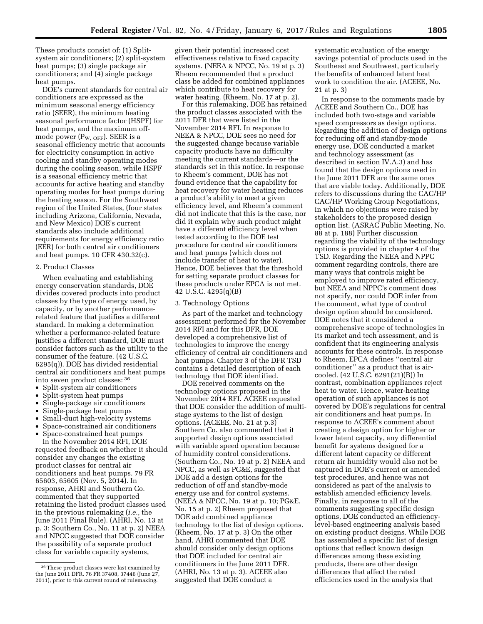These products consist of: (1) Splitsystem air conditioners; (2) split-system heat pumps; (3) single package air conditioners; and (4) single package heat pumps.

DOE's current standards for central air conditioners are expressed as the minimum seasonal energy efficiency ratio (SEER), the minimum heating seasonal performance factor (HSPF) for heat pumps, and the maximum offmode power  $(P_{W, \text{OFF}})$ . SEER is a seasonal efficiency metric that accounts for electricity consumption in active cooling and standby operating modes during the cooling season, while HSPF is a seasonal efficiency metric that accounts for active heating and standby operating modes for heat pumps during the heating season. For the Southwest region of the United States, (four states including Arizona, California, Nevada, and New Mexico) DOE's current standards also include additional requirements for energy efficiency ratio (EER) for both central air conditioners and heat pumps. 10 CFR 430.32(c).

### 2. Product Classes

When evaluating and establishing energy conservation standards, DOE divides covered products into product classes by the type of energy used, by capacity, or by another performancerelated feature that justifies a different standard. In making a determination whether a performance-related feature justifies a different standard, DOE must consider factors such as the utility to the consumer of the feature. (42 U.S.C. 6295(q)). DOE has divided residential central air conditioners and heat pumps into seven product classes: 36

- Split-system air conditioners
- Split-system heat pumps
- Single-package air conditioners
- Single-package heat pumps
- Small-duct high-velocity systems
- Space-constrained air conditioners
- Space-constrained heat pumps

In the November 2014 RFI, DOE requested feedback on whether it should consider any changes the existing product classes for central air conditioners and heat pumps. 79 FR 65603, 65605 (Nov. 5, 2014). In response, AHRI and Southern Co. commented that they supported retaining the listed product classes used in the previous rulemaking (*i.e.,* the June 2011 Final Rule). (AHRI, No. 13 at p. 3; Southern Co., No. 11 at p. 2) NEEA and NPCC suggested that DOE consider the possibility of a separate product class for variable capacity systems,

given their potential increased cost effectiveness relative to fixed capacity systems. (NEEA & NPCC, No. 19 at p. 3) Rheem recommended that a product class be added for combined appliances which contribute to heat recovery for water heating. (Rheem, No. 17 at p. 2).

For this rulemaking, DOE has retained the product classes associated with the 2011 DFR that were listed in the November 2014 RFI. In response to NEEA & NPCC, DOE sees no need for the suggested change because variable capacity products have no difficulty meeting the current standards—or the standards set in this notice. In response to Rheem's comment, DOE has not found evidence that the capability for heat recovery for water heating reduces a product's ability to meet a given efficiency level, and Rheem's comment did not indicate that this is the case, nor did it explain why such product might have a different efficiency level when tested according to the DOE test procedure for central air conditioners and heat pumps (which does not include transfer of heat to water). Hence, DOE believes that the threshold for setting separate product classes for these products under EPCA is not met. 42 U.S.C. 4295(q)(B)

## 3. Technology Options

As part of the market and technology assessment performed for the November 2014 RFI and for this DFR, DOE developed a comprehensive list of technologies to improve the energy efficiency of central air conditioners and heat pumps. Chapter 3 of the DFR TSD contains a detailed description of each technology that DOE identified.

DOE received comments on the technology options proposed in the November 2014 RFI. ACEEE requested that DOE consider the addition of multistage systems to the list of design options. (ACEEE, No. 21 at p.3) Southern Co. also commented that it supported design options associated with variable speed operation because of humidity control considerations. (Southern Co., No. 19 at p. 2) NEEA and NPCC, as well as PG&E, suggested that DOE add a design options for the reduction of off and standby-mode energy use and for control systems. (NEEA & NPCC, No. 19 at p. 10; PG&E, No. 15 at p. 2) Rheem proposed that DOE add combined appliance technology to the list of design options. (Rheem, No. 17 at p. 3) On the other hand, AHRI commented that DOE should consider only design options that DOE included for central air conditioners in the June 2011 DFR. (AHRI, No. 13 at p. 3). ACEEE also suggested that DOE conduct a

systematic evaluation of the energy savings potential of products used in the Southeast and Southwest, particularly the benefits of enhanced latent heat work to condition the air. (ACEEE, No. 21 at p. 3)

In response to the comments made by ACEEE and Southern Co., DOE has included both two-stage and variable speed compressors as design options. Regarding the addition of design options for reducing off and standby-mode energy use, DOE conducted a market and technology assessment (as described in section IV.A.3) and has found that the design options used in the June 2011 DFR are the same ones that are viable today. Additionally, DOE refers to discussions during the CAC/HP CAC/HP Working Group Negotiations, in which no objections were raised by stakeholders to the proposed design option list. (ASRAC Public Meeting, No. 88 at p. 188) Further discussion regarding the viability of the technology options is provided in chapter 4 of the TSD. Regarding the NEEA and NPPC comment regarding controls, there are many ways that controls might be employed to improve rated efficiency, but NEEA and NPPC's comment does not specify, nor could DOE infer from the comment, what type of control design option should be considered. DOE notes that it considered a comprehensive scope of technologies in its market and tech assessment, and is confident that its engineering analysis accounts for these controls. In response to Rheem, EPCA defines ''central air conditioner'' as a product that is aircooled. (42 U.S.C. 6291(21)(B)) In contrast, combination appliances reject heat to water. Hence, water-heating operation of such appliances is not covered by DOE's regulations for central air conditioners and heat pumps. In response to ACEEE's comment about creating a design option for higher or lower latent capacity, any differential benefit for systems designed for a different latent capacity or different return air humidity would also not be captured in DOE's current or amended test procedures, and hence was not considered as part of the analysis to establish amended efficiency levels. Finally, in response to all of the comments suggesting specific design options, DOE conducted an efficiencylevel-based engineering analysis based on existing product designs. While DOE has assembled a specific list of design options that reflect known design differences among these existing products, there are other design differences that affect the rated efficiencies used in the analysis that

<sup>36</sup>These product classes were last examined by the June 2011 DFR. 76 FR 37408, 37446 (June 27, 2011), prior to this current round of rulemaking.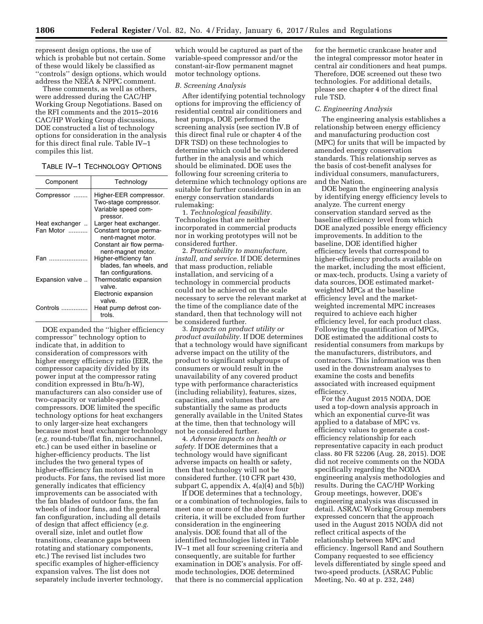represent design options, the use of which is probable but not certain. Some of these would likely be classified as ''controls'' design options, which would address the NEEA & NPPC comment.

These comments, as well as others, were addressed during the CAC/HP Working Group Negotiations. Based on the RFI comments and the 2015–2016 CAC/HP Working Group discussions, DOE constructed a list of technology options for consideration in the analysis for this direct final rule. Table IV–1 compiles this list.

| TABLE IV-1 TECHNOLOGY OPTIONS |  |  |
|-------------------------------|--|--|
|-------------------------------|--|--|

| Component                                | Technology                                                                                                               |
|------------------------------------------|--------------------------------------------------------------------------------------------------------------------------|
| Compressor<br>.                          | Higher-EER compressor.<br>Two-stage compressor.<br>Variable speed com-<br>pressor.                                       |
| Heat exchanger<br>$\ddotsc$<br>Fan Motor | Larger heat exchanger.<br>Constant torque perma-<br>nent-magnet motor.<br>Constant air flow perma-<br>nent-magnet motor. |
| Fan                                      | Higher-efficiency fan<br>blades, fan wheels, and<br>fan configurations.                                                  |
| Expansion valve                          | Thermostatic expansion<br>valve.<br>Electronic expansion<br>valve.                                                       |
| Controls                                 | Heat pump defrost con-<br>trols.                                                                                         |

DOE expanded the ''higher efficiency compressor'' technology option to indicate that, in addition to consideration of compressors with higher energy efficiency ratio (EER, the compressor capacity divided by its power input at the compressor rating condition expressed in Btu/h-W), manufacturers can also consider use of two-capacity or variable-speed compressors. DOE limited the specific technology options for heat exchangers to only larger-size heat exchangers because most heat exchanger technology (*e.g.* round-tube/flat fin, microchannel, etc.) can be used either in baseline or higher-efficiency products. The list includes the two general types of higher-efficiency fan motors used in products. For fans, the revised list more generally indicates that efficiency improvements can be associated with the fan blades of outdoor fans, the fan wheels of indoor fans, and the general fan configuration, including all details of design that affect efficiency (*e.g.*  overall size, inlet and outlet flow transitions, clearance gaps between rotating and stationary components, etc.) The revised list includes two specific examples of higher-efficiency expansion valves. The list does not separately include inverter technology,

which would be captured as part of the variable-speed compressor and/or the constant-air-flow permanent magnet motor technology options.

#### *B. Screening Analysis*

After identifying potential technology options for improving the efficiency of residential central air conditioners and heat pumps, DOE performed the screening analysis (see section IV.B of this direct final rule or chapter 4 of the DFR TSD) on these technologies to determine which could be considered further in the analysis and which should be eliminated. DOE uses the following four screening criteria to determine which technology options are suitable for further consideration in an energy conservation standards rulemaking:

1. *Technological feasibility.*  Technologies that are neither incorporated in commercial products nor in working prototypes will not be considered further.

2. *Practicability to manufacture, install, and service.* If DOE determines that mass production, reliable installation, and servicing of a technology in commercial products could not be achieved on the scale necessary to serve the relevant market at the time of the compliance date of the standard, then that technology will not be considered further.

3. *Impacts on product utility or product availability.* If DOE determines that a technology would have significant adverse impact on the utility of the product to significant subgroups of consumers or would result in the unavailability of any covered product type with performance characteristics (including reliability), features, sizes, capacities, and volumes that are substantially the same as products generally available in the United States at the time, then that technology will not be considered further.

4. *Adverse impacts on health or safety.* If DOE determines that a technology would have significant adverse impacts on health or safety, then that technology will not be considered further. (10 CFR part 430, subpart C, appendix  $A$ ,  $4(a)(4)$  and  $5(b)$ )

If DOE determines that a technology, or a combination of technologies, fails to meet one or more of the above four criteria, it will be excluded from further consideration in the engineering analysis. DOE found that all of the identified technologies listed in Table IV–1 met all four screening criteria and consequently, are suitable for further examination in DOE's analysis. For offmode technologies, DOE determined that there is no commercial application

for the hermetic crankcase heater and the integral compressor motor heater in central air conditioners and heat pumps. Therefore, DOE screened out these two technologies. For additional details, please see chapter 4 of the direct final rule TSD.

#### *C. Engineering Analysis*

The engineering analysis establishes a relationship between energy efficiency and manufacturing production cost (MPC) for units that will be impacted by amended energy conservation standards. This relationship serves as the basis of cost-benefit analyses for individual consumers, manufacturers, and the Nation.

DOE began the engineering analysis by identifying energy efficiency levels to analyze. The current energy conservation standard served as the baseline efficiency level from which DOE analyzed possible energy efficiency improvements. In addition to the baseline, DOE identified higher efficiency levels that correspond to higher-efficiency products available on the market, including the most efficient, or max-tech, products. Using a variety of data sources, DOE estimated marketweighted MPCs at the baseline efficiency level and the marketweighted incremental MPC increases required to achieve each higher efficiency level, for each product class. Following the quantification of MPCs, DOE estimated the additional costs to residential consumers from markups by the manufacturers, distributors, and contractors. This information was then used in the downstream analyses to examine the costs and benefits associated with increased equipment efficiency.

For the August 2015 NODA, DOE used a top-down analysis approach in which an exponential curve-fit was applied to a database of MPC vs. efficiency values to generate a costefficiency relationship for each representative capacity in each product class. 80 FR 52206 (Aug. 28, 2015). DOE did not receive comments on the NODA specifically regarding the NODA engineering analysis methodologies and results. During the CAC/HP Working Group meetings, however, DOE's engineering analysis was discussed in detail. ASRAC Working Group members expressed concern that the approach used in the August 2015 NODA did not reflect critical aspects of the relationship between MPC and efficiency. Ingersoll Rand and Southern Company requested to see efficiency levels differentiated by single speed and two-speed products. (ASRAC Public Meeting, No. 40 at p. 232, 248)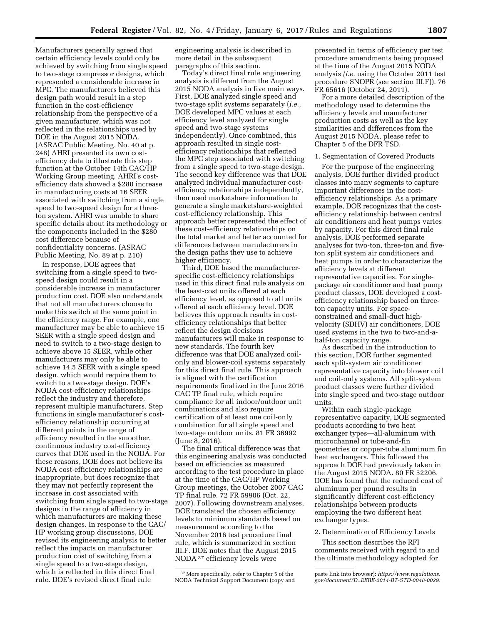Manufacturers generally agreed that certain efficiency levels could only be achieved by switching from single speed to two-stage compressor designs, which represented a considerable increase in MPC. The manufacturers believed this design path would result in a step function in the cost-efficiency relationship from the perspective of a given manufacturer, which was not reflected in the relationships used by DOE in the August 2015 NODA. (ASRAC Public Meeting, No. 40 at p. 248) AHRI presented its own costefficiency data to illustrate this step function at the October 14th CAC/HP Working Group meeting. AHRI's costefficiency data showed a \$280 increase in manufacturing costs at 16 SEER associated with switching from a single speed to two-speed design for a threeton system. AHRI was unable to share specific details about its methodology or the components included in the \$280 cost difference because of confidentiality concerns. (ASRAC Public Meeting, No. 89 at p. 210)

In response, DOE agrees that switching from a single speed to twospeed design could result in a considerable increase in manufacturer production cost. DOE also understands that not all manufacturers choose to make this switch at the same point in the efficiency range. For example, one manufacturer may be able to achieve 15 SEER with a single speed design and need to switch to a two-stage design to achieve above 15 SEER, while other manufacturers may only be able to achieve 14.5 SEER with a single speed design, which would require them to switch to a two-stage design. DOE's NODA cost-efficiency relationships reflect the industry and therefore, represent multiple manufacturers. Step functions in single manufacturer's costefficiency relationship occurring at different points in the range of efficiency resulted in the smoother, continuous industry cost-efficiency curves that DOE used in the NODA. For these reasons, DOE does not believe its NODA cost-efficiency relationships are inappropriate, but does recognize that they may not perfectly represent the increase in cost associated with switching from single speed to two-stage designs in the range of efficiency in which manufacturers are making these design changes. In response to the CAC/ HP working group discussions, DOE revised its engineering analysis to better reflect the impacts on manufacturer production cost of switching from a single speed to a two-stage design, which is reflected in this direct final rule. DOE's revised direct final rule

engineering analysis is described in more detail in the subsequent paragraphs of this section.

Today's direct final rule engineering analysis is different from the August 2015 NODA analysis in five main ways. First, DOE analyzed single speed and two-stage split systems separately (*i.e.,*  DOE developed MPC values at each efficiency level analyzed for single speed and two-stage systems independently). Once combined, this approach resulted in single costefficiency relationships that reflected the MPC step associated with switching from a single speed to two-stage design. The second key difference was that DOE analyzed individual manufacturer costefficiency relationships independently, then used marketshare information to generate a single marketshare-weighted cost-efficiency relationship. This approach better represented the effect of these cost-efficiency relationships on the total market and better accounted for differences between manufacturers in the design paths they use to achieve higher efficiency.

Third, DOE based the manufacturerspecific cost-efficiency relationships used in this direct final rule analysis on the least-cost units offered at each efficiency level, as opposed to all units offered at each efficiency level. DOE believes this approach results in costefficiency relationships that better reflect the design decisions manufacturers will make in response to new standards. The fourth key difference was that DOE analyzed coilonly and blower-coil systems separately for this direct final rule. This approach is aligned with the certification requirements finalized in the June 2016 CAC TP final rule, which require compliance for all indoor/outdoor unit combinations and also require certification of at least one coil-only combination for all single speed and two-stage outdoor units. 81 FR 36992 (June 8, 2016).

The final critical difference was that this engineering analysis was conducted based on efficiencies as measured according to the test procedure in place at the time of the CAC/HP Working Group meetings, the October 2007 CAC TP final rule. 72 FR 59906 (Oct. 22, 2007). Following downstream analyses, DOE translated the chosen efficiency levels to minimum standards based on measurement according to the November 2016 test procedure final rule, which is summarized in section III.F. DOE notes that the August 2015 NODA 37 efficiency levels were

presented in terms of efficiency per test procedure amendments being proposed at the time of the August 2015 NODA analysis *(i.e.* using the October 2011 test procedure SNOPR (see section III.F)). 76 FR 65616 (October 24, 2011).

For a more detailed description of the methodology used to determine the efficiency levels and manufacturer production costs as well as the key similarities and differences from the August 2015 NODA, please refer to Chapter 5 of the DFR TSD.

## 1. Segmentation of Covered Products

For the purpose of the engineering analysis, DOE further divided product classes into many segments to capture important differences in the costefficiency relationships. As a primary example, DOE recognizes that the costefficiency relationship between central air conditioners and heat pumps varies by capacity. For this direct final rule analysis, DOE performed separate analyses for two-ton, three-ton and fiveton split system air conditioners and heat pumps in order to characterize the efficiency levels at different representative capacities. For singlepackage air conditioner and heat pump product classes, DOE developed a costefficiency relationship based on threeton capacity units. For spaceconstrained and small-duct highvelocity (SDHV) air conditioners, DOE used systems in the two to two-and-ahalf-ton capacity range.

As described in the introduction to this section, DOE further segmented each split-system air conditioner representative capacity into blower coil and coil-only systems. All split-system product classes were further divided into single speed and two-stage outdoor units.

Within each single-package representative capacity, DOE segmented products according to two heat exchanger types—all-aluminum with microchannel or tube-and-fin geometries or copper-tube aluminum fin heat exchangers. This followed the approach DOE had previously taken in the August 2015 NODA. 80 FR 52206. DOE has found that the reduced cost of aluminum per pound results in significantly different cost-efficiency relationships between products employing the two different heat exchanger types.

### 2. Determination of Efficiency Levels

This section describes the RFI comments received with regard to and the ultimate methodology adopted for

<sup>37</sup>More specifically, refer to Chapter 5 of the NODA Technical Support Document (copy and

paste link into browser): *[https://www.regulations.](https://www.regulations.gov/document?D=EERE-2014-BT-STD-0048-0029) [gov/document?D=EERE-2014-BT-STD-0048-0029.](https://www.regulations.gov/document?D=EERE-2014-BT-STD-0048-0029)*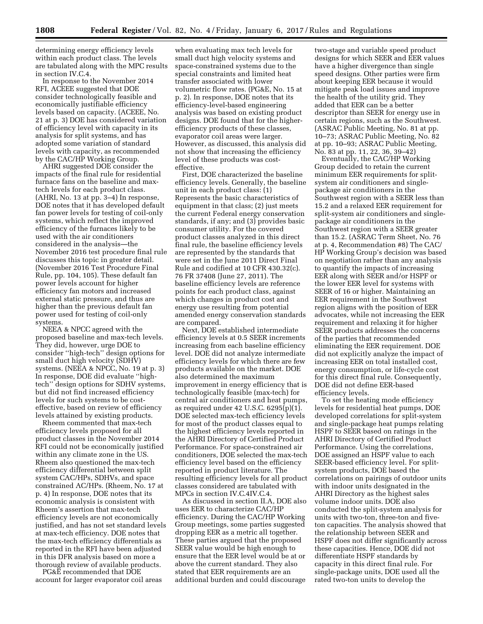determining energy efficiency levels within each product class. The levels are tabulated along with the MPC results in section IV.C.4.

In response to the November 2014 RFI, ACEEE suggested that DOE consider technologically feasible and economically justifiable efficiency levels based on capacity. (ACEEE, No. 21 at p. 3) DOE has considered variation of efficiency level with capacity in its analysis for split systems, and has adopted some variation of standard levels with capacity, as recommended by the CAC/HP Working Group.

AHRI suggested DOE consider the impacts of the final rule for residential furnace fans on the baseline and maxtech levels for each product class. (AHRI, No. 13 at pp. 3–4) In response, DOE notes that it has developed default fan power levels for testing of coil-only systems, which reflect the improved efficiency of the furnaces likely to be used with the air conditioners considered in the analysis—the November 2016 test procedure final rule discusses this topic in greater detail. (November 2016 Test Procedure Final Rule, pp. 104, 105). These default fan power levels account for higher efficiency fan motors and increased external static pressure, and thus are higher than the previous default fan power used for testing of coil-only systems.

NEEA & NPCC agreed with the proposed baseline and max-tech levels. They did, however, urge DOE to consider ''high-tech'' design options for small duct high velocity (SDHV) systems. (NEEA & NPCC, No. 19 at p. 3) In response, DOE did evaluate ''hightech'' design options for SDHV systems, but did not find increased efficiency levels for such systems to be costeffective, based on review of efficiency levels attained by existing products.

Rheem commented that max-tech efficiency levels proposed for all product classes in the November 2014 RFI could not be economically justified within any climate zone in the US. Rheem also questioned the max-tech efficiency differential between split system CAC/HPs, SDHVs, and space constrained AC/HPs. (Rheem, No. 17 at p. 4) In response, DOE notes that its economic analysis is consistent with Rheem's assertion that max-tech efficiency levels are not economically justified, and has not set standard levels at max-tech efficiency. DOE notes that the max-tech efficiency differentials as reported in the RFI have been adjusted in this DFR analysis based on more a thorough review of available products.

PG&E recommended that DOE account for larger evaporator coil areas

when evaluating max tech levels for small duct high velocity systems and space-constrained systems due to the special constraints and limited heat transfer associated with lower volumetric flow rates. (PG&E, No. 15 at p. 2). In response, DOE notes that its efficiency-level-based engineering analysis was based on existing product designs. DOE found that for the higherefficiency products of these classes, evaporator coil areas were larger. However, as discussed, this analysis did not show that increasing the efficiency level of these products was costeffective.

First, DOE characterized the baseline efficiency levels. Generally, the baseline unit in each product class: (1) Represents the basic characteristics of equipment in that class; (2) just meets the current Federal energy conservation standards, if any; and (3) provides basic consumer utility. For the covered product classes analyzed in this direct final rule, the baseline efficiency levels are represented by the standards that were set in the June 2011 Direct Final Rule and codified at 10 CFR 430.32(c). 76 FR 37408 (June 27, 2011). The baseline efficiency levels are reference points for each product class, against which changes in product cost and energy use resulting from potential amended energy conservation standards are compared.

Next, DOE established intermediate efficiency levels at 0.5 SEER increments increasing from each baseline efficiency level. DOE did not analyze intermediate efficiency levels for which there are few products available on the market. DOE also determined the maximum improvement in energy efficiency that is technologically feasible (max-tech) for central air conditioners and heat pumps, as required under 42 U.S.C. 6295(p)(1). DOE selected max-tech efficiency levels for most of the product classes equal to the highest efficiency levels reported in the AHRI Directory of Certified Product Performance. For space-constrained air conditioners, DOE selected the max-tech efficiency level based on the efficiency reported in product literature. The resulting efficiency levels for all product classes considered are tabulated with MPCs in section IV.C.4IV.C.4.

As discussed in section II.A, DOE also uses EER to characterize CAC/HP efficiency. During the CAC/HP Working Group meetings, some parties suggested dropping EER as a metric all together. These parties argued that the proposed SEER value would be high enough to ensure that the EER level would be at or above the current standard. They also stated that EER requirements are an additional burden and could discourage

two-stage and variable speed product designs for which SEER and EER values have a higher divergence than single speed designs. Other parties were firm about keeping EER because it would mitigate peak load issues and improve the health of the utility grid. They added that EER can be a better descriptor than SEER for energy use in certain regions, such as the Southwest. (ASRAC Public Meeting, No. 81 at pp. 10–73; ASRAC Public Meeting, No. 82 at pp. 10–93; ASRAC Public Meeting, No. 83 at pp. 11, 22, 36, 39–42)

Eventually, the CAC/HP Working Group decided to retain the current minimum EER requirements for splitsystem air conditioners and singlepackage air conditioners in the Southwest region with a SEER less than 15.2 and a relaxed EER requirement for split-system air conditioners and singlepackage air conditioners in the Southwest region with a SEER greater than 15.2. (ASRAC Term Sheet, No. 76 at p. 4, Recommendation #8) The CAC/ HP Working Group's decision was based on negotiation rather than any analysis to quantify the impacts of increasing EER along with SEER and/or HSPF or the lower EER level for systems with SEER of 16 or higher. Maintaining an EER requirement in the Southwest region aligns with the position of EER advocates, while not increasing the EER requirement and relaxing it for higher SEER products addresses the concerns of the parties that recommended eliminating the EER requirement. DOE did not explicitly analyze the impact of increasing EER on total installed cost, energy consumption, or life-cycle cost for this direct final rule. Consequently, DOE did not define EER-based efficiency levels.

To set the heating mode efficiency levels for residential heat pumps, DOE developed correlations for split-system and single-package heat pumps relating HSPF to SEER based on ratings in the AHRI Directory of Certified Product Performance. Using the correlations, DOE assigned an HSPF value to each SEER-based efficiency level. For splitsystem products, DOE based the correlations on pairings of outdoor units with indoor units designated in the AHRI Directory as the highest sales volume indoor units. DOE also conducted the split-system analysis for units with two-ton, three-ton and fiveton capacities. The analysis showed that the relationship between SEER and HSPF does not differ significantly across these capacities. Hence, DOE did not differentiate HSPF standards by capacity in this direct final rule. For single-package units, DOE used all the rated two-ton units to develop the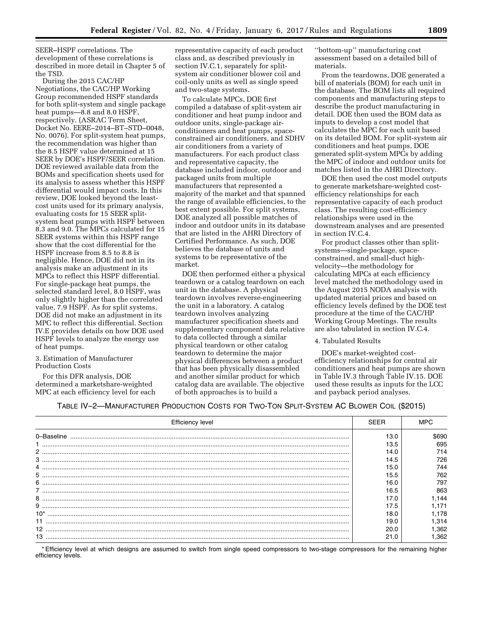SEER–HSPF correlations. The development of these correlations is described in more detail in Chapter 5 of the TSD.

During the 2015 CAC/HP Negotiations, the CAC/HP Working Group recommended HSPF standards for both split-system and single package heat pumps—8.8 and 8.0 HSPF, respectively. (ASRAC Term Sheet, Docket No. EERE–2014–BT–STD–0048, No. 0076). For split-system heat pumps, the recommendation was higher than the 8.5 HSPF value determined at 15 SEER by DOE's HSPF/SEER correlation. DOE reviewed available data from the BOMs and specification sheets used for its analysis to assess whether this HSPF differential would impact costs. In this review, DOE looked beyond the leastcost units used for its primary analysis, evaluating costs for 15 SEER splitsystem heat pumps with HSPF between 8.3 and 9.0. The MPCs calculated for 15 SEER systems within this HSPF range show that the cost differential for the HSPF increase from 8.5 to 8.8 is negligible. Hence, DOE did not in its analysis make an adjustment in its MPCs to reflect this HSPF differential. For single-package heat pumps, the selected standard level, 8.0 HSPF, was only slightly higher than the correlated value, 7.9 HSPF. As for split systems, DOE did not make an adjustment in its MPC to reflect this differential. Section IV.E provides details on how DOE used HSPF levels to analyze the energy use of heat pumps.

3. Estimation of Manufacturer Production Costs

For this DFR analysis, DOE determined a marketshare-weighted MPC at each efficiency level for each representative capacity of each product class and, as described previously in section IV.C.1, separately for splitsystem air conditioner blower coil and coil-only units as well as single speed and two-stage systems.

To calculate MPCs, DOE first compiled a database of split-system air conditioner and heat pump indoor and outdoor units, single-package airconditioners and heat pumps, spaceconstrained air conditioners, and SDHV air conditioners from a variety of manufacturers. For each product class and representative capacity, the database included indoor, outdoor and packaged units from multiple manufacturers that represented a majority of the market and that spanned the range of available efficiencies, to the best extent possible. For split systems, DOE analyzed all possible matches of indoor and outdoor units in its database that are listed in the AHRI Directory of Certified Performance. As such, DOE believes the database of units and systems to be representative of the market.

DOE then performed either a physical teardown or a catalog teardown on each unit in the database. A physical teardown involves reverse-engineering the unit in a laboratory. A catalog teardown involves analyzing manufacturer specification sheets and supplementary component data relative to data collected through a similar physical teardown or other catalog teardown to determine the major physical differences between a product that has been physically disassembled and another similar product for which catalog data are available. The objective of both approaches is to build a

''bottom-up'' manufacturing cost assessment based on a detailed bill of materials.

From the teardowns, DOE generated a bill of materials (BOM) for each unit in the database. The BOM lists all required components and manufacturing steps to describe the product manufacturing in detail. DOE then used the BOM data as inputs to develop a cost model that calculates the MPC for each unit based on its detailed BOM. For split-system air conditioners and heat pumps, DOE generated split-system MPCs by adding the MPC of indoor and outdoor units for matches listed in the AHRI Directory.

DOE then used the cost model outputs to generate marketshare-weighted costefficiency relationships for each representative capacity of each product class. The resulting cost-efficiency relationships were used in the downstream analyses and are presented in section IV.C.4.

For product classes other than splitsystems—single-package, spaceconstrained, and small-duct highvelocity—the methodology for calculating MPCs at each efficiency level matched the methodology used in the August 2015 NODA analysis with updated material prices and based on efficiency levels defined by the DOE test procedure at the time of the CAC/HP Working Group Meetings. The results are also tabulated in section IV.C.4.

## 4. Tabulated Results

DOE's market-weighted costefficiency relationships for central air conditioners and heat pumps are shown in Table IV.3 through Table IV.15. DOE used these results as inputs for the LCC and payback period analyses.

## TABLE IV–2—MANUFACTURER PRODUCTION COSTS FOR TWO-TON SPLIT-SYSTEM AC BLOWER COIL (\$2015)

| <b>Efficiency level</b> | SFFR |      |
|-------------------------|------|------|
| 0-Baseline              | 13.0 | 5690 |
|                         | 13.5 | 695  |
|                         | 14.0 | 714  |
|                         | 14.5 | 726  |
|                         | 15.0 | 744  |
| 5                       | 15.5 | 762  |
| 6                       | 16.0 | 797  |
|                         | 16.5 | 863  |
| 8                       | 17.0 | .144 |
|                         | 17.5 | .171 |
| $10*$                   | 18.0 | .178 |
|                         | 19.0 | .314 |
| 12                      | 20.0 | .362 |
|                         |      | .362 |

\* Efficiency level at which designs are assumed to switch from single speed compressors to two-stage compressors for the remaining higher efficiency levels.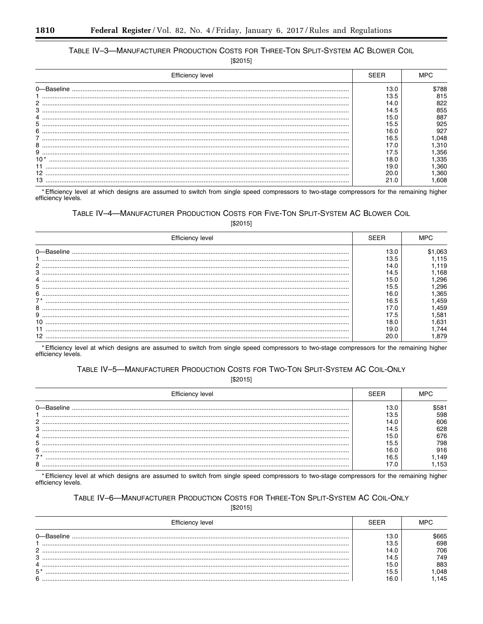# TABLE IV-3-MANUFACTURER PRODUCTION COSTS FOR THREE-TON SPLIT-SYSTEM AC BLOWER COIL

 $[$2015]$ 

| Efficiency level |      |       |
|------------------|------|-------|
|                  | 13.0 | \$788 |
|                  | 13.5 | 815   |
|                  | 14.0 | 822   |
| 3                | 14.5 | 855   |
|                  | 15.0 | 887   |
| 5                | 15.5 | 925   |
| 6                | 16.0 | 927   |
|                  | 16.5 | .048  |
| 8                |      | .310  |
| 9                | 17.5 | .356  |
| $10*$            | 18.0 | .335  |
|                  | 19.0 | .360  |
|                  |      | .360  |
|                  |      | .608  |

\*Efficiency level at which designs are assumed to switch from single speed compressors to two-stage compressors for the remaining higher efficiency levels.

# TABLE IV-4-MANUFACTURER PRODUCTION COSTS FOR FIVE-TON SPLIT-SYSTEM AC BLOWER COIL

| Efficiency level | :FFF |      |
|------------------|------|------|
| 0-Baseline       | 13.0 | .063 |
|                  | 3.5  | 15   |
|                  | 14 N | 119  |
|                  | 14.5 | 168  |
|                  | 15.0 | 296  |
|                  | 15.5 | 296  |
|                  | IR N | .365 |
|                  | 16.5 | .459 |
|                  |      | .459 |
|                  | 17.5 | .581 |
|                  | 18.0 | .631 |
|                  | 19.O | 744  |
|                  | 20.0 | .879 |

\* Efficiency level at which designs are assumed to switch from single speed compressors to two-stage compressors for the remaining higher efficiency levels.

## TABLE IV-5-MANUFACTURER PRODUCTION COSTS FOR TWO-TON SPLIT-SYSTEM AC COIL-ONLY

 $[$2015]$ 

| Efficiency level |      |      |
|------------------|------|------|
|                  |      |      |
|                  |      | 598  |
| 2                | 14.C | 606  |
| 3                | 14.5 | 628  |
|                  | 15.0 | 676  |
| b                | 15.5 | 798  |
| 6                | 16.0 | 916  |
| $\rightarrow$    | 16.5 | .149 |
| 8                |      | 153  |

\* Efficiency level at which designs are assumed to switch from single speed compressors to two-stage compressors for the remaining higher efficiency levels.

# TABLE IV-6-MANUFACTURER PRODUCTION COSTS FOR THREE-TON SPLIT-SYSTEM AC COIL-ONLY

 $[$2015]$ 

|      |      | 665; |
|------|------|------|
|      | 13.5 | 698  |
| C    |      | 706  |
| ີ    | 14.5 | 749  |
|      | 15.0 | 883  |
| $5*$ | 15.5 | .048 |
| 6    |      | .145 |

 $[$2015]$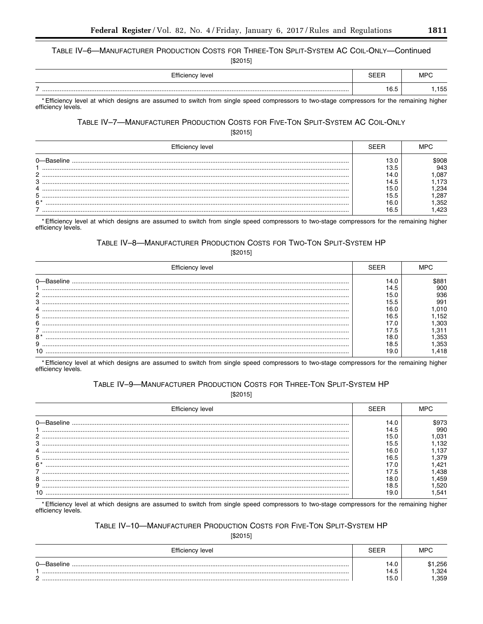TABLE IV-6-MANUFACTURER PRODUCTION COSTS FOR THREE-TON SPLIT-SYSTEM AC COIL-ONLY-Continued

 $[$2015]$ 

| Efficiency level                                                                                                                           | MPC |
|--------------------------------------------------------------------------------------------------------------------------------------------|-----|
|                                                                                                                                            | 155 |
| * Efficiency lovel at which decises are esquired to quitch from single encod compressors to two stage compressors for the remaining bigher |     |

Efficiency level at which designs are assumed to switch from single speed compressors to two-stage compressors for the remaining higher efficiency levels.

# TABLE IV-7-MANUFACTURER PRODUCTION COSTS FOR FIVE-TON SPLIT-SYSTEM AC COIL-ONLY

 $[$2015]$ 

| Efficiency <sup>7</sup> |      |
|-------------------------|------|
|                         | 908  |
|                         | 943  |
| C                       | 087  |
| ₽                       | 73   |
|                         | 234  |
| 5                       | .287 |
| $6*$                    | .352 |
|                         | 423  |

\* Efficiency level at which designs are assumed to switch from single speed compressors to two-stage compressors for the remaining higher efficiency levels.

# TABLE IV-8-MANUFACTURER PRODUCTION COSTS FOR TWO-TON SPLIT-SYSTEM HP

 $[$2015]$ 

| Efficiency level |      |      |
|------------------|------|------|
| n-Baseline       | 14.C | 881ء |
|                  | 14.5 | 900  |
| 2                | 15.0 | 936  |
| З                | 15.5 | 991  |
|                  | 16.C | 010  |
| 5                | 6.5  | 152  |
| 6                |      | 303  |
|                  | 7.5  |      |
| $8*$             |      | .353 |
| 9                | 18.5 | .353 |
| 10               | 19.C | .418 |

\*Efficiency level at which designs are assumed to switch from single speed compressors to two-stage compressors for the remaining higher efficiency levels.

## TABLE IV-9-MANUFACTURER PRODUCTION COSTS FOR THREE-TON SPLIT-SYSTEM HP

 $[$2015]$ 

| Efficiency level |      |      |
|------------------|------|------|
|                  | 14.0 |      |
|                  | 14.5 | 990  |
| っ                | 15.0 | .031 |
| 3                | 15.5 | .132 |
|                  | 16.0 | .137 |
| 5                | 16.5 | .379 |
| $6*$             |      | .421 |
|                  | 7.5  | .438 |
| 8                | 18.0 | .459 |
| 9                | 18.5 | .520 |
|                  | 19.0 | .541 |

\* Efficiency level at which designs are assumed to switch from single speed compressors to two-stage compressors for the remaining higher efficiency levels.

# TABLE IV-10-MANUFACTURER PRODUCTION COSTS FOR FIVE-TON SPLIT-SYSTEM HP

 $[$2015]$ 

| Efficiency level | SEEF | MPC  |
|------------------|------|------|
|                  | 14.0 | .256 |
|                  | 14.5 | .324 |
| ⌒                | 15.0 | .359 |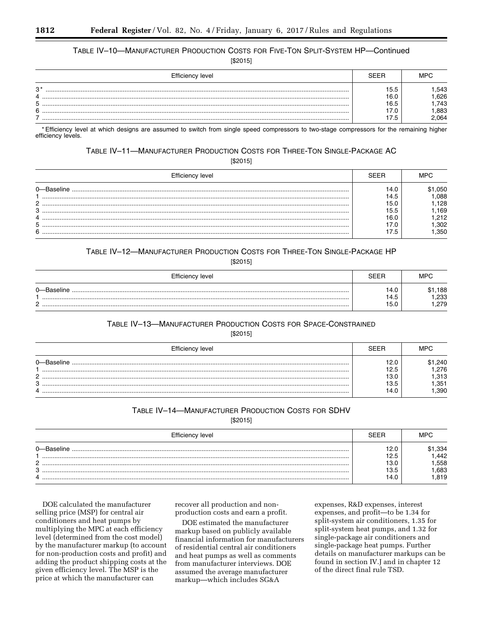# TABLE IV-10-MANUFACTURER PRODUCTION COSTS FOR FIVE-TON SPLIT-SYSTEM HP-Continued

 $[$2015]$ 

| Efficiency level     | SFFR                 | MPC                  |
|----------------------|----------------------|----------------------|
| י כי<br>د،<br>4<br>5 | 15.5<br>16.0<br>16.5 | .543<br>.626<br>.743 |
| 6                    | 17.5                 | .883<br>2.064        |

\*Efficiency level at which designs are assumed to switch from single speed compressors to two-stage compressors for the remaining higher efficiency levels.

## TABLE IV-11-MANUFACTURER PRODUCTION COSTS FOR THREE-TON SINGLE-PACKAGE AC

 $[$2015]$ 

| <b>Efficiency level</b> |      |      |
|-------------------------|------|------|
|                         | 14 ( | 050  |
|                         | 14.5 | .088 |
|                         | 15.C | .128 |
| o                       | 15.5 | .169 |
|                         |      | 212  |
|                         |      | .302 |
| 6                       | 7.5  | .350 |

# TABLE IV-12-MANUFACTURER PRODUCTION COSTS FOR THREE-TON SINGLE-PACKAGE HP

 $[$2015]$ 

| Efficiency level | SEER                 | MPC                  |
|------------------|----------------------|----------------------|
| 0-Baseline       | 14.0<br>14.5<br>15.0 | .188<br>.233<br>.279 |

## TABLE IV-13-MANUFACTURER PRODUCTION COSTS FOR SPACE-CONSTRAINED

 $[$2015]$ 

| Efficiency level     | SFFF                                 | MPC                                  |
|----------------------|--------------------------------------|--------------------------------------|
| ∩—Baseline<br>n<br>C | 12.0<br>12.5<br>13.0<br>13.5<br>14.0 | .240<br>.276<br>.313<br>.351<br>.390 |

# TABLE IV-14-MANUFACTURER PRODUCTION COSTS FOR SDHV

 $[$2015]$ 

| Efficiency level | SFFR | MPC. |
|------------------|------|------|
|                  | 12.0 | .334 |
|                  | 12.5 | .442 |
| C                | 13.0 | .558 |
| 3                | 13.5 | .683 |
|                  | 14.0 | .819 |

DOE calculated the manufacturer selling price (MSP) for central air conditioners and heat pumps by multiplying the MPC at each efficiency level (determined from the cost model) by the manufacturer markup (to account for non-production costs and profit) and adding the product shipping costs at the given efficiency level. The MSP is the price at which the manufacturer can

recover all production and nonproduction costs and earn a profit.

DOE estimated the manufacturer markup based on publicly available financial information for manufacturers of residential central air conditioners and heat pumps as well as comments from manufacturer interviews. DOE assumed the average manufacturer markup-which includes SG&A

expenses, R&D expenses, interest expenses, and profit-to be 1.34 for split-system air conditioners, 1.35 for split-system heat pumps, and 1.32 for single-package air conditioners and single-package heat pumps. Further details on manufacturer markups can be found in section IV.J and in chapter 12 of the direct final rule TSD.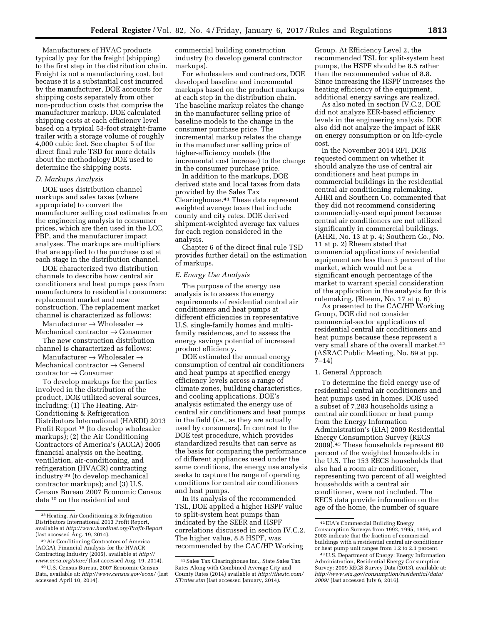Manufacturers of HVAC products typically pay for the freight (shipping) to the first step in the distribution chain. Freight is not a manufacturing cost, but because it is a substantial cost incurred by the manufacturer, DOE accounts for shipping costs separately from other non-production costs that comprise the manufacturer markup. DOE calculated shipping costs at each efficiency level based on a typical 53-foot straight-frame trailer with a storage volume of roughly 4,000 cubic feet. See chapter 5 of the direct final rule TSD for more details about the methodology DOE used to determine the shipping costs.

## *D. Markups Analysis*

DOE uses distribution channel markups and sales taxes (where appropriate) to convert the manufacturer selling cost estimates from the engineering analysis to consumer prices, which are then used in the LCC, PBP, and the manufacturer impact analyses. The markups are multipliers that are applied to the purchase cost at each stage in the distribution channel.

DOE characterized two distribution channels to describe how central air conditioners and heat pumps pass from manufacturers to residential consumers: replacement market and new construction. The replacement market channel is characterized as follows:

Manufacturer  $\rightarrow$  Wholesaler  $\rightarrow$ Mechanical contractor → Consumer

The new construction distribution channel is characterized as follows:

Manufacturer  $\rightarrow$  Wholesaler  $\rightarrow$ Mechanical contractor → General contractor → Consumer

To develop markups for the parties involved in the distribution of the product, DOE utilized several sources, including: (1) The Heating, Air-Conditioning & Refrigeration Distributors International (HARDI) 2013 Profit Report 38 (to develop wholesaler markups); (2) the Air Conditioning Contractors of America's (ACCA) 2005 financial analysis on the heating, ventilation, air-conditioning, and refrigeration (HVACR) contracting industry 39 (to develop mechanical contractor markups); and (3) U.S. Census Bureau 2007 Economic Census data 40 on the residential and

commercial building construction industry (to develop general contractor markups).

For wholesalers and contractors, DOE developed baseline and incremental markups based on the product markups at each step in the distribution chain. The baseline markup relates the change in the manufacturer selling price of baseline models to the change in the consumer purchase price. The incremental markup relates the change in the manufacturer selling price of higher-efficiency models (the incremental cost increase) to the change in the consumer purchase price.

In addition to the markups, DOE derived state and local taxes from data provided by the Sales Tax Clearinghouse.41 These data represent weighted average taxes that include county and city rates. DOE derived shipment-weighted average tax values for each region considered in the analysis.

Chapter 6 of the direct final rule TSD provides further detail on the estimation of markups.

## *E. Energy Use Analysis*

The purpose of the energy use analysis is to assess the energy requirements of residential central air conditioners and heat pumps at different efficiencies in representative U.S. single-family homes and multifamily residences, and to assess the energy savings potential of increased product efficiency.

DOE estimated the annual energy consumption of central air conditioners and heat pumps at specified energy efficiency levels across a range of climate zones, building characteristics, and cooling applications. DOE's analysis estimated the energy use of central air conditioners and heat pumps in the field (*i.e.*, as they are actually used by consumers). In contrast to the DOE test procedure, which provides standardized results that can serve as the basis for comparing the performance of different appliances used under the same conditions, the energy use analysis seeks to capture the range of operating conditions for central air conditioners and heat pumps.

In its analysis of the recommended TSL, DOE applied a higher HSPF value to split-system heat pumps than indicated by the SEER and HSPF correlations discussed in section IV.C.2. The higher value, 8.8 HSPF, was recommended by the CAC/HP Working

Group. At Efficiency Level 2, the recommended TSL for split-system heat pumps, the HSPF should be 8.5 rather than the recommended value of 8.8. Since increasing the HSPF increases the heating efficiency of the equipment, additional energy savings are realized.

As also noted in section IV.C.2, DOE did not analyze EER-based efficiency levels in the engineering analysis. DOE also did not analyze the impact of EER on energy consumption or on life-cycle cost.

In the November 2014 RFI, DOE requested comment on whether it should analyze the use of central air conditioners and heat pumps in commercial buildings in the residential central air conditioning rulemaking. AHRI and Southern Co. commented that they did not recommend considering commercially-used equipment because central air conditioners are not utilized significantly in commercial buildings. (AHRI, No. 13 at p. 4; Southern Co., No. 11 at p. 2) Rheem stated that commercial applications of residential equipment are less than 5 percent of the market, which would not be a significant enough percentage of the market to warrant special consideration of the application in the analysis for this rulemaking. (Rheem, No. 17 at p. 6)

As presented to the CAC/HP Working Group, DOE did not consider commercial-sector applications of residential central air conditioners and heat pumps because these represent a very small share of the overall market.42 (ASRAC Public Meeting, No. 89 at pp. 7–14)

#### 1. General Approach

To determine the field energy use of residential central air conditioners and heat pumps used in homes, DOE used a subset of 7,283 households using a central air conditioner or heat pump from the Energy Information Administration's (EIA) 2009 Residential Energy Consumption Survey (RECS 2009).43 These households represent 60 percent of the weighted households in the U.S. The 153 RECS households that also had a room air conditioner, representing two percent of all weighted households with a central air conditioner, were not included. The RECS data provide information on the age of the home, the number of square

<sup>38</sup>Heating, Air Conditioning & Refrigeration Distributors International 2013 Profit Report, available at *<http://www.hardinet.org/Profit-Report>* (last accessed Aug. 19, 2014).

<sup>39</sup>Air Conditioning Contractors of America (ACCA), Financial Analysis for the HVACR Contracting Industry (2005), available at *[http://](http://www.acca.org/store/) [www.acca.org/store/](http://www.acca.org/store/)* (last accessed Aug. 19, 2014).

<sup>40</sup>U.S. Census Bureau, 2007 Economic Census Data, available at: *<http://www.census.gov/econ/>*(last accessed April 10, 2014).

<sup>41</sup>Sales Tax Clearinghouse Inc., State Sales Tax Rates Along with Combined Average City and County Rates (2014) available at *[http://thestc.com/](http://thestc.com/STrates.stm)  [STrates.stm](http://thestc.com/STrates.stm)* (last accessed January, 2014).

<sup>42</sup>EIA's Commercial Building Energy Consumption Surveys from 1992, 1995, 1999, and 2003 indicate that the fraction of commercial buildings with a residential central air conditioner or heat pump unit ranges from 1.2 to 2.1 percent.

<sup>43</sup>U.S. Department of Energy: Energy Information Administration, Residential Energy Consumption Survey: 2009 RECS Survey Data (2013), available at: *[http://www.eia.gov/consumption/residential/data/](http://www.eia.gov/consumption/residential/data/2009/)  [2009/](http://www.eia.gov/consumption/residential/data/2009/)* (last accessed July 6, 2016).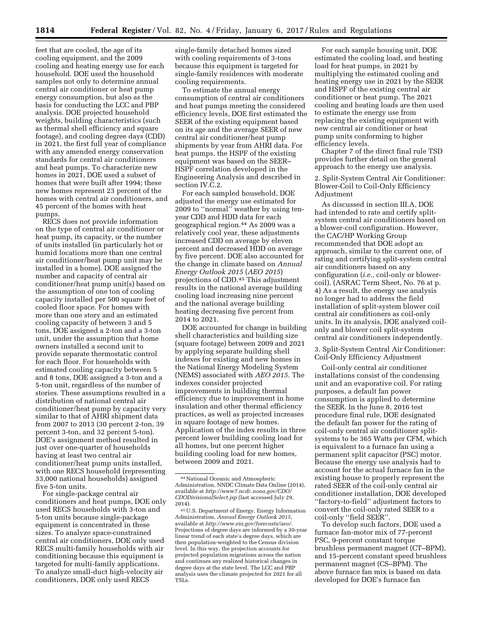feet that are cooled, the age of its cooling equipment, and the 2009 cooling and heating energy use for each household. DOE used the household samples not only to determine annual central air conditioner or heat pump energy consumption, but also as the basis for conducting the LCC and PBP analysis. DOE projected household weights, building characteristics (such as thermal shell efficiency and square footage), and cooling degree days (CDD) in 2021, the first full year of compliance with any amended energy conservation standards for central air conditioners and heat pumps. To characterize new homes in 2021, DOE used a subset of homes that were built after 1994; these new homes represent 23 percent of the homes with central air conditioners, and 45 percent of the homes with heat pumps.

RECS does not provide information on the type of central air conditioner or heat pump, its capacity, or the number of units installed (in particularly hot or humid locations more than one central air conditioner/heat pump unit may be installed in a home). DOE assigned the number and capacity of central air conditioner/heat pump unit(s) based on the assumption of one ton of cooling capacity installed per 500 square feet of cooled floor space. For homes with more than one story and an estimated cooling capacity of between 3 and 5 tons, DOE assigned a 2-ton and a 3-ton unit, under the assumption that home owners installed a second unit to provide separate thermostatic control for each floor. For households with estimated cooling capacity between 5 and 8 tons, DOE assigned a 3-ton and a 5-ton unit, regardless of the number of stories. These assumptions resulted in a distribution of national central air conditioner/heat pump by capacity very similar to that of AHRI shipment data from 2007 to 2013 (30 percent 2-ton, 39 percent 3-ton, and 32 percent 5-ton). DOE's assignment method resulted in just over one-quarter of households having at least two central air conditioner/heat pump units installed, with one RECS household (representing 33,000 national households) assigned five 5-ton units.

For single-package central air conditioners and heat pumps, DOE only used RECS households with 3-ton and 5-ton units because single-package equipment is concentrated in these sizes. To analyze space-constrained central air conditioners, DOE only used RECS multi-family households with air conditioning because this equipment is targeted for multi-family applications. To analyze small-duct high-velocity air conditioners, DOE only used RECS

single-family detached homes sized with cooling requirements of 3-tons because this equipment is targeted for single-family residences with moderate cooling requirements.

To estimate the annual energy consumption of central air conditioners and heat pumps meeting the considered efficiency levels, DOE first estimated the SEER of the existing equipment based on its age and the average SEER of new central air conditioner/heat pump shipments by year from AHRI data. For heat pumps, the HSPF of the existing equipment was based on the SEER– HSPF correlation developed in the Engineering Analysis and described in section IV.C.2.

For each sampled household, DOE adjusted the energy use estimated for 2009 to ''normal'' weather by using tenyear CDD and HDD data for each geographical region.44 As 2009 was a relatively cool year, these adjustments increased CDD on average by eleven percent and decreased HDD on average by five percent. DOE also accounted for the change in climate based on *Annual Energy Outlook 2015* (*AEO 2015*) projections of CDD.45 This adjustment results in the national average building cooling load increasing nine percent and the national average building heating decreasing five percent from 2014 to 2021.

DOE accounted for change in building shell characteristics and building size (square footage) between 2009 and 2021 by applying separate building shell indexes for existing and new homes in the National Energy Modeling System (NEMS) associated with *AEO 2015.* The indexes consider projected improvements in building thermal efficiency due to improvement in home insulation and other thermal efficiency practices, as well as projected increases in square footage of new homes. Application of the index results in three percent lower building cooling load for all homes, but one percent higher building cooling load for new homes, between 2009 and 2021.

For each sample housing unit, DOE estimated the cooling load, and heating load for heat pumps, in 2021 by multiplying the estimated cooling and heating energy use in 2021 by the SEER and HSPF of the existing central air conditioner or heat pump. The 2021 cooling and heating loads are then used to estimate the energy use from replacing the existing equipment with new central air conditioner or heat pump units conforming to higher efficiency levels.

Chapter 7 of the direct final rule TSD provides further detail on the general approach to the energy use analysis.

2. Split-System Central Air Conditioner: Blower-Coil to Coil-Only Efficiency Adjustment

As discussed in section III.A, DOE had intended to rate and certify splitsystem central air conditioners based on a blower-coil configuration. However, the CAC/HP Working Group recommended that DOE adopt an approach, similar to the current one, of rating and certifying split-system central air conditioners based on any configuration (*i.e.,* coil-only or blowercoil). (ASRAC Term Sheet, No. 76 at p. 4) As a result, the energy use analysis no longer had to address the field installation of split-system blower coil central air conditioners as coil-only units. In its analysis, DOE analyzed coilonly and blower coil split-system central air conditioners independently.

3. Split-System Central Air Conditioner: Coil-Only Efficiency Adjustment

Coil-only central air conditioner installations consist of the condensing unit and an evaporative coil. For rating purposes, a default fan power consumption is applied to determine the SEER. In the June 8, 2016 test procedure final rule, DOE designated the default fan power for the rating of coil-only central air conditioner splitsystems to be 365 Watts per CFM, which is equivalent to a furnace fan using a permanent split capacitor (PSC) motor. Because the energy use analysis had to account for the actual furnace fan in the existing house to properly represent the rated SEER of the coil-only central air conditioner installation, DOE developed ''factory-to-field'' adjustment factors to convert the coil-only rated SEER to a coil-only ''field SEER''.

To develop such factors, DOE used a furnace fan-motor mix of 77-percent PSC, 9-percent constant torque brushless permanent magnet (CT–BPM), and 15-percent constant speed brushless permanent magnet (CS–BPM). The above furnace fan mix is based on data developed for DOE's furnace fan

<sup>44</sup>National Oceanic and Atmospheric Administration, NNDC Climate Data Online (2014), available at *[http://www7.ncdc.noaa.gov/CDO/](http://www7.ncdc.noaa.gov/CDO/CDODivisionalSelect.jsp)  [CDODivisionalSelect.jsp](http://www7.ncdc.noaa.gov/CDO/CDODivisionalSelect.jsp)* (last accessed July 29, 2014).

<sup>45</sup>U.S. Department of Energy, Energy Information Administration, *Annual Energy Outlook 2015,*  available at *[http://www.eia.gov/forecasts/aeo/.](http://www.eia.gov/forecasts/aeo/)*  Projections of degree days are informed by a 30-year linear trend of each state's degree days, which are then population-weighted to the Census division level. In this way, the projection accounts for projected population migrations across the nation and continues any realized historical changes in degree days at the state level. The LCC and PBP analysis uses the climate projected for 2021 for all TSLs.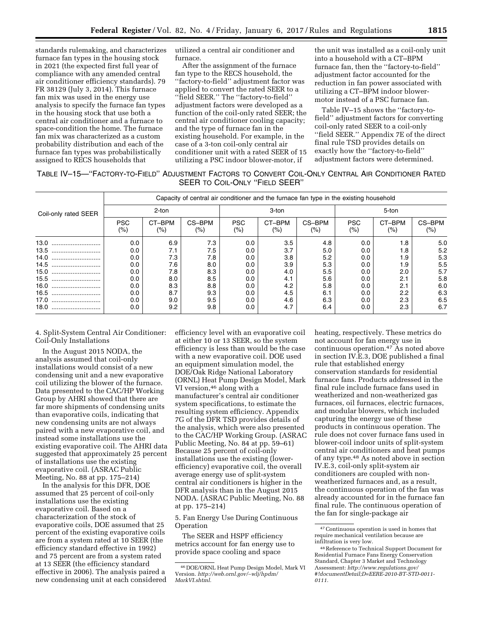standards rulemaking, and characterizes furnace fan types in the housing stock in 2021 (the expected first full year of compliance with any amended central air conditioner efficiency standards). 79 FR 38129 (July 3, 2014). This furnace fan mix was used in the energy use analysis to specify the furnace fan types in the housing stock that use both a central air conditioner and a furnace to space-condition the home. The furnace fan mix was characterized as a custom probability distribution and each of the furnace fan types was probabilistically assigned to RECS households that

utilized a central air conditioner and furnace.

After the assignment of the furnace fan type to the RECS household, the ''factory-to-field'' adjustment factor was applied to convert the rated SEER to a ''field SEER.'' The ''factory-to-field'' adjustment factors were developed as a function of the coil-only rated SEER; the central air conditioner cooling capacity; and the type of furnace fan in the existing household. For example, in the case of a 3-ton coil-only central air conditioner unit with a rated SEER of 15 utilizing a PSC indoor blower-motor, if

the unit was installed as a coil-only unit into a household with a CT–BPM furnace fan, then the ''factory-to-field'' adjustment factor accounted for the reduction in fan power associated with utilizing a CT–BPM indoor blowermotor instead of a PSC furnace fan.

Table IV–15 shows the ''factory-tofield'' adjustment factors for converting coil-only rated SEER to a coil-only ''field SEER.'' Appendix 7E of the direct final rule TSD provides details on exactly how the ''factory-to-field'' adjustment factors were determined.

| TABLE IV-15—"FACTORY-TO-FIELD" ADJUSTMENT FACTORS TO CONVERT COIL-ONLY CENTRAL AIR CONDITIONER RATED |                                |  |  |
|------------------------------------------------------------------------------------------------------|--------------------------------|--|--|
|                                                                                                      | SEER TO COIL-ONLY "FIELD SEER" |  |  |

|                      | Capacity of central air conditioner and the furnace fan type in the existing household |               |                   |                      |                   |                   |                       |               |                  |
|----------------------|----------------------------------------------------------------------------------------|---------------|-------------------|----------------------|-------------------|-------------------|-----------------------|---------------|------------------|
| Coil-only rated SEER | 2-ton                                                                                  |               |                   | 3-ton                |                   |                   | 5-ton                 |               |                  |
|                      | <b>PSC</b><br>$(\% )$                                                                  | CT-BPM<br>(%) | CS-BPM<br>$(\% )$ | <b>PSC</b><br>$(\%)$ | CT-BPM<br>$(\% )$ | CS-BPM<br>$(\% )$ | <b>PSC</b><br>$(\% )$ | CT-BPM<br>(%) | CS-BPM<br>$(\%)$ |
| 13.0                 | 0.0                                                                                    | 6.9           | 7.3               | 0.0                  | 3.5               | 4.8               | 0.0                   | 1.8           | 5.0              |
| 13.5                 | 0.0                                                                                    | 7.1           | 7.5               | 0.0                  | 3.7               | 5.0               | 0.0                   | 1.8           | 5.2              |
| 14.0<br>             | 0.0                                                                                    | 7.3           | 7.8               | 0.0                  | 3.8               | 5.2               | 0.0                   | 1.9           | 5.3              |
| 14.5                 | 0.0                                                                                    | 7.6           | 8.0               | 0.0                  | 3.9               | 5.3               | 0.0                   | 1.9           | 5.5              |
| 15.0                 | 0.0                                                                                    | 7.8           | 8.3               | 0.0                  | 4.0               | 5.5               | 0.0                   | 2.0           | 5.7              |
| 15.5                 | 0.0                                                                                    | 8.0           | 8.5               | 0.0                  | 4.1               | 5.6               | 0.0                   | 2.1           | 5.8              |
| 16.0                 | 0.0                                                                                    | 8.3           | 8.8               | 0.0                  | 4.2               | 5.8               | 0.0                   | 2.1           | 6.0              |
| 16.5                 | 0.0                                                                                    | 8.7           | 9.3               | 0.0                  | 4.5               | 6.1               | 0.0                   | 2.2           | 6.3              |
| 17.0                 | 0.0                                                                                    | 9.0           | 9.5               | 0.0                  | 4.6               | 6.3               | 0.0                   | 2.3           | 6.5              |
| 18.0                 | 0.0                                                                                    | 9.2           | 9.8               | 0.0                  | 4.7               | 6.4               | 0.0                   | 2.3           | 6.7              |

4. Split-System Central Air Conditioner: Coil-Only Installations

In the August 2015 NODA, the analysis assumed that coil-only installations would consist of a new condensing unit and a new evaporative coil utilizing the blower of the furnace. Data presented to the CAC/HP Working Group by AHRI showed that there are far more shipments of condensing units than evaporative coils, indicating that new condensing units are not always paired with a new evaporative coil, and instead some installations use the existing evaporative coil. The AHRI data suggested that approximately 25 percent of installations use the existing evaporative coil. (ASRAC Public Meeting, No. 88 at pp. 175–214)

In the analysis for this DFR, DOE assumed that 25 percent of coil-only installations use the existing evaporative coil. Based on a characterization of the stock of evaporative coils, DOE assumed that 25 percent of the existing evaporative coils are from a system rated at 10 SEER (the efficiency standard effective in 1992) and 75 percent are from a system rated at 13 SEER (the efficiency standard effective in 2006). The analysis paired a new condensing unit at each considered efficiency level with an evaporative coil at either 10 or 13 SEER, so the system efficiency is less than would be the case with a new evaporative coil. DOE used an equipment simulation model, the DOE/Oak Ridge National Laboratory (ORNL) Heat Pump Design Model, Mark VI version, <sup>46</sup> along with a manufacturer's central air conditioner system specifications, to estimate the resulting system efficiency. Appendix 7G of the DFR TSD provides details of the analysis, which were also presented to the CAC/HP Working Group. (ASRAC Public Meeting, No. 84 at pp. 59–61) Because 25 percent of coil-only installations use the existing (lowerefficiency) evaporative coil, the overall average energy use of split-system central air conditioners is higher in the DFR analysis than in the August 2015 NODA. (ASRAC Public Meeting, No. 88 at pp. 175–214)

5. Fan Energy Use During Continuous Operation

The SEER and HSPF efficiency metrics account for fan energy use to provide space cooling and space

heating, respectively. These metrics do not account for fan energy use in continuous operation.47 As noted above in section IV.E.3, DOE published a final rule that established energy conservation standards for residential furnace fans. Products addressed in the final rule include furnace fans used in weatherized and non-weatherized gas furnaces, oil furnaces, electric furnaces, and modular blowers, which included capturing the energy use of these products in continuous operation. The rule does not cover furnace fans used in blower-coil indoor units of split-system central air conditioners and heat pumps of any type.48 As noted above in section IV.E.3, coil-only split-system air conditioners are coupled with nonweatherized furnaces and, as a result, the continuous operation of the fan was already accounted for in the furnace fan final rule. The continuous operation of the fan for single-package air

<sup>46</sup> DOE/ORNL Heat Pump Design Model, Mark VI Version. *[http://web.ornl.gov/](http://web.ornl.gov/~wlj/hpdm/MarkVI.shtml)*∼*wlj/hpdm/ [MarkVI.shtml.](http://web.ornl.gov/~wlj/hpdm/MarkVI.shtml)* 

<sup>47</sup>Continuous operation is used in homes that require mechanical ventilation because are infiltration is very low.

<sup>48</sup>Reference to Technical Support Document for Residential Furnace Fans Energy Conservation Standard, Chapter 3 Market and Technology Assessment: *[http://www.regulations.gov/](http://www.regulations.gov/#!documentDetail;D=EERE-2010-BT-STD-0011-0111)  [#!documentDetail;D=EERE-2010-BT-STD-0011-](http://www.regulations.gov/#!documentDetail;D=EERE-2010-BT-STD-0011-0111) [0111.](http://www.regulations.gov/#!documentDetail;D=EERE-2010-BT-STD-0011-0111)*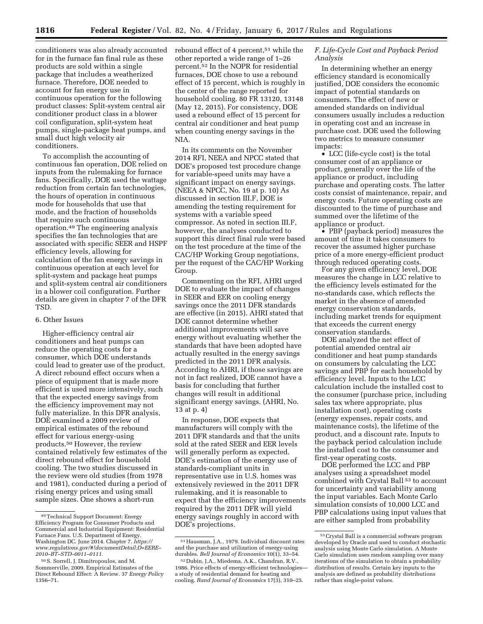conditioners was also already accounted for in the furnace fan final rule as these products are sold within a single package that includes a weatherized furnace. Therefore, DOE needed to account for fan energy use in continuous operation for the following product classes: Split-system central air conditioner product class in a blower coil configuration, split-system heat pumps, single-package heat pumps, and small duct high velocity air conditioners.

To accomplish the accounting of continuous fan operation, DOE relied on inputs from the rulemaking for furnace fans. Specifically, DOE used the wattage reduction from certain fan technologies, the hours of operation in continuous mode for households that use that mode, and the fraction of households that require such continuous operation.49 The engineering analysis specifies the fan technologies that are associated with specific SEER and HSPF efficiency levels, allowing for calculation of the fan energy savings in continuous operation at each level for split-system and package heat pumps and split-system central air conditioners in a blower coil configuration. Further details are given in chapter 7 of the DFR TSD.

#### 6. Other Issues

Higher-efficiency central air conditioners and heat pumps can reduce the operating costs for a consumer, which DOE understands could lead to greater use of the product. A direct rebound effect occurs when a piece of equipment that is made more efficient is used more intensively, such that the expected energy savings from the efficiency improvement may not fully materialize. In this DFR analysis, DOE examined a 2009 review of empirical estimates of the rebound effect for various energy-using products.50 However, the review contained relatively few estimates of the direct rebound effect for household cooling. The two studies discussed in the review were old studies (from 1978 and 1981), conducted during a period of rising energy prices and using small sample sizes. One shows a short-run

rebound effect of 4 percent,<sup>51</sup> while the other reported a wide range of 1–26 percent.52 In the NOPR for residential furnaces, DOE chose to use a rebound effect of 15 percent, which is roughly in the center of the range reported for household cooling. 80 FR 13120, 13148 (May 12, 2015). For consistency, DOE used a rebound effect of 15 percent for central air conditioner and heat pump when counting energy savings in the NIA.

In its comments on the November 2014 RFI, NEEA and NPCC stated that DOE's proposed test procedure change for variable-speed units may have a significant impact on energy savings. (NEEA & NPCC, No. 19 at p. 10) As discussed in section III.F, DOE is amending the testing requirement for systems with a variable speed compressor. As noted in section III.F, however, the analyses conducted to support this direct final rule were based on the test procedure at the time of the CAC/HP Working Group negotiations, per the request of the CAC/HP Working Group.

Commenting on the RFI, AHRI urged DOE to evaluate the impact of changes in SEER and EER on cooling energy savings once the 2011 DFR standards are effective (in 2015). AHRI stated that DOE cannot determine whether additional improvements will save energy without evaluating whether the standards that have been adopted have actually resulted in the energy savings predicted in the 2011 DFR analysis. According to AHRI, if those savings are not in fact realized, DOE cannot have a basis for concluding that further changes will result in additional significant energy savings. (AHRI, No. 13 at p. 4)

In response, DOE expects that manufacturers will comply with the 2011 DFR standards and that the units sold at the rated SEER and EER levels will generally perform as expected. DOE's estimation of the energy use of standards-compliant units in representative use in U.S. homes was extensively reviewed in the 2011 DFR rulemaking, and it is reasonable to expect that the efficiency improvements required by the 2011 DFR will yield energy savings roughly in accord with DOE's projections.

## *F. Life-Cycle Cost and Payback Period Analysis*

In determining whether an energy efficiency standard is economically justified, DOE considers the economic impact of potential standards on consumers. The effect of new or amended standards on individual consumers usually includes a reduction in operating cost and an increase in purchase cost. DOE used the following two metrics to measure consumer impacts:

• LCC (life-cycle cost) is the total consumer cost of an appliance or product, generally over the life of the appliance or product, including purchase and operating costs. The latter costs consist of maintenance, repair, and energy costs. Future operating costs are discounted to the time of purchase and summed over the lifetime of the appliance or product.

• PBP (payback period) measures the amount of time it takes consumers to recover the assumed higher purchase price of a more energy-efficient product through reduced operating costs.

For any given efficiency level, DOE measures the change in LCC relative to the efficiency levels estimated for the no-standards case, which reflects the market in the absence of amended energy conservation standards, including market trends for equipment that exceeds the current energy conservation standards.

DOE analyzed the net effect of potential amended central air conditioner and heat pump standards on consumers by calculating the LCC savings and PBP for each household by efficiency level. Inputs to the LCC calculation include the installed cost to the consumer (purchase price, including sales tax where appropriate, plus installation cost), operating costs (energy expenses, repair costs, and maintenance costs), the lifetime of the product, and a discount rate. Inputs to the payback period calculation include the installed cost to the consumer and first-year operating costs.

DOE performed the LCC and PBP analyses using a spreadsheet model combined with Crystal Ball 53 to account for uncertainty and variability among the input variables. Each Monte Carlo simulation consists of 10,000 LCC and PBP calculations using input values that are either sampled from probability

<sup>49</sup>Technical Support Document: Energy Efficiency Program for Consumer Products and Commercial and Industrial Equipment: Residential Furnace Fans. U.S. Department of Energy. Washington DC. June 2014. Chapter 7. *[https://](https://www.regulations.gov/#!documentDetail;D=EERE-2010-BT-STD-0011-0111) [www.regulations.gov/#!documentDetail;D=EERE–](https://www.regulations.gov/#!documentDetail;D=EERE-2010-BT-STD-0011-0111) [2010–BT–STD–0011–0111.](https://www.regulations.gov/#!documentDetail;D=EERE-2010-BT-STD-0011-0111)* 

<sup>50</sup>S. Sorrell, J. Dimitropoulos, and M. Sommerville, 2009. Empirical Estimates of the Direct Rebound Effect: A Review. 37 *Energy Policy*  1356–71.

 $^{\rm 51}\rm{Hausman},$  J.A., 1979. Individual discount rates and the purchase and utilization of energy-using durables. *Bell Journal of Economics* 10(1), 33–54.

<sup>52</sup> Dubin, J.A., Miedema, A.K., Chandran, R.V., 1986. Price effects of energy-efficient technologies a study of residential demand for heating and cooling. *Rand Journal of Economics* 17(3), 310–25.

<sup>53</sup>Crystal Ball is a commercial software program developed by Oracle and used to conduct stochastic analysis using Monte Carlo simulation. A Monte Carlo simulation uses random sampling over many iterations of the simulation to obtain a probability distribution of results. Certain key inputs to the analysis are defined as probability distributions rather than single-point values.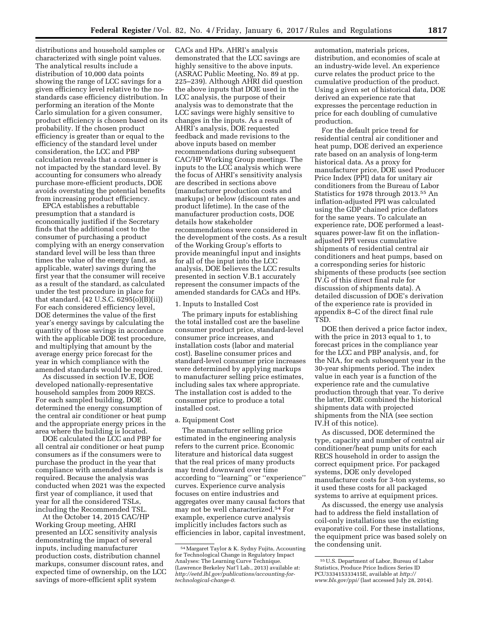distributions and household samples or characterized with single point values. The analytical results include a distribution of 10,000 data points showing the range of LCC savings for a given efficiency level relative to the nostandards case efficiency distribution. In performing an iteration of the Monte Carlo simulation for a given consumer, product efficiency is chosen based on its probability. If the chosen product efficiency is greater than or equal to the efficiency of the standard level under consideration, the LCC and PBP calculation reveals that a consumer is not impacted by the standard level. By accounting for consumers who already purchase more-efficient products, DOE avoids overstating the potential benefits from increasing product efficiency.

EPCA establishes a rebuttable presumption that a standard is economically justified if the Secretary finds that the additional cost to the consumer of purchasing a product complying with an energy conservation standard level will be less than three times the value of the energy (and, as applicable, water) savings during the first year that the consumer will receive as a result of the standard, as calculated under the test procedure in place for that standard. (42 U.S.C. 6295(o)(B)(ii)) For each considered efficiency level, DOE determines the value of the first year's energy savings by calculating the quantity of those savings in accordance with the applicable DOE test procedure, and multiplying that amount by the average energy price forecast for the year in which compliance with the amended standards would be required.

As discussed in section IV.E, DOE developed nationally-representative household samples from 2009 RECS. For each sampled building, DOE determined the energy consumption of the central air conditioner or heat pump and the appropriate energy prices in the area where the building is located.

DOE calculated the LCC and PBP for all central air conditioner or heat pump consumers as if the consumers were to purchase the product in the year that compliance with amended standards is required. Because the analysis was conducted when 2021 was the expected first year of compliance, it used that year for all the considered TSLs, including the Recommended TSL.

At the October 14, 2015 CAC/HP Working Group meeting, AHRI presented an LCC sensitivity analysis demonstrating the impact of several inputs, including manufacturer production costs, distribution channel markups, consumer discount rates, and expected time of ownership, on the LCC savings of more-efficient split system

CACs and HPs. AHRI's analysis demonstrated that the LCC savings are highly sensitive to the above inputs. (ASRAC Public Meeting, No. 89 at pp. 225–239). Although AHRI did question the above inputs that DOE used in the LCC analysis, the purpose of their analysis was to demonstrate that the LCC savings were highly sensitive to changes in the inputs. As a result of AHRI's analysis, DOE requested feedback and made revisions to the above inputs based on member recommendations during subsequent CAC/HP Working Group meetings. The inputs to the LCC analysis which were the focus of AHRI's sensitivity analysis are described in sections above (manufacturer production costs and markups) or below (discount rates and product lifetime). In the case of the manufacturer production costs, DOE details how stakeholder recommendations were considered in the development of the costs. As a result of the Working Group's efforts to provide meaningful input and insights for all of the input into the LCC analysis, DOE believes the LCC results presented in section V.B.1 accurately represent the consumer impacts of the amended standards for CACs and HPs.

## 1. Inputs to Installed Cost

The primary inputs for establishing the total installed cost are the baseline consumer product price, standard-level consumer price increases, and installation costs (labor and material cost). Baseline consumer prices and standard-level consumer price increases were determined by applying markups to manufacturer selling price estimates, including sales tax where appropriate. The installation cost is added to the consumer price to produce a total installed cost.

## a. Equipment Cost

The manufacturer selling price estimated in the engineering analysis refers to the current price. Economic literature and historical data suggest that the real prices of many products may trend downward over time according to ''learning'' or ''experience'' curves. Experience curve analysis focuses on entire industries and aggregates over many causal factors that may not be well characterized.54 For example, experience curve analysis implicitly includes factors such as efficiencies in labor, capital investment, automation, materials prices, distribution, and economies of scale at an industry-wide level. An experience curve relates the product price to the cumulative production of the product. Using a given set of historical data, DOE derived an experience rate that expresses the percentage reduction in price for each doubling of cumulative production.

For the default price trend for residential central air conditioner and heat pump, DOE derived an experience rate based on an analysis of long-term historical data. As a proxy for manufacturer price, DOE used Producer Price Index (PPI) data for unitary air conditioners from the Bureau of Labor Statistics for 1978 through 2013.55 An inflation-adjusted PPI was calculated using the GDP chained price deflators for the same years. To calculate an experience rate, DOE performed a leastsquares power-law fit on the inflationadjusted PPI versus cumulative shipments of residential central air conditioners and heat pumps, based on a corresponding series for historic shipments of these products (see section IV.G of this direct final rule for discussion of shipments data). A detailed discussion of DOE's derivation of the experience rate is provided in appendix 8–C of the direct final rule TSD.

DOE then derived a price factor index, with the price in 2013 equal to 1, to forecast prices in the compliance year for the LCC and PBP analysis, and, for the NIA, for each subsequent year in the 30-year shipments period. The index value in each year is a function of the experience rate and the cumulative production through that year. To derive the latter, DOE combined the historical shipments data with projected shipments from the NIA (see section IV.H of this notice).

As discussed, DOE determined the type, capacity and number of central air conditioner/heat pump units for each RECS household in order to assign the correct equipment price. For packaged systems, DOE only developed manufacturer costs for 3-ton systems, so it used these costs for all packaged systems to arrive at equipment prices.

As discussed, the energy use analysis had to address the field installation of coil-only installations use the existing evaporative coil. For these installations, the equipment price was based solely on the condensing unit.

<sup>54</sup>Margaret Taylor & K. Sydny Fujita, Accounting for Technological Change in Regulatory Impact Analyses: The Learning Curve Technique. (Lawrence Berkeley Nat'l Lab., 2013) available at: *[http://eetd.lbl.gov/publications/accounting-for](http://eetd.lbl.gov/publications/accounting-for-technological-change-0)[technological-change-0.](http://eetd.lbl.gov/publications/accounting-for-technological-change-0)* 

<sup>55</sup>U.S. Department of Labor, Bureau of Labor Statistics, Produce Price Indices Series ID PCU333415333415E, available at *[http://](http://www.bls.gov/ppi/) [www.bls.gov/ppi/](http://www.bls.gov/ppi/)* (last accessed July 28, 2014).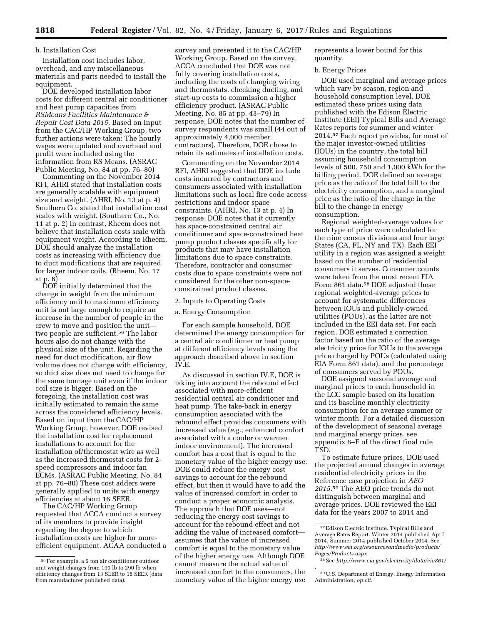## b. Installation Cost

Installation cost includes labor, overhead, and any miscellaneous materials and parts needed to install the equipment.

DOE developed installation labor costs for different central air conditioner and heat pump capacities from *RSMeans Facilities Maintenance & Repair Cost Data 2015.* Based on input from the CAC/HP Working Group, two further actions were taken: The hourly wages were updated and overhead and profit were included using the information from RS Means. (ASRAC Public Meeting, No. 84 at pp. 76–80)

Commenting on the November 2014 RFI, AHRI stated that installation costs are generally scalable with equipment size and weight. (AHRI, No. 13 at p. 4) Southern Co. stated that installation cost scales with weight. (Southern Co., No. 11 at p. 2) In contrast, Rheem does not believe that installation costs scale with equipment weight. According to Rheem, DOE should analyze the installation costs as increasing with efficiency due to duct modifications that are required for larger indoor coils. (Rheem, No. 17 at p. 6)

DOE initially determined that the change in weight from the minimum efficiency unit to maximum efficiency unit is not large enough to require an increase in the number of people in the crew to move and position the unit two people are sufficient.56 The labor hours also do not change with the physical size of the unit. Regarding the need for duct modification, air flow volume does not change with efficiency, so duct size does not need to change for the same tonnage unit even if the indoor coil size is bigger. Based on the foregoing, the installation cost was initially estimated to remain the same across the considered efficiency levels. Based on input from the CAC/HP Working Group, however, DOE revised the installation cost for replacement installations to account for the installation of/thermostat wire as well as the increased thermostat costs for 2 speed compressors and indoor fan ECMs. (ASRAC Public Meeting, No. 84 at pp. 76–80) These cost adders were generally applied to units with energy efficiencies at about 16 SEER.

The CAC/HP Working Group requested that ACCA conduct a survey of its members to provide insight regarding the degree to which installation costs are higher for moreefficient equipment. ACAA conducted a

survey and presented it to the CAC/HP Working Group. Based on the survey, ACCA concluded that DOE was not fully covering installation costs, including the costs of changing wiring and thermostats, checking ducting, and start-up costs to commission a higher efficiency product. (ASRAC Public Meeting, No. 85 at pp. 43–79) In response, DOE notes that the number of survey respondents was small (44 out of approximately 4,000 member contractors). Therefore, DOE chose to retain its estimates of installation costs.

Commenting on the November 2014 RFI, AHRI suggested that DOE include costs incurred by contractors and consumers associated with installation limitations such as local fire code access restrictions and indoor space constraints. (AHRI, No. 13 at p. 4) In response, DOE notes that it currently has space-constrained central air conditioner and space-constrained heat pump product classes specifically for products that may have installation limitations due to space constraints. Therefore, contractor and consumer costs due to space constraints were not considered for the other non-spaceconstrained product classes.

#### 2. Inputs to Operating Costs

a. Energy Consumption

For each sample household, DOE determined the energy consumption for a central air conditioner or heat pump at different efficiency levels using the approach described above in section IV.E.

As discussed in section IV.E, DOE is taking into account the rebound effect associated with more-efficient residential central air conditioner and heat pump. The take-back in energy consumption associated with the rebound effect provides consumers with increased value (*e.g.,* enhanced comfort associated with a cooler or warmer indoor environment). The increased comfort has a cost that is equal to the monetary value of the higher energy use. DOE could reduce the energy cost savings to account for the rebound effect, but then it would have to add the value of increased comfort in order to conduct a proper economic analysis. The approach that DOE uses—not reducing the energy cost savings to account for the rebound effect and not adding the value of increased comfort assumes that the value of increased comfort is equal to the monetary value of the higher energy use. Although DOE cannot measure the actual value of increased comfort to the consumers, the monetary value of the higher energy use

represents a lower bound for this quantity.

#### b. Energy Prices

DOE used marginal and average prices which vary by season, region and household consumption level. DOE estimated these prices using data published with the Edison Electric Institute (EEI) Typical Bills and Average Rates reports for summer and winter 2014.57 Each report provides, for most of the major investor-owned utilities (IOUs) in the country, the total bill assuming household consumption levels of 500, 750 and 1,000 kWh for the billing period. DOE defined an average price as the ratio of the total bill to the electricity consumption, and a marginal price as the ratio of the change in the bill to the change in energy consumption.

Regional weighted-average values for each type of price were calculated for the nine census divisions and four large States (CA, FL, NY and TX). Each EEI utility in a region was assigned a weight based on the number of residential consumers it serves. Consumer counts were taken from the most recent EIA Form 861 data.58 DOE adjusted these regional weighted-average prices to account for systematic differences between IOUs and publicly-owned utilities (POUs), as the latter are not included in the EEI data set. For each region, DOE estimated a correction factor based on the ratio of the average electricity price for IOUs to the average price charged by POUs (calculated using EIA Form 861 data), and the percentage of consumers served by POUs.

DOE assigned seasonal average and marginal prices to each household in the LCC sample based on its location and its baseline monthly electricity consumption for an average summer or winter month. For a detailed discussion of the development of seasonal average and marginal energy prices, see appendix 8–F of the direct final rule TSD.

To estimate future prices, DOE used the projected annual changes in average residential electricity prices in the Reference case projection in *AEO 2015.*59 The AEO price trends do not distinguish between marginal and average prices. DOE reviewed the EEI data for the years 2007 to 2014 and

*.* 

<sup>56</sup>For example, a 5 ton air conditioner outdoor unit weight changes from 190 lb to 290 lb when efficiency changes from 13 SEER to 18 SEER (data from manufacturer published data).

<sup>57</sup>Edison Electric Institute. Typical Bills and Average Rates Report. Winter 2014 published April 2014, Summer 2014 published October 2014. See *[http://www.eei.org/resourcesandmedia/products/](http://www.eei.org/resourcesandmedia/products/Pages/Products.aspx) [Pages/Products.aspx.](http://www.eei.org/resourcesandmedia/products/Pages/Products.aspx)* 

<sup>58</sup>See *<http://www.eia.gov/electricity/data/eia861/>*

<sup>59</sup>U.S. Department of Energy, Energy Information Administration, *op.cit.*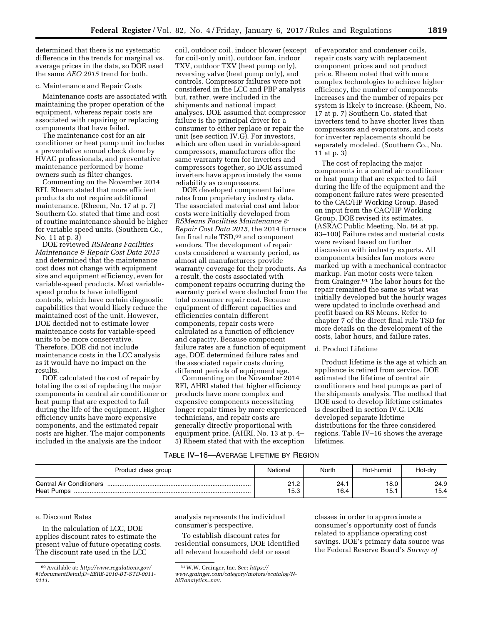determined that there is no systematic difference in the trends for marginal vs. average prices in the data, so DOE used the same *AEO 2015* trend for both.

#### c. Maintenance and Repair Costs

Maintenance costs are associated with maintaining the proper operation of the equipment, whereas repair costs are associated with repairing or replacing components that have failed.

The maintenance cost for an air conditioner or heat pump unit includes a preventative annual check done by HVAC professionals, and preventative maintenance performed by home owners such as filter changes.

Commenting on the November 2014 RFI, Rheem stated that more efficient products do not require additional maintenance. (Rheem, No. 17 at p. 7) Southern Co. stated that time and cost of routine maintenance should be higher for variable speed units. (Southern Co., No. 11 at p. 3)

DOE reviewed *RSMeans Facilities Maintenance & Repair Cost Data 2015*  and determined that the maintenance cost does not change with equipment size and equipment efficiency, even for variable-speed products. Most variablespeed products have intelligent controls, which have certain diagnostic capabilities that would likely reduce the maintained cost of the unit. However, DOE decided not to estimate lower maintenance costs for variable-speed units to be more conservative. Therefore, DOE did not include maintenance costs in the LCC analysis as it would have no impact on the results.

DOE calculated the cost of repair by totaling the cost of replacing the major components in central air conditioner or heat pump that are expected to fail during the life of the equipment. Higher efficiency units have more expensive components, and the estimated repair costs are higher. The major components included in the analysis are the indoor

coil, outdoor coil, indoor blower (except for coil-only unit), outdoor fan, indoor TXV, outdoor TXV (heat pump only), reversing valve (heat pump only), and controls. Compressor failures were not considered in the LCC and PBP analysis but, rather, were included in the shipments and national impact analyses. DOE assumed that compressor failure is the principal driver for a consumer to either replace or repair the unit (see section IV.G). For investors, which are often used in variable-speed compressors, manufacturers offer the same warranty term for inverters and compressors together, so DOE assumed inverters have approximately the same reliability as compressors.

DOE developed component failure rates from proprietary industry data. The associated material cost and labor costs were initially developed from *RSMeans Facilities Maintenance & Repair Cost Data 2015,* the 2014 furnace fan final rule TSD,60 and component vendors. The development of repair costs considered a warranty period, as almost all manufacturers provide warranty coverage for their products. As a result, the costs associated with component repairs occurring during the warranty period were deducted from the total consumer repair cost. Because equipment of different capacities and efficiencies contain different components, repair costs were calculated as a function of efficiency and capacity. Because component failure rates are a function of equipment age, DOE determined failure rates and the associated repair costs during different periods of equipment age.

Commenting on the November 2014 RFI, AHRI stated that higher efficiency products have more complex and expensive components necessitating longer repair times by more experienced technicians, and repair costs are generally directly proportional with equipment price. (AHRI, No. 13 at p. 4– 5) Rheem stated that with the exception

of evaporator and condenser coils, repair costs vary with replacement component prices and not product price. Rheem noted that with more complex technologies to achieve higher efficiency, the number of components increases and the number of repairs per system is likely to increase. (Rheem, No. 17 at p. 7) Southern Co. stated that inverters tend to have shorter lives than compressors and evaporators, and costs for inverter replacements should be separately modeled. (Southern Co., No. 11 at p. 3)

The cost of replacing the major components in a central air conditioner or heat pump that are expected to fail during the life of the equipment and the component failure rates were presented to the CAC/HP Working Group. Based on input from the CAC/HP Working Group, DOE revised its estimates. (ASRAC Public Meeting, No. 84 at pp. 83–100) Failure rates and material costs were revised based on further discussion with industry experts. All components besides fan motors were marked up with a mechanical contractor markup. Fan motor costs were taken from Grainger.61 The labor hours for the repair remained the same as what was initially developed but the hourly wages were updated to include overhead and profit based on RS Means. Refer to chapter 7 of the direct final rule TSD for more details on the development of the costs, labor hours, and failure rates.

#### d. Product Lifetime

Product lifetime is the age at which an appliance is retired from service. DOE estimated the lifetime of central air conditioners and heat pumps as part of the shipments analysis. The method that DOE used to develop lifetime estimates is described in section IV.G. DOE developed separate lifetime distributions for the three considered regions. Table IV–16 shows the average lifetimes.

## TABLE IV–16—AVERAGE LIFETIME BY REGION

| Product class group                                  | National               | North         | Hot-humid    | Hot-dry      |
|------------------------------------------------------|------------------------|---------------|--------------|--------------|
| <b>Central Air Conditioners</b><br><b>Heat Pumps</b> | ດ-ເດ<br>ے. ا ے<br>15.3 | 24. .<br>16.4 | 18.0<br>15.۱ | 24.9<br>15.4 |

#### e. Discount Rates

In the calculation of LCC, DOE applies discount rates to estimate the present value of future operating costs. The discount rate used in the LCC

analysis represents the individual consumer's perspective.

To establish discount rates for residential consumers, DOE identified all relevant household debt or asset

classes in order to approximate a consumer's opportunity cost of funds related to appliance operating cost savings. DOE's primary data source was the Federal Reserve Board's *Survey of* 

<sup>60</sup>Available at: *[http://www.regulations.gov/](http://www.regulations.gov/#!documentDetail;D=EERE-2010-BT-STD-0011-0111)  [#!documentDetail;D=EERE-2010-BT-STD-0011-](http://www.regulations.gov/#!documentDetail;D=EERE-2010-BT-STD-0011-0111) [0111.](http://www.regulations.gov/#!documentDetail;D=EERE-2010-BT-STD-0011-0111)* 

<sup>61</sup>W.W. Grainger, Inc. See: *[https://](https://www.grainger.com/category/motors/ecatalog/N-bii?analytics=nav)*

*[www.grainger.com/category/motors/ecatalog/N](https://www.grainger.com/category/motors/ecatalog/N-bii?analytics=nav)[bii?analytics=nav.](https://www.grainger.com/category/motors/ecatalog/N-bii?analytics=nav)*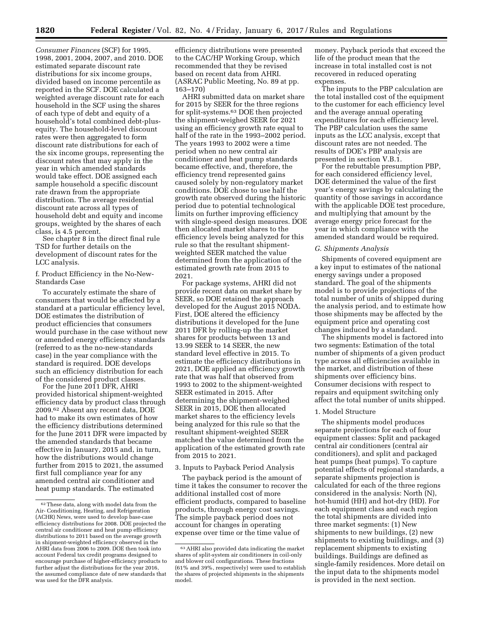*Consumer Finances* (SCF) for 1995, 1998, 2001, 2004, 2007, and 2010. DOE estimated separate discount rate distributions for six income groups, divided based on income percentile as reported in the SCF. DOE calculated a weighted average discount rate for each household in the SCF using the shares of each type of debt and equity of a household's total combined debt-plusequity. The household-level discount rates were then aggregated to form discount rate distributions for each of the six income groups, representing the discount rates that may apply in the year in which amended standards would take effect. DOE assigned each sample household a specific discount rate drawn from the appropriate distribution. The average residential discount rate across all types of household debt and equity and income groups, weighted by the shares of each class, is 4.5 percent.

See chapter 8 in the direct final rule TSD for further details on the development of discount rates for the LCC analysis.

f. Product Efficiency in the No-New-Standards Case

To accurately estimate the share of consumers that would be affected by a standard at a particular efficiency level, DOE estimates the distribution of product efficiencies that consumers would purchase in the case without new or amended energy efficiency standards (referred to as the no-new-standards case) in the year compliance with the standard is required. DOE develops such an efficiency distribution for each of the considered product classes.

For the June 2011 DFR, AHRI provided historical shipment-weighted efficiency data by product class through 2009.62 Absent any recent data, DOE had to make its own estimates of how the efficiency distributions determined for the June 2011 DFR were impacted by the amended standards that became effective in January, 2015 and, in turn, how the distributions would change further from 2015 to 2021, the assumed first full compliance year for any amended central air conditioner and heat pump standards. The estimated

efficiency distributions were presented to the CAC/HP Working Group, which recommended that they be revised based on recent data from AHRI. (ASRAC Public Meeting, No. 89 at pp. 163–170)

AHRI submitted data on market share for 2015 by SEER for the three regions for split-systems.63 DOE then projected the shipment-weighed SEER for 2021 using an efficiency growth rate equal to half of the rate in the 1993–2002 period. The years 1993 to 2002 were a time period when no new central air conditioner and heat pump standards became effective, and, therefore, the efficiency trend represented gains caused solely by non-regulatory market conditions. DOE chose to use half the growth rate observed during the historic period due to potential technological limits on further improving efficiency with single-speed design measures. DOE then allocated market shares to the efficiency levels being analyzed for this rule so that the resultant shipmentweighted SEER matched the value determined from the application of the estimated growth rate from 2015 to 2021.

For package systems, AHRI did not provide recent data on market share by SEER, so DOE retained the approach developed for the August 2015 NODA. First, DOE altered the efficiency distributions it developed for the June 2011 DFR by rolling-up the market shares for products between 13 and 13.99 SEER to 14 SEER, the new standard level effective in 2015. To estimate the efficiency distributions in 2021, DOE applied an efficiency growth rate that was half that observed from 1993 to 2002 to the shipment-weighted SEER estimated in 2015. After determining the shipment-weighed SEER in 2015, DOE then allocated market shares to the efficiency levels being analyzed for this rule so that the resultant shipment-weighted SEER matched the value determined from the application of the estimated growth rate from 2015 to 2021.

#### 3. Inputs to Payback Period Analysis

The payback period is the amount of time it takes the consumer to recover the additional installed cost of more efficient products, compared to baseline products, through energy cost savings. The simple payback period does not account for changes in operating expense over time or the time value of

money. Payback periods that exceed the life of the product mean that the increase in total installed cost is not recovered in reduced operating expenses.

The inputs to the PBP calculation are the total installed cost of the equipment to the customer for each efficiency level and the average annual operating expenditures for each efficiency level. The PBP calculation uses the same inputs as the LCC analysis, except that discount rates are not needed. The results of DOE's PBP analysis are presented in section V.B.1.

For the rebuttable presumption PBP, for each considered efficiency level, DOE determined the value of the first year's energy savings by calculating the quantity of those savings in accordance with the applicable DOE test procedure, and multiplying that amount by the average energy price forecast for the year in which compliance with the amended standard would be required.

#### *G. Shipments Analysis*

Shipments of covered equipment are a key input to estimates of the national energy savings under a proposed standard. The goal of the shipments model is to provide projections of the total number of units of shipped during the analysis period, and to estimate how those shipments may be affected by the equipment price and operating cost changes induced by a standard.

The shipments model is factored into two segments: Estimation of the total number of shipments of a given product type across all efficiencies available in the market, and distribution of these shipments over efficiency bins. Consumer decisions with respect to repairs and equipment switching only affect the total number of units shipped.

#### 1. Model Structure

The shipments model produces separate projections for each of four equipment classes: Split and packaged central air conditioners (central air conditioners), and split and packaged heat pumps (heat pumps). To capture potential effects of regional standards, a separate shipments projection is calculated for each of the three regions considered in the analysis: North (N), hot-humid (HH) and hot-dry (HD). For each equipment class and each region the total shipments are divided into three market segments: (1) New shipments to new buildings, (2) new shipments to existing buildings, and (3) replacement shipments to existing buildings. Buildings are defined as single-family residences. More detail on the input data to the shipments model is provided in the next section.

 $^{62}\mathrm{These}$  data, along with model data from the Air- Conditioning, Heating, and Refrigeration (ACHR) News, were used to develop base-case efficiency distributions for 2008. DOE projected the central air conditioner and heat pump efficiency distributions to 2011 based on the average growth in shipment-weighted efficiency observed in the AHRI data from 2006 to 2009. DOE then took into account Federal tax credit programs designed to encourage purchase of higher-efficiency products to further adjust the distributions for the year 2016, the assumed compliance date of new standards that was used for the DFR analysis.

<sup>63</sup>AHRI also provided data indicating the market shares of split-system air conditioners in coil-only and blower coil configurations. These fractions (61% and 39%, respectively) were used to establish the shares of projected shipments in the shipments model.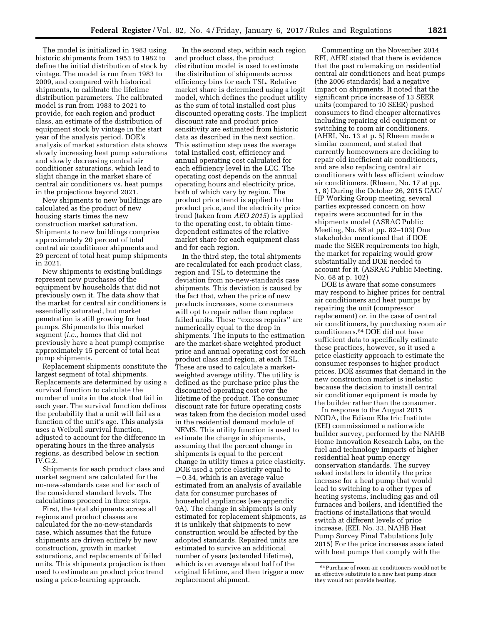The model is initialized in 1983 using historic shipments from 1953 to 1982 to define the initial distribution of stock by vintage. The model is run from 1983 to 2009, and compared with historical shipments, to calibrate the lifetime distribution parameters. The calibrated model is run from 1983 to 2021 to provide, for each region and product class, an estimate of the distribution of equipment stock by vintage in the start year of the analysis period. DOE's analysis of market saturation data shows slowly increasing heat pump saturations and slowly decreasing central air conditioner saturations, which lead to slight change in the market share of central air conditioners vs. heat pumps in the projections beyond 2021.

New shipments to new buildings are calculated as the product of new housing starts times the new construction market saturation. Shipments to new buildings comprise approximately 20 percent of total central air conditioner shipments and 29 percent of total heat pump shipments in 2021.

New shipments to existing buildings represent new purchases of the equipment by households that did not previously own it. The data show that the market for central air conditioners is essentially saturated, but market penetration is still growing for heat pumps. Shipments to this market segment (*i.e.,* homes that did not previously have a heat pump) comprise approximately 15 percent of total heat pump shipments.

Replacement shipments constitute the largest segment of total shipments. Replacements are determined by using a survival function to calculate the number of units in the stock that fail in each year. The survival function defines the probability that a unit will fail as a function of the unit's age. This analysis uses a Weibull survival function, adjusted to account for the difference in operating hours in the three analysis regions, as described below in section IV.G.2.

Shipments for each product class and market segment are calculated for the no-new-standards case and for each of the considered standard levels. The calculations proceed in three steps.

First, the total shipments across all regions and product classes are calculated for the no-new-standards case, which assumes that the future shipments are driven entirely by new construction, growth in market saturations, and replacements of failed units. This shipments projection is then used to estimate an product price trend using a price-learning approach.

In the second step, within each region and product class, the product distribution model is used to estimate the distribution of shipments across efficiency bins for each TSL. Relative market share is determined using a logit model, which defines the product utility as the sum of total installed cost plus discounted operating costs. The implicit discount rate and product price sensitivity are estimated from historic data as described in the next section. This estimation step uses the average total installed cost, efficiency and annual operating cost calculated for each efficiency level in the LCC. The operating cost depends on the annual operating hours and electricity price, both of which vary by region. The product price trend is applied to the product price, and the electricity price trend (taken from *AEO 2015*) is applied to the operating cost, to obtain timedependent estimates of the relative market share for each equipment class and for each region.

In the third step, the total shipments are recalculated for each product class, region and TSL to determine the deviation from no-new-standards case shipments. This deviation is caused by the fact that, when the price of new products increases, some consumers will opt to repair rather than replace failed units. These ''excess repairs'' are numerically equal to the drop in shipments. The inputs to the estimation are the market-share weighted product price and annual operating cost for each product class and region, at each TSL. These are used to calculate a marketweighted average utility. The utility is defined as the purchase price plus the discounted operating cost over the lifetime of the product. The consumer discount rate for future operating costs was taken from the decision model used in the residential demand module of NEMS. This utility function is used to estimate the change in shipments, assuming that the percent change in shipments is equal to the percent change in utility times a price elasticity. DOE used a price elasticity equal to  $-0.34$ , which is an average value estimated from an analysis of available data for consumer purchases of household appliances (see appendix 9A). The change in shipments is only estimated for replacement shipments, as it is unlikely that shipments to new construction would be affected by the adopted standards. Repaired units are estimated to survive an additional number of years (extended lifetime), which is on average about half of the original lifetime, and then trigger a new replacement shipment.

Commenting on the November 2014 RFI, AHRI stated that there is evidence that the past rulemaking on residential central air conditioners and heat pumps (the 2006 standards) had a negative impact on shipments. It noted that the significant price increase of 13 SEER units (compared to 10 SEER) pushed consumers to find cheaper alternatives including repairing old equipment or switching to room air conditioners. (AHRI, No. 13 at p. 5) Rheem made a similar comment, and stated that currently homeowners are deciding to repair old inefficient air conditioners, and are also replacing central air conditioners with less efficient window air conditioners. (Rheem, No. 17 at pp. 1, 8) During the October 26, 2015 CAC/ HP Working Group meeting, several parties expressed concern on how repairs were accounted for in the shipments model (ASRAC Public Meeting, No. 68 at pp. 82–103) One stakeholder mentioned that if DOE made the SEER requirements too high, the market for repairing would grow substantially and DOE needed to account for it. (ASRAC Public Meeting, No. 68 at p. 102)

DOE is aware that some consumers may respond to higher prices for central air conditioners and heat pumps by repairing the unit (compressor replacement) or, in the case of central air conditioners, by purchasing room air conditioners.64 DOE did not have sufficient data to specifically estimate these practices, however, so it used a price elasticity approach to estimate the consumer responses to higher product prices. DOE assumes that demand in the new construction market is inelastic because the decision to install central air conditioner equipment is made by the builder rather than the consumer.

In response to the August 2015 NODA, the Edison Electric Institute (EEI) commissioned a nationwide builder survey, performed by the NAHB Home Innovation Research Labs, on the fuel and technology impacts of higher residential heat pump energy conservation standards. The survey asked installers to identify the price increase for a heat pump that would lead to switching to a other types of heating systems, including gas and oil furnaces and boilers, and identified the fractions of installations that would switch at different levels of price increase. (EEI, No. 33, NAHB Heat Pump Survey Final Tabulations July 2015) For the price increases associated with heat pumps that comply with the

<sup>64</sup>Purchase of room air conditioners would not be an effective substitute to a new heat pump since they would not provide heating.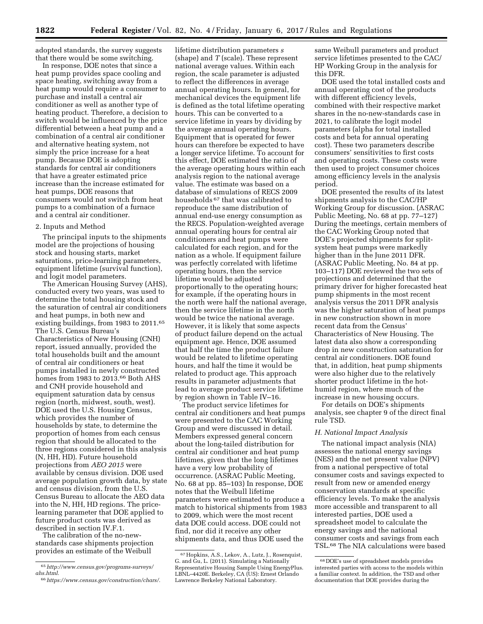adopted standards, the survey suggests that there would be some switching.

In response, DOE notes that since a heat pump provides space cooling and space heating, switching away from a heat pump would require a consumer to purchase and install a central air conditioner as well as another type of heating product. Therefore, a decision to switch would be influenced by the price differential between a heat pump and a combination of a central air conditioner and alternative heating system, not simply the price increase for a heat pump. Because DOE is adopting standards for central air conditioners that have a greater estimated price increase than the increase estimated for heat pumps, DOE reasons that consumers would not switch from heat pumps to a combination of a furnace and a central air conditioner.

### 2. Inputs and Method

The principal inputs to the shipments model are the projections of housing stock and housing starts, market saturations, price-learning parameters, equipment lifetime (survival function), and logit model parameters.

The American Housing Survey (AHS), conducted every two years, was used to determine the total housing stock and the saturation of central air conditioners and heat pumps, in both new and existing buildings, from 1983 to 2011.65 The U.S. Census Bureau's Characteristics of New Housing (CNH) report, issued annually, provided the total households built and the amount of central air conditioners or heat pumps installed in newly constructed homes from 1983 to 2013.<sup>66</sup> Both AHS and CNH provide household and equipment saturation data by census region (north, midwest, south, west). DOE used the U.S. Housing Census, which provides the number of households by state, to determine the proportion of homes from each census region that should be allocated to the three regions considered in this analysis (N, HH, HD). Future household projections from *AEO 2015* were available by census division. DOE used average population growth data, by state and census division, from the U.S. Census Bureau to allocate the AEO data into the N, HH, HD regions. The pricelearning parameter that DOE applied to future product costs was derived as described in section IV.F.1.

The calibration of the no-newstandards case shipments projection provides an estimate of the Weibull

lifetime distribution parameters *s*  (shape) and *T* (scale). These represent national average values. Within each region, the scale parameter is adjusted to reflect the differences in average annual operating hours. In general, for mechanical devices the equipment life is defined as the total lifetime operating hours. This can be converted to a service lifetime in years by dividing by the average annual operating hours. Equipment that is operated for fewer hours can therefore be expected to have a longer service lifetime. To account for this effect, DOE estimated the ratio of the average operating hours within each analysis region to the national average value. The estimate was based on a database of simulations of RECS 2009 households 67 that was calibrated to reproduce the same distribution of annual end-use energy consumption as the RECS. Population-weighted average annual operating hours for central air conditioners and heat pumps were calculated for each region, and for the nation as a whole. If equipment failure was perfectly correlated with lifetime operating hours, then the service lifetime would be adjusted proportionally to the operating hours; for example, if the operating hours in the north were half the national average, then the service lifetime in the north would be twice the national average. However, it is likely that some aspects of product failure depend on the actual equipment age. Hence, DOE assumed that half the time the product failure would be related to lifetime operating hours, and half the time it would be related to product age. This approach results in parameter adjustments that lead to average product service lifetime by region shown in Table IV–16.

The product service lifetimes for central air conditioners and heat pumps were presented to the CAC Working Group and were discussed in detail. Members expressed general concern about the long-tailed distribution for central air conditioner and heat pump lifetimes, given that the long lifetimes have a very low probability of occurrence. (ASRAC Public Meeting, No. 68 at pp. 85–103) In response, DOE notes that the Weibull lifetime parameters were estimated to produce a match to historical shipments from 1983 to 2009, which were the most recent data DOE could access. DOE could not find, nor did it receive any other shipments data, and thus DOE used the

same Weibull parameters and product service lifetimes presented to the CAC/ HP Working Group in the analysis for this DFR.

DOE used the total installed costs and annual operating cost of the products with different efficiency levels, combined with their respective market shares in the no-new-standards case in 2021, to calibrate the logit model parameters (alpha for total installed costs and beta for annual operating cost). These two parameters describe consumers' sensitivities to first costs and operating costs. These costs were then used to project consumer choices among efficiency levels in the analysis period.

DOE presented the results of its latest shipments analysis to the CAC/HP Working Group for discussion. (ASRAC Public Meeting, No. 68 at pp. 77–127) During the meetings, certain members of the CAC Working Group noted that DOE's projected shipments for splitsystem heat pumps were markedly higher than in the June 2011 DFR. (ASRAC Public Meeting, No. 84 at pp. 103–117) DOE reviewed the two sets of projections and determined that the primary driver for higher forecasted heat pump shipments in the most recent analysis versus the 2011 DFR analysis was the higher saturation of heat pumps in new construction shown in more recent data from the Census' Characteristics of New Housing. The latest data also show a corresponding drop in new construction saturation for central air conditioners. DOE found that, in addition, heat pump shipments were also higher due to the relatively shorter product lifetime in the hothumid region, where much of the increase in new housing occurs.

For details on DOE's shipments analysis, see chapter 9 of the direct final rule TSD.

### *H. National Impact Analysis*

The national impact analysis (NIA) assesses the national energy savings (NES) and the net present value (NPV) from a national perspective of total consumer costs and savings expected to result from new or amended energy conservation standards at specific efficiency levels. To make the analysis more accessible and transparent to all interested parties, DOE used a spreadsheet model to calculate the energy savings and the national consumer costs and savings from each TSL.68 The NIA calculations were based

<sup>65</sup>*[http://www.census.gov/programs-surveys/](http://www.census.gov/programs-surveys/ahs.html)  [ahs.html.](http://www.census.gov/programs-surveys/ahs.html)* 

<sup>66</sup>*[https://www.census.gov/construction/chars/.](https://www.census.gov/construction/chars/)* 

<sup>67</sup>Hopkins, A.S., Lekov, A., Lutz, J., Rosenquist, G. and Gu, L. (2011). Simulating a Nationally Representative Housing Sample Using EnergyPlus. LBNL–4420E. Berkeley, CA (US): Ernest Orlando Lawrence Berkeley National Laboratory.

<sup>68</sup> DOE's use of spreadsheet models provides interested parties with access to the models within a familiar context. In addition, the TSD and other documentation that DOE provides during the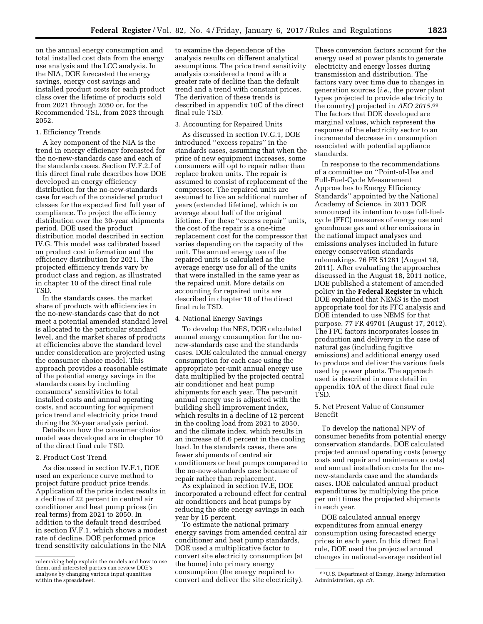on the annual energy consumption and total installed cost data from the energy use analysis and the LCC analysis. In the NIA, DOE forecasted the energy savings, energy cost savings and installed product costs for each product class over the lifetime of products sold from 2021 through 2050 or, for the Recommended TSL, from 2023 through 2052.

#### 1. Efficiency Trends

A key component of the NIA is the trend in energy efficiency forecasted for the no-new-standards case and each of the standards cases. Section IV.F.2.f of this direct final rule describes how DOE developed an energy efficiency distribution for the no-new-standards case for each of the considered product classes for the expected first full year of compliance. To project the efficiency distribution over the 30-year shipments period, DOE used the product distribution model described in section IV.G. This model was calibrated based on product cost information and the efficiency distribution for 2021. The projected efficiency trends vary by product class and region, as illustrated in chapter 10 of the direct final rule TSD.

In the standards cases, the market share of products with efficiencies in the no-new-standards case that do not meet a potential amended standard level is allocated to the particular standard level, and the market shares of products at efficiencies above the standard level under consideration are projected using the consumer choice model. This approach provides a reasonable estimate of the potential energy savings in the standards cases by including consumers' sensitivities to total installed costs and annual operating costs, and accounting for equipment price trend and electricity price trend during the 30-year analysis period.

Details on how the consumer choice model was developed are in chapter 10 of the direct final rule TSD.

# 2. Product Cost Trend

As discussed in section IV.F.1, DOE used an experience curve method to project future product price trends. Application of the price index results in a decline of 22 percent in central air conditioner and heat pump prices (in real terms) from 2021 to 2050. In addition to the default trend described in section IV.F.1, which shows a modest rate of decline, DOE performed price trend sensitivity calculations in the NIA

to examine the dependence of the analysis results on different analytical assumptions. The price trend sensitivity analysis considered a trend with a greater rate of decline than the default trend and a trend with constant prices. The derivation of these trends is described in appendix 10C of the direct final rule TSD.

# 3. Accounting for Repaired Units

As discussed in section IV.G.1, DOE introduced ''excess repairs'' in the standards cases, assuming that when the price of new equipment increases, some consumers will opt to repair rather than replace broken units. The repair is assumed to consist of replacement of the compressor. The repaired units are assumed to live an additional number of years (extended lifetime), which is on average about half of the original lifetime. For these ''excess repair'' units, the cost of the repair is a one-time replacement cost for the compressor that varies depending on the capacity of the unit. The annual energy use of the repaired units is calculated as the average energy use for all of the units that were installed in the same year as the repaired unit. More details on accounting for repaired units are described in chapter 10 of the direct final rule TSD.

#### 4. National Energy Savings

To develop the NES, DOE calculated annual energy consumption for the nonew-standards case and the standards cases. DOE calculated the annual energy consumption for each case using the appropriate per-unit annual energy use data multiplied by the projected central air conditioner and heat pump shipments for each year. The per-unit annual energy use is adjusted with the building shell improvement index, which results in a decline of 12 percent in the cooling load from 2021 to 2050, and the climate index, which results in an increase of 6.6 percent in the cooling load. In the standards cases, there are fewer shipments of central air conditioners or heat pumps compared to the no-new-standards case because of repair rather than replacement.

As explained in section IV.E, DOE incorporated a rebound effect for central air conditioners and heat pumps by reducing the site energy savings in each year by 15 percent.

To estimate the national primary energy savings from amended central air conditioner and heat pump standards, DOE used a multiplicative factor to convert site electricity consumption (at the home) into primary energy consumption (the energy required to convert and deliver the site electricity).

These conversion factors account for the energy used at power plants to generate electricity and energy losses during transmission and distribution. The factors vary over time due to changes in generation sources (*i.e.,* the power plant types projected to provide electricity to the country) projected in *AEO 2015.*69 The factors that DOE developed are marginal values, which represent the response of the electricity sector to an incremental decrease in consumption associated with potential appliance standards.

In response to the recommendations of a committee on ''Point-of-Use and Full-Fuel-Cycle Measurement Approaches to Energy Efficiency Standards'' appointed by the National Academy of Science, in 2011 DOE announced its intention to use full-fuelcycle (FFC) measures of energy use and greenhouse gas and other emissions in the national impact analyses and emissions analyses included in future energy conservation standards rulemakings. 76 FR 51281 (August 18, 2011). After evaluating the approaches discussed in the August 18, 2011 notice, DOE published a statement of amended policy in the **Federal Register** in which DOE explained that NEMS is the most appropriate tool for its FFC analysis and DOE intended to use NEMS for that purpose. 77 FR 49701 (August 17, 2012). The FFC factors incorporates losses in production and delivery in the case of natural gas (including fugitive emissions) and additional energy used to produce and deliver the various fuels used by power plants. The approach used is described in more detail in appendix 10A of the direct final rule TSD.

# 5. Net Present Value of Consumer Benefit

To develop the national NPV of consumer benefits from potential energy conservation standards, DOE calculated projected annual operating costs (energy costs and repair and maintenance costs) and annual installation costs for the nonew-standards case and the standards cases. DOE calculated annual product expenditures by multiplying the price per unit times the projected shipments in each year.

DOE calculated annual energy expenditures from annual energy consumption using forecasted energy prices in each year. In this direct final rule, DOE used the projected annual changes in national-average residential

rulemaking help explain the models and how to use them, and interested parties can review DOE's analyses by changing various input quantities within the spreadsheet.

<sup>69</sup>U.S. Department of Energy, Energy Information Administration, *op. cit.*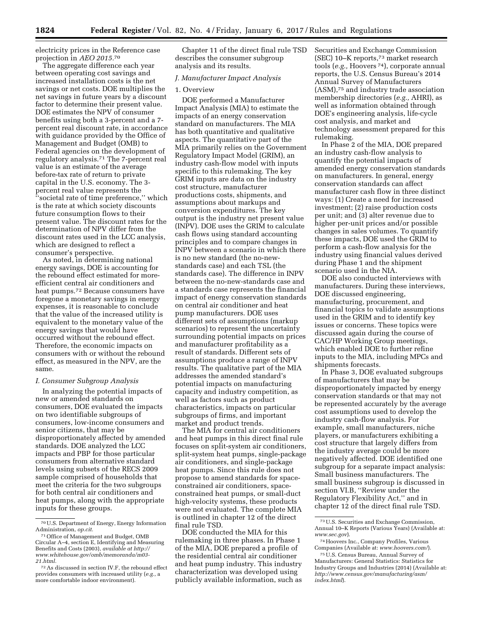electricity prices in the Reference case projection in *AEO 2015.*70

The aggregate difference each year between operating cost savings and increased installation costs is the net savings or net costs. DOE multiplies the net savings in future years by a discount factor to determine their present value. DOE estimates the NPV of consumer benefits using both a 3-percent and a 7 percent real discount rate, in accordance with guidance provided by the Office of Management and Budget (OMB) to Federal agencies on the development of regulatory analysis.71 The 7-percent real value is an estimate of the average before-tax rate of return to private capital in the U.S. economy. The 3 percent real value represents the ''societal rate of time preference,'' which is the rate at which society discounts future consumption flows to their present value. The discount rates for the determination of NPV differ from the discount rates used in the LCC analysis, which are designed to reflect a consumer's perspective.

As noted, in determining national energy savings, DOE is accounting for the rebound effect estimated for moreefficient central air conditioners and heat pumps.72 Because consumers have foregone a monetary savings in energy expenses, it is reasonable to conclude that the value of the increased utility is equivalent to the monetary value of the energy savings that would have occurred without the rebound effect. Therefore, the economic impacts on consumers with or without the rebound effect, as measured in the NPV, are the same.

### *I. Consumer Subgroup Analysis*

In analyzing the potential impacts of new or amended standards on consumers, DOE evaluated the impacts on two identifiable subgroups of consumers, low-income consumers and senior citizens, that may be disproportionately affected by amended standards. DOE analyzed the LCC impacts and PBP for those particular consumers from alternative standard levels using subsets of the RECS 2009 sample comprised of households that meet the criteria for the two subgroups for both central air conditioners and heat pumps, along with the appropriate inputs for these groups.

Chapter 11 of the direct final rule TSD describes the consumer subgroup analysis and its results.

# *J. Manufacturer Impact Analysis*

# 1. Overview

DOE performed a Manufacturer Impact Analysis (MIA) to estimate the impacts of an energy conservation standard on manufacturers. The MIA has both quantitative and qualitative aspects. The quantitative part of the MIA primarily relies on the Government Regulatory Impact Model (GRIM), an industry cash-flow model with inputs specific to this rulemaking. The key GRIM inputs are data on the industry cost structure, manufacturer productions costs, shipments, and assumptions about markups and conversion expenditures. The key output is the industry net present value (INPV). DOE uses the GRIM to calculate cash flows using standard accounting principles and to compare changes in INPV between a scenario in which there is no new standard (the no-newstandards case) and each TSL (the standards case). The difference in INPV between the no-new-standards case and a standards case represents the financial impact of energy conservation standards on central air conditioner and heat pump manufacturers. DOE uses different sets of assumptions (markup scenarios) to represent the uncertainty surrounding potential impacts on prices and manufacturer profitability as a result of standards. Different sets of assumptions produce a range of INPV results. The qualitative part of the MIA addresses the amended standard's potential impacts on manufacturing capacity and industry competition, as well as factors such as product characteristics, impacts on particular subgroups of firms, and important market and product trends.

The MIA for central air conditioners and heat pumps in this direct final rule focuses on split-system air conditioners, split-system heat pumps, single-package air conditioners, and single-package heat pumps. Since this rule does not propose to amend standards for spaceconstrained air conditioners, spaceconstrained heat pumps, or small-duct high-velocity systems, these products were not evaluated. The complete MIA is outlined in chapter 12 of the direct final rule TSD.

DOE conducted the MIA for this rulemaking in three phases. In Phase 1 of the MIA, DOE prepared a profile of the residential central air conditioner and heat pump industry. This industry characterization was developed using publicly available information, such as

Securities and Exchange Commission (SEC) 10–K reports,73 market research tools (*e.g.,* Hoovers 74), corporate annual reports, the U.S. Census Bureau's 2014 Annual Survey of Manufacturers (ASM),75 and industry trade association membership directories (*e.g.,* AHRI), as well as information obtained through DOE's engineering analysis, life-cycle cost analysis, and market and technology assessment prepared for this rulemaking.

In Phase 2 of the MIA, DOE prepared an industry cash-flow analysis to quantify the potential impacts of amended energy conservation standards on manufacturers. In general, energy conservation standards can affect manufacturer cash flow in three distinct ways: (1) Create a need for increased investment; (2) raise production costs per unit; and (3) alter revenue due to higher per-unit prices and/or possible changes in sales volumes. To quantify these impacts, DOE used the GRIM to perform a cash-flow analysis for the industry using financial values derived during Phase 1 and the shipment scenario used in the NIA.

DOE also conducted interviews with manufacturers. During these interviews, DOE discussed engineering, manufacturing, procurement, and financial topics to validate assumptions used in the GRIM and to identify key issues or concerns. These topics were discussed again during the course of CAC/HP Working Group meetings, which enabled DOE to further refine inputs to the MIA, including MPCs and shipments forecasts.

In Phase 3, DOE evaluated subgroups of manufacturers that may be disproportionately impacted by energy conservation standards or that may not be represented accurately by the average cost assumptions used to develop the industry cash-flow analysis. For example, small manufacturers, niche players, or manufacturers exhibiting a cost structure that largely differs from the industry average could be more negatively affected. DOE identified one subgroup for a separate impact analysis: Small business manufacturers. The small business subgroup is discussed in section VI.B, ''Review under the Regulatory Flexibility Act,'' and in chapter 12 of the direct final rule TSD.

<sup>70</sup>U.S. Department of Energy, Energy Information Administration, *op.cit.* 

<sup>71</sup>Office of Management and Budget, OMB Circular A–4, section E, Identifying and Measuring Benefits and Costs (2003), *available at [http://](http://www.whitehouse.gov/omb/memoranda/m03-21.html) [www.whitehouse.gov/omb/memoranda/m03-](http://www.whitehouse.gov/omb/memoranda/m03-21.html)  [21.html.](http://www.whitehouse.gov/omb/memoranda/m03-21.html)* 

<sup>72</sup>As discussed in section IV.F, the rebound effect provides consumers with increased utility (*e.g.,* a more comfortable indoor environment).

<sup>73</sup>U.S. Securities and Exchange Commission, Annual 10–K Reports (Various Years) (Available at: *[www.sec.gov](http://www.sec.gov)*).

<sup>74</sup>Hoovers Inc., Company Profiles, Various Companies (Available at: *[www.hoovers.com/](http://www.hoovers.com/)*).

<sup>75</sup>U.S. Census Bureau, Annual Survey of Manufacturers: General Statistics: Statistics for Industry Groups and Industries (2014) (Available at: *[http://www.census.gov/manufacturing/asm/](http://www.census.gov/manufacturing/asm/index.html) [index.html](http://www.census.gov/manufacturing/asm/index.html)*).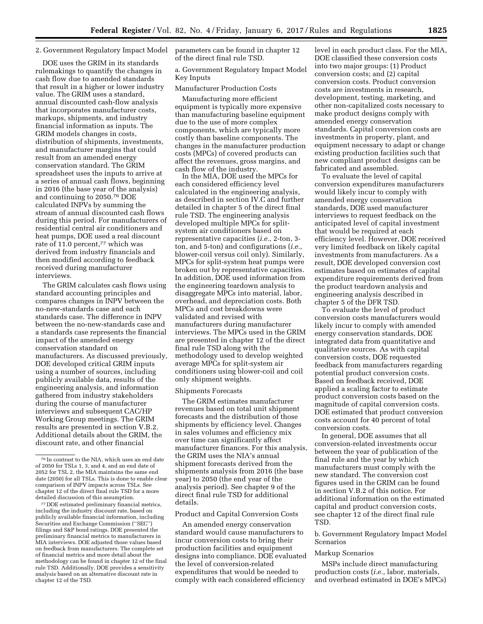# 2. Government Regulatory Impact Model

DOE uses the GRIM in its standards rulemakings to quantify the changes in cash flow due to amended standards that result in a higher or lower industry value. The GRIM uses a standard, annual discounted cash-flow analysis that incorporates manufacturer costs, markups, shipments, and industry financial information as inputs. The GRIM models changes in costs, distribution of shipments, investments, and manufacturer margins that could result from an amended energy conservation standard. The GRIM spreadsheet uses the inputs to arrive at a series of annual cash flows, beginning in 2016 (the base year of the analysis) and continuing to 2050.76 DOE calculated INPVs by summing the stream of annual discounted cash flows during this period. For manufacturers of residential central air conditioners and heat pumps, DOE used a real discount rate of 11.0 percent,<sup>77</sup> which was derived from industry financials and then modified according to feedback received during manufacturer interviews.

The GRIM calculates cash flows using standard accounting principles and compares changes in INPV between the no-new-standards case and each standards case. The difference in INPV between the no-new-standards case and a standards case represents the financial impact of the amended energy conservation standard on manufacturers. As discussed previously, DOE developed critical GRIM inputs using a number of sources, including publicly available data, results of the engineering analysis, and information gathered from industry stakeholders during the course of manufacturer interviews and subsequent CAC/HP Working Group meetings. The GRIM results are presented in section V.B.2. Additional details about the GRIM, the discount rate, and other financial

77 DOE estimated preliminary financial metrics, including the industry discount rate, based on publicly available financial information, including Securities and Exchange Commission (''SEC'') filings and S&P bond ratings. DOE presented the preliminary financial metrics to manufacturers in MIA interviews. DOE adjusted those values based on feedback from manufacturers. The complete set of financial metrics and more detail about the methodology can be found in chapter 12 of the final rule TSD. Additionally, DOE provides a sensitivity analysis based on an alternative discount rate in chapter 12 of the TSD.

parameters can be found in chapter 12 of the direct final rule TSD.

a. Government Regulatory Impact Model Key Inputs

Manufacturer Production Costs

Manufacturing more efficient equipment is typically more expensive than manufacturing baseline equipment due to the use of more complex components, which are typically more costly than baseline components. The changes in the manufacturer production costs (MPCs) of covered products can affect the revenues, gross margins, and cash flow of the industry.

In the MIA, DOE used the MPCs for each considered efficiency level calculated in the engineering analysis, as described in section IV.C and further detailed in chapter 5 of the direct final rule TSD. The engineering analysis developed multiple MPCs for splitsystem air conditioners based on representative capacities (*i.e.,* 2-ton, 3 ton, and 5-ton) and configurations (*i.e.,*  blower-coil versus coil only). Similarly, MPCs for split-system heat pumps were broken out by representative capacities. In addition, DOE used information from the engineering teardown analysis to disaggregate MPCs into material, labor, overhead, and depreciation costs. Both MPCs and cost breakdowns were validated and revised with manufacturers during manufacturer interviews. The MPCs used in the GRIM are presented in chapter 12 of the direct final rule TSD along with the methodology used to develop weighted average MPCs for split-system air conditioners using blower-coil and coil only shipment weights.

### Shipments Forecasts

The GRIM estimates manufacturer revenues based on total unit shipment forecasts and the distribution of those shipments by efficiency level. Changes in sales volumes and efficiency mix over time can significantly affect manufacturer finances. For this analysis, the GRIM uses the NIA's annual shipment forecasts derived from the shipments analysis from 2016 (the base year) to 2050 (the end year of the analysis period). See chapter 9 of the direct final rule TSD for additional details.

### Product and Capital Conversion Costs

An amended energy conservation standard would cause manufacturers to incur conversion costs to bring their production facilities and equipment designs into compliance. DOE evaluated the level of conversion-related expenditures that would be needed to comply with each considered efficiency

level in each product class. For the MIA, DOE classified these conversion costs into two major groups: (1) Product conversion costs; and (2) capital conversion costs. Product conversion costs are investments in research, development, testing, marketing, and other non-capitalized costs necessary to make product designs comply with amended energy conservation standards. Capital conversion costs are investments in property, plant, and equipment necessary to adapt or change existing production facilities such that new compliant product designs can be fabricated and assembled.

To evaluate the level of capital conversion expenditures manufacturers would likely incur to comply with amended energy conservation standards, DOE used manufacturer interviews to request feedback on the anticipated level of capital investment that would be required at each efficiency level. However, DOE received very limited feedback on likely capital investments from manufacturers. As a result, DOE developed conversion cost estimates based on estimates of capital expenditure requirements derived from the product teardown analysis and engineering analysis described in chapter 5 of the DFR TSD.

To evaluate the level of product conversion costs manufacturers would likely incur to comply with amended energy conservation standards, DOE integrated data from quantitative and qualitative sources. As with capital conversion costs, DOE requested feedback from manufacturers regarding potential product conversion costs. Based on feedback received, DOE applied a scaling factor to estimate product conversion costs based on the magnitude of capital conversion costs. DOE estimated that product conversion costs account for 40 percent of total conversion costs.

In general, DOE assumes that all conversion-related investments occur between the year of publication of the final rule and the year by which manufacturers must comply with the new standard. The conversion cost figures used in the GRIM can be found in section V.B.2 of this notice. For additional information on the estimated capital and product conversion costs, see chapter 12 of the direct final rule TSD.

b. Government Regulatory Impact Model Scenarios

### Markup Scenarios

MSPs include direct manufacturing production costs (*i.e.,* labor, materials, and overhead estimated in DOE's MPCs)

<sup>76</sup> In contrast to the NIA, which uses an end date of 2050 for TSLs 1, 3, and 4, and an end date of 2052 for TSL 2, the MIA maintains the same end date (2050) for all TSLs. This is done to enable clear comparison of INPV impacts across TSLs. See chapter 12 of the direct final rule TSD for a more detailed discussion of this assumption.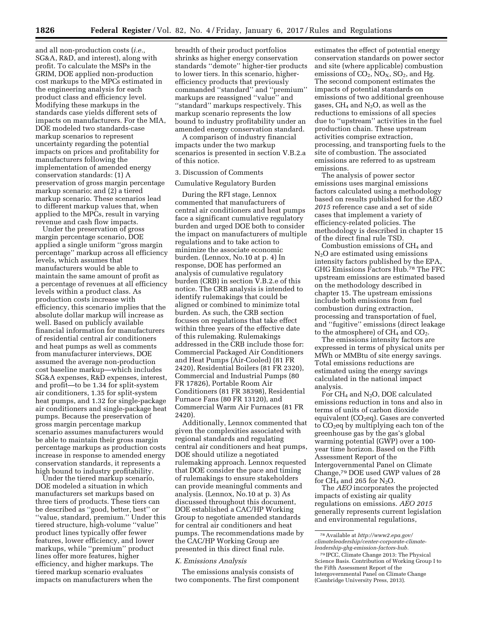and all non-production costs (*i.e.,*  SG&A, R&D, and interest), along with profit. To calculate the MSPs in the GRIM, DOE applied non-production cost markups to the MPCs estimated in the engineering analysis for each product class and efficiency level. Modifying these markups in the standards case yields different sets of impacts on manufacturers. For the MIA, DOE modeled two standards-case markup scenarios to represent uncertainty regarding the potential impacts on prices and profitability for manufacturers following the implementation of amended energy conservation standards: (1) A preservation of gross margin percentage markup scenario; and (2) a tiered markup scenario. These scenarios lead to different markup values that, when applied to the MPCs, result in varying revenue and cash flow impacts.

Under the preservation of gross margin percentage scenario, DOE applied a single uniform ''gross margin percentage'' markup across all efficiency levels, which assumes that manufacturers would be able to maintain the same amount of profit as a percentage of revenues at all efficiency levels within a product class. As production costs increase with efficiency, this scenario implies that the absolute dollar markup will increase as well. Based on publicly available financial information for manufacturers of residential central air conditioners and heat pumps as well as comments from manufacturer interviews, DOE assumed the average non-production cost baseline markup—which includes SG&A expenses, R&D expenses, interest, and profit—to be 1.34 for split-system air conditioners, 1.35 for split-system heat pumps, and 1.32 for single-package air conditioners and single-package heat pumps. Because the preservation of gross margin percentage markup scenario assumes manufacturers would be able to maintain their gross margin percentage markups as production costs increase in response to amended energy conservation standards, it represents a high bound to industry profitability.

Under the tiered markup scenario, DOE modeled a situation in which manufacturers set markups based on three tiers of products. These tiers can be described as ''good, better, best'' or ''value, standard, premium.'' Under this tiered structure, high-volume ''value'' product lines typically offer fewer features, lower efficiency, and lower markups, while ''premium'' product lines offer more features, higher efficiency, and higher markups. The tiered markup scenario evaluates impacts on manufacturers when the

breadth of their product portfolios shrinks as higher energy conservation standards ''demote'' higher-tier products to lower tiers. In this scenario, higherefficiency products that previously commanded ''standard'' and ''premium'' markups are reassigned ''value'' and ''standard'' markups respectively. This markup scenario represents the low bound to industry profitability under an amended energy conservation standard.

A comparison of industry financial impacts under the two markup scenarios is presented in section V.B.2.a of this notice.

# 3. Discussion of Comments

Cumulative Regulatory Burden

During the RFI stage, Lennox commented that manufacturers of central air conditioners and heat pumps face a significant cumulative regulatory burden and urged DOE both to consider the impact on manufacturers of multiple regulations and to take action to minimize the associate economic burden. (Lennox, No.10 at p. 4) In response, DOE has performed an analysis of cumulative regulatory burden (CRB) in section  $\bar{V}$ .B.2.e of this notice. The CRB analysis is intended to identify rulemakings that could be aligned or combined to minimize total burden. As such, the CRB section focuses on regulations that take effect within three years of the effective date of this rulemaking. Rulemakings addressed in the CRB include those for: Commercial Packaged Air Conditioners and Heat Pumps (Air-Cooled) (81 FR 2420), Residential Boilers (81 FR 2320), Commercial and Industrial Pumps (80 FR 17826), Portable Room Air Conditioners (81 FR 38398), Residential Furnace Fans (80 FR 13120), and Commercial Warm Air Furnaces (81 FR 2420).

Additionally, Lennox commented that given the complexities associated with regional standards and regulating central air conditioners and heat pumps, DOE should utilize a negotiated rulemaking approach. Lennox requested that DOE consider the pace and timing of rulemakings to ensure stakeholders can provide meaningful comments and analysis. (Lennox, No.10 at p. 3) As discussed throughout this document, DOE established a CAC/HP Working Group to negotiate amended standards for central air conditioners and heat pumps. The recommendations made by the CAC/HP Working Group are presented in this direct final rule.

#### *K. Emissions Analysis*

The emissions analysis consists of two components. The first component

estimates the effect of potential energy conservation standards on power sector and site (where applicable) combustion emissions of  $CO_2$ ,  $NO_X$ ,  $SO_2$ , and Hg. The second component estimates the impacts of potential standards on emissions of two additional greenhouse gases,  $CH_4$  and  $N_2O$ , as well as the reductions to emissions of all species due to ''upstream'' activities in the fuel production chain. These upstream activities comprise extraction, processing, and transporting fuels to the site of combustion. The associated emissions are referred to as upstream emissions.

The analysis of power sector emissions uses marginal emissions factors calculated using a methodology based on results published for the *AEO 2015* reference case and a set of side cases that implement a variety of efficiency-related policies. The methodology is described in chapter 15 of the direct final rule TSD.

Combustion emissions of CH4 and N2O are estimated using emissions intensity factors published by the EPA, GHG Emissions Factors Hub.78 The FFC upstream emissions are estimated based on the methodology described in chapter 15. The upstream emissions include both emissions from fuel combustion during extraction, processing and transportation of fuel, and ''fugitive'' emissions (direct leakage to the atmosphere) of  $CH_4$  and  $CO_2$ .

The emissions intensity factors are expressed in terms of physical units per MWh or MMBtu of site energy savings. Total emissions reductions are estimated using the energy savings calculated in the national impact analysis.

For CH4 and N2O, DOE calculated emissions reduction in tons and also in terms of units of carbon dioxide equivalent  $(CO<sub>2</sub>eq)$ . Gases are converted to CO<sub>2</sub>eq by multiplying each ton of the greenhouse gas by the gas's global warming potential (GWP) over a 100 year time horizon. Based on the Fifth Assessment Report of the Intergovernmental Panel on Climate Change,79 DOE used GWP values of 28 for  $CH_4$  and 265 for N<sub>2</sub>O.

The *AEO* incorporates the projected impacts of existing air quality regulations on emissions. *AEO 2015*  generally represents current legislation and environmental regulations,

<sup>78</sup>Available at *[http://www2.epa.gov/](http://www2.epa.gov/climateleadership/center-corporate-climate-leadership-ghg-emission-factors-hub) [climateleadership/center-corporate-climate](http://www2.epa.gov/climateleadership/center-corporate-climate-leadership-ghg-emission-factors-hub)[leadership-ghg-emission-factors-hub.](http://www2.epa.gov/climateleadership/center-corporate-climate-leadership-ghg-emission-factors-hub)* 

<sup>79</sup> IPCC, Climate Change 2013: The Physical Science Basis. Contribution of Working Group I to the Fifth Assessment Report of the Intergovernmental Panel on Climate Change (Cambridge University Press, 2013).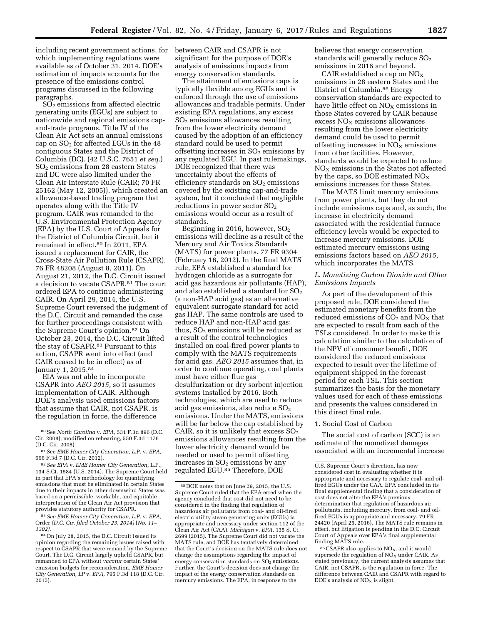including recent government actions, for which implementing regulations were available as of October 31, 2014. DOE's estimation of impacts accounts for the presence of the emissions control programs discussed in the following paragraphs.

 $SO<sub>2</sub>$  emissions from affected electric generating units (EGUs) are subject to nationwide and regional emissions capand-trade programs. Title IV of the Clean Air Act sets an annual emissions cap on  $SO<sub>2</sub>$  for affected EGUs in the 48 contiguous States and the District of Columbia (DC). (42 U.S.C. 7651 *et seq.*) SO2 emissions from 28 eastern States and DC were also limited under the Clean Air Interstate Rule (CAIR; 70 FR 25162 (May 12, 2005)), which created an allowance-based trading program that operates along with the Title IV program. CAIR was remanded to the U.S. Environmental Protection Agency (EPA) by the U.S. Court of Appeals for the District of Columbia Circuit, but it remained in effect.80 In 2011, EPA issued a replacement for CAIR, the Cross-State Air Pollution Rule (CSAPR). 76 FR 48208 (August 8, 2011). On August 21, 2012, the D.C. Circuit issued a decision to vacate CSAPR.81 The court ordered EPA to continue administering CAIR. On April 29, 2014, the U.S. Supreme Court reversed the judgment of the D.C. Circuit and remanded the case for further proceedings consistent with the Supreme Court's opinion.82 On October 23, 2014, the D.C. Circuit lifted the stay of CSAPR.83 Pursuant to this action, CSAPR went into effect (and CAIR ceased to be in effect) as of January 1, 2015.84

EIA was not able to incorporate CSAPR into *AEO 2015,* so it assumes implementation of CAIR. Although DOE's analysis used emissions factors that assume that CAIR, not CSAPR, is the regulation in force, the difference

83*See EME Homer City Generation, L.P.* v. *EPA,*  Order *(D.C. Cir. filed October 23, 2014)* (*No. 11– 1302).* 

between CAIR and CSAPR is not significant for the purpose of DOE's analysis of emissions impacts from energy conservation standards.

The attainment of emissions caps is typically flexible among EGUs and is enforced through the use of emissions allowances and tradable permits. Under existing EPA regulations, any excess SO2 emissions allowances resulting from the lower electricity demand caused by the adoption of an efficiency standard could be used to permit offsetting increases in  $SO<sub>2</sub>$  emissions by any regulated EGU. In past rulemakings, DOE recognized that there was uncertainty about the effects of efficiency standards on  $SO<sub>2</sub>$  emissions covered by the existing cap-and-trade system, but it concluded that negligible reductions in power sector  $SO<sub>2</sub>$ emissions would occur as a result of standards.

Beginning in 2016, however,  $SO<sub>2</sub>$ emissions will decline as a result of the Mercury and Air Toxics Standards (MATS) for power plants. 77 FR 9304 (February 16, 2012). In the final MATS rule, EPA established a standard for hydrogen chloride as a surrogate for acid gas hazardous air pollutants (HAP), and also established a standard for  $SO<sub>2</sub>$ (a non-HAP acid gas) as an alternative equivalent surrogate standard for acid gas HAP. The same controls are used to reduce HAP and non-HAP acid gas; thus,  $SO<sub>2</sub>$  emissions will be reduced as a result of the control technologies installed on coal-fired power plants to comply with the MATS requirements for acid gas. *AEO 2015* assumes that, in order to continue operating, coal plants must have either flue gas desulfurization or dry sorbent injection systems installed by 2016. Both technologies, which are used to reduce acid gas emissions, also reduce  $SO<sub>2</sub>$ emissions. Under the MATS, emissions will be far below the cap established by CAIR, so it is unlikely that excess  $SO<sub>2</sub>$ emissions allowances resulting from the lower electricity demand would be needed or used to permit offsetting increases in  $SO<sub>2</sub>$  emissions by any regulated EGU.85 Therefore, DOE

believes that energy conservation standards will generally reduce  $SO<sub>2</sub>$ emissions in 2016 and beyond.

CAIR established a cap on  $NO<sub>x</sub>$ emissions in 28 eastern States and the District of Columbia.86 Energy conservation standards are expected to have little effect on  $NO<sub>X</sub>$  emissions in those States covered by CAIR because excess  $NO<sub>x</sub>$  emissions allowances resulting from the lower electricity demand could be used to permit offsetting increases in  $NO<sub>x</sub>$  emissions from other facilities. However, standards would be expected to reduce NOX emissions in the States not affected by the caps, so DOE estimated  $NO<sub>X</sub>$ emissions increases for these States.

The MATS limit mercury emissions from power plants, but they do not include emissions caps and, as such, the increase in electricity demand associated with the residential furnace efficiency levels would be expected to increase mercury emissions. DOE estimated mercury emissions using emissions factors based on *AEO 2015,*  which incorporates the MATS.

# *L. Monetizing Carbon Dioxide and Other Emissions Impacts*

As part of the development of this proposed rule, DOE considered the estimated monetary benefits from the reduced emissions of  $CO<sub>2</sub>$  and  $NO<sub>X</sub>$  that are expected to result from each of the TSLs considered. In order to make this calculation similar to the calculation of the NPV of consumer benefit, DOE considered the reduced emissions expected to result over the lifetime of equipment shipped in the forecast period for each TSL. This section summarizes the basis for the monetary values used for each of these emissions and presents the values considered in this direct final rule.

### 1. Social Cost of Carbon

The social cost of carbon (SCC) is an estimate of the monetized damages associated with an incremental increase

<sup>80</sup>See *North Carolina* v. *EPA,* 531 F.3d 896 (D.C. Cir. 2008), modified on rehearing, 550 F.3d 1176 (D.C. Cir. 2008).

<sup>81</sup>See *EME Homer City Generation, L.P.* v. *EPA,*  696 F.3d 7 (D.C. Cir. 2012).

<sup>82</sup>*See EPA* v. *EME Homer City Generation,* L.P., 134 S.Ct. 1584 (U.S. 2014). The Supreme Court held in part that EPA's methodology for quantifying emissions that must be eliminated in certain States due to their impacts in other downwind States was based on a permissible, workable, and equitable interpretation of the Clean Air Act provision that provides statutory authority for CSAPR.

<sup>84</sup>On July 28, 2015, the D.C. Circuit issued its opinion regarding the remaining issues raised with respect to CSAPR that were remand by the Supreme Court. The D.C. Circuit largely upheld CSAPR, but remanded to EPA without *vacatur* certain States' emission budgets for reconsideration. *EME Homer City Generation, LP* v. *EPA,* 795 F.3d 118 (D.C. Cir. 2015).

<sup>85</sup> DOE notes that on June 29, 2015, the U.S. Supreme Court ruled that the EPA erred when the agency concluded that cost did not need to be considered in the finding that regulation of hazardous air pollutants from coal- and oil-fired electric utility steam generating units (EGUs) is appropriate and necessary under section 112 of the Clean Air Act (CAA). *Michigan* v. *EPA,* 135 S. Ct. 2699 (2015). The Supreme Court did not vacate the MATS rule, and DOE has tentatively determined that the Court's decision on the MATS rule does not change the assumptions regarding the impact of energy conservation standards on  $SO<sub>2</sub>$  emissions. Further, the Court's decision does not change the impact of the energy conservation standards on mercury emissions. The EPA, in response to the

U.S. Supreme Court's direction, has now considered cost in evaluating whether it is appropriate and necessary to regulate coal- and oilfired EGUs under the CAA. EPA concluded in its final supplemental finding that a consideration of cost does not alter the EPA's previous determination that regulation of hazardous air pollutants, including mercury, from coal- and oilfired EGUs is appropriate and necessary. 79 FR 24420 (April 25, 2016). The MATS rule remains in effect, but litigation is pending in the D.C. Circuit Court of Appeals over EPA's final supplemental finding MATS rule.

<sup>86</sup> CSAPR also applies to NO<sub>x</sub>, and it would supersede the regulation of  $NO<sub>x</sub>$  under CAIR. As stated previously, the current analysis assumes that CAIR, not CSAPR, is the regulation in force. The difference between CAIR and CSAPR with regard to DOE's analysis of  $NO<sub>x</sub>$  is slight.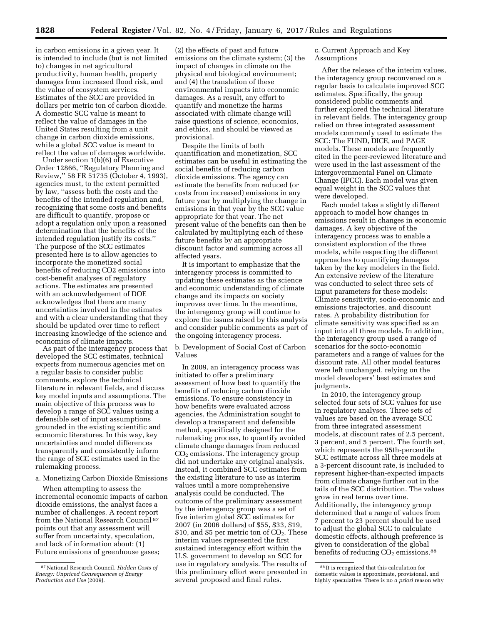in carbon emissions in a given year. It is intended to include (but is not limited to) changes in net agricultural productivity, human health, property damages from increased flood risk, and the value of ecosystem services. Estimates of the SCC are provided in dollars per metric ton of carbon dioxide. A domestic SCC value is meant to reflect the value of damages in the United States resulting from a unit change in carbon dioxide emissions, while a global SCC value is meant to

reflect the value of damages worldwide. Under section 1(b)(6) of Executive Order 12866, ''Regulatory Planning and Review,'' 58 FR 51735 (October 4, 1993), agencies must, to the extent permitted by law, ''assess both the costs and the benefits of the intended regulation and, recognizing that some costs and benefits are difficult to quantify, propose or adopt a regulation only upon a reasoned determination that the benefits of the intended regulation justify its costs.'' The purpose of the SCC estimates presented here is to allow agencies to incorporate the monetized social benefits of reducing CO2 emissions into cost-benefit analyses of regulatory actions. The estimates are presented with an acknowledgement of DOE acknowledges that there are many uncertainties involved in the estimates and with a clear understanding that they should be updated over time to reflect increasing knowledge of the science and economics of climate impacts.

As part of the interagency process that developed the SCC estimates, technical experts from numerous agencies met on a regular basis to consider public comments, explore the technical literature in relevant fields, and discuss key model inputs and assumptions. The main objective of this process was to develop a range of SCC values using a defensible set of input assumptions grounded in the existing scientific and economic literatures. In this way, key uncertainties and model differences transparently and consistently inform the range of SCC estimates used in the rulemaking process.

a. Monetizing Carbon Dioxide Emissions

When attempting to assess the incremental economic impacts of carbon dioxide emissions, the analyst faces a number of challenges. A recent report from the National Research Council 87 points out that any assessment will suffer from uncertainty, speculation, and lack of information about: (1) Future emissions of greenhouse gases;

(2) the effects of past and future emissions on the climate system; (3) the impact of changes in climate on the physical and biological environment; and (4) the translation of these environmental impacts into economic damages. As a result, any effort to quantify and monetize the harms associated with climate change will raise questions of science, economics, and ethics, and should be viewed as provisional.

Despite the limits of both quantification and monetization, SCC estimates can be useful in estimating the social benefits of reducing carbon dioxide emissions. The agency can estimate the benefits from reduced (or costs from increased) emissions in any future year by multiplying the change in emissions in that year by the SCC value appropriate for that year. The net present value of the benefits can then be calculated by multiplying each of these future benefits by an appropriate discount factor and summing across all affected years.

It is important to emphasize that the interagency process is committed to updating these estimates as the science and economic understanding of climate change and its impacts on society improves over time. In the meantime, the interagency group will continue to explore the issues raised by this analysis and consider public comments as part of the ongoing interagency process.

b. Development of Social Cost of Carbon Values

In 2009, an interagency process was initiated to offer a preliminary assessment of how best to quantify the benefits of reducing carbon dioxide emissions. To ensure consistency in how benefits were evaluated across agencies, the Administration sought to develop a transparent and defensible method, specifically designed for the rulemaking process, to quantify avoided climate change damages from reduced  $CO<sub>2</sub>$  emissions. The interagency group did not undertake any original analysis. Instead, it combined SCC estimates from the existing literature to use as interim values until a more comprehensive analysis could be conducted. The outcome of the preliminary assessment by the interagency group was a set of five interim global SCC estimates for 2007 (in 2006 dollars) of \$55, \$33, \$19, \$10, and \$5 per metric ton of  $CO<sub>2</sub>$ . These interim values represented the first sustained interagency effort within the U.S. government to develop an SCC for use in regulatory analysis. The results of this preliminary effort were presented in several proposed and final rules.

c. Current Approach and Key Assumptions

After the release of the interim values, the interagency group reconvened on a regular basis to calculate improved SCC estimates. Specifically, the group considered public comments and further explored the technical literature in relevant fields. The interagency group relied on three integrated assessment models commonly used to estimate the SCC: The FUND, DICE, and PAGE models. These models are frequently cited in the peer-reviewed literature and were used in the last assessment of the Intergovernmental Panel on Climate Change (IPCC). Each model was given equal weight in the SCC values that were developed.

Each model takes a slightly different approach to model how changes in emissions result in changes in economic damages. A key objective of the interagency process was to enable a consistent exploration of the three models, while respecting the different approaches to quantifying damages taken by the key modelers in the field. An extensive review of the literature was conducted to select three sets of input parameters for these models: Climate sensitivity, socio-economic and emissions trajectories, and discount rates. A probability distribution for climate sensitivity was specified as an input into all three models. In addition, the interagency group used a range of scenarios for the socio-economic parameters and a range of values for the discount rate. All other model features were left unchanged, relying on the model developers' best estimates and judgments.

In 2010, the interagency group selected four sets of SCC values for use in regulatory analyses. Three sets of values are based on the average SCC from three integrated assessment models, at discount rates of 2.5 percent, 3 percent, and 5 percent. The fourth set, which represents the 95th-percentile SCC estimate across all three models at a 3-percent discount rate, is included to represent higher-than-expected impacts from climate change further out in the tails of the SCC distribution. The values grow in real terms over time. Additionally, the interagency group determined that a range of values from 7 percent to 23 percent should be used to adjust the global SCC to calculate domestic effects, although preference is given to consideration of the global benefits of reducing  $CO<sub>2</sub>$  emissions.<sup>88</sup>

<sup>87</sup>National Research Council. *Hidden Costs of Energy: Unpriced Consequences of Energy Production and Use* (2009).

<sup>88</sup> It is recognized that this calculation for domestic values is approximate, provisional, and highly speculative. There is no *a priori* reason why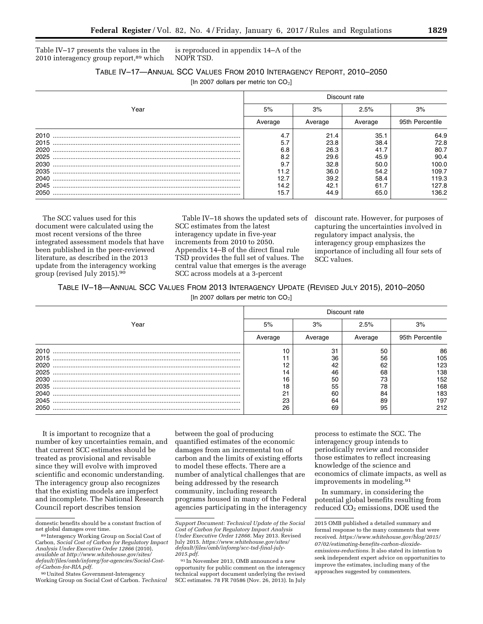Table IV–17 presents the values in the 2010 interagency group report,89 which

is reproduced in appendix 14–A of the NOPR TSD.

| TABLE IV-17-ANNUAL SCC VALUES FROM 2010 INTERAGENCY REPORT, 2010-2050 |
|-----------------------------------------------------------------------|
| [In 2007 dollars per metric ton $CO2$ ]                               |

|      |         |         | Discount rate |                 |
|------|---------|---------|---------------|-----------------|
| Year | 5%      | 3%      | 2.5%          | 3%              |
|      | Average | Average | Average       | 95th Percentile |
| 2010 | 4.7     | 21.4    | 35.1          | 64.9            |
| 2015 | 5.7     | 23.8    | 38.4          | 72.8            |
| 2020 | 6.8     | 26.3    | 41.7          | 80.7            |
| 2025 | 8.2     | 29.6    | 45.9          | 90.4            |
| 2030 | 9.7     | 32.8    | 50.0          | 100.0           |
| 2035 | 11.2    | 36.0    | 54.2          | 109.7           |
| 2040 | 12.7    | 39.2    | 58.4          | 119.3           |
| 2045 | 14.2    | 42.1    | 61.7          | 127.8           |
| 2050 | 15.7    | 44.9    | 65.0          | 136.2           |

The SCC values used for this document were calculated using the most recent versions of the three integrated assessment models that have been published in the peer-reviewed literature, as described in the 2013 update from the interagency working group (revised July 2015).90

Table IV–18 shows the updated sets of SCC estimates from the latest interagency update in five-year increments from 2010 to 2050. Appendix 14–B of the direct final rule TSD provides the full set of values. The central value that emerges is the average SCC across models at a 3-percent

discount rate. However, for purposes of capturing the uncertainties involved in regulatory impact analysis, the interagency group emphasizes the importance of including all four sets of SCC values.

TABLE IV–18—ANNUAL SCC VALUES FROM 2013 INTERAGENCY UPDATE (REVISED JULY 2015), 2010–2050 [In 2007 dollars per metric ton  $CO<sub>2</sub>$ ]

|      |                |         | Discount rate |                 |
|------|----------------|---------|---------------|-----------------|
| Year | 5%             | 3%      | 2.5%          | 3%              |
|      | Average        | Average | Average       | 95th Percentile |
| 2010 | 10             | 31      | 50            | 86              |
| 2015 |                | 36      | 56            | 105             |
| 2020 | 12             | 42      | 62            | 123             |
| 2025 | 14             | 46      | 68            | 138             |
| 2030 | 16             | 50      | 73            | 152             |
| 2035 | 18             | 55      | 78            | 168             |
| 2040 | O <sub>1</sub> | 60      | 84            | 183             |
| 2045 | 23             | 64      | 89            | 197             |
| 2050 | 26             | 69      | 95            | 212             |

It is important to recognize that a number of key uncertainties remain, and that current SCC estimates should be treated as provisional and revisable since they will evolve with improved scientific and economic understanding. The interagency group also recognizes that the existing models are imperfect and incomplete. The National Research Council report describes tension

between the goal of producing quantified estimates of the economic damages from an incremental ton of carbon and the limits of existing efforts to model these effects. There are a number of analytical challenges that are being addressed by the research community, including research programs housed in many of the Federal agencies participating in the interagency

91 In November 2013, OMB announced a new opportunity for public comment on the interagency technical support document underlying the revised SCC estimates. 78 FR 70586 (Nov. 26, 2013). In July process to estimate the SCC. The interagency group intends to periodically review and reconsider those estimates to reflect increasing knowledge of the science and economics of climate impacts, as well as improvements in modeling.91

In summary, in considering the potential global benefits resulting from reduced CO2 emissions, DOE used the

domestic benefits should be a constant fraction of net global damages over time.<br><sup>89</sup> Interagency Working Group on Social Cost of

Carbon, *Social Cost of Carbon for Regulatory Impact Analysis Under Executive Order 12866* (2010), *available at [http://www.whitehouse.gov/sites/](http://www.whitehouse.gov/sites/default/files/omb/inforeg/for-agencies/Social-Cost-of-Carbon-for-RIA.pdf) [default/files/omb/inforeg/for-agencies/Social-Cost](http://www.whitehouse.gov/sites/default/files/omb/inforeg/for-agencies/Social-Cost-of-Carbon-for-RIA.pdf)[of-Carbon-for-RIA.pdf.](http://www.whitehouse.gov/sites/default/files/omb/inforeg/for-agencies/Social-Cost-of-Carbon-for-RIA.pdf)* 

<sup>90</sup>United States Government-Interagency Working Group on Social Cost of Carbon. *Technical* 

*Support Document: Technical Update of the Social Cost of Carbon for Regulatory Impact Analysis Under Executive Order 12866.* May 2013. Revised July 2015. *[https://www.whitehouse.gov/sites/](https://www.whitehouse.gov/sites/default/files/omb/inforeg/scc-tsd-final-july-2015.pdf) [default/files/omb/inforeg/scc-tsd-final-july-](https://www.whitehouse.gov/sites/default/files/omb/inforeg/scc-tsd-final-july-2015.pdf)[2015.pdf.](https://www.whitehouse.gov/sites/default/files/omb/inforeg/scc-tsd-final-july-2015.pdf)* 

<sup>2015</sup> OMB published a detailed summary and formal response to the many comments that were received. *[https://www.whitehouse.gov/blog/2015/](https://www.whitehouse.gov/blog/2015/07/02/estimating-benefits-carbon-dioxide-emissions-reductions)  [07/02/estimating-benefits-carbon-dioxide](https://www.whitehouse.gov/blog/2015/07/02/estimating-benefits-carbon-dioxide-emissions-reductions)[emissions-reductions.](https://www.whitehouse.gov/blog/2015/07/02/estimating-benefits-carbon-dioxide-emissions-reductions)* It also stated its intention to seek independent expert advice on opportunities to improve the estimates, including many of the approaches suggested by commenters.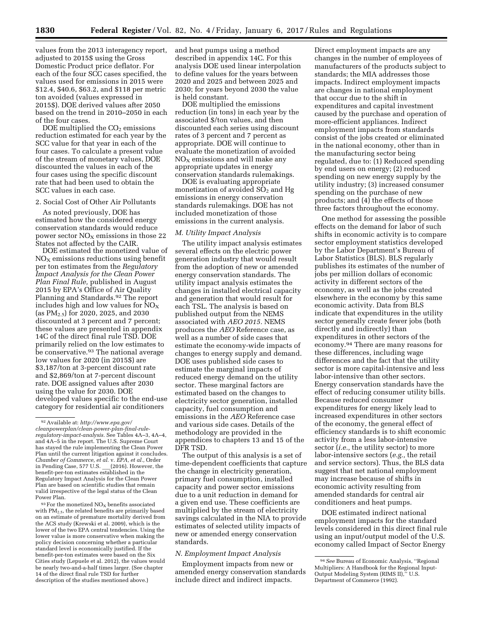values from the 2013 interagency report, adjusted to 2015\$ using the Gross Domestic Product price deflator. For each of the four SCC cases specified, the values used for emissions in 2015 were \$12.4, \$40.6, \$63.2, and \$118 per metric ton avoided (values expressed in 2015\$). DOE derived values after 2050 based on the trend in 2010–2050 in each of the four cases.

DOE multiplied the  $CO<sub>2</sub>$  emissions reduction estimated for each year by the SCC value for that year in each of the four cases. To calculate a present value of the stream of monetary values, DOE discounted the values in each of the four cases using the specific discount rate that had been used to obtain the SCC values in each case.

### 2. Social Cost of Other Air Pollutants

As noted previously, DOE has estimated how the considered energy conservation standards would reduce power sector  $NO<sub>x</sub>$  emissions in those 22 States not affected by the CAIR.

DOE estimated the monetized value of  $NO<sub>x</sub>$  emissions reductions using benefit per ton estimates from the *Regulatory Impact Analysis for the Clean Power Plan Final Rule,* published in August 2015 by EPA's Office of Air Quality Planning and Standards.92 The report includes high and low values for  $NO<sub>X</sub>$ (as  $PM_{2.5}$ ) for 2020, 2025, and 2030 discounted at 3 percent and 7 percent; these values are presented in appendix 14C of the direct final rule TSD. DOE primarily relied on the low estimates to be conservative.<sup>93</sup> The national average low values for 2020 (in 2015\$) are \$3,187/ton at 3-percent discount rate and \$2,869/ton at 7-percent discount rate. DOE assigned values after 2030 using the value for 2030. DOE developed values specific to the end-use category for residential air conditioners

 $93$  For the monetized NO<sub>X</sub> benefits associated with PM2.5, the related benefits are primarily based on an estimate of premature mortality derived from the ACS study (Krewski et al. 2009), which is the lower of the two EPA central tendencies. Using the lower value is more conservative when making the policy decision concerning whether a particular standard level is economically justified. If the benefit-per-ton estimates were based on the Six Cities study (Lepuele et al. 2012), the values would be nearly two-and-a-half times larger. (See chapter 14 of the direct final rule TSD for further description of the studies mentioned above.)

and heat pumps using a method described in appendix 14C. For this analysis DOE used linear interpolation to define values for the years between 2020 and 2025 and between 2025 and 2030; for years beyond 2030 the value is held constant.

DOE multiplied the emissions reduction (in tons) in each year by the associated \$/ton values, and then discounted each series using discount rates of 3 percent and 7 percent as appropriate. DOE will continue to evaluate the monetization of avoided  $NO<sub>x</sub>$  emissions and will make any appropriate updates in energy conservation standards rulemakings.

DOE is evaluating appropriate monetization of avoided  $SO<sub>2</sub>$  and Hg emissions in energy conservation standards rulemakings. DOE has not included monetization of those emissions in the current analysis.

### *M. Utility Impact Analysis*

The utility impact analysis estimates several effects on the electric power generation industry that would result from the adoption of new or amended energy conservation standards. The utility impact analysis estimates the changes in installed electrical capacity and generation that would result for each TSL. The analysis is based on published output from the NEMS associated with *AEO 2015.* NEMS produces the *AEO* Reference case, as well as a number of side cases that estimate the economy-wide impacts of changes to energy supply and demand. DOE uses published side cases to estimate the marginal impacts of reduced energy demand on the utility sector. These marginal factors are estimated based on the changes to electricity sector generation, installed capacity, fuel consumption and emissions in the *AEO* Reference case and various side cases. Details of the methodology are provided in the appendices to chapters 13 and 15 of the DFR TSD.

The output of this analysis is a set of time-dependent coefficients that capture the change in electricity generation, primary fuel consumption, installed capacity and power sector emissions due to a unit reduction in demand for a given end use. These coefficients are multiplied by the stream of electricity savings calculated in the NIA to provide estimates of selected utility impacts of new or amended energy conservation standards.

### *N. Employment Impact Analysis*

Employment impacts from new or amended energy conservation standards include direct and indirect impacts.

Direct employment impacts are any changes in the number of employees of manufacturers of the products subject to standards; the MIA addresses those impacts. Indirect employment impacts are changes in national employment that occur due to the shift in expenditures and capital investment caused by the purchase and operation of more-efficient appliances. Indirect employment impacts from standards consist of the jobs created or eliminated in the national economy, other than in the manufacturing sector being regulated, due to: (1) Reduced spending by end users on energy; (2) reduced spending on new energy supply by the utility industry; (3) increased consumer spending on the purchase of new products; and (4) the effects of those three factors throughout the economy.

One method for assessing the possible effects on the demand for labor of such shifts in economic activity is to compare sector employment statistics developed by the Labor Department's Bureau of Labor Statistics (BLS). BLS regularly publishes its estimates of the number of jobs per million dollars of economic activity in different sectors of the economy, as well as the jobs created elsewhere in the economy by this same economic activity. Data from BLS indicate that expenditures in the utility sector generally create fewer jobs (both directly and indirectly) than expenditures in other sectors of the economy.94 There are many reasons for these differences, including wage differences and the fact that the utility sector is more capital-intensive and less labor-intensive than other sectors. Energy conservation standards have the effect of reducing consumer utility bills. Because reduced consumer expenditures for energy likely lead to increased expenditures in other sectors of the economy, the general effect of efficiency standards is to shift economic activity from a less labor-intensive sector (*i.e.,* the utility sector) to more labor-intensive sectors (*e.g.,* the retail and service sectors). Thus, the BLS data suggest that net national employment may increase because of shifts in economic activity resulting from amended standards for central air conditioners and heat pumps.

DOE estimated indirect national employment impacts for the standard levels considered in this direct final rule using an input/output model of the U.S. economy called Impact of Sector Energy

<sup>92</sup>Available at: *[http://www.epa.gov/](http://www.epa.gov/cleanpowerplan/clean-power-plan-final-rule-regulatory-impact-analysis) [cleanpowerplan/clean-power-plan-final-rule-](http://www.epa.gov/cleanpowerplan/clean-power-plan-final-rule-regulatory-impact-analysis)[regulatory-impact-analysis.](http://www.epa.gov/cleanpowerplan/clean-power-plan-final-rule-regulatory-impact-analysis)* See Tables 4A–3, 4A–4, and 4A–5 in the report. The U.S. Supreme Court has stayed the rule implementing the Clean Power Plan until the current litigation against it concludes. *Chamber of Commerce, et al.* v. *EPA, et al.,* Order in Pending Case, 577 U.S. \_\_\_(2016). However, the benefit-per-ton estimates established in the Regulatory Impact Analysis for the Clean Power Plan are based on scientific studies that remain valid irrespective of the legal status of the Clean Power Plan.

<sup>94</sup>*See* Bureau of Economic Analysis, ''Regional Multipliers: A Handbook for the Regional Input-Output Modeling System (RIMS II),'' U.S. Department of Commerce (1992).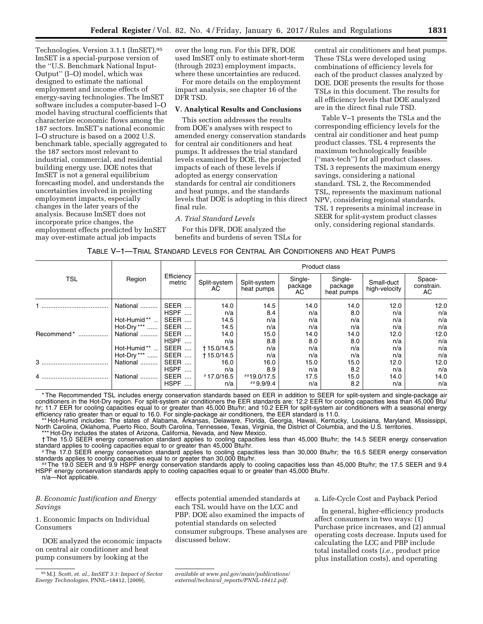Technologies, Version 3.1.1 (ImSET).95 ImSET is a special-purpose version of the ''U.S. Benchmark National Input-Output'' (I–O) model, which was designed to estimate the national employment and income effects of energy-saving technologies. The ImSET software includes a computer-based I–O model having structural coefficients that characterize economic flows among the 187 sectors. ImSET's national economic I–O structure is based on a 2002 U.S. benchmark table, specially aggregated to the 187 sectors most relevant to industrial, commercial, and residential building energy use. DOE notes that ImSET is not a general equilibrium forecasting model, and understands the uncertainties involved in projecting employment impacts, especially changes in the later years of the analysis. Because ImSET does not incorporate price changes, the employment effects predicted by ImSET may over-estimate actual job impacts

over the long run. For this DFR, DOE used ImSET only to estimate short-term (through 2023) employment impacts, where these uncertainties are reduced.

For more details on the employment impact analysis, see chapter 16 of the DFR TSD.

#### **V. Analytical Results and Conclusions**

This section addresses the results from DOE's analyses with respect to amended energy conservation standards for central air conditioners and heat pumps. It addresses the trial standard levels examined by DOE, the projected impacts of each of these levels if adopted as energy conservation standards for central air conditioners and heat pumps, and the standards levels that DOE is adopting in this direct final rule.

### *A. Trial Standard Levels*

For this DFR, DOE analyzed the benefits and burdens of seven TSLs for central air conditioners and heat pumps. These TSLs were developed using combinations of efficiency levels for each of the product classes analyzed by DOE. DOE presents the results for those TSLs in this document. The results for all efficiency levels that DOE analyzed are in the direct final rule TSD.

Table V–1 presents the TSLs and the corresponding efficiency levels for the central air conditioner and heat pump product classes. TSL 4 represents the maximum technologically feasible (''max-tech'') for all product classes. TSL 3 represents the maximum energy savings, considering a national standard. TSL 2, the Recommended TSL, represents the maximum national NPV, considering regional standards. TSL 1 represents a minimal increase in SEER for split-system product classes only, considering regional standards.

| TABLE V—1—TRIAL STANDARD LEVELS FOR CENTRAL AIR CONDITIONERS AND HEAT PUMPS |  |  |
|-----------------------------------------------------------------------------|--|--|
|-----------------------------------------------------------------------------|--|--|

|                               |                          |                      | Product class       |                            |                           |                                  |                             |                            |  |  |
|-------------------------------|--------------------------|----------------------|---------------------|----------------------------|---------------------------|----------------------------------|-----------------------------|----------------------------|--|--|
| <b>TSL</b><br>Recommend*<br>3 | Region                   | Efficiency<br>metric | Split-system<br>AC. | Split-system<br>heat pumps | Single-<br>package<br>AC. | Single-<br>package<br>heat pumps | Small-duct<br>high-velocity | Space-<br>constrain.<br>AC |  |  |
|                               | National                 | SEER                 | 14.0                | 14.5                       | 14.0                      | 14.0                             | 12.0                        | 12.0                       |  |  |
|                               |                          | HSPF                 | n/a                 | 8.4                        | n/a                       | 8.0                              | n/a                         | n/a                        |  |  |
|                               | Hot-Humid**<br>$\cdot$ . | SEER                 | 14.5                | n/a                        | n/a                       | n/a                              | n/a                         | n/a                        |  |  |
|                               | Hot-Dry ***              | SEER                 | 14.5                | n/a                        | n/a                       | n/a                              | n/a                         | n/a                        |  |  |
|                               | National                 | SEER                 | 14.0                | 15.0                       | 14.0                      | 14.0                             | 12.0                        | 12.0                       |  |  |
|                               |                          | HSPF                 | n/a                 | 8.8                        | 8.0                       | 8.0                              | n/a                         | n/a                        |  |  |
|                               | Hot-Humid**              | SEER                 | +15.0/14.5          | n/a                        | n/a                       | n/a                              | n/a                         | n/a                        |  |  |
|                               | Hot-Dry ***              | SEER                 | +15.0/14.5          | n/a                        | n/a                       | n/a                              | n/a                         | n/a                        |  |  |
|                               | National                 | SEER                 | 16.0                | 16.0                       | 15.0                      | 15.0                             | 12.0                        | 12.0                       |  |  |
|                               |                          | HSPF                 | n/a                 | 8.9                        | n/a                       | 8.2                              | n/a                         | n/a                        |  |  |
| 4                             | National                 | SEER                 | #17.0/16.5          | ##19.0/17.5                | 17.5                      | 15.0                             | 14.0                        | 14.0                       |  |  |
|                               |                          | <b>HSPF</b>          | n/a                 | ##9.9/9.4                  | n/a                       | 8.2                              | n/a                         | n/a                        |  |  |

\* The Recommended TSL includes energy conservation standards based on EER in addition to SEER for split-system and single-package air conditioners in the Hot-Dry region. For split-system air conditioners the EER standards are: 12.2 EER for cooling capacities less than 45,000 Btu/ hr; 11.7 EER for cooling capacities equal to or greater than 45,000 Btu/hr; and 10.2 EER for split-system air conditioners with a seasonal energy

efficiency ratio greater than or equal to 16.0. For single-package air conditioners, the EER standard is 11.0.<br>\*\* Hot-Humid includes: The states of Alabama, Arkansas, Delaware, Florida, Georgia, Hawaii, Kentucky, Louisiana

\*\*\* Hot-Dry includes the states of Arizona, California, Nevada, and New Mexico. † The 15.0 SEER energy conservation standard applies to cooling capacities less than 45,000 Btu/hr; the 14.5 SEER energy conservation

standard applies to cooling capacities equal to or greater than 45,000 Btu/hr.<br>
#The 17.0 SEER energy conservation standard applies to cooling capacities less than 30,000 Btu/hr; the 16.5 SEER energy conservation standards

#The 19.0 SEER and 9.9 HSPF energy conservation standards apply to cooling capacities less than 45,000 Btu/hr; the 17.5 SEER and 9.4 HSPF energy conservation standards apply to cooling capacities equal to or greater than 45,000 Btu/hr.

n/a—Not applicable.

# *B. Economic Justification and Energy Savings*

1. Economic Impacts on Individual Consumers

DOE analyzed the economic impacts on central air conditioner and heat pump consumers by looking at the

effects potential amended standards at each TSL would have on the LCC and PBP. DOE also examined the impacts of potential standards on selected consumer subgroups. These analyses are discussed below.

a. Life-Cycle Cost and Payback Period

In general, higher-efficiency products affect consumers in two ways: (1) Purchase price increases, and (2) annual operating costs decrease. Inputs used for calculating the LCC and PBP include total installed costs (*i.e.,* product price plus installation costs), and operating

<sup>95</sup>M.J. Scott, *et. al., ImSET 3.1: Impact of Sector Energy Technologies,* PNNL–18412, (2009),

*available at [www.pnl.gov/main/publications/](http://www.pnl.gov/main/publications/external/technical_reports/PNNL-18412.pdf)  external/technical*\_*[reports/PNNL-18412.pdf.](http://www.pnl.gov/main/publications/external/technical_reports/PNNL-18412.pdf)*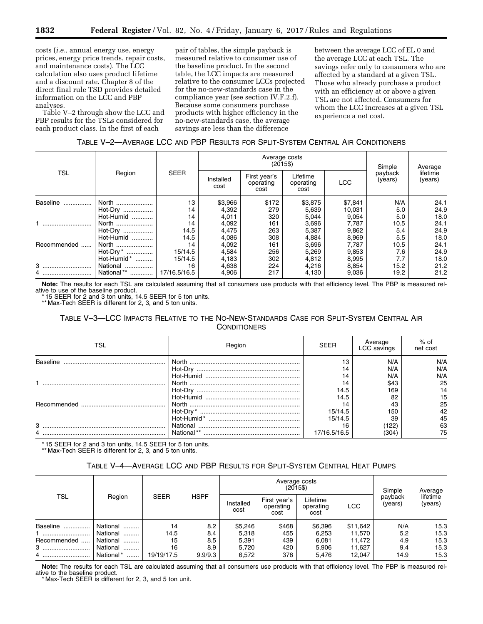costs (*i.e.,* annual energy use, energy prices, energy price trends, repair costs, and maintenance costs). The LCC calculation also uses product lifetime and a discount rate. Chapter 8 of the direct final rule TSD provides detailed information on the LCC and PBP analyses.

Table V–2 through show the LCC and PBP results for the TSLs considered for each product class. In the first of each

pair of tables, the simple payback is measured relative to consumer use of the baseline product. In the second table, the LCC impacts are measured relative to the consumer LCCs projected for the no-new-standards case in the compliance year (see section IV.F.2.f). Because some consumers purchase products with higher efficiency in the no-new-standards case, the average savings are less than the difference

between the average LCC of EL 0 and the average LCC at each TSL. The savings refer only to consumers who are affected by a standard at a given TSL. Those who already purchase a product with an efficiency at or above a given TSL are not affected. Consumers for whom the LCC increases at a given TSL experience a net cost.

# TABLE V–2—AVERAGE LCC AND PBP RESULTS FOR SPLIT-SYSTEM CENTRAL AIR CONDITIONERS

|              |                |              |         | Average costs<br>$(2015\$ | Simple                            | Average                       |            |                    |                     |  |
|--------------|----------------|--------------|---------|---------------------------|-----------------------------------|-------------------------------|------------|--------------------|---------------------|--|
| <b>TSL</b>   | Region         | <b>SEER</b>  |         | Installed<br>cost         | First year's<br>operating<br>cost | Lifetime<br>operating<br>cost | <b>LCC</b> | payback<br>(years) | lifetime<br>(years) |  |
| Baseline<br> | North          | 13           | \$3,966 | \$172                     | \$3,875                           | \$7,841                       | N/A        | 24.1               |                     |  |
|              | Hot-Dry        | 14           | 4,392   | 279                       | 5,639                             | 10,031                        | 5.0        | 24.9               |                     |  |
|              | Hot-Humid      | 14           | 4,011   | 320                       | 5,044                             | 9,054                         | 5.0        | 18.0               |                     |  |
|              | North          | 14           | 4,092   | 161                       | 3,696                             | 7,787                         | 10.5       | 24.1               |                     |  |
|              | Hot-Dry        | 14.5         | 4,475   | 263                       | 5,387                             | 9,862                         | 5.4        | 24.9               |                     |  |
|              | Hot-Humid      | 14.5         | 4,086   | 308                       | 4,884                             | 8,969                         | 5.5        | 18.0               |                     |  |
| Recommended  | North          | 14           | 4,092   | 161                       | 3,696                             | 7.787                         | 10.5       | 24.1               |                     |  |
|              | Hot-Dry *      | 15/14.5      | 4,584   | 256                       | 5,269                             | 9,853                         | 7.6        | 24.9               |                     |  |
|              | Hot-Humid*     | 15/14.5      | 4,183   | 302                       | 4,812                             | 8,995                         | 7.7        | 18.0               |                     |  |
| 3            | National       | 16           | 4,638   | 224                       | 4,216                             | 8,854                         | 15.2       | 21.2               |                     |  |
| 4            | National**<br> | 17/16.5/16.5 | 4,906   | 217                       | 4,130                             | 9,036                         | 19.2       | 21.2               |                     |  |

**Note:** The results for each TSL are calculated assuming that all consumers use products with that efficiency level. The PBP is measured relative to use of the baseline product.

\* 15 SEER for 2 and 3 ton units, 14.5 SEER for 5 ton units.

\*\* Max-Tech SEER is different for 2, 3, and 5 ton units.

# TABLE V–3—LCC IMPACTS RELATIVE TO THE NO-NEW-STANDARDS CASE FOR SPLIT-SYSTEM CENTRAL AIR **CONDITIONERS**

| TSL      | Region     | <b>SFFR</b>  | Average<br>LCC savings | $%$ of<br>net cost |
|----------|------------|--------------|------------------------|--------------------|
| Baseline | North      | 13           | N/A                    | N/A                |
|          |            | 14           | N/A                    | N/A                |
|          |            | 14           | N/A                    | N/A                |
|          |            | 14           | \$43                   | 25                 |
|          |            | 14.5         | 169                    | 14                 |
|          |            | 14.5         | 82                     | 15                 |
|          |            | 14           | 43                     | 25                 |
|          |            | 15/14.5      | 15C                    | 42                 |
|          |            | 15/14.5      | 39                     | 45                 |
| 3        | National   | 16           | (122)                  | 63                 |
|          | National** | 17/16.5/16.5 | (304)                  | 75                 |

\* 15 SEER for 2 and 3 ton units, 14.5 SEER for 5 ton units. \*\* Max-Tech SEER is different for 2, 3, and 5 ton units.

# TABLE V–4—AVERAGE LCC AND PBP RESULTS FOR SPLIT-SYSTEM CENTRAL HEAT PUMPS

|             |               |             |             |                   |                                   | Average costs<br>$(2015\$     |          | Simple             | Average             |
|-------------|---------------|-------------|-------------|-------------------|-----------------------------------|-------------------------------|----------|--------------------|---------------------|
| <b>TSL</b>  | Region        | <b>SEER</b> | <b>HSPF</b> | Installed<br>cost | First year's<br>operating<br>cost | Lifetime<br>operating<br>cost | LCC      | payback<br>(years) | lifetime<br>(years) |
| Baseline    | National<br>. | 14          | 8.2         | \$5,246           | \$468                             | \$6,396                       | \$11,642 | N/A                | 15.3                |
|             | National<br>. | 14.5        | 8.4         | 5,318             | 455                               | 6,253                         | 11,570   | 5.2                | 15.3                |
| Recommended | National      | 15          | 8.5         | 5,391             | 439                               | 6.081                         | 11.472   | 4.9                | 15.3                |
| 3           | National      | 16          | 8.9         | 5,720             | 420                               | 5.906                         | 11,627   | 9.4                | 15.3                |
| 4           | National*<br> | 19/19/17.5  | 9.9/9.3     | 6,572             | 378                               | 5.476                         | 12,047   | 14.9               | 15.3                |

**Note:** The results for each TSL are calculated assuming that all consumers use products with that efficiency level. The PBP is measured relative to the baseline product.

\* Max-Tech SEER is different for 2, 3, and 5 ton unit.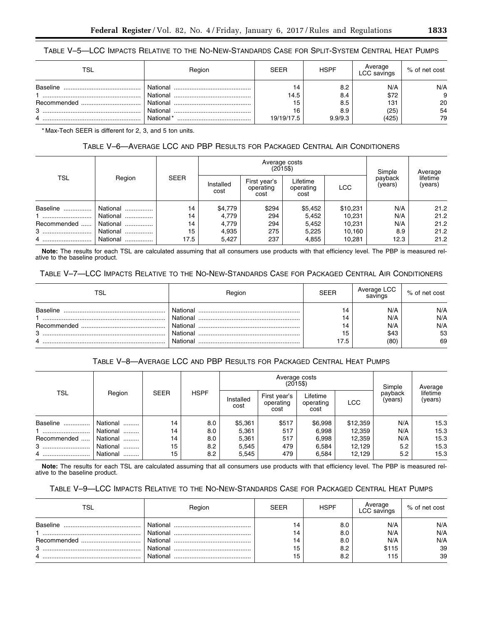# TABLE V–5—LCC IMPACTS RELATIVE TO THE NO-NEW-STANDARDS CASE FOR SPLIT-SYSTEM CENTRAL HEAT PUMPS

| <b>TSL</b> | Region    | <b>SEER</b> | <b>HSPF</b> | Average<br>LCC savings | % of net cost |
|------------|-----------|-------------|-------------|------------------------|---------------|
| Baseline   | National  | 14          | 8.2         | N/A                    | N/A           |
|            | National  | 14.5        | 8.4         | \$72                   | 9             |
|            | National  | 15          | 8.5         | 131                    | 20            |
| 3          | National  | 16          | 8.9         | (25)                   | 54            |
|            | National* | 19/19/17.5  | 9.9/9.3     | (425)                  | 79            |

\* Max-Tech SEER is different for 2, 3, and 5 ton units.

# TABLE V–6—AVERAGE LCC AND PBP RESULTS FOR PACKAGED CENTRAL AIR CONDITIONERS

| TSL         |               |             |                   |                                   | Average costs<br>$(2015\$     |            | Simple             | Average             |
|-------------|---------------|-------------|-------------------|-----------------------------------|-------------------------------|------------|--------------------|---------------------|
|             | Region        | <b>SEER</b> | Installed<br>cost | First year's<br>operating<br>cost | Lifetime<br>operating<br>cost | <b>LCC</b> | payback<br>(years) | lifetime<br>(years) |
| Baseline    | National      | 14          | \$4,779           | \$294                             | \$5,452                       | \$10,231   | N/A                | 21.2                |
| l           | National      | 14          | 4,779             | 294                               | 5,452                         | 10,231     | N/A                | 21.2                |
| Recommended | National      | 14          | 4,779             | 294                               | 5,452                         | 10,231     | N/A                | 21.2                |
| 3           | National<br>. | 15          | 4,935             | 275                               | 5.225                         | 10,160     | 8.9                | 21.2                |
| 4           | National      | 17.5        | 5,427             | 237                               | 4,855                         | 10,281     | 12.3               | 21.2                |

**Note:** The results for each TSL are calculated assuming that all consumers use products with that efficiency level. The PBP is measured relative to the baseline product.

# TABLE V–7—LCC IMPACTS RELATIVE TO THE NO-NEW-STANDARDS CASE FOR PACKAGED CENTRAL AIR CONDITIONERS

| TSL             | Region   | <b>SEER</b> | Average LCC<br>savings | % of net cost |
|-----------------|----------|-------------|------------------------|---------------|
| <b>Baseline</b> | National | 14          | N/A                    | N/A           |
|                 | National | 14          | N/A                    | N/A           |
| Recommended     | National | 14          | N/A                    | N/A           |
| 3               | National | 15          | \$43                   | 53            |
| 4               | National | 17.5        | (80)                   | 69            |

# TABLE V–8—AVERAGE LCC AND PBP RESULTS FOR PACKAGED CENTRAL HEAT PUMPS

| <b>TSL</b>  |               |             |             |                   | Average costs<br>$(2015\$         |                               |          | Simple             | Average             |
|-------------|---------------|-------------|-------------|-------------------|-----------------------------------|-------------------------------|----------|--------------------|---------------------|
|             | Region        | <b>SEER</b> | <b>HSPF</b> | Installed<br>cost | First year's<br>operating<br>cost | Lifetime<br>operating<br>cost | LCC      | payback<br>(years) | lifetime<br>(years) |
| Baseline    | National      | 14          | 8.0         | \$5,361           | \$517                             | \$6,998                       | \$12,359 | N/A                | 15.3                |
|             | National      | 14          | 8.0         | 5,361             | 517                               | 6.998                         | 12,359   | N/A                | 15.3                |
| Recommended | National      | 14          | 8.0         | 5,361             | 517                               | 6,998                         | 12,359   | N/A                | 15.3                |
|             | National      | 15          | 8.2         | 5,545             | 479                               | 6.584                         | 12,129   | 5.2                | 15.3                |
| 4           | National<br>. | 15          | 8.2         | 5,545             | 479                               | 6.584                         | 12.129   | 5.2                | 15.3                |

**Note:** The results for each TSL are calculated assuming that all consumers use products with that efficiency level. The PBP is measured relative to the baseline product.

# TABLE V–9—LCC IMPACTS RELATIVE TO THE NO-NEW-STANDARDS CASE FOR PACKAGED CENTRAL HEAT PUMPS

| <b>TSL</b>      | Region   | <b>SEER</b> | <b>HSPF</b> | Average<br>LCC savings | % of net cost |
|-----------------|----------|-------------|-------------|------------------------|---------------|
| Baseline        | National | 14          | 8.0         | N/A                    | N/A           |
|                 | National | 14          | 8.0         | N/A                    | N/A           |
| Recommended<br> | National | 4           | 8.0         | N/A                    | N/A           |
| 3               | National | 15          | 8.2         | \$115                  | 39            |
| 4               | National | 15          | 8.2         | 115                    | 39            |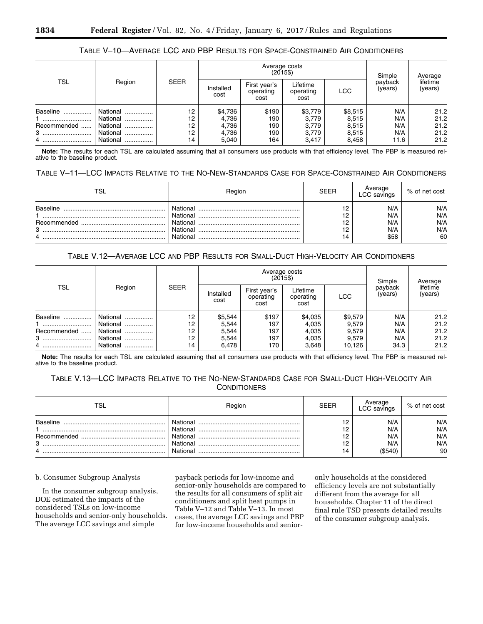# TABLE V–10—AVERAGE LCC AND PBP RESULTS FOR SPACE-CONSTRAINED AIR CONDITIONERS

| TSL                               |                                                              | <b>SEER</b>                |                                             | Average costs<br>$(2015\$         |                                             | Simple                                      | Average                          |                                      |
|-----------------------------------|--------------------------------------------------------------|----------------------------|---------------------------------------------|-----------------------------------|---------------------------------------------|---------------------------------------------|----------------------------------|--------------------------------------|
|                                   | Region                                                       |                            | Installed<br>cost                           | First year's<br>operating<br>cost | Lifetime<br>operating<br>cost               | <b>LCC</b>                                  | payback<br>(years)               | lifetime<br>(years)                  |
| Baseline<br>Recommended<br>3<br>4 | National<br>National<br>National<br><br>National<br>National | 12<br>12<br>12<br>12<br>14 | \$4,736<br>4,736<br>4,736<br>4,736<br>5,040 | \$190<br>190<br>190<br>190<br>164 | \$3,779<br>3,779<br>3,779<br>3,779<br>3,417 | \$8,515<br>8,515<br>8,515<br>8,515<br>8,458 | N/A<br>N/A<br>N/A<br>N/A<br>11.6 | 21.2<br>21.2<br>21.2<br>21.2<br>21.2 |

**Note:** The results for each TSL are calculated assuming that all consumers use products with that efficiency level. The PBP is measured relative to the baseline product.

# TABLE V–11—LCC IMPACTS RELATIVE TO THE NO-NEW-STANDARDS CASE FOR SPACE-CONSTRAINED AIR CONDITIONERS

| TSL                               | Region                                                   | SEER                       | Average<br><sub>-</sub> CC savings | % of net cost                  |
|-----------------------------------|----------------------------------------------------------|----------------------------|------------------------------------|--------------------------------|
| Baseline<br>Recommended<br>3<br>4 | National<br>National<br>National<br>National<br>National | 12<br>12<br>12<br>12<br>14 | N/A<br>N/A<br>N/A<br>N/A<br>\$58   | N/A<br>N/A<br>N/A<br>N/A<br>60 |

# TABLE V.12—AVERAGE LCC AND PBP RESULTS FOR SMALL-DUCT HIGH-VELOCITY AIR CONDITIONERS

| <b>TSL</b>  | Region        | <b>SEER</b> |                   | Average costs<br>$(2015\$         |                               | Simple     | Average            |                     |
|-------------|---------------|-------------|-------------------|-----------------------------------|-------------------------------|------------|--------------------|---------------------|
|             |               |             | Installed<br>cost | First year's<br>operating<br>cost | Lifetime<br>operating<br>cost | <b>LCC</b> | payback<br>(years) | lifetime<br>(years) |
| Baseline    | National<br>  | 12          | \$5,544           | \$197                             | \$4,035                       | \$9,579    | N/A                | 21.2                |
|             | National      | 12          | 5,544             | 197                               | 4,035                         | 9,579      | N/A                | 21.2                |
| Recommended | National<br>  | 12          | 5,544             | 197                               | 4,035                         | 9,579      | N/A                | 21.2                |
| 3           | National<br>. | 12          | 5,544             | 197                               | 4,035                         | 9,579      | N/A                | 21.2                |
| 4           | National<br>  | 14          | 6,478             | 170                               | 3.648                         | 10.126     | 34.3               | 21.2                |

**Note:** The results for each TSL are calculated assuming that all consumers use products with that efficiency level. The PBP is measured relative to the baseline product.

# TABLE V.13—LCC IMPACTS RELATIVE TO THE NO-NEW-STANDARDS CASE FOR SMALL-DUCT HIGH-VELOCITY AIR **CONDITIONERS**

| TSL                               | Region                                                   | <b>SEER</b>                | Average<br>LCC savings              | % of net cost                  |
|-----------------------------------|----------------------------------------------------------|----------------------------|-------------------------------------|--------------------------------|
| Baseline<br>Recommended<br>3<br>4 | National<br>National<br>National<br>National<br>National | 12<br>12<br>12<br>12<br>14 | N/A<br>N/A<br>N/A<br>N/A<br>(\$540) | N/A<br>N/A<br>N/A<br>N/A<br>90 |

### b. Consumer Subgroup Analysis

In the consumer subgroup analysis, DOE estimated the impacts of the considered TSLs on low-income households and senior-only households. The average LCC savings and simple

payback periods for low-income and senior-only households are compared to the results for all consumers of split air conditioners and split heat pumps in Table V–12 and Table V–13. In most cases, the average LCC savings and PBP for low-income households and senior-

only households at the considered efficiency levels are not substantially different from the average for all households. Chapter 11 of the direct final rule TSD presents detailed results of the consumer subgroup analysis.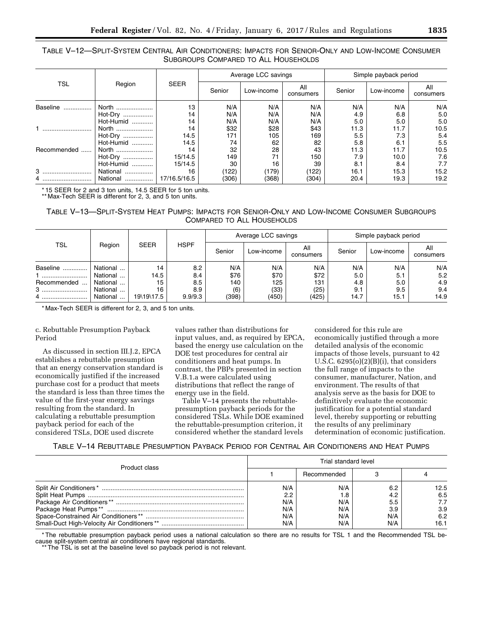# TABLE V–12—SPLIT-SYSTEM CENTRAL AIR CONDITIONERS: IMPACTS FOR SENIOR-ONLY AND LOW-INCOME CONSUMER SUBGROUPS COMPARED TO ALL HOUSEHOLDS

|             |           | <b>SEER</b>  |        | Average LCC savings |                  | Simple payback period |            |                  |  |
|-------------|-----------|--------------|--------|---------------------|------------------|-----------------------|------------|------------------|--|
| TSL         | Region    |              | Senior | Low-income          | All<br>consumers | Senior                | Low-income | All<br>consumers |  |
| Baseline    | North     | 13           | N/A    | N/A                 | N/A              | N/A                   | N/A        | N/A              |  |
|             | Hot-Dry   | 14           | N/A    | N/A                 | N/A              | 4.9                   | 6.8        | 5.0              |  |
|             | Hot-Humid | 14           | N/A    | N/A                 | N/A              | 5.0                   | 5.0        | 5.0              |  |
|             | North     | 14           | \$32   | \$28                | \$43             | 11.3                  | 11.7       | 10.5             |  |
|             | Hot-Dry   | 14.5         | 171    | 105                 | 169              | 5.5                   | 7.3        | 5.4              |  |
|             | Hot-Humid | 14.5         | 74     | 62                  | 82               | 5.8                   | 6.1        | 5.5              |  |
| Recommended | North     | 14           | 32     | 28                  | 43               | 11.3                  | 11.7       | 10.5             |  |
|             | Hot-Dry   | 15/14.5      | 149    | 71                  | 150              | 7.9                   | 10.0       | 7.6              |  |
|             | Hot-Humid | 15/14.5      | 30     | 16                  | 39               | 8.1                   | 8.4        | 7.7              |  |
| 3           | National  | 16           | (122)  | (179)               | (122)            | 16.1                  | 15.3       | 15.2             |  |
| 4           | National  | 17/16.5/16.5 | (306)  | (368)               | (304)            | 20.4                  | 19.3       | 19.2             |  |

\* 15 SEER for 2 and 3 ton units, 14.5 SEER for 5 ton units.

\*\* Max-Tech SEER is different for 2, 3, and 5 ton units.

# TABLE V–13—SPLIT-SYSTEM HEAT PUMPS: IMPACTS FOR SENIOR-ONLY AND LOW-INCOME CONSUMER SUBGROUPS COMPARED TO ALL HOUSEHOLDS

|             |          |             |             |        | Average LCC savings |                  | Simple payback period |            |                  |  |
|-------------|----------|-------------|-------------|--------|---------------------|------------------|-----------------------|------------|------------------|--|
| <b>TSL</b>  | Region   | <b>SEER</b> | <b>HSPF</b> | Senior | Low-income          | All<br>consumers | Senior                | Low-income | All<br>consumers |  |
| Baseline    | National | 14          | 8.2         | N/A    | N/A                 | N/A              | N/A                   | N/A        | N/A              |  |
|             | National | 14.5        | 8.4         | \$76   | \$70                | \$72             | 5.0                   | 5.1        | 5.2              |  |
| Recommended | National | 15          | 8.5         | 140    | 125                 | 131              | 4.8                   | 5.0        | 4.9              |  |
|             | National | 16          | 8.9         | (6)    | (33)                | (25)             | 9.1                   | 9.5        | 9.4              |  |
| 4           | National | 19\19\17.5  | 9.9/9.3     | (398)  | (450)               | (425)            | 14.7                  | 15.1       | 14.9             |  |

\* Max-Tech SEER is different for 2, 3, and 5 ton units.

# c. Rebuttable Presumption Payback Period

As discussed in section III.J.2, EPCA establishes a rebuttable presumption that an energy conservation standard is economically justified if the increased purchase cost for a product that meets the standard is less than three times the value of the first-year energy savings resulting from the standard. In calculating a rebuttable presumption payback period for each of the considered TSLs, DOE used discrete

values rather than distributions for input values, and, as required by EPCA, based the energy use calculation on the DOE test procedures for central air conditioners and heat pumps. In contrast, the PBPs presented in section V.B.1.a were calculated using distributions that reflect the range of energy use in the field.

Table V–14 presents the rebuttablepresumption payback periods for the considered TSLs. While DOE examined the rebuttable-presumption criterion, it considered whether the standard levels

considered for this rule are economically justified through a more detailed analysis of the economic impacts of those levels, pursuant to 42 U.S.C.  $6295(o)(2)(B)(i)$ , that considers the full range of impacts to the consumer, manufacturer, Nation, and environment. The results of that analysis serve as the basis for DOE to definitively evaluate the economic justification for a potential standard level, thereby supporting or rebutting the results of any preliminary determination of economic justification.

# TABLE V–14 REBUTTABLE PRESUMPTION PAYBACK PERIOD FOR CENTRAL AIR CONDITIONERS AND HEAT PUMPS

| Product class | Trial standard level                   |                                        |                                        |                                          |  |  |
|---------------|----------------------------------------|----------------------------------------|----------------------------------------|------------------------------------------|--|--|
|               |                                        | Recommended                            |                                        |                                          |  |  |
|               | N/A<br>2.2<br>N/A<br>N/A<br>N/A<br>N/A | N/A<br>8.،<br>N/A<br>N/A<br>N/A<br>N/A | 6.2<br>4.2<br>5.5<br>3.9<br>N/A<br>N/A | 12.5<br>6.5<br>7.7<br>3.9<br>6.2<br>16.1 |  |  |

\* The rebuttable presumption payback period uses a national calculation so there are no results for TSL 1 and the Recommended TSL because split-system central air conditioners have regional standards.

\*\* The TSL is set at the baseline level so payback period is not relevant.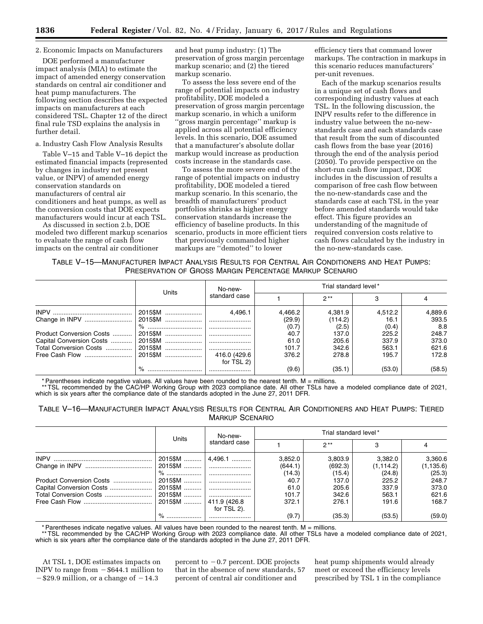# 2. Economic Impacts on Manufacturers

DOE performed a manufacturer impact analysis (MIA) to estimate the impact of amended energy conservation standards on central air conditioner and heat pump manufacturers. The following section describes the expected impacts on manufacturers at each considered TSL. Chapter 12 of the direct final rule TSD explains the analysis in further detail.

### a. Industry Cash Flow Analysis Results

Table V–15 and Table V–16 depict the estimated financial impacts (represented by changes in industry net present value, or INPV) of amended energy conservation standards on manufacturers of central air conditioners and heat pumps, as well as the conversion costs that DOE expects manufacturers would incur at each TSL.

As discussed in section 2.b, DOE modeled two different markup scenarios to evaluate the range of cash flow impacts on the central air conditioner

and heat pump industry: (1) The preservation of gross margin percentage markup scenario; and (2) the tiered markup scenario.

To assess the less severe end of the range of potential impacts on industry profitability, DOE modeled a preservation of gross margin percentage markup scenario, in which a uniform ''gross margin percentage'' markup is applied across all potential efficiency levels. In this scenario, DOE assumed that a manufacturer's absolute dollar markup would increase as production costs increase in the standards case.

To assess the more severe end of the range of potential impacts on industry profitability, DOE modeled a tiered markup scenario. In this scenario, the breadth of manufacturers' product portfolios shrinks as higher energy conservation standards increase the efficiency of baseline products. In this scenario, products in more efficient tiers that previously commanded higher markups are ''demoted'' to lower

efficiency tiers that command lower markups. The contraction in markups in this scenario reduces manufacturers' per-unit revenues.

Each of the markup scenarios results in a unique set of cash flows and corresponding industry values at each TSL. In the following discussion, the INPV results refer to the difference in industry value between the no-newstandards case and each standards case that result from the sum of discounted cash flows from the base year (2016) through the end of the analysis period (2050). To provide perspective on the short-run cash flow impact, DOE includes in the discussion of results a comparison of free cash flow between the no-new-standards case and the standards case at each TSL in the year before amended standards would take effect. This figure provides an understanding of the magnitude of required conversion costs relative to cash flows calculated by the industry in the no-new-standards case.

# TABLE V–15—MANUFACTURER IMPACT ANALYSIS RESULTS FOR CENTRAL AIR CONDITIONERS AND HEAT PUMPS: PRESERVATION OF GROSS MARGIN PERCENTAGE MARKUP SCENARIO

|                          |         | No-new-       |         | Trial standard level* |         |         |  |
|--------------------------|---------|---------------|---------|-----------------------|---------|---------|--|
|                          | Units   | standard case |         | $2**$                 |         |         |  |
|                          | 2015\$M | 4.496.1       | 4.466.2 | 4.381.9               | 4,512.2 | 4,889.6 |  |
|                          | 2015\$M |               | (29.9)  | (114.2)               | 16.1    | 393.5   |  |
|                          | %       |               | (0.7)   | (2.5)                 | (0.4)   | 8.8     |  |
| Product Conversion Costs | 2015\$M |               | 40.7    | 137.0                 | 225.2   | 248.7   |  |
| Capital Conversion Costs | 2015\$M |               | 61.0    | 205.6                 | 337.9   | 373.0   |  |
| Total Conversion Costs   | 2015\$M |               | 101.7   | 342.6                 | 563.1   | 621.6   |  |
|                          | 2015\$M | 416.0 (429.6  | 376.2   | 278.8                 | 195.7   | 172.8   |  |
|                          |         | for TSL 2)    |         |                       |         |         |  |
|                          |         |               | (9.6)   | (35.1)                | (53.0)  | (58.5)  |  |

\* Parentheses indicate negative values. All values have been rounded to the nearest tenth. M = millions.

\*\* TSL recommended by the CAC/HP Working Group with 2023 compliance date. All other TSLs have a modeled compliance date of 2021, which is six years after the compliance date of the standards adopted in the June 27, 2011 DFR.

# TABLE V–16—MANUFACTURER IMPACT ANALYSIS RESULTS FOR CENTRAL AIR CONDITIONERS AND HEAT PUMPS: TIERED MARKUP SCENARIO

|                          | Units     | No-new-<br>standard case | Trial standard level* |         |            |            |  |
|--------------------------|-----------|--------------------------|-----------------------|---------|------------|------------|--|
|                          |           |                          |                       | $2**$   |            |            |  |
|                          | 2015\$M   | $ 4,496.1$               | 3.852.0               | 3.803.9 | 3,382.0    | 3,360.6    |  |
|                          |           |                          | (644.1)               | (692.3) | (1, 114.2) | (1, 135.6) |  |
|                          | % ………………… |                          | (14.3)                | (15.4)  | (24.8)     | (25.3)     |  |
| Product Conversion Costs | 2015\$M   |                          | 40.7                  | 137.0   | 225.2      | 248.7      |  |
| Capital Conversion Costs | 2015\$M   |                          | 61.0                  | 205.6   | 337.9      | 373.0      |  |
| Total Conversion Costs   |           |                          | 101.7                 | 342.6   | 563.1      | 621.6      |  |
|                          | 2015\$M   | 411.9(426.8              | 372.1                 | 276.1   | 191.6      | 168.7      |  |
|                          |           | for TSL 2).              |                       |         |            |            |  |
|                          |           |                          | (9.7)                 | (35.3)  | (53.5)     | (59.0)     |  |

\* Parentheses indicate negative values. All values have been rounded to the nearest tenth. M = millions.

\*\* TSL recommended by the CAC/HP Working Group with 2023 compliance date. All other TSLs have a modeled compliance date of 2021, which is six years after the compliance date of the standards adopted in the June 27, 2011 DFR.

At TSL 1, DOE estimates impacts on INPV to range from  $-$  \$644.1 million to  $-$ \$29.9 million, or a change of  $-14.3$ 

percent to  $-0.7$  percent. DOE projects that in the absence of new standards, 57 percent of central air conditioner and

heat pump shipments would already meet or exceed the efficiency levels prescribed by TSL 1 in the compliance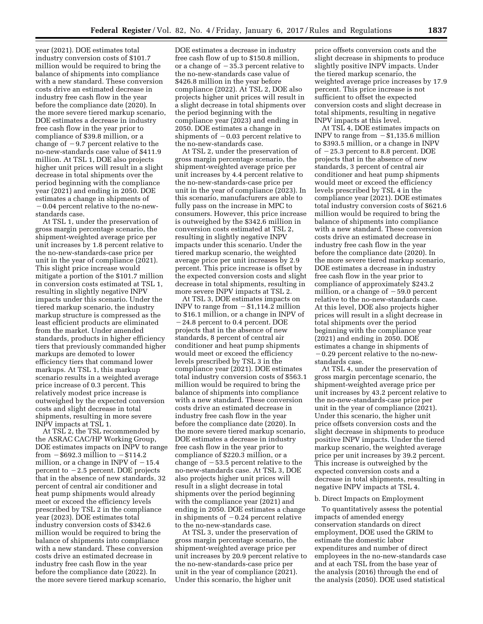year (2021). DOE estimates total industry conversion costs of \$101.7 million would be required to bring the balance of shipments into compliance with a new standard. These conversion costs drive an estimated decrease in industry free cash flow in the year before the compliance date (2020). In the more severe tiered markup scenario, DOE estimates a decrease in industry free cash flow in the year prior to compliance of \$39.8 million, or a change of  $-9.7$  percent relative to the no-new-standards case value of \$411.9 million. At TSL 1, DOE also projects higher unit prices will result in a slight decrease in total shipments over the period beginning with the compliance year (2021) and ending in 2050. DOE estimates a change in shipments of  $-0.04$  percent relative to the no-newstandards case.

At TSL 1, under the preservation of gross margin percentage scenario, the shipment-weighted average price per unit increases by 1.8 percent relative to the no-new-standards-case price per unit in the year of compliance (2021). This slight price increase would mitigate a portion of the \$101.7 million in conversion costs estimated at TSL 1, resulting in slightly negative INPV impacts under this scenario. Under the tiered markup scenario, the industry markup structure is compressed as the least efficient products are eliminated from the market. Under amended standards, products in higher efficiency tiers that previously commanded higher markups are demoted to lower efficiency tiers that command lower markups. At TSL 1, this markup scenario results in a weighted average price increase of 0.3 percent. This relatively modest price increase is outweighed by the expected conversion costs and slight decrease in total shipments, resulting in more severe INPV impacts at TSL 1.

At TSL 2, the TSL recommended by the ASRAC CAC/HP Working Group, DOE estimates impacts on INPV to range from  $-$  \$692.3 million to  $-$  \$114.2 million, or a change in INPV of  $-15.4$ percent to  $-2.5$  percent. DOE projects that in the absence of new standards, 32 percent of central air conditioner and heat pump shipments would already meet or exceed the efficiency levels prescribed by TSL 2 in the compliance year (2023). DOE estimates total industry conversion costs of \$342.6 million would be required to bring the balance of shipments into compliance with a new standard. These conversion costs drive an estimated decrease in industry free cash flow in the year before the compliance date (2022). In the more severe tiered markup scenario,

DOE estimates a decrease in industry free cash flow of up to \$150.8 million, or a change of  $-35.3$  percent relative to the no-new-standards case value of \$426.8 million in the year before compliance (2022). At TSL 2, DOE also projects higher unit prices will result in a slight decrease in total shipments over the period beginning with the compliance year (2023) and ending in 2050. DOE estimates a change in shipments of  $-0.03$  percent relative to the no-new-standards case.

At TSL 2, under the preservation of gross margin percentage scenario, the shipment-weighted average price per unit increases by 4.4 percent relative to the no-new-standards-case price per unit in the year of compliance (2023). In this scenario, manufacturers are able to fully pass on the increase in MPC to consumers. However, this price increase is outweighed by the \$342.6 million in conversion costs estimated at TSL 2, resulting in slightly negative INPV impacts under this scenario. Under the tiered markup scenario, the weighted average price per unit increases by 2.9 percent. This price increase is offset by the expected conversion costs and slight decrease in total shipments, resulting in more severe INPV impacts at TSL 2.

At TSL 3, DOE estimates impacts on INPV to range from  $- $1,114.2$  million to \$16.1 million, or a change in INPV of  $-24.8$  percent to 0.4 percent. DOE projects that in the absence of new standards, 8 percent of central air conditioner and heat pump shipments would meet or exceed the efficiency levels prescribed by TSL 3 in the compliance year (2021). DOE estimates total industry conversion costs of \$563.1 million would be required to bring the balance of shipments into compliance with a new standard. These conversion costs drive an estimated decrease in industry free cash flow in the year before the compliance date (2020). In the more severe tiered markup scenario, DOE estimates a decrease in industry free cash flow in the year prior to compliance of \$220.3 million, or a change of  $-53.5$  percent relative to the no-new-standards case. At TSL 3, DOE also projects higher unit prices will result in a slight decrease in total shipments over the period beginning with the compliance year (2021) and ending in 2050. DOE estimates a change in shipments of  $-0.24$  percent relative to the no-new-standards case.

At TSL 3, under the preservation of gross margin percentage scenario, the shipment-weighted average price per unit increases by 20.9 percent relative to the no-new-standards-case price per unit in the year of compliance (2021). Under this scenario, the higher unit

price offsets conversion costs and the slight decrease in shipments to produce slightly positive INPV impacts. Under the tiered markup scenario, the weighted average price increases by 17.9 percent. This price increase is not sufficient to offset the expected conversion costs and slight decrease in total shipments, resulting in negative INPV impacts at this level.

At TSL 4, DOE estimates impacts on INPV to range from  $-\$1,135.6$  million to \$393.5 million, or a change in INPV of  $-25.3$  percent to 8.8 percent. DOE projects that in the absence of new standards, 3 percent of central air conditioner and heat pump shipments would meet or exceed the efficiency levels prescribed by TSL 4 in the compliance year (2021). DOE estimates total industry conversion costs of \$621.6 million would be required to bring the balance of shipments into compliance with a new standard. These conversion costs drive an estimated decrease in industry free cash flow in the year before the compliance date (2020). In the more severe tiered markup scenario, DOE estimates a decrease in industry free cash flow in the year prior to compliance of approximately \$243.2 million, or a change of  $-59.0$  percent relative to the no-new-standards case. At this level, DOE also projects higher prices will result in a slight decrease in total shipments over the period beginning with the compliance year (2021) and ending in 2050. DOE estimates a change in shipments of  $-0.29$  percent relative to the no-newstandards case.

At TSL 4, under the preservation of gross margin percentage scenario, the shipment-weighted average price per unit increases by 43.2 percent relative to the no-new-standards-case price per unit in the year of compliance (2021). Under this scenario, the higher unit price offsets conversion costs and the slight decrease in shipments to produce positive INPV impacts. Under the tiered markup scenario, the weighted average price per unit increases by 39.2 percent. This increase is outweighed by the expected conversion costs and a decrease in total shipments, resulting in negative INPV impacts at TSL 4.

### b. Direct Impacts on Employment

To quantitatively assess the potential impacts of amended energy conservation standards on direct employment, DOE used the GRIM to estimate the domestic labor expenditures and number of direct employees in the no-new-standards case and at each TSL from the base year of the analysis (2016) through the end of the analysis (2050). DOE used statistical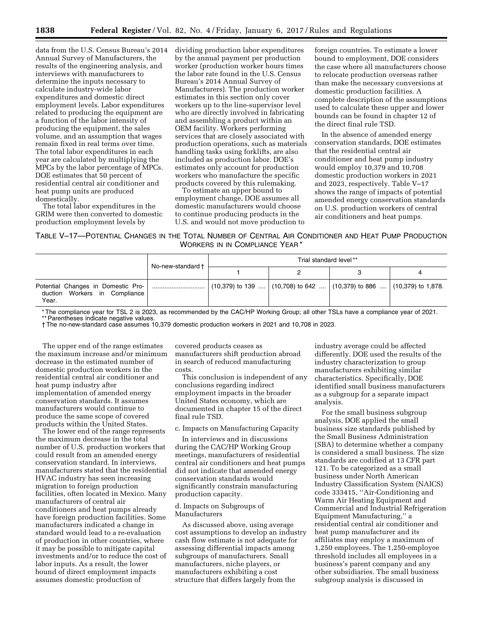data from the U.S. Census Bureau's 2014 Annual Survey of Manufacturers, the results of the engineering analysis, and interviews with manufacturers to determine the inputs necessary to calculate industry-wide labor expenditures and domestic direct employment levels. Labor expenditures related to producing the equipment are a function of the labor intensity of producing the equipment, the sales volume, and an assumption that wages remain fixed in real terms over time. The total labor expenditures in each year are calculated by multiplying the MPCs by the labor percentage of MPCs. DOE estimates that 50 percent of residential central air conditioner and heat pump units are produced domestically.

The total labor expenditures in the GRIM were then converted to domestic production employment levels by

dividing production labor expenditures by the annual payment per production worker (production worker hours times the labor rate found in the U.S. Census Bureau's 2014 Annual Survey of Manufacturers). The production worker estimates in this section only cover workers up to the line-supervisor level who are directly involved in fabricating and assembling a product within an OEM facility. Workers performing services that are closely associated with production operations, such as materials handling tasks using forklifts, are also included as production labor. DOE's estimates only account for production workers who manufacture the specific products covered by this rulemaking.

To estimate an upper bound to employment change, DOE assumes all domestic manufacturers would choose to continue producing products in the U.S. and would not move production to

foreign countries. To estimate a lower bound to employment, DOE considers the case where all manufacturers choose to relocate production overseas rather than make the necessary conversions at domestic production facilities. A complete description of the assumptions used to calculate these upper and lower bounds can be found in chapter 12 of the direct final rule TSD.

In the absence of amended energy conservation standards, DOE estimates that the residential central air conditioner and heat pump industry would employ 10,379 and 10,708 domestic production workers in 2021 and 2023, respectively. Table V–17 shows the range of impacts of potential amended energy conservation standards on U.S. production workers of central air conditioners and heat pumps.

# TABLE V–17—POTENTIAL CHANGES IN THE TOTAL NUMBER OF CENTRAL AIR CONDITIONER AND HEAT PUMP PRODUCTION WORKERS IN IN COMPLIANCE YEAR \*

|                                                                              | No-new-standard† | Trial standard level**                                                     |  |
|------------------------------------------------------------------------------|------------------|----------------------------------------------------------------------------|--|
|                                                                              |                  |                                                                            |  |
| Potential Changes in Domestic Pro-<br>duction Workers in Compliance<br>Year. |                  | $(10,379)$ to 139 $(10,708)$ to 642 $(10,379)$ to 886 $(10,379)$ to 1,878. |  |

\* The compliance year for TSL 2 is 2023, as recommended by the CAC/HP Working Group; all other TSLs have a compliance year of 2021.

\*\* Parentheses indicate negative values.

† The no-new-standard case assumes 10,379 domestic production workers in 2021 and 10,708 in 2023.

The upper end of the range estimates the maximum increase and/or minimum decrease in the estimated number of domestic production workers in the residential central air conditioner and heat pump industry after implementation of amended energy conservation standards. It assumes manufacturers would continue to produce the same scope of covered products within the United States.

The lower end of the range represents the maximum decrease in the total number of U.S. production workers that could result from an amended energy conservation standard. In interviews, manufacturers stated that the residential HVAC industry has seen increasing migration to foreign production facilities, often located in Mexico. Many manufacturers of central air conditioners and heat pumps already have foreign production facilities. Some manufacturers indicated a change in standard would lead to a re-evaluation of production in other countries, where it may be possible to mitigate capital investments and/or to reduce the cost of labor inputs. As a result, the lower bound of direct employment impacts assumes domestic production of

covered products ceases as manufacturers shift production abroad in search of reduced manufacturing costs.

This conclusion is independent of any conclusions regarding indirect employment impacts in the broader United States economy, which are documented in chapter 15 of the direct final rule TSD.

c. Impacts on Manufacturing Capacity

In interviews and in discussions during the CAC/HP Working Group meetings, manufacturers of residential central air conditioners and heat pumps did not indicate that amended energy conservation standards would significantly constrain manufacturing production capacity.

# d. Impacts on Subgroups of Manufacturers

As discussed above, using average cost assumptions to develop an industry cash flow estimate is not adequate for assessing differential impacts among subgroups of manufacturers. Small manufacturers, niche players, or manufacturers exhibiting a cost structure that differs largely from the

industry average could be affected differently. DOE used the results of the industry characterization to group manufacturers exhibiting similar characteristics. Specifically, DOE identified small business manufacturers as a subgroup for a separate impact analysis.

For the small business subgroup analysis, DOE applied the small business size standards published by the Small Business Administration (SBA) to determine whether a company is considered a small business. The size standards are codified at 13 CFR part 121. To be categorized as a small business under North American Industry Classification System (NAICS) code 333415, ''Air-Conditioning and Warm Air Heating Equipment and Commercial and Industrial Refrigeration Equipment Manufacturing,'' a residential central air conditioner and heat pump manufacturer and its affiliates may employ a maximum of 1,250 employees. The 1,250-employee threshold includes all employees in a business's parent company and any other subsidiaries. The small business subgroup analysis is discussed in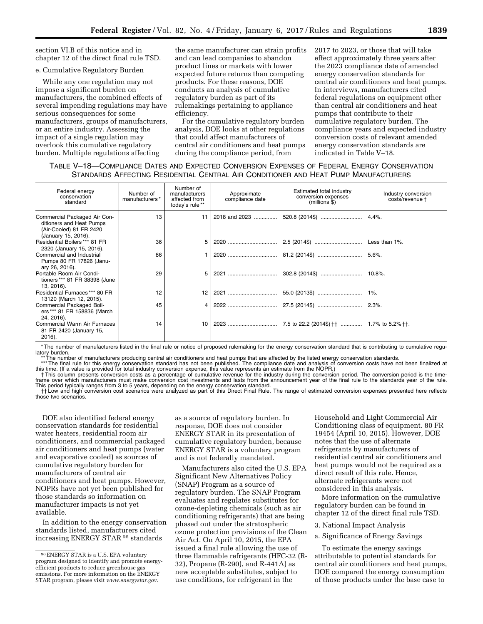section VI.B of this notice and in chapter 12 of the direct final rule TSD.

#### e. Cumulative Regulatory Burden

While any one regulation may not impose a significant burden on manufacturers, the combined effects of several impending regulations may have serious consequences for some manufacturers, groups of manufacturers, or an entire industry. Assessing the impact of a single regulation may overlook this cumulative regulatory burden. Multiple regulations affecting

the same manufacturer can strain profits and can lead companies to abandon product lines or markets with lower expected future returns than competing products. For these reasons, DOE conducts an analysis of cumulative regulatory burden as part of its rulemakings pertaining to appliance efficiency.

For the cumulative regulatory burden analysis, DOE looks at other regulations that could affect manufacturers of central air conditioners and heat pumps during the compliance period, from

2017 to 2023, or those that will take effect approximately three years after the 2023 compliance date of amended energy conservation standards for central air conditioners and heat pumps. In interviews, manufacturers cited federal regulations on equipment other than central air conditioners and heat pumps that contribute to their cumulative regulatory burden. The compliance years and expected industry conversion costs of relevant amended energy conservation standards are indicated in Table V–18.

# TABLE V–18—COMPLIANCE DATES AND EXPECTED CONVERSION EXPENSES OF FEDERAL ENERGY CONSERVATION STANDARDS AFFECTING RESIDENTIAL CENTRAL AIR CONDITIONER AND HEAT PUMP MANUFACTURERS

| Federal energy<br>conservation<br>standard                                                                 | Number of<br>manufacturers* | Number of<br>manufacturers<br>affected from<br>today's rule ** | Approximate<br>compliance date | Estimated total industry<br>conversion expenses<br>$(millions$ \$) | Industry conversion<br>costs/revenue t |
|------------------------------------------------------------------------------------------------------------|-----------------------------|----------------------------------------------------------------|--------------------------------|--------------------------------------------------------------------|----------------------------------------|
| Commercial Packaged Air Con-<br>ditioners and Heat Pumps<br>(Air-Cooled) 81 FR 2420<br>(January 15, 2016). | 13                          | 11                                                             | 2018 and 2023                  | 520.8 (2014\$)                                                     | 4.4%                                   |
| Residential Boilers *** 81 FR<br>2320 (January 15, 2016).                                                  | 36                          | 5                                                              |                                |                                                                    | Less than 1%.                          |
| Commercial and Industrial<br>Pumps 80 FR 17826 (Janu-<br>ary 26, 2016).                                    | 86                          |                                                                |                                |                                                                    | 5.6%                                   |
| Portable Room Air Condi-<br>tioners *** 81 FR 38398 (June<br>13, 2016).                                    | 29                          | 5                                                              |                                |                                                                    | 10.8%                                  |
| Residential Furnaces *** 80 FR<br>13120 (March 12, 2015).                                                  | 12                          | 12                                                             |                                |                                                                    | $1\%$ .                                |
| Commercial Packaged Boil-<br>ers *** 81 FR 158836 (March<br>24, 2016).                                     | 45                          | 4                                                              |                                |                                                                    | 2.3%                                   |
| <b>Commercial Warm Air Furnaces</b><br>81 FR 2420 (January 15,<br>2016).                                   | 14                          | 10                                                             |                                | 7.5 to 22.2 (2014\$)                                               | 1.7% to 5.2% <sup>++</sup> .           |

\* The number of manufacturers listed in the final rule or notice of proposed rulemaking for the energy conservation standard that is contributing to cumulative regulatory burden.<br>\*\* The number of manufacturers producing central air conditioners and heat pumps that are affected by the listed energy conservation standards.

\*\*\*The final rule for this energy conservation standard has not been published. The compliance date and analysis of conversion costs have not been finalized at<br>this time. (If a value is provided for total industry conversi

frame over which manufacturers must make conversion cost investments and lasts from the announcement year of the final rule to the standards year of the rule. This period typically ranges from 3 to 5 years, depending on the energy conservation standard.<br>T† Low and high conversion cost scenarios were analyzed as part of this Direct Final Rule. The range of estimated conversion ex

those two scenarios.

DOE also identified federal energy conservation standards for residential water heaters, residential room air conditioners, and commercial packaged air conditioners and heat pumps (water and evaporative cooled) as sources of cumulative regulatory burden for manufacturers of central air conditioners and heat pumps. However, NOPRs have not yet been published for those standards so information on manufacturer impacts is not yet available.

In addition to the energy conservation standards listed, manufacturers cited increasing ENERGY STAR <sup>96</sup> standards

as a source of regulatory burden. In response, DOE does not consider ENERGY STAR in its presentation of cumulative regulatory burden, because ENERGY STAR is a voluntary program and is not federally mandated.

Manufacturers also cited the U.S. EPA Significant New Alternatives Policy (SNAP) Program as a source of regulatory burden. The SNAP Program evaluates and regulates substitutes for ozone-depleting chemicals (such as air conditioning refrigerants) that are being phased out under the stratospheric ozone protection provisions of the Clean Air Act. On April 10, 2015, the EPA issued a final rule allowing the use of three flammable refrigerants (HFC-32 (R-32), Propane (R-290), and R-441A) as new acceptable substitutes, subject to use conditions, for refrigerant in the

Household and Light Commercial Air Conditioning class of equipment. 80 FR 19454 (April 10, 2015). However, DOE notes that the use of alternate refrigerants by manufacturers of residential central air conditioners and heat pumps would not be required as a direct result of this rule. Hence, alternate refrigerants were not considered in this analysis.

More information on the cumulative regulatory burden can be found in chapter 12 of the direct final rule TSD.

3. National Impact Analysis

a. Significance of Energy Savings

To estimate the energy savings attributable to potential standards for central air conditioners and heat pumps, DOE compared the energy consumption of those products under the base case to

<sup>96</sup>ENERGY STAR is a U.S. EPA voluntary program designed to identify and promote energyefficient products to reduce greenhouse gas emissions. For more information on the ENERGY STAR program, please visit *[www.energystar.gov.](http://www.energystar.gov)*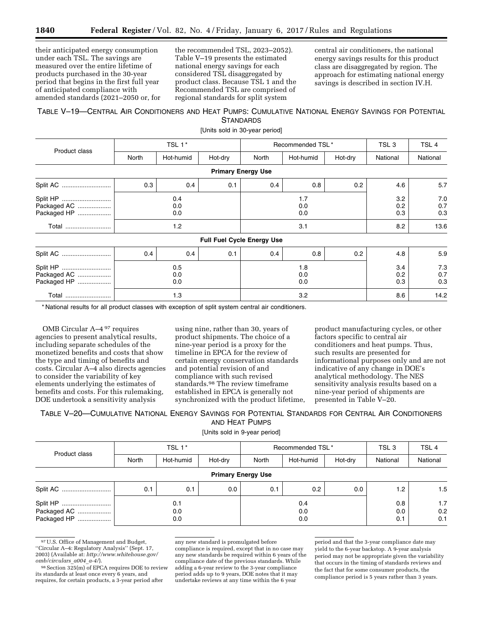their anticipated energy consumption under each TSL. The savings are measured over the entire lifetime of products purchased in the 30-year period that begins in the first full year of anticipated compliance with amended standards (2021–2050 or, for the recommended TSL, 2023–2052). Table V–19 presents the estimated national energy savings for each considered TSL disaggregated by product class. Because TSL 1 and the Recommended TSL are comprised of regional standards for split system

central air conditioners, the national energy savings results for this product class are disaggregated by region. The approach for estimating national energy savings is described in section IV.H.

# TABLE V–19—CENTRAL AIR CONDITIONERS AND HEAT PUMPS: CUMULATIVE NATIONAL ENERGY SAVINGS FOR POTENTIAL **STANDARDS**

[Units sold in 30-year period]

|                            |                   | TSL 1*    |                   |                                   | Recommended TSL* |                   | TSL <sub>3</sub>  | TSL <sub>4</sub>  |
|----------------------------|-------------------|-----------|-------------------|-----------------------------------|------------------|-------------------|-------------------|-------------------|
| Product class              | North             | Hot-humid | Hot-dry           | North                             | Hot-humid        | Hot-dry           | National          | National          |
|                            |                   |           |                   | <b>Primary Energy Use</b>         |                  |                   |                   |                   |
|                            | 0.3               | 0.4       | 0.1               | 0.4                               | 0.8              | 0.2               | 4.6               | 5.7               |
| Packaged AC<br>Packaged HP | 0.4<br>0.0<br>0.0 |           |                   | 1.7<br>0.0<br>0.0                 |                  |                   | 3.2<br>0.2<br>0.3 | 7.0<br>0.7<br>0.3 |
| Total                      | 1.2               |           |                   | 3.1                               |                  |                   | 8.2               | 13.6              |
|                            |                   |           |                   | <b>Full Fuel Cycle Energy Use</b> |                  |                   |                   |                   |
| Split AC                   | 0.4               | 0.4       | 0.1               | 0.4                               | 0.8              | 0.2               | 4.8               | 5.9               |
| Packaged AC<br>Packaged HP | 0.5<br>0.0<br>0.0 |           | 1.8<br>0.0<br>0.0 |                                   |                  | 3.4<br>0.2<br>0.3 | 7.3<br>0.7<br>0.3 |                   |
| Total                      |                   | 1.3       | 3.2               |                                   |                  | 8.6               | 14.2              |                   |

\* National results for all product classes with exception of split system central air conditioners.

OMB Circular A–4 97 requires agencies to present analytical results, including separate schedules of the monetized benefits and costs that show the type and timing of benefits and costs. Circular A–4 also directs agencies to consider the variability of key elements underlying the estimates of benefits and costs. For this rulemaking, DOE undertook a sensitivity analysis

using nine, rather than 30, years of product shipments. The choice of a nine-year period is a proxy for the timeline in EPCA for the review of certain energy conservation standards and potential revision of and compliance with such revised standards.98 The review timeframe established in EPCA is generally not synchronized with the product lifetime,

product manufacturing cycles, or other factors specific to central air conditioners and heat pumps. Thus, such results are presented for informational purposes only and are not indicative of any change in DOE's analytical methodology. The NES sensitivity analysis results based on a nine-year period of shipments are presented in Table V–20.

### TABLE V–20—CUMULATIVE NATIONAL ENERGY SAVINGS FOR POTENTIAL STANDARDS FOR CENTRAL AIR CONDITIONERS AND HEAT PUMPS

[Units sold in 9-year period]

| Product class             | TSL 1*       |           |         | Recommended TSL* |           |         | TSL <sub>3</sub> | TSL <sub>4</sub> |  |
|---------------------------|--------------|-----------|---------|------------------|-----------|---------|------------------|------------------|--|
|                           | <b>North</b> | Hot-humid | Hot-dry | North            | Hot-humid | Hot-dry | National         | National         |  |
| <b>Primary Energy Use</b> |              |           |         |                  |           |         |                  |                  |  |
|                           | 0.1          | 0.1       | 0.0     | 0.1              | 0.2       | 0.0     | 1.2              | 1.5              |  |
|                           | 0.1          |           |         | 0.4              |           |         | 0.8              | 1.7              |  |
| Packaged AC               | 0.0          |           | 0.0     |                  |           | 0.0     | 0.2              |                  |  |
| Packaged HP               | 0.0          |           |         | 0.0              |           |         | 0.1              | 0.1              |  |

<sup>97</sup>U.S. Office of Management and Budget, ''Circular A–4: Regulatory Analysis'' (Sept. 17, 2003) (Available at: *[http://www.whitehouse.gov/](http://www.whitehouse.gov/omb/circulars_a004_a-4/) [omb/circulars](http://www.whitehouse.gov/omb/circulars_a004_a-4/)*\_*a004*\_*a-4/*).

 $98$  Section  $325(m)$  of EPCA requires DOE to review its standards at least once every 6 years, and requires, for certain products, a 3-year period after

any new standard is promulgated before compliance is required, except that in no case may any new standards be required within 6 years of the compliance date of the previous standards. While adding a 6-year review to the 3-year compliance period adds up to 9 years, DOE notes that it may undertake reviews at any time within the 6 year

period and that the 3-year compliance date may yield to the 6-year backstop. A 9-year analysis period may not be appropriate given the variability that occurs in the timing of standards reviews and the fact that for some consumer products, the compliance period is 5 years rather than 3 years.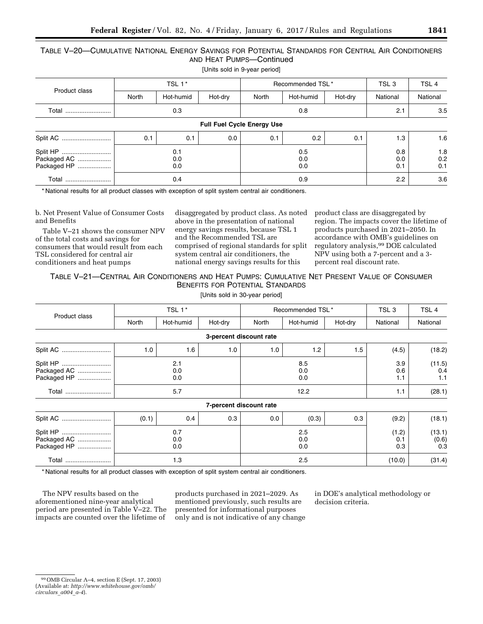# TABLE V–20—CUMULATIVE NATIONAL ENERGY SAVINGS FOR POTENTIAL STANDARDS FOR CENTRAL AIR CONDITIONERS AND HEAT PUMPS—Continued

| [Units sold in 9-year period] |  |
|-------------------------------|--|
|-------------------------------|--|

| Product class                          | TSL 1*            |           |                   | Recommended TSL* |           |                   | TSL <sub>3</sub>  | TSL <sub>4</sub> |  |
|----------------------------------------|-------------------|-----------|-------------------|------------------|-----------|-------------------|-------------------|------------------|--|
|                                        | North             | Hot-humid | Hot-dry           | North            | Hot-humid | Hot-dry           | National          | National         |  |
| Total                                  | 0.3               |           |                   | 0.8              |           |                   | 2.1               | 3.5              |  |
| <b>Full Fuel Cycle Energy Use</b>      |                   |           |                   |                  |           |                   |                   |                  |  |
| Split AC                               | 0.1               | 0.1       | 0.0               | 0.1              | 0.2       | 0.1               | 1.3               | 1.6              |  |
| Split HP<br>Packaged AC<br>Packaged HP | 0.1<br>0.0<br>0.0 |           | 0.5<br>0.0<br>0.0 |                  |           | 0.8<br>0.0<br>0.1 | 1.8<br>0.2<br>0.1 |                  |  |
| Total                                  | 0.4               |           |                   | 0.9              |           |                   | $2.2^{\circ}$     | 3.6              |  |

\* National results for all product classes with exception of split system central air conditioners.

b. Net Present Value of Consumer Costs and Benefits

Table V–21 shows the consumer NPV of the total costs and savings for consumers that would result from each TSL considered for central air conditioners and heat pumps

disaggregated by product class. As noted above in the presentation of national energy savings results, because TSL 1 and the Recommended TSL are comprised of regional standards for split system central air conditioners, the national energy savings results for this

product class are disaggregated by region. The impacts cover the lifetime of products purchased in 2021–2050. In accordance with OMB's guidelines on regulatory analysis,99 DOE calculated NPV using both a 7-percent and a 3 percent real discount rate.

TABLE V–21—CENTRAL AIR CONDITIONERS AND HEAT PUMPS: CUMULATIVE NET PRESENT VALUE OF CONSUMER BENEFITS FOR POTENTIAL STANDARDS

[Units sold in 30-year period]

|                                        |                   | TSL 1*    |                   |                         | Recommended TSL* |                     | TSL <sub>3</sub>       | TSL <sub>4</sub>     |
|----------------------------------------|-------------------|-----------|-------------------|-------------------------|------------------|---------------------|------------------------|----------------------|
| Product class                          | North             | Hot-humid | Hot-dry           | North                   | Hot-humid        | Hot-dry             | National               | National             |
|                                        |                   |           |                   | 3-percent discount rate |                  |                     |                        |                      |
|                                        | 1.0               | 1.6       | 1.0               | 1.0                     | 1.2              | 1.5                 | (4.5)                  | (18.2)               |
| Split HP<br>Packaged AC<br>Packaged HP | 2.1<br>0.0<br>0.0 |           |                   | 8.5<br>0.0<br>0.0       |                  |                     | 3.9<br>0.6<br>1.1      | (11.5)<br>0.4<br>1.1 |
| Total                                  | 5.7               |           |                   | 12.2                    |                  |                     | 1.1                    | (28.1)               |
|                                        |                   |           |                   | 7-percent discount rate |                  |                     |                        |                      |
| Split AC                               | (0.1)             | 0.4       | 0.3               | 0.0                     | (0.3)            | 0.3                 | (9.2)                  | (18.1)               |
| Packaged AC<br>Packaged HP             | 0.7<br>0.0<br>0.0 |           | 2.5<br>0.0<br>0.0 |                         |                  | (1.2)<br>0.1<br>0.3 | (13.1)<br>(0.6)<br>0.3 |                      |
| Total                                  |                   | 1.3       |                   | 2.5                     |                  |                     | (10.0)                 | (31.4)               |

\* National results for all product classes with exception of split system central air conditioners.

The NPV results based on the aforementioned nine-year analytical period are presented in Table V–22. The impacts are counted over the lifetime of

products purchased in 2021–2029. As mentioned previously, such results are presented for informational purposes only and is not indicative of any change in DOE's analytical methodology or decision criteria.

<sup>99</sup>OMB Circular A–4, section E (Sept. 17, 2003) (Available at: *[http://www.whitehouse.gov/omb/](http://www.whitehouse.gov/omb/circulars_a004_a-4)* 

*[circulars](http://www.whitehouse.gov/omb/circulars_a004_a-4)*\_*a004*\_*a-4*).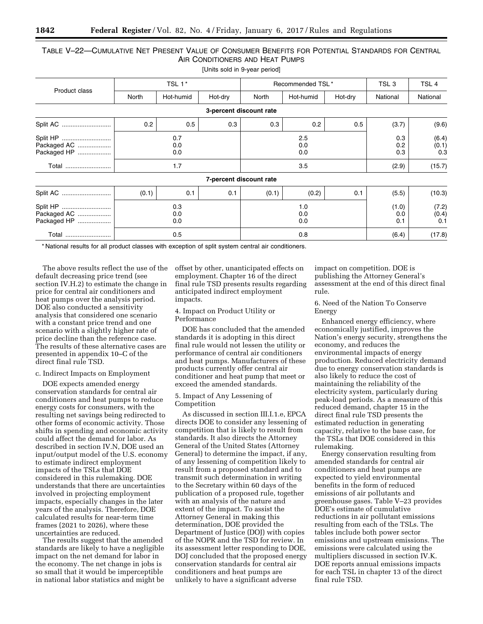# TABLE V–22—CUMULATIVE NET PRESENT VALUE OF CONSUMER BENEFITS FOR POTENTIAL STANDARDS FOR CENTRAL AIR CONDITIONERS AND HEAT PUMPS

|                            |                   | TSL 1*    |                   |                               | Recommended TSL* |                     | TSL <sub>3</sub>      | TSL <sub>4</sub>      |
|----------------------------|-------------------|-----------|-------------------|-------------------------------|------------------|---------------------|-----------------------|-----------------------|
| Product class              | North             | Hot-humid | Hot-dry           | Hot-humid<br>North<br>Hot-dry |                  |                     | National              | National              |
|                            |                   |           |                   | 3-percent discount rate       |                  |                     |                       |                       |
| Split AC                   | 0.2               | 0.5       | 0.3               | 0.3                           | 0.2              | 0.5                 | (3.7)                 | (9.6)                 |
| Packaged AC<br>Packaged HP | 0.7<br>0.0<br>0.0 |           |                   | 2.5<br>0.0<br>0.0             |                  |                     | 0.3<br>0.2<br>0.3     | (6.4)<br>(0.1)<br>0.3 |
| Total                      | 1.7               |           |                   | 3.5                           |                  |                     | (2.9)                 | (15.7)                |
|                            |                   |           |                   | 7-percent discount rate       |                  |                     |                       |                       |
| Split AC                   | (0.1)             | 0.1       | 0.1               | (0.1)                         | (0.2)            | 0.1                 | (5.5)                 | (10.3)                |
| Packaged AC<br>Packaged HP | 0.3<br>0.0<br>0.0 |           | 1.0<br>0.0<br>0.0 |                               |                  | (1.0)<br>0.0<br>0.1 | (7.2)<br>(0.4)<br>0.1 |                       |
| Total                      |                   | 0.5       |                   | 0.8                           |                  |                     | (6.4)                 | (17.8)                |

\* National results for all product classes with exception of split system central air conditioners.

The above results reflect the use of the default decreasing price trend (see section IV.H.2) to estimate the change in price for central air conditioners and heat pumps over the analysis period. DOE also conducted a sensitivity analysis that considered one scenario with a constant price trend and one scenario with a slightly higher rate of price decline than the reference case. The results of these alternative cases are presented in appendix 10–C of the direct final rule TSD.

#### c. Indirect Impacts on Employment

DOE expects amended energy conservation standards for central air conditioners and heat pumps to reduce energy costs for consumers, with the resulting net savings being redirected to other forms of economic activity. Those shifts in spending and economic activity could affect the demand for labor. As described in section IV.N, DOE used an input/output model of the U.S. economy to estimate indirect employment impacts of the TSLs that DOE considered in this rulemaking. DOE understands that there are uncertainties involved in projecting employment impacts, especially changes in the later years of the analysis. Therefore, DOE calculated results for near-term time frames (2021 to 2026), where these uncertainties are reduced.

The results suggest that the amended standards are likely to have a negligible impact on the net demand for labor in the economy. The net change in jobs is so small that it would be imperceptible in national labor statistics and might be

offset by other, unanticipated effects on employment. Chapter 16 of the direct final rule TSD presents results regarding anticipated indirect employment impacts.

### 4. Impact on Product Utility or Performance

DOE has concluded that the amended standards it is adopting in this direct final rule would not lessen the utility or performance of central air conditioners and heat pumps. Manufacturers of these products currently offer central air conditioner and heat pump that meet or exceed the amended standards.

### 5. Impact of Any Lessening of Competition

As discussed in section III.I.1.e, EPCA directs DOE to consider any lessening of competition that is likely to result from standards. It also directs the Attorney General of the United States (Attorney General) to determine the impact, if any, of any lessening of competition likely to result from a proposed standard and to transmit such determination in writing to the Secretary within 60 days of the publication of a proposed rule, together with an analysis of the nature and extent of the impact. To assist the Attorney General in making this determination, DOE provided the Department of Justice (DOJ) with copies of the NOPR and the TSD for review. In its assessment letter responding to DOE, DOJ concluded that the proposed energy conservation standards for central air conditioners and heat pumps are unlikely to have a significant adverse

impact on competition. DOE is publishing the Attorney General's assessment at the end of this direct final rule.

6. Need of the Nation To Conserve Energy

Enhanced energy efficiency, where economically justified, improves the Nation's energy security, strengthens the economy, and reduces the environmental impacts of energy production. Reduced electricity demand due to energy conservation standards is also likely to reduce the cost of maintaining the reliability of the electricity system, particularly during peak-load periods. As a measure of this reduced demand, chapter 15 in the direct final rule TSD presents the estimated reduction in generating capacity, relative to the base case, for the TSLs that DOE considered in this rulemaking.

Energy conservation resulting from amended standards for central air conditioners and heat pumps are expected to yield environmental benefits in the form of reduced emissions of air pollutants and greenhouse gases. Table V–23 provides DOE's estimate of cumulative reductions in air pollutant emissions resulting from each of the TSLs. The tables include both power sector emissions and upstream emissions. The emissions were calculated using the multipliers discussed in section IV.K. DOE reports annual emissions impacts for each TSL in chapter 13 of the direct final rule TSD.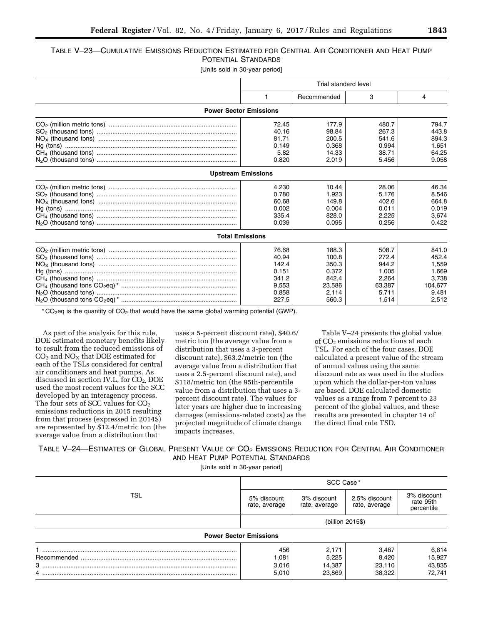| Table V—23—Cumulative Emissions Reduction Estimated for Central Air Conditioner and Heat Pump |                     |  |  |
|-----------------------------------------------------------------------------------------------|---------------------|--|--|
|                                                                                               | POTENTIAL STANDARDS |  |  |

[Units sold in 30-year period]

| Trial standard level                                                 |                                                                       |                                                                       |                                                                        |  |  |
|----------------------------------------------------------------------|-----------------------------------------------------------------------|-----------------------------------------------------------------------|------------------------------------------------------------------------|--|--|
|                                                                      | Recommended                                                           | 3                                                                     | 4                                                                      |  |  |
| <b>Power Sector Emissions</b>                                        |                                                                       |                                                                       |                                                                        |  |  |
| 72.45<br>40.16<br>81.71<br>0.149<br>5.82<br>0.820                    | 177.9<br>98.84<br>200.5<br>0.368<br>14.33<br>2.019                    | 480.7<br>267.3<br>541.6<br>0.994<br>38.71<br>5.456                    | 794.7<br>443.8<br>894.3<br>1.651<br>64.25<br>9.058                     |  |  |
| <b>Upstream Emissions</b>                                            |                                                                       |                                                                       |                                                                        |  |  |
| 4.230<br>0.780<br>60.68<br>0.002<br>335.4<br>0.039                   | 10.44<br>1.923<br>149.8<br>0.004<br>828.0<br>0.095                    | 28.06<br>5.176<br>402.6<br>0.011<br>2,225<br>0.256                    | 46.34<br>8.546<br>664.8<br>0.019<br>3,674<br>0.422                     |  |  |
| <b>Total Emissions</b>                                               |                                                                       |                                                                       |                                                                        |  |  |
| 76.68<br>40.94<br>142.4<br>0.151<br>341.2<br>9,553<br>0.858<br>227.5 | 188.3<br>100.8<br>350.3<br>0.372<br>842.4<br>23,586<br>2.114<br>560.3 | 508.7<br>272.4<br>944.2<br>1.005<br>2,264<br>63,387<br>5.711<br>1,514 | 841.0<br>452.4<br>1,559<br>1.669<br>3,738<br>104,677<br>9.481<br>2,512 |  |  |

 $*$  CO<sub>2</sub>eq is the quantity of CO<sub>2</sub> that would have the same global warming potential (GWP).

As part of the analysis for this rule, DOE estimated monetary benefits likely to result from the reduced emissions of  $\mathrm{CO}_2$  and  $\mathrm{NO_X}$  that DOE estimated for each of the TSLs considered for central air conditioners and heat pumps. As discussed in section IV.L, for CO<sub>2</sub>, DOE used the most recent values for the SCC developed by an interagency process. The four sets of SCC values for  $CO<sub>2</sub>$ emissions reductions in 2015 resulting from that process (expressed in 2014\$) are represented by \$12.4/metric ton (the average value from a distribution that

uses a 5-percent discount rate), \$40.6/ metric ton (the average value from a distribution that uses a 3-percent discount rate), \$63.2/metric ton (the average value from a distribution that uses a 2.5-percent discount rate), and \$118/metric ton (the 95th-percentile value from a distribution that uses a 3 percent discount rate). The values for later years are higher due to increasing damages (emissions-related costs) as the projected magnitude of climate change impacts increases.

Table V–24 presents the global value of  $CO<sub>2</sub>$  emissions reductions at each TSL. For each of the four cases, DOE calculated a present value of the stream of annual values using the same discount rate as was used in the studies upon which the dollar-per-ton values are based. DOE calculated domestic values as a range from 7 percent to 23 percent of the global values, and these results are presented in chapter 14 of the direct final rule TSD.

TABLE V-24—ESTIMATES OF GLOBAL PRESENT VALUE OF CO<sub>2</sub> EMISSIONS REDUCTION FOR CENTRAL AIR CONDITIONER AND HEAT PUMP POTENTIAL STANDARDS

[Units sold in 30-year period]

|     | SCC Case*                     |                              |                                |                                        |  |
|-----|-------------------------------|------------------------------|--------------------------------|----------------------------------------|--|
| TSL | 5% discount<br>rate, average  | 3% discount<br>rate, average | 2.5% discount<br>rate, average | 3% discount<br>rate 95th<br>percentile |  |
|     | (billion 2015\$)              |                              |                                |                                        |  |
|     | <b>Power Sector Emissions</b> |                              |                                |                                        |  |
|     | 456                           | 2,171                        | 3,487                          | 6,614                                  |  |
|     | 1,081                         | 5,225                        | 8,420                          | 15,927                                 |  |
| $3$ | 3,016                         | 14,387                       | 23,110                         | 43,835                                 |  |
| 4   | 5,010                         | 23,869                       | 38,322                         | 72,741                                 |  |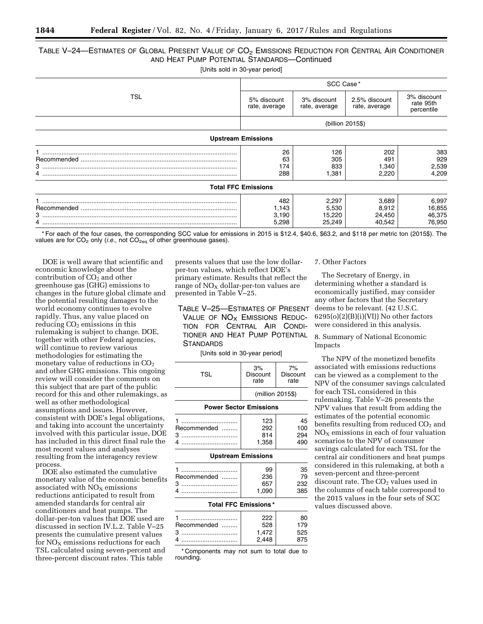# TABLE V-24—ESTIMATES OF GLOBAL PRESENT VALUE OF CO<sub>2</sub> EMISSIONS REDUCTION FOR CENTRAL AIR CONDITIONER AND HEAT PUMP POTENTIAL STANDARDS—Continued

[Units sold in 30-year period]

|                           | SCC Case*                      |                                    |                                    |                                        |  |  |  |  |
|---------------------------|--------------------------------|------------------------------------|------------------------------------|----------------------------------------|--|--|--|--|
| TSL                       | 5% discount<br>rate, average   | 3% discount<br>rate, average       | 2.5% discount<br>rate, average     | 3% discount<br>rate 95th<br>percentile |  |  |  |  |
|                           | (billion 2015\$)               |                                    |                                    |                                        |  |  |  |  |
| <b>Upstream Emissions</b> |                                |                                    |                                    |                                        |  |  |  |  |
|                           | 26<br>63<br>174<br>288         | 126<br>305<br>833<br>1,381         | 202<br>491<br>1,340<br>2,220       | 383<br>929<br>2,539<br>4,209           |  |  |  |  |
|                           | <b>Total FFC Emissions</b>     |                                    |                                    |                                        |  |  |  |  |
|                           | 482<br>1,143<br>3,190<br>5,298 | 2,297<br>5,530<br>15,220<br>25,249 | 3,689<br>8,912<br>24,450<br>40,542 | 6,997<br>16,855<br>46,375<br>76,950    |  |  |  |  |

\* For each of the four cases, the corresponding SCC value for emissions in 2015 is \$12.4, \$40.6, \$63.2, and \$118 per metric ton (2015\$). The values are for  $CO<sub>2</sub>$  only (*i.e.*, not  $CO<sub>2eq</sub>$  of other greenhouse gases).

DOE is well aware that scientific and economic knowledge about the contribution of  $CO<sub>2</sub>$  and other greenhouse gas (GHG) emissions to changes in the future global climate and the potential resulting damages to the world economy continues to evolve rapidly. Thus, any value placed on reducing  $CO<sub>2</sub>$  emissions in this rulemaking is subject to change. DOE, together with other Federal agencies, will continue to review various methodologies for estimating the monetary value of reductions in  $CO<sub>2</sub>$ and other GHG emissions. This ongoing review will consider the comments on this subject that are part of the public record for this and other rulemakings, as well as other methodological assumptions and issues. However, consistent with DOE's legal obligations, and taking into account the uncertainty involved with this particular issue, DOE has included in this direct final rule the most recent values and analyses resulting from the interagency review process.

DOE also estimated the cumulative monetary value of the economic benefits associated with  $NO<sub>x</sub>$  emissions reductions anticipated to result from amended standards for central air conditioners and heat pumps. The dollar-per-ton values that DOE used are discussed in section IV.L.2. Table V–25 presents the cumulative present values for  $NO<sub>x</sub>$  emissions reductions for each TSL calculated using seven-percent and three-percent discount rates. This table

presents values that use the low dollarper-ton values, which reflect DOE's primary estimate. Results that reflect the range of  $NO<sub>X</sub>$  dollar-per-ton values are presented in Table V–25.

TABLE V–25—ESTIMATES OF PRESENT VALUE OF  $NO<sub>x</sub>$  EMISSIONS REDUC-TION FOR CENTRAL AIR CONDI-TIONER AND HEAT PUMP POTENTIAL **STANDARDS** 

[Units sold in 30-year period]

| <b>TSL</b>                    | 3%<br>Discount<br>rate | 7%<br>Discount<br>rate |  |  |  |  |  |
|-------------------------------|------------------------|------------------------|--|--|--|--|--|
|                               | (million 2015\$)       |                        |  |  |  |  |  |
| <b>Power Sector Emissions</b> |                        |                        |  |  |  |  |  |
|                               | 123                    | 45                     |  |  |  |  |  |
| Recommended                   | 292                    | 100                    |  |  |  |  |  |
| з                             | 814                    | 294                    |  |  |  |  |  |
|                               | 1,358                  | 490                    |  |  |  |  |  |
| <b>Upstream Emissions</b>     |                        |                        |  |  |  |  |  |

#### **Total FFC Emissions \***

|             | 222   |      |
|-------------|-------|------|
| Recommended | 528   |      |
| З           | 1.472 | הילו |
|             | 2.448 |      |

\* Components may not sum to total due to rounding.

### 7. Other Factors

The Secretary of Energy, in determining whether a standard is economically justified, may consider any other factors that the Secretary deems to be relevant. (42 U.S.C.  $6295(o)(2)(B)(i)(V1))$  No other factors were considered in this analysis.

8. Summary of National Economic Impacts

The NPV of the monetized benefits associated with emissions reductions can be viewed as a complement to the NPV of the consumer savings calculated for each TSL considered in this rulemaking. Table V–26 presents the NPV values that result from adding the estimates of the potential economic benefits resulting from reduced  $CO<sub>2</sub>$  and  $NO<sub>x</sub>$  emissions in each of four valuation scenarios to the NPV of consumer savings calculated for each TSL for the central air conditioners and heat pumps considered in this rulemaking, at both a seven-percent and three-percent discount rate. The  $CO<sub>2</sub>$  values used in the columns of each table correspond to the 2015 values in the four sets of SCC values discussed above.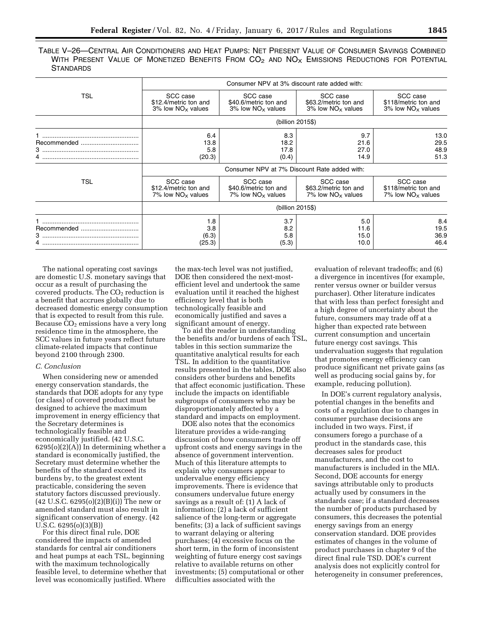TABLE V–26—CENTRAL AIR CONDITIONERS AND HEAT PUMPS: NET PRESENT VALUE OF CONSUMER SAVINGS COMBINED WITH PRESENT VALUE OF MONETIZED BENEFITS FROM  $CO<sub>2</sub>$  and  $NO<sub>X</sub>$  Emissions Reductions for Potential **STANDARDS** 

|            | Consumer NPV at 3% discount rate added with:                          |                                                                       |                                                                       |                                                                      |
|------------|-----------------------------------------------------------------------|-----------------------------------------------------------------------|-----------------------------------------------------------------------|----------------------------------------------------------------------|
| <b>TSL</b> | SCC case<br>\$12.4/metric ton and<br>$3\%$ low NO <sub>x</sub> values | SCC case<br>\$40.6/metric ton and<br>$3\%$ low NO <sub>x</sub> values | SCC case<br>\$63.2/metric ton and<br>$3\%$ low NO <sub>x</sub> values | SCC case<br>\$118/metric ton and<br>$3\%$ low NO <sub>x</sub> values |
|            |                                                                       | (billion 2015\$)                                                      |                                                                       |                                                                      |
|            | 6.4<br>13.8<br>5.8<br>(20.3)                                          | 8.3<br>18.2<br>17.8<br>(0.4)                                          | 9.7<br>21.6<br>27.0<br>14.9                                           | 13.0<br>29.5<br>48.9<br>51.3                                         |
|            | Consumer NPV at 7% Discount Rate added with:                          |                                                                       |                                                                       |                                                                      |
| <b>TSL</b> | SCC case<br>\$12.4/metric ton and<br>7% low $NO_x$ values             | SCC case<br>\$40.6/metric ton and<br>7% low $NO_x$ values             | SCC case<br>\$63.2/metric ton and<br>7% low $NO_x$ values             | SCC case<br>\$118/metric ton and<br>$7\%$ low NO <sub>x</sub> values |
|            | (billion 2015\$)                                                      |                                                                       |                                                                       |                                                                      |
| $3$        | 1.8<br>3.8<br>(6.3)<br>(25.3)                                         | 3.7<br>8.2<br>5.8<br>(5.3)                                            | 5.0<br>11.6<br>15.0<br>10.0                                           | 8.4<br>19.5<br>36.9<br>46.4                                          |

The national operating cost savings are domestic U.S. monetary savings that occur as a result of purchasing the covered products. The  $CO<sub>2</sub>$  reduction is a benefit that accrues globally due to decreased domestic energy consumption that is expected to result from this rule. Because  $CO<sub>2</sub>$  emissions have a very long residence time in the atmosphere, the SCC values in future years reflect future climate-related impacts that continue beyond 2100 through 2300.

### *C. Conclusion*

When considering new or amended energy conservation standards, the standards that DOE adopts for any type (or class) of covered product must be designed to achieve the maximum improvement in energy efficiency that the Secretary determines is technologically feasible and economically justified. (42 U.S.C.  $6295(o)(2)(A)$  In determining whether a standard is economically justified, the Secretary must determine whether the benefits of the standard exceed its burdens by, to the greatest extent practicable, considering the seven statutory factors discussed previously. (42 U.S.C. 6295(o)(2)(B)(i)) The new or amended standard must also result in significant conservation of energy. (42 U.S.C. 6295(o)(3)(B))

For this direct final rule, DOE considered the impacts of amended standards for central air conditioners and heat pumps at each TSL, beginning with the maximum technologically feasible level, to determine whether that level was economically justified. Where

the max-tech level was not justified, DOE then considered the next-mostefficient level and undertook the same evaluation until it reached the highest efficiency level that is both technologically feasible and economically justified and saves a significant amount of energy.

To aid the reader in understanding the benefits and/or burdens of each TSL, tables in this section summarize the quantitative analytical results for each TSL. In addition to the quantitative results presented in the tables, DOE also considers other burdens and benefits that affect economic justification. These include the impacts on identifiable subgroups of consumers who may be disproportionately affected by a standard and impacts on employment.

DOE also notes that the economics literature provides a wide-ranging discussion of how consumers trade off upfront costs and energy savings in the absence of government intervention. Much of this literature attempts to explain why consumers appear to undervalue energy efficiency improvements. There is evidence that consumers undervalue future energy savings as a result of: (1) A lack of information; (2) a lack of sufficient salience of the long-term or aggregate benefits; (3) a lack of sufficient savings to warrant delaying or altering purchases; (4) excessive focus on the short term, in the form of inconsistent weighting of future energy cost savings relative to available returns on other investments; (5) computational or other difficulties associated with the

evaluation of relevant tradeoffs; and (6) a divergence in incentives (for example, renter versus owner or builder versus purchaser). Other literature indicates that with less than perfect foresight and a high degree of uncertainty about the future, consumers may trade off at a higher than expected rate between current consumption and uncertain future energy cost savings. This undervaluation suggests that regulation that promotes energy efficiency can produce significant net private gains (as well as producing social gains by, for example, reducing pollution).

In DOE's current regulatory analysis, potential changes in the benefits and costs of a regulation due to changes in consumer purchase decisions are included in two ways. First, if consumers forego a purchase of a product in the standards case, this decreases sales for product manufacturers, and the cost to manufacturers is included in the MIA. Second, DOE accounts for energy savings attributable only to products actually used by consumers in the standards case; if a standard decreases the number of products purchased by consumers, this decreases the potential energy savings from an energy conservation standard. DOE provides estimates of changes in the volume of product purchases in chapter 9 of the direct final rule TSD. DOE's current analysis does not explicitly control for heterogeneity in consumer preferences,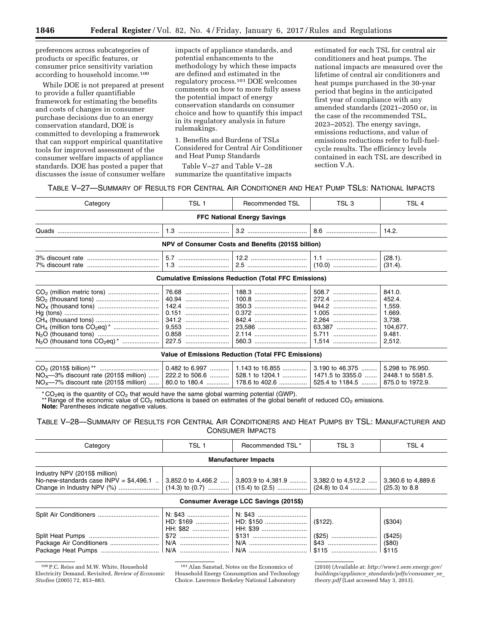preferences across subcategories of products or specific features, or consumer price sensitivity variation according to household income.100

While DOE is not prepared at present to provide a fuller quantifiable framework for estimating the benefits and costs of changes in consumer purchase decisions due to an energy conservation standard, DOE is committed to developing a framework that can support empirical quantitative tools for improved assessment of the consumer welfare impacts of appliance standards. DOE has posted a paper that discusses the issue of consumer welfare

impacts of appliance standards, and potential enhancements to the methodology by which these impacts are defined and estimated in the regulatory process.101 DOE welcomes comments on how to more fully assess the potential impact of energy conservation standards on consumer choice and how to quantify this impact in its regulatory analysis in future rulemakings.

1. Benefits and Burdens of TSLs Considered for Central Air Conditioner and Heat Pump Standards

Table V–27 and Table V–28 summarize the quantitative impacts

estimated for each TSL for central air conditioners and heat pumps. The national impacts are measured over the lifetime of central air conditioners and heat pumps purchased in the 30-year period that begins in the anticipated first year of compliance with any amended standards (2021–2050 or, in the case of the recommended TSL, 2023–2052). The energy savings, emissions reductions, and value of emissions reductions refer to full-fuelcycle results. The efficiency levels contained in each TSL are described in section V.A.

| Table V—27—Summary of Results for Central Air Conditioner and Heat Pump TSLs: National Impacts |  |  |
|------------------------------------------------------------------------------------------------|--|--|
|------------------------------------------------------------------------------------------------|--|--|

| Category                                            | TSL <sub>1</sub> | Recommended TSL<br>TSL 3                                    |                | TSL 4                                                                |  |  |  |
|-----------------------------------------------------|------------------|-------------------------------------------------------------|----------------|----------------------------------------------------------------------|--|--|--|
| <b>FFC National Energy Savings</b>                  |                  |                                                             |                |                                                                      |  |  |  |
|                                                     |                  |                                                             |                | 14.2.                                                                |  |  |  |
| NPV of Consumer Costs and Benefits (2015\$ billion) |                  |                                                             |                |                                                                      |  |  |  |
|                                                     |                  |                                                             |                | (28.1).<br>(31.4).                                                   |  |  |  |
|                                                     |                  | <b>Cumulative Emissions Reduction (Total FFC Emissions)</b> |                |                                                                      |  |  |  |
|                                                     |                  |                                                             | 508.7<br>1.005 | 841.0.<br>452.4.<br>1,559.<br>1.669.<br>3,738.<br>104,677.<br>9.481. |  |  |  |

#### **Value of Emissions Reduction (Total FFC Emissions)**

|                                                                                                                    | .   0.482 to 6.997 ………   1.143 to 16.855 …………   3.190 to 46.375 ………   5.298 to 76.950. |  |
|--------------------------------------------------------------------------------------------------------------------|----------------------------------------------------------------------------------------|--|
| $NOx$ —3% discount rate (2015\$ million)  222.2 to 506.6  528.1 to 1204.1    1471.5 to 3355.0    2448.1 to 5581.5. |                                                                                        |  |
| $NO_x$ 7% discount rate (2015\$ million)  80.0 to 180.4  178.6 to 402.6  525.4 to 1184.5  875.0 to 1972.9.         |                                                                                        |  |

 $*$  CO<sub>2</sub>eq is the quantity of CO<sub>2</sub> that would have the same global warming potential (GWP).

\*\* Range of the economic value of  $CO<sub>2</sub>$  reductions is based on estimates of the global benefit of reduced  $CO<sub>2</sub>$  emissions.

**Note:** Parentheses indicate negative values.

TABLE V–28—SUMMARY OF RESULTS FOR CENTRAL AIR CONDITIONERS AND HEAT PUMPS BY TSL: MANUFACTURER AND CONSUMER IMPACTS

| Category                                                                 | TSL 1 | Recommended TSL*                                           | TSL <sub>3</sub> |                    |  |
|--------------------------------------------------------------------------|-------|------------------------------------------------------------|------------------|--------------------|--|
| <b>Manufacturer Impacts</b>                                              |       |                                                            |                  |                    |  |
| Industry NPV (2015\$ million)<br>No-new-standards case $INPV = $4,496.1$ |       | 3,852.0 to 4,466.2  3,803.9 to 4,381.9  3,382.0 to 4,512.2 |                  | 3,360.6 to 4,889.6 |  |
| Consumer Average LCC Savings (2015\$)                                    |       |                                                            |                  |                    |  |

#### Split Air Conditioners ................................... N: \$43 ........................ HD: \$169 ................... HH: \$82 .....................<br>\$72 .............................. N: \$43 ............................ HD: \$150 ........................ HH: \$39 ..........................<br>\$131 .................................  $($122).$  ( $$304)$ ) Split Heat Pumps ........................................ \$72 ............................ \$131 ............................... (\$25) .......................... (\$425) Package Air Conditioners ............................ N/A ............................ N/A ................................. \$43 ............................ (\$80) Package Heat Pumps ................................. N/A ............................ N/A ................................. \$115 .......................... \$115

100P.C. Reiss and M.W. White, Household Electricity Demand, Revisited, *Review of Economic Studies* (2005) 72, 853–883.

(2010) (Available at: *[http://www1.eere.energy.gov/](http://www1.eere.energy.gov/buildings/appliance_standards/pdfs/consumer_ee_theory.pdf) buildings/appliance*\_*[standards/pdfs/consumer](http://www1.eere.energy.gov/buildings/appliance_standards/pdfs/consumer_ee_theory.pdf)*\_*ee*\_ *[theory.pdf](http://www1.eere.energy.gov/buildings/appliance_standards/pdfs/consumer_ee_theory.pdf)* (Last accessed May 3, 2013).

<sup>101</sup>Alan Sanstad, Notes on the Economics of Household Energy Consumption and Technology Choice. Lawrence Berkeley National Laboratory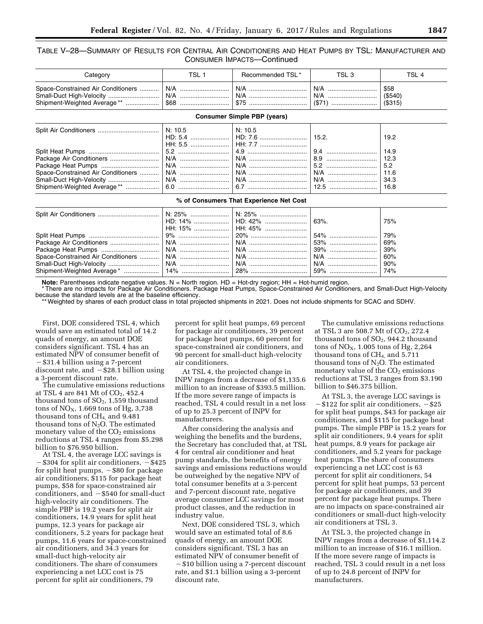# TABLE V–28—SUMMARY OF RESULTS FOR CENTRAL AIR CONDITIONERS AND HEAT PUMPS BY TSL: MANUFACTURER AND CONSUMER IMPACTS—Continued

| Category                           | TSL 1   | TSL 3<br>Recommended TSL*               |            | TSL <sub>4</sub>                            |
|------------------------------------|---------|-----------------------------------------|------------|---------------------------------------------|
| Space-Constrained Air Conditioners | N/A     | N/A<br>N/A<br>N/A                       |            | \$58<br>(\$540)<br>(S315)                   |
|                                    |         | <b>Consumer Simple PBP (years)</b>      |            |                                             |
|                                    | N: 10.5 | N: 10.5<br>HD: 5.4   HD: 7.6            | 15.2.      | 19.2                                        |
| Space-Constrained Air Conditioners |         |                                         | 9.4<br>8.9 | 14.9<br>12.3<br>5.2<br>11.6<br>34.3<br>16.8 |
|                                    |         | % of Consumers That Experience Net Cost |            |                                             |
|                                    |         |                                         |            |                                             |

| Split Air ∪onditioners ………………………………   N. 25% …………………   N. 25% ……………………… |                            |     |
|-------------------------------------------------------------------------|----------------------------|-----|
|                                                                         | HD: 14%    HD: 42%    63%. | 75% |
|                                                                         | HH: 15%    HH: 45%         |     |
|                                                                         |                            |     |
|                                                                         |                            |     |
|                                                                         |                            |     |
|                                                                         |                            |     |
|                                                                         |                            |     |
|                                                                         |                            |     |
|                                                                         |                            |     |

**Note:** Parentheses indicate negative values. N = North region. HD = Hot-dry region; HH = Hot-humid region.

\* There are no impacts for Package Air Conditioners. Package Heat Pumps, Space-Constrained Air Conditioners, and Small-Duct High-Velocity because the standard levels are at the baseline efficiency.

\*\* Weighted by shares of each product class in total projected shipments in 2021. Does not include shipments for SCAC and SDHV.

First, DOE considered TSL 4, which would save an estimated total of 14.2 quads of energy, an amount DOE considers significant. TSL 4 has an estimated NPV of consumer benefit of -\$31.4 billion using a 7-percent discount rate, and  $-$  \$28.1 billion using a 3-percent discount rate.

The cumulative emissions reductions at TSL 4 are 841 Mt of  $CO<sub>2</sub>$ , 452.4 thousand tons of  $SO<sub>2</sub>$ , 1,559 thousand tons of  $NO<sub>X</sub>$ , 1.669 tons of Hg, 3,738 thousand tons of  $CH<sub>4</sub>$  and  $9.481$ thousand tons of  $N_2O$ . The estimated monetary value of the  $CO<sub>2</sub>$  emissions reductions at TSL 4 ranges from \$5.298 billion to \$76.950 billion.

At TSL 4, the average LCC savings is  $\text{\degree}$ \$304 for split air conditioners,  $-\$425$ for split heat pumps,  $-$  \$80 for package air conditioners, \$115 for package heat pumps, \$58 for space-constrained air conditioners, and  $-$  \$540 for small-duct high-velocity air conditioners. The simple PBP is 19.2 years for split air conditioners, 14.9 years for split heat pumps, 12.3 years for package air conditioners, 5.2 years for package heat pumps, 11.6 years for space-constrained air conditioners, and 34.3 years for small-duct high-velocity air conditioners. The share of consumers experiencing a net LCC cost is 75 percent for split air conditioners, 79

percent for split heat pumps, 69 percent for package air conditioners, 39 percent for package heat pumps, 60 percent for space-constrained air conditioners, and 90 percent for small-duct high-velocity air conditioners.

At TSL 4, the projected change in INPV ranges from a decrease of \$1,135.6 million to an increase of \$393.5 million. If the more severe range of impacts is reached, TSL 4 could result in a net loss of up to 25.3 percent of INPV for manufacturers.

After considering the analysis and weighing the benefits and the burdens, the Secretary has concluded that, at TSL 4 for central air conditioner and heat pump standards, the benefits of energy savings and emissions reductions would be outweighed by the negative NPV of total consumer benefits at a 3-percent and 7-percent discount rate, negative average consumer LCC savings for most product classes, and the reduction in industry value.

Next, DOE considered TSL 3, which would save an estimated total of 8.6 quads of energy, an amount DOE considers significant. TSL 3 has an estimated NPV of consumer benefit of  $-$  \$10 billion using a 7-percent discount rate, and \$1.1 billion using a 3-percent discount rate.

The cumulative emissions reductions at TSL 3 are 508.7 Mt of  $CO<sub>2</sub>$ , 272.4 thousand tons of  $SO<sub>2</sub>$ , 944.2 thousand tons of  $NO<sub>X</sub>$ , 1.005 tons of Hg, 2,264 thousand tons of  $CH<sub>4</sub>$ , and 5.711 thousand tons of  $N_2O$ . The estimated monetary value of the  $CO<sub>2</sub>$  emissions reductions at TSL 3 ranges from \$3.190 billion to \$46.375 billion.

At TSL 3, the average LCC savings is  $-$ \$122 for split air conditioners,  $-$ \$25 for split heat pumps, \$43 for package air conditioners, and \$115 for package heat pumps. The simple PBP is 15.2 years for split air conditioners, 9.4 years for split heat pumps, 8.9 years for package air conditioners, and 5.2 years for package heat pumps. The share of consumers experiencing a net LCC cost is 63 percent for split air conditioners, 54 percent for split heat pumps, 53 percent for package air conditioners, and 39 percent for package heat pumps. There are no impacts on space-constrained air conditioners or small-duct high-velocity air conditioners at TSL 3.

At TSL 3, the projected change in INPV ranges from a decrease of \$1,114.2 million to an increase of \$16.1 million. If the more severe range of impacts is reached, TSL 3 could result in a net loss of up to 24.8 percent of INPV for manufacturers.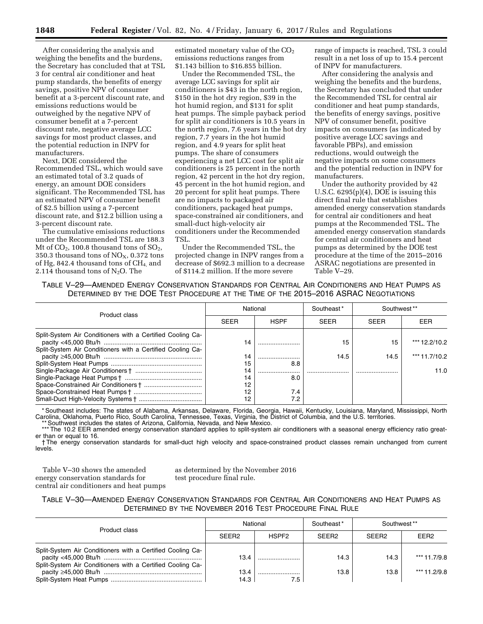After considering the analysis and weighing the benefits and the burdens, the Secretary has concluded that at TSL 3 for central air conditioner and heat pump standards, the benefits of energy savings, positive NPV of consumer benefit at a 3-percent discount rate, and emissions reductions would be outweighed by the negative NPV of consumer benefit at a 7-percent discount rate, negative average LCC savings for most product classes, and the potential reduction in INPV for manufacturers.

Next, DOE considered the Recommended TSL, which would save an estimated total of 3.2 quads of energy, an amount DOE considers significant. The Recommended TSL has an estimated NPV of consumer benefit of \$2.5 billion using a 7-percent discount rate, and \$12.2 billion using a 3-percent discount rate.

The cumulative emissions reductions under the Recommended TSL are 188.3 Mt of  $CO<sub>2</sub>$ , 100.8 thousand tons of  $SO<sub>2</sub>$ , 350.3 thousand tons of  $NO<sub>X</sub>$ , 0.372 tons of Hg, 842.4 thousand tons of CH4, and 2.114 thousand tons of  $N_2O$ . The

estimated monetary value of the  $CO<sub>2</sub>$ emissions reductions ranges from \$1.143 billion to \$16.855 billion.

Under the Recommended TSL, the average LCC savings for split air conditioners is \$43 in the north region, \$150 in the hot dry region, \$39 in the hot humid region, and \$131 for split heat pumps. The simple payback period for split air conditioners is 10.5 years in the north region, 7.6 years in the hot dry region, 7.7 years in the hot humid region, and 4.9 years for split heat pumps. The share of consumers experiencing a net LCC cost for split air conditioners is 25 percent in the north region, 42 percent in the hot dry region, 45 percent in the hot humid region, and 20 percent for split heat pumps. There are no impacts to packaged air conditioners, packaged heat pumps, space-constrained air conditioners, and small-duct high-velocity air conditioners under the Recommended TSL.

Under the Recommended TSL, the projected change in INPV ranges from a decrease of \$692.3 million to a decrease of \$114.2 million. If the more severe

range of impacts is reached, TSL 3 could result in a net loss of up to 15.4 percent of INPV for manufacturers.

After considering the analysis and weighing the benefits and the burdens, the Secretary has concluded that under the Recommended TSL for central air conditioner and heat pump standards, the benefits of energy savings, positive NPV of consumer benefit, positive impacts on consumers (as indicated by positive average LCC savings and favorable PBPs), and emission reductions, would outweigh the negative impacts on some consumers and the potential reduction in INPV for manufacturers.

Under the authority provided by 42 U.S.C. 6295(p)(4), DOE is issuing this direct final rule that establishes amended energy conservation standards for central air conditioners and heat pumps at the Recommended TSL. The amended energy conservation standards for central air conditioners and heat pumps as determined by the DOE test procedure at the time of the 2015–2016 ASRAC negotiations are presented in Table V–29.

TABLE V–29—AMENDED ENERGY CONSERVATION STANDARDS FOR CENTRAL AIR CONDITIONERS AND HEAT PUMPS AS DETERMINED BY THE DOE TEST PROCEDURE AT THE TIME OF THE 2015–2016 ASRAC NEGOTIATIONS

| Product class                                                                                                            | National    |             | Southeast*  | Southwest <sup>**</sup> |               |
|--------------------------------------------------------------------------------------------------------------------------|-------------|-------------|-------------|-------------------------|---------------|
|                                                                                                                          | <b>SEER</b> | <b>HSPF</b> | <b>SFFR</b> | <b>SFFR</b>             | EER           |
| Split-System Air Conditioners with a Certified Cooling Ca-<br>Split-System Air Conditioners with a Certified Cooling Ca- | 14          |             | 15          | 15                      | *** 12.2/10.2 |
|                                                                                                                          | 14          |             | 14.5        | 14.5                    | *** 11.7/10.2 |
|                                                                                                                          | 15          | 8.8         |             |                         |               |
|                                                                                                                          | 14          |             |             |                         | 11.0          |
|                                                                                                                          | 14          | 8.0         |             |                         |               |
|                                                                                                                          | 12          |             |             |                         |               |
|                                                                                                                          | 12          | 7.4         |             |                         |               |
|                                                                                                                          | 12          | 7.2         |             |                         |               |

\* Southeast includes: The states of Alabama, Arkansas, Delaware, Florida, Georgia, Hawaii, Kentucky, Louisiana, Maryland, Mississippi, North Carolina, Oklahoma, Puerto Rico, South Carolina, Tennessee, Texas, Virginia, the District of Columbia, and the U.S. territories.

Southwest includes the states of Arizona, California, Nevada, and New Mexico.

\*\*\* The 10.2 EER amended energy conservation standard applies to split-system air conditioners with a seasonal energy efficiency ratio greater than or equal to 16.

† The energy conservation standards for small-duct high velocity and space-constrained product classes remain unchanged from current levels.

Table V–30 shows the amended energy conservation standards for central air conditioners and heat pumps as determined by the November 2016 test procedure final rule.

| TABLE V-30-AMENDED ENERGY CONSERVATION STANDARDS FOR CENTRAL AIR CONDITIONERS AND HEAT PUMPS AS |  |  |
|-------------------------------------------------------------------------------------------------|--|--|
| DETERMINED BY THE NOVEMBER 2016 TEST PROCEDURE FINAL RULE                                       |  |  |

| Product class                                              | National          |                   | Southeast*        | Southwest**       |                  |
|------------------------------------------------------------|-------------------|-------------------|-------------------|-------------------|------------------|
|                                                            | SEER <sub>2</sub> | HSPF <sub>2</sub> | SFFR <sub>2</sub> | SFFR <sub>2</sub> | FFR <sub>2</sub> |
| Split-System Air Conditioners with a Certified Cooling Ca- | 13.4              |                   | 14.3              | 14.3              | *** 11.7/9.8     |
| Split-System Air Conditioners with a Certified Cooling Ca- | 13.4              |                   | 13.8              | 13.8              | *** 11.2/9.8     |
|                                                            | 14.3              |                   |                   |                   |                  |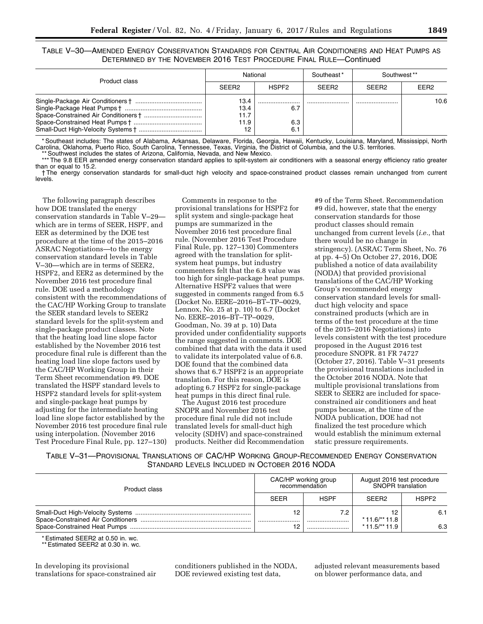TABLE V–30—AMENDED ENERGY CONSERVATION STANDARDS FOR CENTRAL AIR CONDITIONERS AND HEAT PUMPS AS DETERMINED BY THE NOVEMBER 2016 TEST PROCEDURE FINAL RULE—Continued

| Product class | National                           |                   | Southeast*        | Southwest <sup>**</sup> |                  |
|---------------|------------------------------------|-------------------|-------------------|-------------------------|------------------|
|               | SEER <sub>2</sub>                  | HSPF <sub>2</sub> | SFFR <sub>2</sub> | SFFR <sub>2</sub>       | FFR <sub>2</sub> |
|               | 13.4<br>13.4<br>11.7<br>11.9<br>12 | 6.7<br>6.3<br>6.  |                   |                         | 10.6             |

\* Southeast includes: The states of Alabama, Arkansas, Delaware, Florida, Georgia, Hawaii, Kentucky, Louisiana, Maryland, Mississippi, North Carolina, Oklahoma, Puerto Rico, South Carolina, Tennessee, Texas, Virginia, the District of Columbia, and the U.S. territories.

Southwest includes the states of Arizona, California, Nevada, and New Mexico. \*\*\* The 9.8 EER amended energy conservation standard applies to split-system air conditioners with a seasonal energy efficiency ratio greater than or equal to 15.2.

† The energy conservation standards for small-duct high velocity and space-constrained product classes remain unchanged from current levels.

The following paragraph describes how DOE translated the energy conservation standards in Table V–29 which are in terms of SEER, HSPF, and EER as determined by the DOE test procedure at the time of the 2015–2016 ASRAC Negotiations—to the energy conservation standard levels in Table V–30—which are in terms of SEER2, HSPF2, and EER2 as determined by the November 2016 test procedure final rule. DOE used a methodology consistent with the recommendations of the CAC/HP Working Group to translate the SEER standard levels to SEER2 standard levels for the split-system and single-package product classes. Note that the heating load line slope factor established by the November 2016 test procedure final rule is different than the heating load line slope factors used by the CAC/HP Working Group in their Term Sheet recommendation #9. DOE translated the HSPF standard levels to HSPF2 standard levels for split-system and single-package heat pumps by adjusting for the intermediate heating load line slope factor established by the November 2016 test procedure final rule using interpolation. (November 2016 Test Procedure Final Rule, pp. 127–130)

Comments in response to the provisional translations for HSPF2 for split system and single-package heat pumps are summarized in the November 2016 test procedure final rule. (November 2016 Test Procedure Final Rule, pp. 127–130) Commenters agreed with the translation for splitsystem heat pumps, but industry commenters felt that the 6.8 value was too high for single-package heat pumps. Alternative HSPF2 values that were suggested in comments ranged from 6.5 (Docket No. EERE–2016–BT–TP–0029, Lennox, No. 25 at p. 10) to 6.7 (Docket No. EERE–2016–BT–TP–0029, Goodman, No. 39 at p. 10) Data provided under confidentiality supports the range suggested in comments. DOE combined that data with the data it used to validate its interpolated value of 6.8. DOE found that the combined data shows that 6.7 HSPF2 is an appropriate translation. For this reason, DOE is adopting 6.7 HSPF2 for single-package heat pumps in this direct final rule.

The August 2016 test procedure SNOPR and November 2016 test procedure final rule did not include translated levels for small-duct high velocity (SDHV) and space-constrained products. Neither did Recommendation

#9 of the Term Sheet. Recommendation #9 did, however, state that the energy conservation standards for those product classes should remain unchanged from current levels (*i.e.,* that there would be no change in stringency). (ASRAC Term Sheet, No. 76 at pp. 4–5) On October 27, 2016, DOE published a notice of data availability (NODA) that provided provisional translations of the CAC/HP Working Group's recommended energy conservation standard levels for smallduct high velocity and space constrained products (which are in terms of the test procedure at the time of the 2015–2016 Negotiations) into levels consistent with the test procedure proposed in the August 2016 test procedure SNOPR. 81 FR 74727 (October 27, 2016). Table V–31 presents the provisional translations included in the October 2016 NODA. Note that multiple provisional translations from SEER to SEER2 are included for spaceconstrained air conditioners and heat pumps because, at the time of the NODA publication, DOE had not finalized the test procedure which would establish the minimum external static pressure requirements.

TABLE V–31—PROVISIONAL TRANSLATIONS OF CAC/HP WORKING GROUP-RECOMMENDED ENERGY CONSERVATION STANDARD LEVELS INCLUDED IN OCTOBER 2016 NODA

| Product class | CAC/HP working group<br>recommendation |             | August 2016 test procedure<br><b>SNOPR</b> translation |                   |
|---------------|----------------------------------------|-------------|--------------------------------------------------------|-------------------|
|               | <b>SEER</b>                            | <b>HSPF</b> | SFFR <sub>2</sub>                                      | HSPF <sub>2</sub> |
|               |                                        | 7.2<br>     | $*$ 11.6/** 11.8<br>$*$ 11.5/** 11.9                   | 6.1<br>6.3        |

\* Estimated SEER2 at 0.50 in. wc.

\*\* Estimated SEER2 at 0.30 in. wc.

In developing its provisional translations for space-constrained air conditioners published in the NODA, DOE reviewed existing test data,

adjusted relevant measurements based on blower performance data, and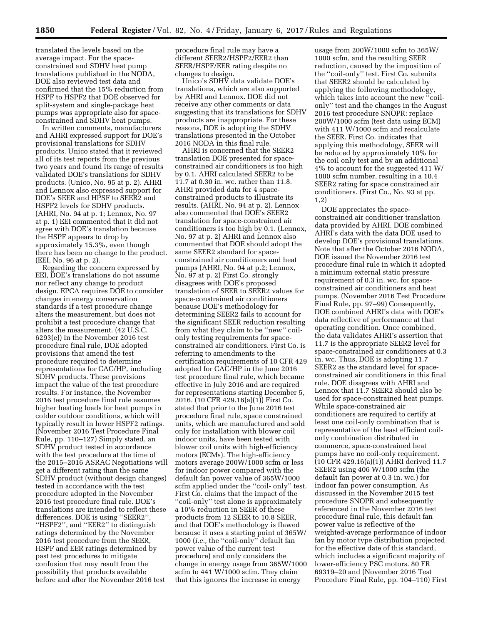translated the levels based on the average impact. For the spaceconstrained and SDHV heat pump translations published in the NODA, DOE also reviewed test data and confirmed that the 15% reduction from HSPF to HSPF2 that DOE observed for split-system and single-package heat pumps was appropriate also for spaceconstrained and SDHV heat pumps.

In written comments, manufacturers and AHRI expressed support for DOE's provisional translations for SDHV products. Unico stated that it reviewed all of its test reports from the previous two years and found its range of results validated DOE's translations for SDHV products. (Unico, No. 95 at p. 2). AHRI and Lennox also expressed support for DOE's SEER and HPSF to SEER2 and HSPF2 levels for SDHV products. (AHRI, No. 94 at p. 1; Lennox, No. 97 at p. 1) EEI commented that it did not agree with DOE's translation because the HSPF appears to drop by approximately 15.3%, even though there has been no change to the product. (EEI, No. 96 at p. 2).

Regarding the concern expressed by EEI, DOE's translations do not assume nor reflect any change to product design. EPCA requires DOE to consider changes in energy conservation standards if a test procedure change alters the measurement, but does not prohibit a test procedure change that alters the measurement. (42 U.S.C. 6293(e)) In the November 2016 test procedure final rule, DOE adopted provisions that amend the test procedure required to determine representations for CAC/HP, including SDHV products. These provisions impact the value of the test procedure results. For instance, the November 2016 test procedure final rule assumes higher heating loads for heat pumps in colder outdoor conditions, which will typically result in lower HSPF2 ratings. (November 2016 Test Procedure Final Rule, pp. 110–127) Simply stated, an SDHV product tested in accordance with the test procedure at the time of the 2015–2016 ASRAC Negotiations will get a different rating than the same SDHV product (without design changes) tested in accordance with the test procedure adopted in the November 2016 test procedure final rule. DOE's translations are intended to reflect these differences. DOE is using ''SEER2'', ''HSPF2'', and ''EER2'' to distinguish ratings determined by the November 2016 test procedure from the SEER, HSPF and EER ratings determined by past test procedures to mitigate confusion that may result from the possibility that products available before and after the November 2016 test

procedure final rule may have a different SEER2/HSPF2/EER2 than SEER/HSPF/EER rating despite no changes to design.

Unico's SDHV data validate DOE's translations, which are also supported by AHRI and Lennox. DOE did not receive any other comments or data suggesting that its translations for SDHV products are inappropriate. For these reasons, DOE is adopting the SDHV translations presented in the October 2016 NODA in this final rule.

AHRI is concerned that the SEER2 translation DOE presented for spaceconstrained air conditioners is too high by 0.1. AHRI calculated SEER2 to be 11.7 at 0.30 in. wc. rather than 11.8. AHRI provided data for 4 spaceconstrained products to illustrate its results. (AHRI, No. 94 at p. 2). Lennox also commented that DOE's SEER2 translation for space-constrained air conditioners is too high by 0.1. (Lennox, No. 97 at p. 2) AHRI and Lennox also commented that DOE should adopt the same SEER2 standard for spaceconstrained air conditioners and heat pumps (AHRI, No. 94 at p.2; Lennox, No. 97 at p. 2) First Co. strongly disagrees with DOE's proposed translation of SEER to SEER2 values for space-constrained air conditioners because DOE's methodology for determining SEER2 fails to account for the significant SEER reduction resulting from what they claim to be ''new'' coilonly testing requirements for spaceconstrained air conditioners. First Co. is referring to amendments to the certification requirements of 10 CFR 429 adopted for CAC/HP in the June 2016 test procedure final rule, which became effective in July 2016 and are required for representations starting December 5, 2016. (10 CFR 429.16(a)(1)) First Co. stated that prior to the June 2016 test procedure final rule, space constrained units, which are manufactured and sold only for installation with blower coil indoor units, have been tested with blower coil units with high-efficiency motors (ECMs). The high-efficiency motors average 200W/1000 scfm or less for indoor power compared with the default fan power value of 365W/1000 scfm applied under the ''coil- only'' test. First Co. claims that the impact of the ''coil-only'' test alone is approximately a 10% reduction in SEER of these products from 12 SEER to 10.8 SEER, and that DOE's methodology is flawed because it uses a starting point of 365W/ 1000 (*i.e.,* the ''coil-only'' default fan power value of the current test procedure) and only considers the change in energy usage from 365W/1000 scfm to 441 W/1000 scfm. They claim that this ignores the increase in energy

usage from 200W/1000 scfm to 365W/ 1000 scfm, and the resulting SEER reduction, caused by the imposition of the ''coil-only'' test. First Co. submits that SEER2 should be calculated by applying the following methodology, which takes into account the new "coilonly'' test and the changes in the August 2016 test procedure SNOPR: replace 200W/1000 scfm (test data using ECM) with 411 W/1000 scfm and recalculate the SEER. First Co. indicates that applying this methodology, SEER will be reduced by approximately 10% for the coil only test and by an additional 4% to account for the suggested 411 W/ 1000 scfm number, resulting in a 10.4 SEER2 rating for space constrained air conditioners. (First Co., No. 93 at pp. 1,2)

DOE appreciates the spaceconstrained air conditioner translation data provided by AHRI. DOE combined AHRI's data with the data DOE used to develop DOE's provisional translations. Note that after the October 2016 NODA, DOE issued the November 2016 test procedure final rule in which it adopted a minimum external static pressure requirement of 0.3 in. wc. for spaceconstrained air conditioners and heat pumps. (November 2016 Test Procedure Final Rule, pp. 97–99) Consequently, DOE combined AHRI's data with DOE's data reflective of performance at that operating condition. Once combined, the data validates AHRI's assertion that 11.7 is the appropriate SEER2 level for space-constrained air conditioners at 0.3 in. wc. Thus, DOE is adopting 11.7 SEER2 as the standard level for spaceconstrained air conditioners in this final rule. DOE disagrees with AHRI and Lennox that 11.7 SEER2 should also be used for space-constrained heat pumps. While space-constrained air conditioners are required to certify at least one coil-only combination that is representative of the least efficient coilonly combination distributed in commerce, space-constrained heat pumps have no coil-only requirement. (10 CFR 429.16(a)(1)) AHRI derived 11.7 SEER2 using 406 W/1000 scfm (the default fan power at 0.3 in. wc.) for indoor fan power consumption. As discussed in the November 2015 test procedure SNOPR and subsequently referenced in the November 2016 test procedure final rule, this default fan power value is reflective of the weighted-average performance of indoor fan by motor type distribution projected for the effective date of this standard, which includes a significant majority of lower-efficiency PSC motors. 80 FR 69319–20 and (November 2016 Test Procedure Final Rule, pp. 104–110) First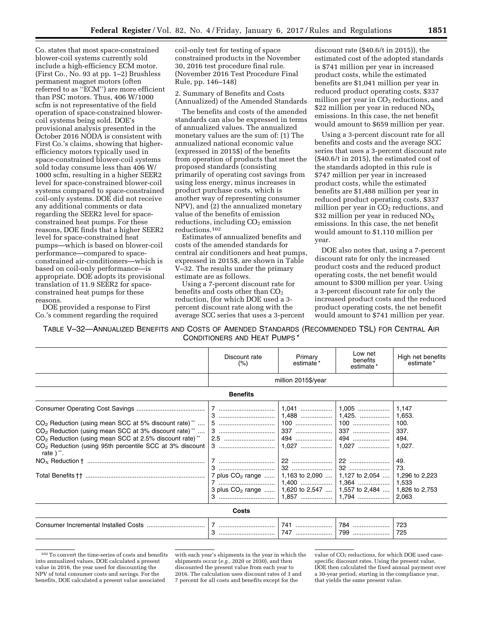Co. states that most space-constrained blower-coil systems currently sold include a high-efficiency ECM motor. (First Co., No. 93 at pp. 1–2) Brushless permanent magnet motors (often referred to as ''ECM'') are more efficient than PSC motors. Thus, 406 W/1000 scfm is not representative of the field operation of space-constrained blowercoil systems being sold. DOE's provisional analysis presented in the October 2016 NODA is consistent with First Co.'s claims, showing that higherefficiency motors typically used in space-constrained blower-coil systems sold today consume less than 406 W/ 1000 scfm, resulting in a higher SEER2 level for space-constrained blower-coil systems compared to space-constrained coil-only systems. DOE did not receive any additional comments or data regarding the SEER2 level for spaceconstrained heat pumps. For these reasons, DOE finds that a higher SEER2 level for space-constrained heat pumps—which is based on blower-coil performance—compared to spaceconstrained air-conditioners—which is based on coil-only performance—is appropriate. DOE adopts its provisional translation of 11.9 SEER2 for spaceconstrained heat pumps for these reasons.

DOE provided a response to First Co.'s comment regarding the required coil-only test for testing of space constrained products in the November 30, 2016 test procedure final rule. (November 2016 Test Procedure Final Rule, pp. 146–148)

2. Summary of Benefits and Costs (Annualized) of the Amended Standards

The benefits and costs of the amended standards can also be expressed in terms of annualized values. The annualized monetary values are the sum of: (1) The annualized national economic value (expressed in 2015\$) of the benefits from operation of products that meet the proposed standards (consisting primarily of operating cost savings from using less energy, minus increases in product purchase costs, which is another way of representing consumer NPV), and (2) the annualized monetary value of the benefits of emission reductions, including  $CO<sub>2</sub>$  emission reductions.102

Estimates of annualized benefits and costs of the amended standards for central air conditioners and heat pumps, expressed in 2015\$, are shown in Table V–32. The results under the primary estimate are as follows.

Using a 7-percent discount rate for benefits and costs other than  $CO<sub>2</sub>$ reduction, (for which DOE used a 3 percent discount rate along with the average SCC series that uses a 3-percent

discount rate (\$40.6/t in 2015)), the estimated cost of the adopted standards is \$741 million per year in increased product costs, while the estimated benefits are \$1,041 million per year in reduced product operating costs, \$337 million per year in  $CO<sub>2</sub>$  reductions, and \$22 million per year in reduced  $NO<sub>x</sub>$ emissions. In this case, the net benefit would amount to \$659 million per year.

Using a 3-percent discount rate for all benefits and costs and the average SCC series that uses a 3-percent discount rate (\$40.6/t in 2015), the estimated cost of the standards adopted in this rule is \$747 million per year in increased product costs, while the estimated benefits are \$1,488 million per year in reduced product operating costs, \$337 million per year in  $CO<sub>2</sub>$  reductions, and \$32 million per year in reduced  $NO<sub>x</sub>$ emissions. In this case, the net benefit would amount to \$1,110 million per year.

DOE also notes that, using a 7-percent discount rate for only the increased product costs and the reduced product operating costs, the net benefit would amount to \$300 million per year. Using a 3-percent discount rate for only the increased product costs and the reduced product operating costs, the net benefit would amount to \$741 million per year.

TABLE V–32—ANNUALIZED BENEFITS AND COSTS OF AMENDED STANDARDS (RECOMMENDED TSL) FOR CENTRAL AIR CONDITIONERS AND HEAT PUMPS \*

|                                                                                                                                                                                                                                                                                                                 | Discount rate<br>(% )                                                                                       | Primary<br>estimate* | Low net<br>benefits<br>estimate*                   | High net benefits<br>estimate*                                                    |  |
|-----------------------------------------------------------------------------------------------------------------------------------------------------------------------------------------------------------------------------------------------------------------------------------------------------------------|-------------------------------------------------------------------------------------------------------------|----------------------|----------------------------------------------------|-----------------------------------------------------------------------------------|--|
|                                                                                                                                                                                                                                                                                                                 | million 2015\$/year                                                                                         |                      |                                                    |                                                                                   |  |
|                                                                                                                                                                                                                                                                                                                 | <b>Benefits</b>                                                                                             |                      |                                                    |                                                                                   |  |
| $CO2$ Reduction (using mean SCC at 5% discount rate) <sup>**</sup><br>$CO2$ Reduction (using mean SCC at 3% discount rate) <sup>**</sup><br>CO <sub>2</sub> Reduction (using mean SCC at 2.5% discount rate) <sup>**</sup><br>CO <sub>2</sub> Reduction (using 95th percentile SCC at 3% discount<br>rate ) **. | 7 plus $CO2$ range   <br>3 plus CO <sub>2</sub> range    1,620 to 2,547    1,557 to 2,484    1,826 to 2,753 |                      | 1,163 to 2,090    1,127 to 2,054    1,296 to 2,223 | 1,147<br>1,653.<br>100.<br>337.<br>494.<br>1,027.<br>49.<br>73.<br>1,533<br>2,063 |  |
| Costs                                                                                                                                                                                                                                                                                                           |                                                                                                             |                      |                                                    |                                                                                   |  |
|                                                                                                                                                                                                                                                                                                                 |                                                                                                             | 747                  | 799                                                | 723<br>725                                                                        |  |

<sup>102</sup>To convert the time-series of costs and benefits into annualized values, DOE calculated a present value in 2016, the year used for discounting the NPV of total consumer costs and savings. For the benefits, DOE calculated a present value associated

with each year's shipments in the year in which the shipments occur (*e.g.,* 2020 or 2030), and then discounted the present value from each year to 2016. The calculation uses discount rates of 3 and 7 percent for all costs and benefits except for the

value of CO<sub>2</sub> reductions, for which DOE used casespecific discount rates. Using the present value, DOE then calculated the fixed annual payment over a 30-year period, starting in the compliance year, that yields the same present value.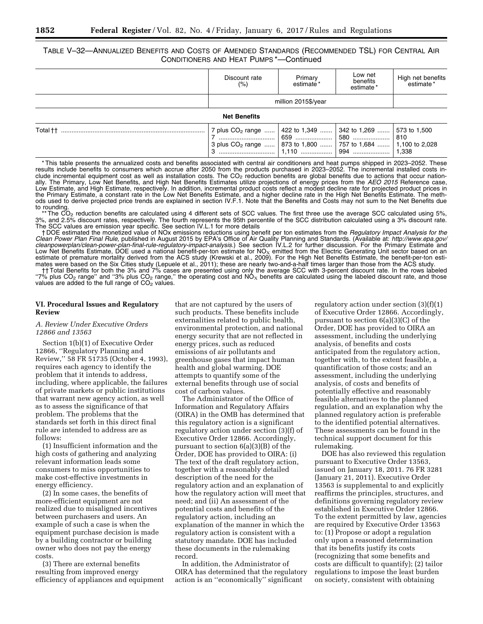# TABLE V–32—ANNUALIZED BENEFITS AND COSTS OF AMENDED STANDARDS (RECOMMENDED TSL) FOR CENTRAL AIR CONDITIONERS AND HEAT PUMPS \*—Continued

|                     | Discount rate<br>(% ) | Primary<br>estimate* | Low net<br>benefits<br>estimate* | High net benefits<br>* estimate |
|---------------------|-----------------------|----------------------|----------------------------------|---------------------------------|
|                     | million 2015\$/year   |                      |                                  |                                 |
| <b>Net Benefits</b> |                       |                      |                                  |                                 |
|                     |                       |                      |                                  |                                 |

\* This table presents the annualized costs and benefits associated with central air conditioners and heat pumps shipped in 2023–2052. These results include benefits to consumers which accrue after 2050 from the products purchased in 2023–2052. The incremental installed costs include incremental equipment cost as well as installation costs. The CO<sub>2</sub> reduction benefits are global benefits due to actions that occur nationally. The Primary, Low Net Benefits, and High Net Benefits Estimates utilize projections of energy prices from the *AEO 2015* Reference case, Low Estimate, and High Estimate, respectively. In addition, incremental product costs reflect a modest decline rate for projected product prices in the Primary Estimate, a constant rate in the Low Net Benefits Estimate, and a higher decline rate in the High Net Benefits Estimate. The methods used to derive projected price trends are explained in section IV.F.1. Note that the Benefits and Costs may not sum to the Net Benefits due to rounding.

The  $CO<sub>2</sub>$  reduction benefits are calculated using 4 different sets of SCC values. The first three use the average SCC calculated using 5%, 3%, and 2.5% discount rates, respectively. The fourth represents the 95th percentile of the SCC distribution calculated using a 3% discount rate. The SCC values are emission year specific. See section IV.L.1 for more details

† DOE estimated the monetized value of NOx emissions reductions using benefit per ton estimates from the *Regulatory Impact Analysis for the Clean Power Plan Final Rule,* published in August 2015 by EPA's Office of Air Quality Planning and Standards. (Available at: *[http://www.epa.gov/](http://www.epa.gov/cleanpowerplan/clean-power-plan-final-rule-regulatory-impact-analysis)  [cleanpowerplan/clean-power-plan-final-rule-regulatory-impact-analysis.](http://www.epa.gov/cleanpowerplan/clean-power-plan-final-rule-regulatory-impact-analysis)*) See section IV.L.2 for further discussion. For the Primary Estimate and Low Net Benefits Estimate, DOE used a national benefit-per-ton estimate for NO<sub>X</sub> emitted from the Electric Generating Unit sector based on an<br>estimate of premature mortality derived from the ACS study (Krewski et al., 200 mates were based on the Six Cities study (Lepuele et al., 2011); these are nearly two-and-a-half times larger than those from the ACS study.

†† Total Benefits for both the 3% and 7% cases are presented using only the average SCC with 3-percent discount rate. In the rows labeled "7% plus CO<sub>2</sub> range" and "3% plus CO<sub>2</sub> range," the operating cost and NO<sub>x</sub> benefits are calculated using the labeled discount rate, and those values are added to the full range of  $CO<sub>2</sub>$  values.

# **VI. Procedural Issues and Regulatory Review**

# *A. Review Under Executive Orders 12866 and 13563*

Section 1(b)(1) of Executive Order 12866, ''Regulatory Planning and Review,'' 58 FR 51735 (October 4, 1993), requires each agency to identify the problem that it intends to address, including, where applicable, the failures of private markets or public institutions that warrant new agency action, as well as to assess the significance of that problem. The problems that the standards set forth in this direct final rule are intended to address are as follows:

(1) Insufficient information and the high costs of gathering and analyzing relevant information leads some consumers to miss opportunities to make cost-effective investments in energy efficiency.

(2) In some cases, the benefits of more-efficient equipment are not realized due to misaligned incentives between purchasers and users. An example of such a case is when the equipment purchase decision is made by a building contractor or building owner who does not pay the energy costs.

(3) There are external benefits resulting from improved energy efficiency of appliances and equipment

that are not captured by the users of such products. These benefits include externalities related to public health, environmental protection, and national energy security that are not reflected in energy prices, such as reduced emissions of air pollutants and greenhouse gases that impact human health and global warming. DOE attempts to quantify some of the external benefits through use of social cost of carbon values.

The Administrator of the Office of Information and Regulatory Affairs (OIRA) in the OMB has determined that this regulatory action is a significant regulatory action under section (3)(f) of Executive Order 12866. Accordingly, pursuant to section  $6(a)(3)(B)$  of the Order, DOE has provided to OIRA: (i) The text of the draft regulatory action, together with a reasonably detailed description of the need for the regulatory action and an explanation of how the regulatory action will meet that need; and (ii) An assessment of the potential costs and benefits of the regulatory action, including an explanation of the manner in which the regulatory action is consistent with a statutory mandate. DOE has included these documents in the rulemaking record.

In addition, the Administrator of OIRA has determined that the regulatory action is an ''economically'' significant

regulatory action under section (3)(f)(1) of Executive Order 12866. Accordingly, pursuant to section 6(a)(3)(C) of the Order, DOE has provided to OIRA an assessment, including the underlying analysis, of benefits and costs anticipated from the regulatory action, together with, to the extent feasible, a quantification of those costs; and an assessment, including the underlying analysis, of costs and benefits of potentially effective and reasonably feasible alternatives to the planned regulation, and an explanation why the planned regulatory action is preferable to the identified potential alternatives. These assessments can be found in the technical support document for this rulemaking.

DOE has also reviewed this regulation pursuant to Executive Order 13563, issued on January 18, 2011. 76 FR 3281 (January 21, 2011). Executive Order 13563 is supplemental to and explicitly reaffirms the principles, structures, and definitions governing regulatory review established in Executive Order 12866. To the extent permitted by law, agencies are required by Executive Order 13563 to: (1) Propose or adopt a regulation only upon a reasoned determination that its benefits justify its costs (recognizing that some benefits and costs are difficult to quantify); (2) tailor regulations to impose the least burden on society, consistent with obtaining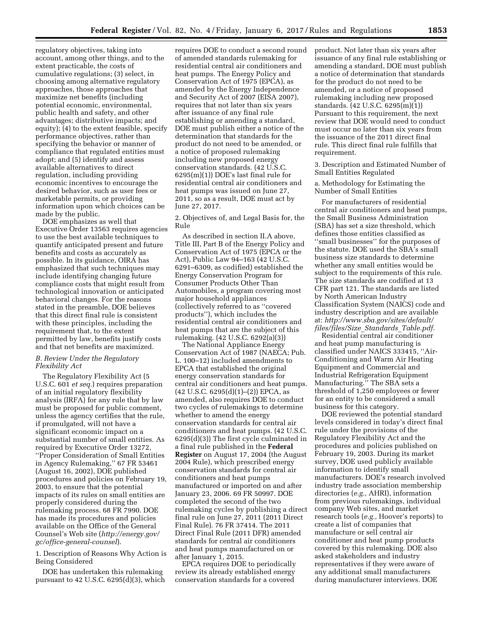regulatory objectives, taking into account, among other things, and to the extent practicable, the costs of cumulative regulations; (3) select, in choosing among alternative regulatory approaches, those approaches that maximize net benefits (including potential economic, environmental, public health and safety, and other advantages; distributive impacts; and equity); (4) to the extent feasible, specify performance objectives, rather than specifying the behavior or manner of compliance that regulated entities must adopt; and (5) identify and assess available alternatives to direct regulation, including providing economic incentives to encourage the desired behavior, such as user fees or marketable permits, or providing information upon which choices can be made by the public.

DOE emphasizes as well that Executive Order 13563 requires agencies to use the best available techniques to quantify anticipated present and future benefits and costs as accurately as possible. In its guidance, OIRA has emphasized that such techniques may include identifying changing future compliance costs that might result from technological innovation or anticipated behavioral changes. For the reasons stated in the preamble, DOE believes that this direct final rule is consistent with these principles, including the requirement that, to the extent permitted by law, benefits justify costs and that net benefits are maximized.

# *B. Review Under the Regulatory Flexibility Act*

The Regulatory Flexibility Act (5 U.S.C. 601 *et seq.*) requires preparation of an initial regulatory flexibility analysis (IRFA) for any rule that by law must be proposed for public comment, unless the agency certifies that the rule, if promulgated, will not have a significant economic impact on a substantial number of small entities. As required by Executive Order 13272, ''Proper Consideration of Small Entities in Agency Rulemaking,'' 67 FR 53461 (August 16, 2002), DOE published procedures and policies on February 19, 2003, to ensure that the potential impacts of its rules on small entities are properly considered during the rulemaking process. 68 FR 7990. DOE has made its procedures and policies available on the Office of the General Counsel's Web site (*[http://energy.gov/](http://energy.gov/gc/office-general-counsel) [gc/office-general-counsel](http://energy.gov/gc/office-general-counsel)*).

1. Description of Reasons Why Action is Being Considered

DOE has undertaken this rulemaking pursuant to 42 U.S.C. 6295(d)(3), which

requires DOE to conduct a second round of amended standards rulemaking for residential central air conditioners and heat pumps. The Energy Policy and Conservation Act of 1975 (EPCA), as amended by the Energy Independence and Security Act of 2007 (EISA 2007), requires that not later than six years after issuance of any final rule establishing or amending a standard, DOE must publish either a notice of the determination that standards for the product do not need to be amended, or a notice of proposed rulemaking including new proposed energy conservation standards. (42 U.S.C. 6295(m)(1)) DOE's last final rule for residential central air conditioners and heat pumps was issued on June 27, 2011, so as a result, DOE must act by June 27, 2017.

2. Objectives of, and Legal Basis for, the Rule

As described in section II.A above, Title III, Part B of the Energy Policy and Conservation Act of 1975 (EPCA or the Act), Public Law 94–163 (42 U.S.C. 6291–6309, as codified) established the Energy Conservation Program for Consumer Products Other Than Automobiles, a program covering most major household appliances (collectively referred to as ''covered products''), which includes the residential central air conditioners and heat pumps that are the subject of this rulemaking. (42 U.S.C. 6292(a)(3))

The National Appliance Energy Conservation Act of 1987 (NAECA; Pub. L. 100–12) included amendments to EPCA that established the original energy conservation standards for central air conditioners and heat pumps.  $(42 \text{ U.S.C. } 6295(d)(1)–(2))$  EPCA, as amended, also requires DOE to conduct two cycles of rulemakings to determine whether to amend the energy conservation standards for central air conditioners and heat pumps. (42 U.S.C. 6295(d)(3)) The first cycle culminated in a final rule published in the **Federal Register** on August 17, 2004 (the August 2004 Rule), which prescribed energy conservation standards for central air conditioners and heat pumps manufactured or imported on and after January 23, 2006. 69 FR 50997. DOE completed the second of the two rulemaking cycles by publishing a direct final rule on June 27, 2011 (2011 Direct Final Rule). 76 FR 37414. The 2011 Direct Final Rule (2011 DFR) amended standards for central air conditioners and heat pumps manufactured on or after January 1, 2015.

EPCA requires DOE to periodically review its already established energy conservation standards for a covered

product. Not later than six years after issuance of any final rule establishing or amending a standard, DOE must publish a notice of determination that standards for the product do not need to be amended, or a notice of proposed rulemaking including new proposed standards. (42 U.S.C. 6295(m)(1)) Pursuant to this requirement, the next review that DOE would need to conduct must occur no later than six years from the issuance of the 2011 direct final rule. This direct final rule fulfills that requirement.

3. Description and Estimated Number of Small Entities Regulated

a. Methodology for Estimating the Number of Small Entities

For manufacturers of residential central air conditioners and heat pumps, the Small Business Administration (SBA) has set a size threshold, which defines those entities classified as ''small businesses'' for the purposes of the statute. DOE used the SBA's small business size standards to determine whether any small entities would be subject to the requirements of this rule. The size standards are codified at 13 CFR part 121. The standards are listed by North American Industry Classification System (NAICS) code and industry description and are available at: *[http://www.sba.gov/sites/default/](http://www.sba.gov/sites/default/files/files/Size_Standards_Table.pdf)  [files/files/Size](http://www.sba.gov/sites/default/files/files/Size_Standards_Table.pdf)*\_*Standards*\_*Table.pdf.* 

Residential central air conditioner and heat pump manufacturing is classified under NAICS 333415, ''Air-Conditioning and Warm Air Heating Equipment and Commercial and Industrial Refrigeration Equipment Manufacturing.'' The SBA sets a threshold of 1,250 employees or fewer for an entity to be considered a small business for this category.

DOE reviewed the potential standard levels considered in today's direct final rule under the provisions of the Regulatory Flexibility Act and the procedures and policies published on February 19, 2003. During its market survey, DOE used publicly available information to identify small manufacturers. DOE's research involved industry trade association membership directories (*e.g.,* AHRI), information from previous rulemakings, individual company Web sites, and market research tools (*e.g.,* Hoover's reports) to create a list of companies that manufacture or sell central air conditioner and heat pump products covered by this rulemaking. DOE also asked stakeholders and industry representatives if they were aware of any additional small manufacturers during manufacturer interviews. DOE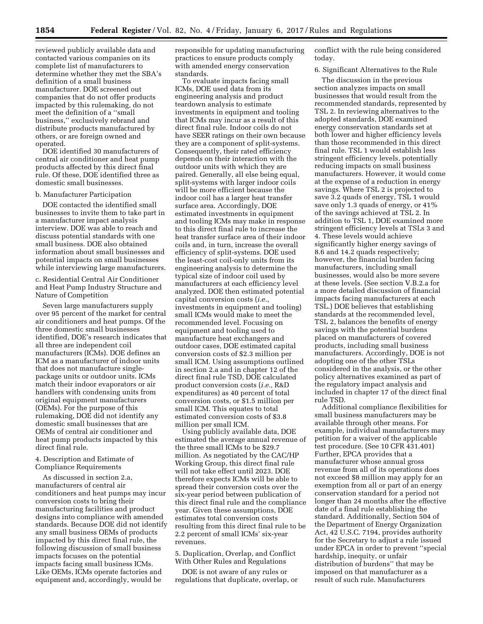reviewed publicly available data and contacted various companies on its complete list of manufacturers to determine whether they met the SBA's definition of a small business manufacturer. DOE screened out companies that do not offer products impacted by this rulemaking, do not meet the definition of a ''small business,'' exclusively rebrand and distribute products manufactured by others, or are foreign owned and operated.

DOE identified 30 manufacturers of central air conditioner and heat pump products affected by this direct final rule. Of these, DOE identified three as domestic small businesses.

### b. Manufacturer Participation

DOE contacted the identified small businesses to invite them to take part in a manufacturer impact analysis interview. DOE was able to reach and discuss potential standards with one small business. DOE also obtained information about small businesses and potential impacts on small businesses while interviewing large manufacturers.

c. Residential Central Air Conditioner and Heat Pump Industry Structure and Nature of Competition

Seven large manufacturers supply over 95 percent of the market for central air conditioners and heat pumps. Of the three domestic small businesses identified, DOE's research indicates that all three are independent coil manufacturers (ICMs). DOE defines an ICM as a manufacturer of indoor units that does not manufacture singlepackage units or outdoor units. ICMs match their indoor evaporators or air handlers with condensing units from original equipment manufacturers (OEMs). For the purpose of this rulemaking, DOE did not identify any domestic small businesses that are OEMs of central air conditioner and heat pump products impacted by this direct final rule.

4. Description and Estimate of Compliance Requirements

As discussed in section 2.a, manufacturers of central air conditioners and heat pumps may incur conversion costs to bring their manufacturing facilities and product designs into compliance with amended standards. Because DOE did not identify any small business OEMs of products impacted by this direct final rule, the following discussion of small business impacts focuses on the potential impacts facing small business ICMs. Like OEMs, ICMs operate factories and equipment and, accordingly, would be

responsible for updating manufacturing practices to ensure products comply with amended energy conservation standards.

To evaluate impacts facing small ICMs, DOE used data from its engineering analysis and product teardown analysis to estimate investments in equipment and tooling that ICMs may incur as a result of this direct final rule. Indoor coils do not have SEER ratings on their own because they are a component of split-systems. Consequently, their rated efficiency depends on their interaction with the outdoor units with which they are paired. Generally, all else being equal, split-systems with larger indoor coils will be more efficient because the indoor coil has a larger heat transfer surface area. Accordingly, DOE estimated investments in equipment and tooling ICMs may make in response to this direct final rule to increase the heat transfer surface area of their indoor coils and, in turn, increase the overall efficiency of split-systems. DOE used the least-cost coil-only units from its engineering analysis to determine the typical size of indoor coil used by manufacturers at each efficiency level analyzed. DOE then estimated potential capital conversion costs (*i.e.,*  investments in equipment and tooling) small ICMs would make to meet the recommended level. Focusing on equipment and tooling used to manufacture heat exchangers and outdoor cases, DOE estimated capital conversion costs of \$2.3 million per small ICM. Using assumptions outlined in section 2.a and in chapter 12 of the direct final rule TSD, DOE calculated product conversion costs (*i.e.,* R&D expenditures) as 40 percent of total conversion costs, or \$1.5 million per small ICM. This equates to total estimated conversion costs of \$3.8 million per small ICM.

Using publicly available data, DOE estimated the average annual revenue of the three small ICMs to be \$29.7 million. As negotiated by the CAC/HP Working Group, this direct final rule will not take effect until 2023. DOE therefore expects ICMs will be able to spread their conversion costs over the six-year period between publication of this direct final rule and the compliance year. Given these assumptions, DOE estimates total conversion costs resulting from this direct final rule to be 2.2 percent of small ICMs' six-year revenues.

5. Duplication, Overlap, and Conflict With Other Rules and Regulations

DOE is not aware of any rules or regulations that duplicate, overlap, or conflict with the rule being considered today.

6. Significant Alternatives to the Rule

The discussion in the previous section analyzes impacts on small businesses that would result from the recommended standards, represented by TSL 2. In reviewing alternatives to the adopted standards, DOE examined energy conservation standards set at both lower and higher efficiency levels than those recommended in this direct final rule. TSL 1 would establish less stringent efficiency levels, potentially reducing impacts on small business manufacturers. However, it would come at the expense of a reduction in energy savings. Where TSL 2 is projected to save 3.2 quads of energy, TSL 1 would save only 1.3 quads of energy, or 41% of the savings achieved at TSL 2. In addition to TSL 1, DOE examined more stringent efficiency levels at TSLs 3 and 4. These levels would achieve significantly higher energy savings of 8.6 and 14.2 quads respectively; however, the financial burden facing manufacturers, including small businesses, would also be more severe at these levels. (See section V.B.2.a for a more detailed discussion of financial impacts facing manufacturers at each TSL.) DOE believes that establishing standards at the recommended level, TSL 2, balances the benefits of energy savings with the potential burdens placed on manufacturers of covered products, including small business manufacturers. Accordingly, DOE is not adopting one of the other TSLs considered in the analysis, or the other policy alternatives examined as part of the regulatory impact analysis and included in chapter 17 of the direct final rule TSD.

Additional compliance flexibilities for small business manufacturers may be available through other means. For example, individual manufacturers may petition for a waiver of the applicable test procedure. (See 10 CFR 431.401) Further, EPCA provides that a manufacturer whose annual gross revenue from all of its operations does not exceed \$8 million may apply for an exemption from all or part of an energy conservation standard for a period not longer than 24 months after the effective date of a final rule establishing the standard. Additionally, Section 504 of the Department of Energy Organization Act, 42 U.S.C. 7194, provides authority for the Secretary to adjust a rule issued under EPCA in order to prevent ''special hardship, inequity, or unfair distribution of burdens'' that may be imposed on that manufacturer as a result of such rule. Manufacturers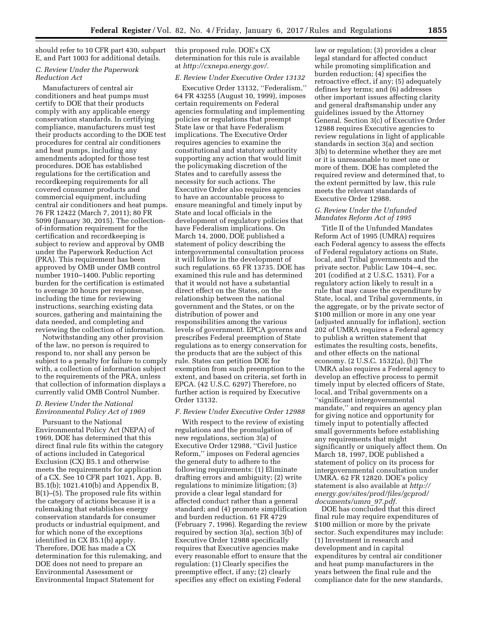should refer to 10 CFR part 430, subpart E, and Part 1003 for additional details.

# *C. Review Under the Paperwork Reduction Act*

Manufacturers of central air conditioners and heat pumps must certify to DOE that their products comply with any applicable energy conservation standards. In certifying compliance, manufacturers must test their products according to the DOE test procedures for central air conditioners and heat pumps, including any amendments adopted for those test procedures. DOE has established regulations for the certification and recordkeeping requirements for all covered consumer products and commercial equipment, including central air conditioners and heat pumps. 76 FR 12422 (March 7, 2011); 80 FR 5099 (January 30, 2015). The collectionof-information requirement for the certification and recordkeeping is subject to review and approval by OMB under the Paperwork Reduction Act (PRA). This requirement has been approved by OMB under OMB control number 1910–1400. Public reporting burden for the certification is estimated to average 30 hours per response, including the time for reviewing instructions, searching existing data sources, gathering and maintaining the data needed, and completing and reviewing the collection of information.

Notwithstanding any other provision of the law, no person is required to respond to, nor shall any person be subject to a penalty for failure to comply with, a collection of information subject to the requirements of the PRA, unless that collection of information displays a currently valid OMB Control Number.

# *D. Review Under the National Environmental Policy Act of 1969*

Pursuant to the National Environmental Policy Act (NEPA) of 1969, DOE has determined that this direct final rule fits within the category of actions included in Categorical Exclusion (CX) B5.1 and otherwise meets the requirements for application of a CX. See 10 CFR part 1021, App. B, B5.1(b); 1021.410(b) and Appendix B, B(1)–(5). The proposed rule fits within the category of actions because it is a rulemaking that establishes energy conservation standards for consumer products or industrial equipment, and for which none of the exceptions identified in CX B5.1(b) apply. Therefore, DOE has made a CX determination for this rulemaking, and DOE does not need to prepare an Environmental Assessment or Environmental Impact Statement for

this proposed rule. DOE's CX determination for this rule is available at *[http://cxnepa.energy.gov/.](http://cxnepa.energy.gov/)* 

### *E. Review Under Executive Order 13132*

Executive Order 13132, ''Federalism,'' 64 FR 43255 (August 10, 1999), imposes certain requirements on Federal agencies formulating and implementing policies or regulations that preempt State law or that have Federalism implications. The Executive Order requires agencies to examine the constitutional and statutory authority supporting any action that would limit the policymaking discretion of the States and to carefully assess the necessity for such actions. The Executive Order also requires agencies to have an accountable process to ensure meaningful and timely input by State and local officials in the development of regulatory policies that have Federalism implications. On March 14, 2000, DOE published a statement of policy describing the intergovernmental consultation process it will follow in the development of such regulations. 65 FR 13735. DOE has examined this rule and has determined that it would not have a substantial direct effect on the States, on the relationship between the national government and the States, or on the distribution of power and responsibilities among the various levels of government. EPCA governs and prescribes Federal preemption of State regulations as to energy conservation for the products that are the subject of this rule. States can petition DOE for exemption from such preemption to the extent, and based on criteria, set forth in EPCA. (42 U.S.C. 6297) Therefore, no further action is required by Executive Order 13132.

### *F. Review Under Executive Order 12988*

With respect to the review of existing regulations and the promulgation of new regulations, section 3(a) of Executive Order 12988, ''Civil Justice Reform,'' imposes on Federal agencies the general duty to adhere to the following requirements: (1) Eliminate drafting errors and ambiguity; (2) write regulations to minimize litigation; (3) provide a clear legal standard for affected conduct rather than a general standard; and (4) promote simplification and burden reduction. 61 FR 4729 (February 7, 1996). Regarding the review required by section 3(a), section 3(b) of Executive Order 12988 specifically requires that Executive agencies make every reasonable effort to ensure that the regulation: (1) Clearly specifies the preemptive effect, if any; (2) clearly specifies any effect on existing Federal

law or regulation; (3) provides a clear legal standard for affected conduct while promoting simplification and burden reduction; (4) specifies the retroactive effect, if any; (5) adequately defines key terms; and (6) addresses other important issues affecting clarity and general draftsmanship under any guidelines issued by the Attorney General. Section 3(c) of Executive Order 12988 requires Executive agencies to review regulations in light of applicable standards in section 3(a) and section 3(b) to determine whether they are met or it is unreasonable to meet one or more of them. DOE has completed the required review and determined that, to the extent permitted by law, this rule meets the relevant standards of Executive Order 12988.

### *G. Review Under the Unfunded Mandates Reform Act of 1995*

Title II of the Unfunded Mandates Reform Act of 1995 (UMRA) requires each Federal agency to assess the effects of Federal regulatory actions on State, local, and Tribal governments and the private sector. Public Law 104–4, sec. 201 (codified at 2 U.S.C. 1531). For a regulatory action likely to result in a rule that may cause the expenditure by State, local, and Tribal governments, in the aggregate, or by the private sector of \$100 million or more in any one year (adjusted annually for inflation), section 202 of UMRA requires a Federal agency to publish a written statement that estimates the resulting costs, benefits, and other effects on the national economy. (2 U.S.C. 1532(a), (b)) The UMRA also requires a Federal agency to develop an effective process to permit timely input by elected officers of State, local, and Tribal governments on a ''significant intergovernmental mandate,'' and requires an agency plan for giving notice and opportunity for timely input to potentially affected small governments before establishing any requirements that might significantly or uniquely affect them. On March 18, 1997, DOE published a statement of policy on its process for intergovernmental consultation under UMRA. 62 FR 12820. DOE's policy statement is also available at *[http://](http://energy.gov/sites/prod/files/gcprod/documents/umra_97.pdf) [energy.gov/sites/prod/files/gcprod/](http://energy.gov/sites/prod/files/gcprod/documents/umra_97.pdf)  [documents/umra](http://energy.gov/sites/prod/files/gcprod/documents/umra_97.pdf)*\_*97.pdf.* 

DOE has concluded that this direct final rule may require expenditures of \$100 million or more by the private sector. Such expenditures may include: (1) Investment in research and development and in capital expenditures by central air conditioner and heat pump manufacturers in the years between the final rule and the compliance date for the new standards,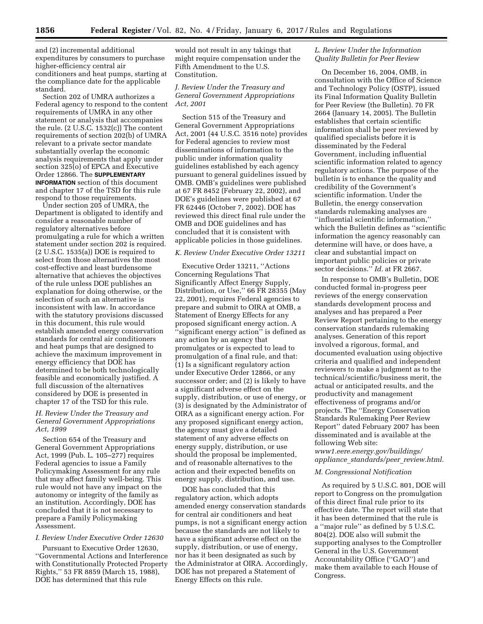and (2) incremental additional expenditures by consumers to purchase higher-efficiency central air conditioners and heat pumps, starting at the compliance date for the applicable standard.

Section 202 of UMRA authorizes a Federal agency to respond to the content requirements of UMRA in any other statement or analysis that accompanies the rule. (2 U.S.C. 1532(c)) The content requirements of section 202(b) of UMRA relevant to a private sector mandate substantially overlap the economic analysis requirements that apply under section 325(o) of EPCA and Executive Order 12866. The **SUPPLEMENTARY INFORMATION** section of this document and chapter 17 of the TSD for this rule respond to those requirements.

Under section 205 of UMRA, the Department is obligated to identify and consider a reasonable number of regulatory alternatives before promulgating a rule for which a written statement under section 202 is required. (2 U.S.C. 1535(a)) DOE is required to select from those alternatives the most cost-effective and least burdensome alternative that achieves the objectives of the rule unless DOE publishes an explanation for doing otherwise, or the selection of such an alternative is inconsistent with law. In accordance with the statutory provisions discussed in this document, this rule would establish amended energy conservation standards for central air conditioners and heat pumps that are designed to achieve the maximum improvement in energy efficiency that DOE has determined to be both technologically feasible and economically justified. A full discussion of the alternatives considered by DOE is presented in chapter 17 of the TSD for this rule.

### *H. Review Under the Treasury and General Government Appropriations Act, 1999*

Section 654 of the Treasury and General Government Appropriations Act, 1999 (Pub. L. 105–277) requires Federal agencies to issue a Family Policymaking Assessment for any rule that may affect family well-being. This rule would not have any impact on the autonomy or integrity of the family as an institution. Accordingly, DOE has concluded that it is not necessary to prepare a Family Policymaking Assessment.

### *I. Review Under Executive Order 12630*

Pursuant to Executive Order 12630, ''Governmental Actions and Interference with Constitutionally Protected Property Rights,'' 53 FR 8859 (March 15, 1988), DOE has determined that this rule

would not result in any takings that might require compensation under the Fifth Amendment to the U.S. Constitution.

# *J. Review Under the Treasury and General Government Appropriations Act, 2001*

Section 515 of the Treasury and General Government Appropriations Act, 2001 (44 U.S.C. 3516 note) provides for Federal agencies to review most disseminations of information to the public under information quality guidelines established by each agency pursuant to general guidelines issued by OMB. OMB's guidelines were published at 67 FR 8452 (February 22, 2002), and DOE's guidelines were published at 67 FR 62446 (October 7, 2002). DOE has reviewed this direct final rule under the OMB and DOE guidelines and has concluded that it is consistent with applicable policies in those guidelines.

#### *K. Review Under Executive Order 13211*

Executive Order 13211, ''Actions Concerning Regulations That Significantly Affect Energy Supply, Distribution, or Use,'' 66 FR 28355 (May 22, 2001), requires Federal agencies to prepare and submit to OIRA at OMB, a Statement of Energy Effects for any proposed significant energy action. A 'significant energy action'' is defined as any action by an agency that promulgates or is expected to lead to promulgation of a final rule, and that: (1) Is a significant regulatory action under Executive Order 12866, or any successor order; and (2) is likely to have a significant adverse effect on the supply, distribution, or use of energy, or (3) is designated by the Administrator of OIRA as a significant energy action. For any proposed significant energy action, the agency must give a detailed statement of any adverse effects on energy supply, distribution, or use should the proposal be implemented, and of reasonable alternatives to the action and their expected benefits on energy supply, distribution, and use.

DOE has concluded that this regulatory action, which adopts amended energy conservation standards for central air conditioners and heat pumps, is not a significant energy action because the standards are not likely to have a significant adverse effect on the supply, distribution, or use of energy, nor has it been designated as such by the Administrator at OIRA. Accordingly, DOE has not prepared a Statement of Energy Effects on this rule.

# *L. Review Under the Information Quality Bulletin for Peer Review*

On December 16, 2004, OMB, in consultation with the Office of Science and Technology Policy (OSTP), issued its Final Information Quality Bulletin for Peer Review (the Bulletin). 70 FR 2664 (January 14, 2005). The Bulletin establishes that certain scientific information shall be peer reviewed by qualified specialists before it is disseminated by the Federal Government, including influential scientific information related to agency regulatory actions. The purpose of the bulletin is to enhance the quality and credibility of the Government's scientific information. Under the Bulletin, the energy conservation standards rulemaking analyses are ''influential scientific information,'' which the Bulletin defines as ''scientific information the agency reasonably can determine will have, or does have, a clear and substantial impact on important public policies or private sector decisions.'' *Id.* at FR 2667.

In response to OMB's Bulletin, DOE conducted formal in-progress peer reviews of the energy conservation standards development process and analyses and has prepared a Peer Review Report pertaining to the energy conservation standards rulemaking analyses. Generation of this report involved a rigorous, formal, and documented evaluation using objective criteria and qualified and independent reviewers to make a judgment as to the technical/scientific/business merit, the actual or anticipated results, and the productivity and management effectiveness of programs and/or projects. The ''Energy Conservation Standards Rulemaking Peer Review Report'' dated February 2007 has been disseminated and is available at the following Web site:

*[www1.eere.energy.gov/buildings/](http://www1.eere.energy.gov/buildings/appliance_standards/peer_review.html)  appliance*\_*[standards/peer](http://www1.eere.energy.gov/buildings/appliance_standards/peer_review.html)*\_*review.html.* 

### *M. Congressional Notification*

As required by 5 U.S.C. 801, DOE will report to Congress on the promulgation of this direct final rule prior to its effective date. The report will state that it has been determined that the rule is a ''major rule'' as defined by 5 U.S.C. 804(2). DOE also will submit the supporting analyses to the Comptroller General in the U.S. Government Accountability Office (''GAO'') and make them available to each House of Congress.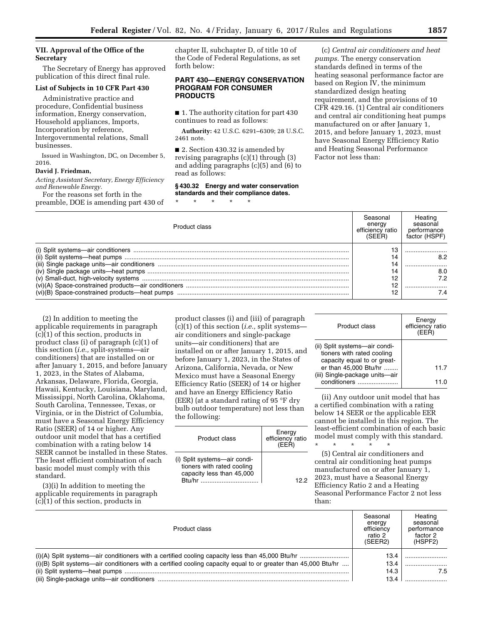### **VII. Approval of the Office of the Secretary**

The Secretary of Energy has approved publication of this direct final rule.

#### **List of Subjects in 10 CFR Part 430**

Administrative practice and procedure, Confidential business information, Energy conservation, Household appliances, Imports, Incorporation by reference, Intergovernmental relations, Small businesses.

Issued in Washington, DC, on December 5, 2016.

#### **David J. Friedman,**

*Acting Assistant Secretary, Energy Efficiency and Renewable Energy.* 

For the reasons set forth in the preamble, DOE is amending part 430 of chapter II, subchapter D, of title 10 of the Code of Federal Regulations, as set forth below:

### **PART 430—ENERGY CONSERVATION PROGRAM FOR CONSUMER PRODUCTS**

■ 1. The authority citation for part 430 continues to read as follows:

**Authority:** 42 U.S.C. 6291–6309; 28 U.S.C. 2461 note.

■ 2. Section 430.32 is amended by revising paragraphs (c)(1) through (3) and adding paragraphs (c)(5) and (6) to read as follows:

### **§ 430.32 Energy and water conservation standards and their compliance dates.**

\* \* \* \* \*

(c) *Central air conditioners and heat pumps.* The energy conservation standards defined in terms of the heating seasonal performance factor are based on Region IV, the minimum standardized design heating requirement, and the provisions of 10 CFR 429.16. (1) Central air conditioners and central air conditioning heat pumps manufactured on or after January 1, 2015, and before January 1, 2023, must have Seasonal Energy Efficiency Ratio and Heating Seasonal Performance Factor not less than:

| Product class | Seasonal<br>energy<br>efficiency ratio<br>(SFFR) | Heating<br>seasonal<br>performance<br>factor (HSPF) |
|---------------|--------------------------------------------------|-----------------------------------------------------|
|               |                                                  |                                                     |
|               |                                                  | 8.2                                                 |
|               |                                                  |                                                     |
|               |                                                  | 8.0                                                 |
|               |                                                  | 72                                                  |
|               |                                                  |                                                     |
|               |                                                  |                                                     |

(2) In addition to meeting the applicable requirements in paragraph (c)(1) of this section, products in product class (i) of paragraph (c)(1) of this section (*i.e.,* split-systems—air conditioners) that are installed on or after January 1, 2015, and before January 1, 2023, in the States of Alabama, Arkansas, Delaware, Florida, Georgia, Hawaii, Kentucky, Louisiana, Maryland, Mississippi, North Carolina, Oklahoma, South Carolina, Tennessee, Texas, or Virginia, or in the District of Columbia, must have a Seasonal Energy Efficiency Ratio (SEER) of 14 or higher. Any outdoor unit model that has a certified combination with a rating below 14 SEER cannot be installed in these States. The least efficient combination of each basic model must comply with this standard.

(3)(i) In addition to meeting the applicable requirements in paragraph (c)(1) of this section, products in

product classes (i) and (iii) of paragraph (c)(1) of this section (*i.e.,* split systems air conditioners and single-package units—air conditioners) that are installed on or after January 1, 2015, and before January 1, 2023, in the States of Arizona, California, Nevada, or New Mexico must have a Seasonal Energy Efficiency Ratio (SEER) of 14 or higher and have an Energy Efficiency Ratio (EER) (at a standard rating of 95 °F dry bulb outdoor temperature) not less than the following:

| Product class                                                                                     | Energy<br>efficiency ratio<br>(FFR) |
|---------------------------------------------------------------------------------------------------|-------------------------------------|
| (i) Split systems-air condi-<br>tioners with rated cooling<br>capacity less than 45,000<br>Rtu/hr | 122                                 |

| Product class                                                                              | Energy<br>efficiency ratio<br>(EER) |
|--------------------------------------------------------------------------------------------|-------------------------------------|
| (ii) Split systems-air condi-<br>tioners with rated cooling<br>capacity equal to or great- |                                     |
| er than 45,000 Btu/hr                                                                      | 11.7                                |
| (iii) Single-package units-air<br>conditioners                                             |                                     |

(ii) Any outdoor unit model that has a certified combination with a rating below 14 SEER or the applicable EER cannot be installed in this region. The least-efficient combination of each basic model must comply with this standard. \* \* \* \* \*

(5) Central air conditioners and central air conditioning heat pumps manufactured on or after January 1, 2023, must have a Seasonal Energy Efficiency Ratio 2 and a Heating Seasonal Performance Factor 2 not less than:

| Product class                                                                                                    | Seasonal<br>energy<br>efficiency<br>ratio 2<br>(SEER2) | Heating<br>seasonal<br>performance<br>factor 2<br>(HSPF2) |
|------------------------------------------------------------------------------------------------------------------|--------------------------------------------------------|-----------------------------------------------------------|
|                                                                                                                  | 13.4                                                   |                                                           |
| $(i)(B)$ Split systems—air conditioners with a certified cooling capacity equal to or greater than 45,000 Btu/hr | 13.4                                                   |                                                           |
|                                                                                                                  | 14.3                                                   | 7.5                                                       |
|                                                                                                                  | 13.4                                                   |                                                           |